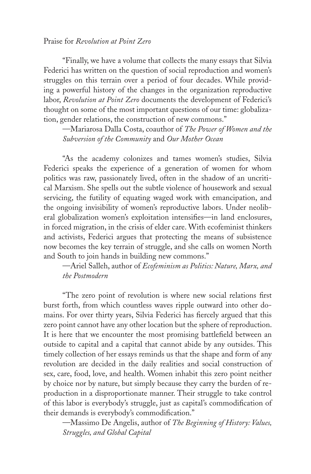#### Praise for *Revolution at Point Zero*

"Finally, we have a volume that collects the many essays that Silvia Federici has written on the question of social reproduction and women's struggles on this terrain over a period of four decades. While providing a powerful history of the changes in the organization reproductive labor, *Revolution at Point Zero* documents the development of Federici's thought on some of the most important questions of our time: globalization, gender relations, the construction of new commons."

—Mariarosa Dalla Costa, coauthor of *The Power of Women and the Subversion of the Community* and *Our Mother Ocean*

"As the academy colonizes and tames women's studies, Silvia Federici speaks the experience of a generation of women for whom politics was raw, passionately lived, often in the shadow of an uncritical Marxism. She spells out the subtle violence of housework and sexual servicing, the futility of equating waged work with emancipation, and the ongoing invisibility of women's reproductive labors. Under neoliberal globalization women's exploitation intensifies—in land enclosures, in forced migration, in the crisis of elder care. With ecofeminist thinkers and activists, Federici argues that protecting the means of subsistence now becomes the key terrain of struggle, and she calls on women North and South to join hands in building new commons."

—Ariel Salleh, author of *Ecofeminism as Politics: Nature, Marx, and the Postmodern*

"The zero point of revolution is where new social relations first burst forth, from which countless waves ripple outward into other domains. For over thirty years, Silvia Federici has fiercely argued that this zero point cannot have any other location but the sphere of reproduction. It is here that we encounter the most promising battlefield between an outside to capital and a capital that cannot abide by any outsides. This timely collection of her essays reminds us that the shape and form of any revolution are decided in the daily realities and social construction of sex, care, food, love, and health. Women inhabit this zero point neither by choice nor by nature, but simply because they carry the burden of reproduction in a disproportionate manner. Their struggle to take control of this labor is everybody's struggle, just as capital's commodification of their demands is everybody's commodification."

—Massimo De Angelis, author of *The Beginning of History: Values, Struggles, and Global Capital*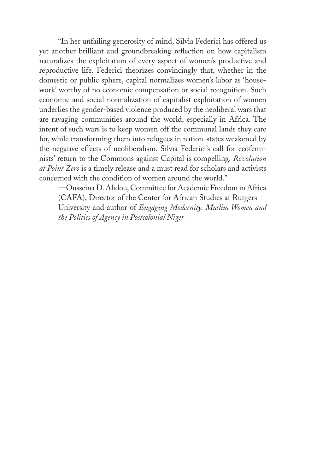"In her unfailing generosity of mind, Silvia Federici has offered us yet another brilliant and groundbreaking reflection on how capitalism naturalizes the exploitation of every aspect of women's productive and reproductive life. Federici theorizes convincingly that, whether in the domestic or public sphere, capital normalizes women's labor as 'housework' worthy of no economic compensation or social recognition. Such economic and social normalization of capitalist exploitation of women underlies the gender-based violence produced by the neoliberal wars that are ravaging communities around the world, especially in Africa. The intent of such wars is to keep women off the communal lands they care for, while transforming them into refugees in nation-states weakened by the negative effects of neoliberalism. Silvia Federici's call for ecofeminists' return to the Commons against Capital is compelling. *Revolution at Point Zero* is a timely release and a must read for scholars and activists concerned with the condition of women around the world."

—Ousseina D. Alidou, Committee for Academic Freedom in Africa (CAFA), Director of the Center for African Studies at Rutgers University and author of *Engaging Modernity: Muslim Women and the Politics of Agency in Postcolonial Niger*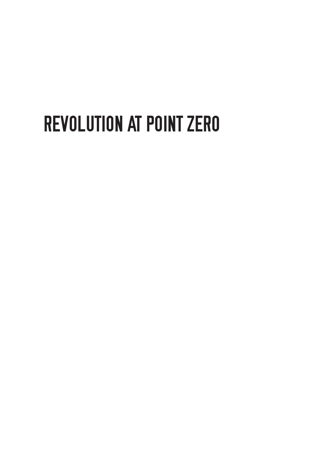# REVOLUTION AT POINT ZERO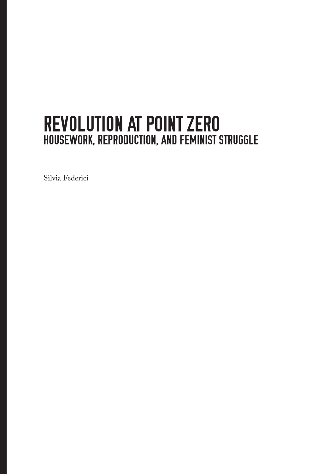#### REVOLUTION AT POINT ZERO HOUSEWORK, REPRODUCTION, AND FEMINIST STRUGGLE

Silvia Federici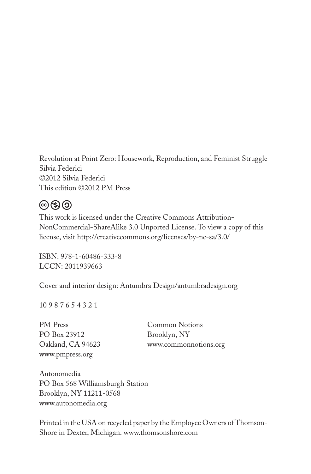Revolution at Point Zero: Housework, Reproduction, and Feminist Struggle Silvia Federici ©2012 Silvia Federici This edition ©2012 PM Press

#### $\circledcirc\circledcirc$

This work is licensed under the Creative Commons Attribution-NonCommercial-ShareAlike 3.0 Unported License. To view a copy of this license, visit http://creativecommons.org/licenses/by-nc-sa/3.0/

ISBN: 978-1-60486-333-8 LCCN: 2011939663

Cover and interior design: Antumbra Design/antumbradesign.org

10 9 8 7 6 5 4 3 2 1

PM Press Common Notions PO Box 23912 Brooklyn, NY www.pmpress.org

Oakland, CA 94623 www.commonnotions.org

Autonomedia PO Box 568 Williamsburgh Station Brooklyn, NY 11211-0568 www.autonomedia.org

Printed in the USA on recycled paper by the Employee Owners of Thomson-Shore in Dexter, Michigan. www.thomsonshore.com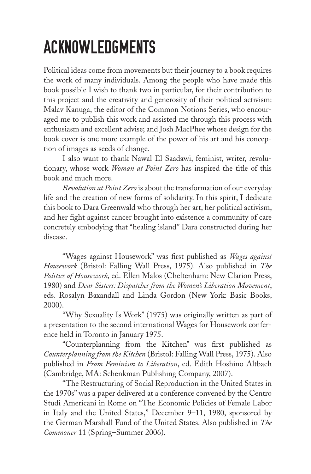# ACKNOWLEDGMENTS

Political ideas come from movements but their journey to a book requires the work of many individuals. Among the people who have made this book possible I wish to thank two in particular, for their contribution to this project and the creativity and generosity of their political activism: Malav Kanuga, the editor of the Common Notions Series, who encouraged me to publish this work and assisted me through this process with enthusiasm and excellent advise; and Josh MacPhee whose design for the book cover is one more example of the power of his art and his conception of images as seeds of change.

I also want to thank Nawal El Saadawi, feminist, writer, revolutionary, whose work *Woman at Point Zero* has inspired the title of this book and much more.

*Revolution at Point Zero* is about the transformation of our everyday life and the creation of new forms of solidarity. In this spirit, I dedicate this book to Dara Greenwald who through her art, her political activism, and her fight against cancer brought into existence a community of care concretely embodying that "healing island" Dara constructed during her disease.

"Wages against Housework" was first published as *Wages against Housework* (Bristol: Falling Wall Press, 1975). Also published in *The Politics of Housework*, ed. Ellen Malos (Cheltenham: New Clarion Press, 1980) and *Dear Sisters: Dispatches from the Women's Liberation Movement*, eds. Rosalyn Baxandall and Linda Gordon (New York: Basic Books, 2000).

"Why Sexuality Is Work" (1975) was originally written as part of a presentation to the second international Wages for Housework conference held in Toronto in January 1975.

"Counterplanning from the Kitchen" was first published as *Counterplanning from the Kitchen* (Bristol: Falling Wall Press, 1975). Also published in *From Feminism to Liberation*, ed. Edith Hoshino Altbach (Cambridge, MA: Schenkman Publishing Company, 2007).

"The Restructuring of Social Reproduction in the United States in the 1970s" was a paper delivered at a conference convened by the Centro Studi Americani in Rome on "The Economic Policies of Female Labor in Italy and the United States," December 9–11, 1980, sponsored by the German Marshall Fund of the United States. Also published in *The Commoner* 11 (Spring–Summer 2006).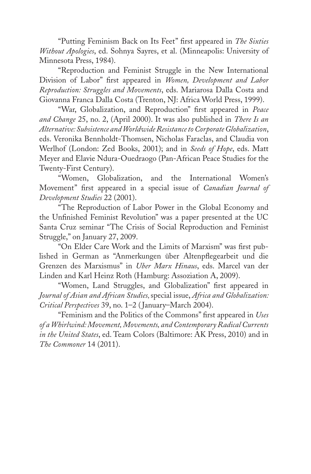"Putting Feminism Back on Its Feet" first appeared in *The Sixties Without Apologies*, ed. Sohnya Sayres, et al. (Minneapolis: University of Minnesota Press, 1984).

"Reproduction and Feminist Struggle in the New International Division of Labor" first appeared in *Women, Development and Labor Reproduction: Struggles and Movements*, eds. Mariarosa Dalla Costa and Giovanna Franca Dalla Costa (Trenton, NJ: Africa World Press, 1999).

"War, Globalization, and Reproduction" first appeared in *Peace and Change* 25, no. 2, (April 2000). It was also published in *There Is an Alternative: Subsistence and Worldwide Resistance to Corporate Globalization*, eds. Veronika Bennholdt-Thomsen, Nicholas Faraclas, and Claudia von Werlhof (London: Zed Books, 2001); and in *Seeds of Hope*, eds. Matt Meyer and Elavie Ndura-Ouedraogo (Pan-African Peace Studies for the Twenty-First Century).

"Women, Globalization, and the International Women's Movement" first appeared in a special issue of *Canadian Journal of Development Studies* 22 (2001).

"The Reproduction of Labor Power in the Global Economy and the Unfinished Feminist Revolution" was a paper presented at the UC Santa Cruz seminar "The Crisis of Social Reproduction and Feminist Struggle," on January 27, 2009.

"On Elder Care Work and the Limits of Marxism" was first published in German as "Anmerkungen über Altenpflegearbeit und die Grenzen des Marxismus" in *Uber Marx Hinaus*, eds. Marcel van der Linden and Karl Heinz Roth (Hamburg: Assoziation A, 2009).

"Women, Land Struggles, and Globalization" first appeared in *Journal of Asian and African Studies*, special issue, *Africa and Globalization: Critical Perspectives* 39, no. 1–2 ( January–March 2004).

"Feminism and the Politics of the Commons" first appeared in *Uses of a Whirlwind: Movement, Movements, and Contemporary Radical Currents in the United States*, ed. Team Colors (Baltimore: AK Press, 2010) and in *The Commoner* 14 (2011).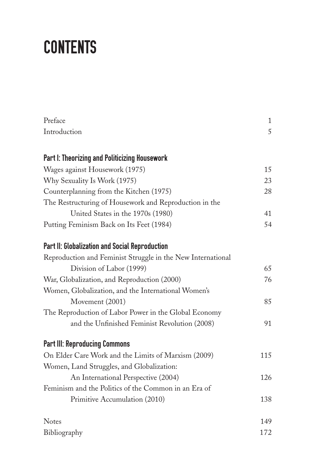## **CONTENTS**

| Preface                                                     | $\mathbf{1}$ |
|-------------------------------------------------------------|--------------|
| Introduction                                                | 5            |
| Part I: Theorizing and Politicizing Housework               |              |
| Wages against Housework (1975)                              | 15           |
| Why Sexuality Is Work (1975)                                | 23           |
| Counterplanning from the Kitchen (1975)                     | 28           |
| The Restructuring of Housework and Reproduction in the      |              |
| United States in the 1970s (1980)                           | 41           |
| Putting Feminism Back on Its Feet (1984)                    | 54           |
| Part II: Globalization and Social Reproduction              |              |
| Reproduction and Feminist Struggle in the New International |              |
| Division of Labor (1999)                                    | 65           |
| War, Globalization, and Reproduction (2000)                 | 76           |
| Women, Globalization, and the International Women's         |              |
| Movement (2001)                                             | 85           |
| The Reproduction of Labor Power in the Global Economy       |              |
| and the Unfinished Feminist Revolution (2008)               | 91           |
| <b>Part III: Reproducing Commons</b>                        |              |
| On Elder Care Work and the Limits of Marxism (2009)         | 115          |
| Women, Land Struggles, and Globalization:                   |              |
| An International Perspective (2004)                         | 126          |
| Feminism and the Politics of the Common in an Era of        |              |
| Primitive Accumulation (2010)                               | 138          |
| <b>Notes</b>                                                | 149          |
| Bibliography                                                | 172          |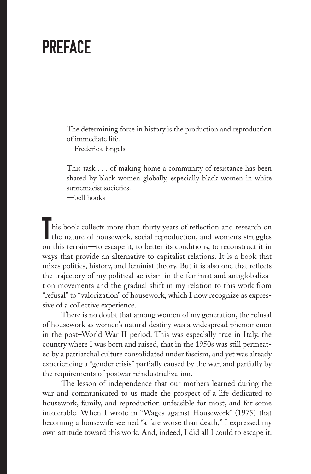### PREFACE

The determining force in history is the production and reproduction of immediate life.

—Frederick Engels

This task . . . of making home a community of resistance has been shared by black women globally, especially black women in white supremacist societies.

—bell hooks

T his book collects more than thirty years of reflection and research on the nature of housework, social reproduction, and women's struggles on this terrain—to escape it, to better its conditions, to reconstruct it in ways that provide an alternative to capitalist relations. It is a book that mixes politics, history, and feminist theory. But it is also one that reflects the trajectory of my political activism in the feminist and antiglobalization movements and the gradual shift in my relation to this work from "refusal" to "valorization" of housework, which I now recognize as expressive of a collective experience.

There is no doubt that among women of my generation, the refusal of housework as women's natural destiny was a widespread phenomenon in the post–World War II period. This was especially true in Italy, the country where I was born and raised, that in the 1950s was still permeated by a patriarchal culture consolidated under fascism, and yet was already experiencing a "gender crisis" partially caused by the war, and partially by the requirements of postwar reindustrialization.

The lesson of independence that our mothers learned during the war and communicated to us made the prospect of a life dedicated to housework, family, and reproduction unfeasible for most, and for some intolerable. When I wrote in "Wages against Housework" (1975) that becoming a housewife seemed "a fate worse than death," I expressed my own attitude toward this work. And, indeed, I did all I could to escape it.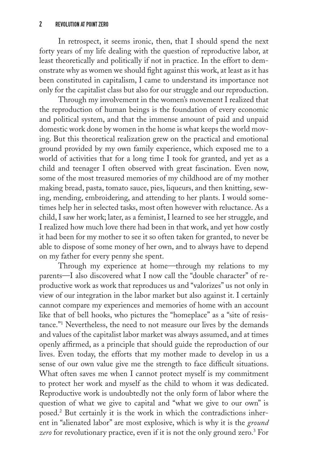In retrospect, it seems ironic, then, that I should spend the next forty years of my life dealing with the question of reproductive labor, at least theoretically and politically if not in practice. In the effort to demonstrate why as women we should fight against this work, at least as it has been constituted in capitalism, I came to understand its importance not only for the capitalist class but also for our struggle and our reproduction.

Through my involvement in the women's movement I realized that the reproduction of human beings is the foundation of every economic and political system, and that the immense amount of paid and unpaid domestic work done by women in the home is what keeps the world moving. But this theoretical realization grew on the practical and emotional ground provided by my own family experience, which exposed me to a world of activities that for a long time I took for granted, and yet as a child and teenager I often observed with great fascination. Even now, some of the most treasured memories of my childhood are of my mother making bread, pasta, tomato sauce, pies, liqueurs, and then knitting, sewing, mending, embroidering, and attending to her plants. I would sometimes help her in selected tasks, most often however with reluctance. As a child, I saw her work; later, as a feminist, I learned to see her struggle, and I realized how much love there had been in that work, and yet how costly it had been for my mother to see it so often taken for granted, to never be able to dispose of some money of her own, and to always have to depend on my father for every penny she spent.

Through my experience at home—through my relations to my parents—I also discovered what I now call the "double character" of reproductive work as work that reproduces us and "valorizes" us not only in view of our integration in the labor market but also against it. I certainly cannot compare my experiences and memories of home with an account like that of bell hooks, who pictures the "homeplace" as a "site of resistance."1 Nevertheless, the need to not measure our lives by the demands and values of the capitalist labor market was always assumed, and at times openly affirmed, as a principle that should guide the reproduction of our lives. Even today, the efforts that my mother made to develop in us a sense of our own value give me the strength to face difficult situations. What often saves me when I cannot protect myself is my commitment to protect her work and myself as the child to whom it was dedicated. Reproductive work is undoubtedly not the only form of labor where the question of what we give to capital and "what we give to our own" is posed.2 But certainly it is the work in which the contradictions inherent in "alienated labor" are most explosive, which is why it is the *ground zero* for revolutionary practice, even if it is not the only ground zero.3 For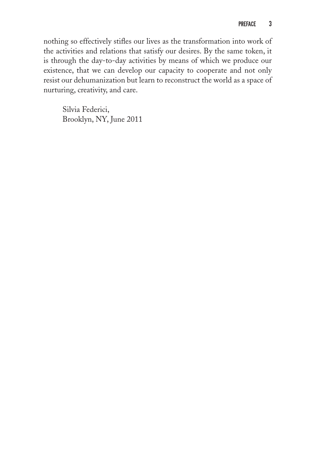nothing so effectively stifles our lives as the transformation into work of the activities and relations that satisfy our desires. By the same token, it is through the day-to-day activities by means of which we produce our existence, that we can develop our capacity to cooperate and not only resist our dehumanization but learn to reconstruct the world as a space of nurturing, creativity, and care.

Silvia Federici, Brooklyn, NY, June 2011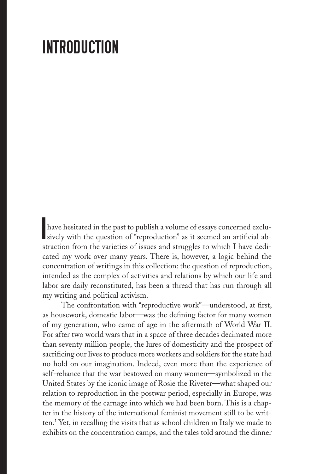### INTRODUCTION

have hesitated in the past to publish a volume of essays concerned exclusively with the question of "reproduction" as it seemed an artificial abstraction from the varieties of issues and struggles to which I have dedicated my work over many years. There is, however, a logic behind the concentration of writings in this collection: the question of reproduction, intended as the complex of activities and relations by which our life and labor are daily reconstituted, has been a thread that has run through all my writing and political activism.

The confrontation with "reproductive work"—understood, at first, as housework, domestic labor—was the defining factor for many women of my generation, who came of age in the aftermath of World War II. For after two world wars that in a space of three decades decimated more than seventy million people, the lures of domesticity and the prospect of sacrificing our lives to produce more workers and soldiers for the state had no hold on our imagination. Indeed, even more than the experience of self-reliance that the war bestowed on many women—symbolized in the United States by the iconic image of Rosie the Riveter—what shaped our relation to reproduction in the postwar period, especially in Europe, was the memory of the carnage into which we had been born. This is a chapter in the history of the international feminist movement still to be written.1 Yet, in recalling the visits that as school children in Italy we made to exhibits on the concentration camps, and the tales told around the dinner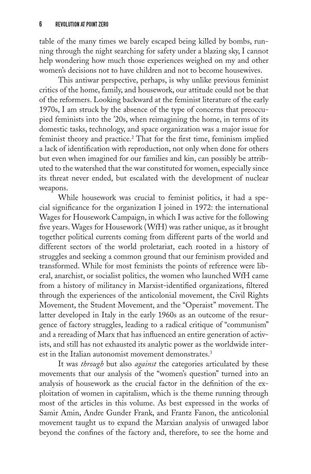table of the many times we barely escaped being killed by bombs, running through the night searching for safety under a blazing sky, I cannot help wondering how much those experiences weighed on my and other women's decisions not to have children and not to become housewives.

This antiwar perspective, perhaps, is why unlike previous feminist critics of the home, family, and housework, our attitude could not be that of the reformers. Looking backward at the feminist literature of the early 1970s, I am struck by the absence of the type of concerns that preoccupied feminists into the '20s, when reimagining the home, in terms of its domestic tasks, technology, and space organization was a major issue for feminist theory and practice.<sup>2</sup> That for the first time, feminism implied a lack of identification with reproduction, not only when done for others but even when imagined for our families and kin, can possibly be attributed to the watershed that the war constituted for women, especially since its threat never ended, but escalated with the development of nuclear weapons.

While housework was crucial to feminist politics, it had a special significance for the organization I joined in 1972: the international Wages for Housework Campaign, in which I was active for the following five years. Wages for Housework (WfH) was rather unique, as it brought together political currents coming from different parts of the world and different sectors of the world proletariat, each rooted in a history of struggles and seeking a common ground that our feminism provided and transformed. While for most feminists the points of reference were liberal, anarchist, or socialist politics, the women who launched WfH came from a history of militancy in Marxist-identified organizations, filtered through the experiences of the anticolonial movement, the Civil Rights Movement, the Student Movement, and the "Operaist" movement. The latter developed in Italy in the early 1960s as an outcome of the resurgence of factory struggles, leading to a radical critique of "communism" and a rereading of Marx that has influenced an entire generation of activists, and still has not exhausted its analytic power as the worldwide interest in the Italian autonomist movement demonstrates.<sup>3</sup>

It was *through* but also *against* the categories articulated by these movements that our analysis of the "women's question" turned into an analysis of housework as the crucial factor in the definition of the exploitation of women in capitalism, which is the theme running through most of the articles in this volume. As best expressed in the works of Samir Amin, Andre Gunder Frank, and Frantz Fanon, the anticolonial movement taught us to expand the Marxian analysis of unwaged labor beyond the confines of the factory and, therefore, to see the home and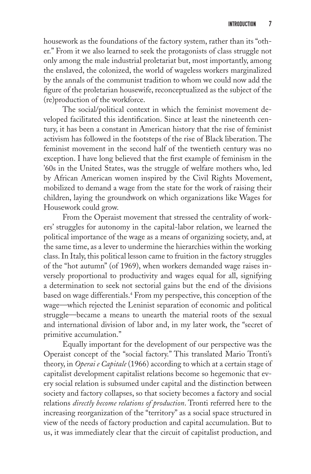housework as the foundations of the factory system, rather than its "other." From it we also learned to seek the protagonists of class struggle not only among the male industrial proletariat but, most importantly, among the enslaved, the colonized, the world of wageless workers marginalized by the annals of the communist tradition to whom we could now add the figure of the proletarian housewife, reconceptualized as the subject of the (re)production of the workforce.

The social/political context in which the feminist movement developed facilitated this identification. Since at least the nineteenth century, it has been a constant in American history that the rise of feminist activism has followed in the footsteps of the rise of Black liberation. The feminist movement in the second half of the twentieth century was no exception. I have long believed that the first example of feminism in the '60s in the United States, was the struggle of welfare mothers who, led by African American women inspired by the Civil Rights Movement, mobilized to demand a wage from the state for the work of raising their children, laying the groundwork on which organizations like Wages for Housework could grow.

From the Operaist movement that stressed the centrality of workers' struggles for autonomy in the capital-labor relation, we learned the political importance of the wage as a means of organizing society, and, at the same time, as a lever to undermine the hierarchies within the working class. In Italy, this political lesson came to fruition in the factory struggles of the "hot autumn" (of 1969), when workers demanded wage raises inversely proportional to productivity and wages equal for all, signifying a determination to seek not sectorial gains but the end of the divisions based on wage differentials.4 From my perspective, this conception of the wage—which rejected the Leninist separation of economic and political struggle—became a means to unearth the material roots of the sexual and international division of labor and, in my later work, the "secret of primitive accumulation."

Equally important for the development of our perspective was the Operaist concept of the "social factory." This translated Mario Tronti's theory, in *Operai e Capitale* (1966) according to which at a certain stage of capitalist development capitalist relations become so hegemonic that every social relation is subsumed under capital and the distinction between society and factory collapses, so that society becomes a factory and social relations *directly become relations of production*. Tronti referred here to the increasing reorganization of the "territory" as a social space structured in view of the needs of factory production and capital accumulation. But to us, it was immediately clear that the circuit of capitalist production, and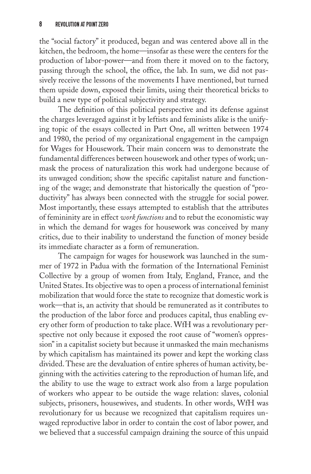the "social factory" it produced, began and was centered above all in the kitchen, the bedroom, the home—insofar as these were the centers for the production of labor-power—and from there it moved on to the factory, passing through the school, the office, the lab. In sum, we did not passively receive the lessons of the movements I have mentioned, but turned them upside down, exposed their limits, using their theoretical bricks to build a new type of political subjectivity and strategy.

The definition of this political perspective and its defense against the charges leveraged against it by leftists and feminists alike is the unifying topic of the essays collected in Part One, all written between 1974 and 1980, the period of my organizational engagement in the campaign for Wages for Housework. Their main concern was to demonstrate the fundamental differences between housework and other types of work; unmask the process of naturalization this work had undergone because of its unwaged condition; show the specific capitalist nature and functioning of the wage; and demonstrate that historically the question of "productivity" has always been connected with the struggle for social power. Most importantly, these essays attempted to establish that the attributes of femininity are in effect *work functions* and to rebut the economistic way in which the demand for wages for housework was conceived by many critics, due to their inability to understand the function of money beside its immediate character as a form of remuneration.

The campaign for wages for housework was launched in the summer of 1972 in Padua with the formation of the International Feminist Collective by a group of women from Italy, England, France, and the United States. Its objective was to open a process of international feminist mobilization that would force the state to recognize that domestic work is work—that is, an activity that should be remunerated as it contributes to the production of the labor force and produces capital, thus enabling every other form of production to take place. WfH was a revolutionary perspective not only because it exposed the root cause of "women's oppression" in a capitalist society but because it unmasked the main mechanisms by which capitalism has maintained its power and kept the working class divided. These are the devaluation of entire spheres of human activity, beginning with the activities catering to the reproduction of human life, and the ability to use the wage to extract work also from a large population of workers who appear to be outside the wage relation: slaves, colonial subjects, prisoners, housewives, and students. In other words, WfH was revolutionary for us because we recognized that capitalism requires unwaged reproductive labor in order to contain the cost of labor power, and we believed that a successful campaign draining the source of this unpaid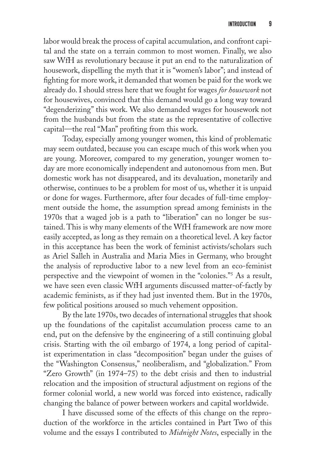labor would break the process of capital accumulation, and confront capital and the state on a terrain common to most women. Finally, we also saw WfH as revolutionary because it put an end to the naturalization of housework, dispelling the myth that it is "women's labor"; and instead of fighting for more work, it demanded that women be paid for the work we already do. I should stress here that we fought for wages *for housework* not for housewives, convinced that this demand would go a long way toward "degenderizing" this work. We also demanded wages for housework not from the husbands but from the state as the representative of collective capital—the real "Man" profiting from this work.

Today, especially among younger women, this kind of problematic may seem outdated, because you can escape much of this work when you are young. Moreover, compared to my generation, younger women today are more economically independent and autonomous from men. But domestic work has not disappeared, and its devaluation, monetarily and otherwise, continues to be a problem for most of us, whether it is unpaid or done for wages. Furthermore, after four decades of full-time employment outside the home, the assumption spread among feminists in the 1970s that a waged job is a path to "liberation" can no longer be sustained. This is why many elements of the WfH framework are now more easily accepted, as long as they remain on a theoretical level. A key factor in this acceptance has been the work of feminist activists/scholars such as Ariel Salleh in Australia and Maria Mies in Germany, who brought the analysis of reproductive labor to a new level from an eco-feminist perspective and the viewpoint of women in the "colonies."5 As a result, we have seen even classic WfH arguments discussed matter-of-factly by academic feminists, as if they had just invented them. But in the 1970s, few political positions aroused so much vehement opposition.

By the late 1970s, two decades of international struggles that shook up the foundations of the capitalist accumulation process came to an end, put on the defensive by the engineering of a still continuing global crisis. Starting with the oil embargo of 1974, a long period of capitalist experimentation in class "decomposition" began under the guises of the "Washington Consensus," neoliberalism, and "globalization." From "Zero Growth" (in 1974–75) to the debt crisis and then to industrial relocation and the imposition of structural adjustment on regions of the former colonial world, a new world was forced into existence, radically changing the balance of power between workers and capital worldwide.

I have discussed some of the effects of this change on the reproduction of the workforce in the articles contained in Part Two of this volume and the essays I contributed to *Midnight Notes*, especially in the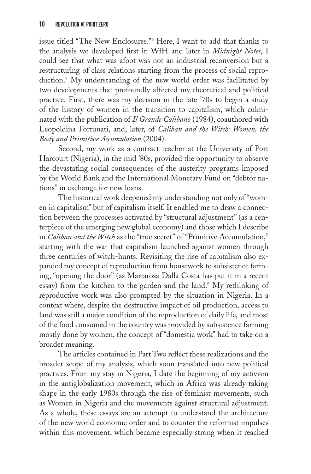issue titled "The New Enclosures."6 Here, I want to add that thanks to the analysis we developed first in WfH and later in *Midnight Notes*, I could see that what was afoot was not an industrial reconversion but a restructuring of class relations starting from the process of social reproduction.7 My understanding of the new world order was facilitated by two developments that profoundly affected my theoretical and political practice. First, there was my decision in the late '70s to begin a study of the history of women in the transition to capitalism, which culminated with the publication of *Il Grande Calibano* (1984), coauthored with Leopoldina Fortunati, and, later, of *Caliban and the Witch: Women, the Body and Primitive Accumulation* (2004).

Second, my work as a contract teacher at the University of Port Harcourt (Nigeria), in the mid '80s, provided the opportunity to observe the devastating social consequences of the austerity programs imposed by the World Bank and the International Monetary Fund on "debtor nations" in exchange for new loans.

The historical work deepened my understanding not only of "women in capitalism" but of capitalism itself. It enabled me to draw a connection between the processes activated by "structural adjustment" (as a centerpiece of the emerging new global economy) and those which I describe in *Caliban and the Witch* as the "true secret" of "Primitive Accumulation," starting with the war that capitalism launched against women through three centuries of witch-hunts. Revisiting the rise of capitalism also expanded my concept of reproduction from housework to subsistence farming, "opening the door" (as Mariarosa Dalla Costa has put it in a recent essay) from the kitchen to the garden and the land.<sup>8</sup> My rethinking of reproductive work was also prompted by the situation in Nigeria. In a context where, despite the destructive impact of oil production, access to land was still a major condition of the reproduction of daily life, and most of the food consumed in the country was provided by subsistence farming mostly done by women, the concept of "domestic work" had to take on a broader meaning.

The articles contained in Part Two reflect these realizations and the broader scope of my analysis, which soon translated into new political practices. From my stay in Nigeria, I date the beginning of my activism in the antiglobalization movement, which in Africa was already taking shape in the early 1980s through the rise of feminist movements, such as Women in Nigeria and the movements against structural adjustment. As a whole, these essays are an attempt to understand the architecture of the new world economic order and to counter the reformist impulses within this movement, which became especially strong when it reached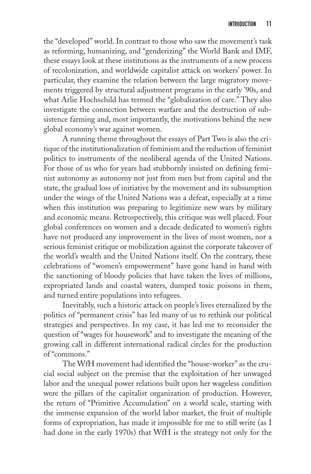the "developed" world. In contrast to those who saw the movement's task as reforming, humanizing, and "genderizing" the World Bank and IMF, these essays look at these institutions as the instruments of a new process of recolonization, and worldwide capitalist attack on workers' power. In particular, they examine the relation between the large migratory movements triggered by structural adjustment programs in the early '90s, and what Arlie Hochschild has termed the "globalization of care." They also investigate the connection between warfare and the destruction of subsistence farming and, most importantly, the motivations behind the new global economy's war against women.

A running theme throughout the essays of Part Two is also the critique of the institutionalization of feminism and the reduction of feminist politics to instruments of the neoliberal agenda of the United Nations. For those of us who for years had stubbornly insisted on defining feminist autonomy as autonomy not just from men but from capital and the state, the gradual loss of initiative by the movement and its subsumption under the wings of the United Nations was a defeat, especially at a time when this institution was preparing to legitimize new wars by military and economic means. Retrospectively, this critique was well placed. Four global conferences on women and a decade dedicated to women's rights have not produced any improvement in the lives of most women, nor a serious feminist critique or mobilization against the corporate takeover of the world's wealth and the United Nations itself. On the contrary, these celebrations of "women's empowerment" have gone hand in hand with the sanctioning of bloody policies that have taken the lives of millions, expropriated lands and coastal waters, dumped toxic poisons in them, and turned entire populations into refugees.

Inevitably, such a historic attack on people's lives eternalized by the politics of "permanent crisis" has led many of us to rethink our political strategies and perspectives. In my case, it has led me to reconsider the question of "wages for housework" and to investigate the meaning of the growing call in different international radical circles for the production of "commons."

The WfH movement had identified the "house-worker" as the crucial social subject on the premise that the exploitation of her unwaged labor and the unequal power relations built upon her wageless condition were the pillars of the capitalist organization of production. However, the return of "Primitive Accumulation" on a world scale, starting with the immense expansion of the world labor market, the fruit of multiple forms of expropriation, has made it impossible for me to still write (as I had done in the early 1970s) that WfH is the strategy not only for the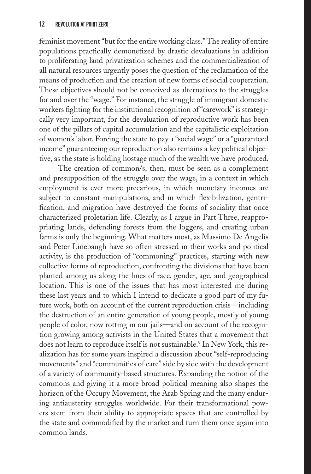feminist movement "but for the entire working class." The reality of entire populations practically demonetized by drastic devaluations in addition to proliferating land privatization schemes and the commercialization of all natural resources urgently poses the question of the reclamation of the means of production and the creation of new forms of social cooperation. These objectives should not be conceived as alternatives to the struggles for and over the "wage." For instance, the struggle of immigrant domestic workers fighting for the institutional recognition of "carework" is strategically very important, for the devaluation of reproductive work has been one of the pillars of capital accumulation and the capitalistic exploitation of women's labor. Forcing the state to pay a "social wage" or a "guaranteed income" guaranteeing our reproduction also remains a key political objective, as the state is holding hostage much of the wealth we have produced.

The creation of common/s, then, must be seen as a complement and presupposition of the struggle over the wage, in a context in which employment is ever more precarious, in which monetary incomes are subject to constant manipulations, and in which flexibilization, gentrification, and migration have destroyed the forms of sociality that once characterized proletarian life. Clearly, as I argue in Part Three, reappropriating lands, defending forests from the loggers, and creating urban farms is only the beginning. What matters most, as Massimo De Angelis and Peter Linebaugh have so often stressed in their works and political activity, is the production of "commoning" practices, starting with new collective forms of reproduction, confronting the divisions that have been planted among us along the lines of race, gender, age, and geographical location. This is one of the issues that has most interested me during these last years and to which I intend to dedicate a good part of my future work, both on account of the current reproduction crisis—including the destruction of an entire generation of young people, mostly of young people of color, now rotting in our jails—and on account of the recognition growing among activists in the United States that a movement that does not learn to reproduce itself is not sustainable.9 In New York, this realization has for some years inspired a discussion about "self-reproducing movements" and "communities of care" side by side with the development of a variety of community-based structures. Expanding the notion of the commons and giving it a more broad political meaning also shapes the horizon of the Occupy Movement, the Arab Spring and the many enduring antiausterity struggles worldwide. For their transformational powers stem from their ability to appropriate spaces that are controlled by the state and commodified by the market and turn them once again into common lands.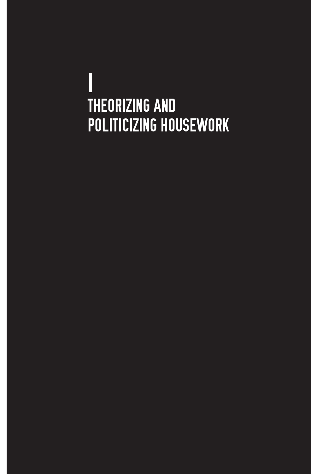**I** THEORIZING AND POLITICIZING HOUSEWORK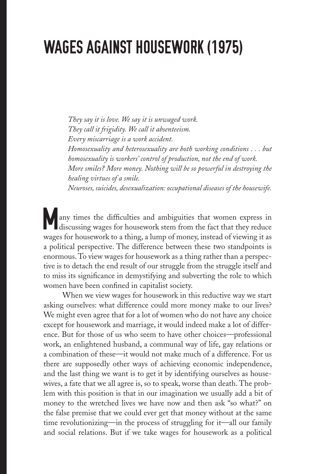### WAGES AGAINST HOUSEWORK (1975)

*They say it is love. We say it is unwaged work. They call it frigidity. We call it absenteeism. Every miscarriage is a work accident. Homosexuality and heterosexuality are both working conditions . . . but homosexuality is workers' control of production, not the end of work. More smiles? More money. Nothing will be so powerful in destroying the healing virtues of a smile. Neuroses, suicides, desexualization: occupational diseases of the housewife.*

any times the difficulties and ambiguities that women express in discussing wages for housework stem from the fact that they reduce wages for housework to a thing, a lump of money, instead of viewing it as a political perspective. The difference between these two standpoints is enormous. To view wages for housework as a thing rather than a perspective is to detach the end result of our struggle from the struggle itself and to miss its significance in demystifying and subverting the role to which women have been confined in capitalist society.

When we view wages for housework in this reductive way we start asking ourselves: what difference could more money make to our lives? We might even agree that for a lot of women who do not have any choice except for housework and marriage, it would indeed make a lot of difference. But for those of us who seem to have other choices—professional work, an enlightened husband, a communal way of life, gay relations or a combination of these—it would not make much of a difference. For us there are supposedly other ways of achieving economic independence, and the last thing we want is to get it by identifying ourselves as housewives, a fate that we all agree is, so to speak, worse than death. The problem with this position is that in our imagination we usually add a bit of money to the wretched lives we have now and then ask "so what?" on the false premise that we could ever get that money without at the same time revolutionizing—in the process of struggling for it—all our family and social relations. But if we take wages for housework as a political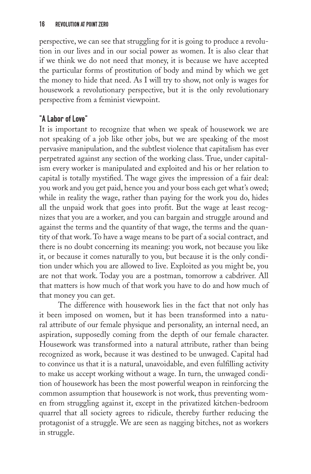perspective, we can see that struggling for it is going to produce a revolution in our lives and in our social power as women. It is also clear that if we think we do not need that money, it is because we have accepted the particular forms of prostitution of body and mind by which we get the money to hide that need. As I will try to show, not only is wages for housework a revolutionary perspective, but it is the only revolutionary perspective from a feminist viewpoint.

#### "A Labor of Love"

It is important to recognize that when we speak of housework we are not speaking of a job like other jobs, but we are speaking of the most pervasive manipulation, and the subtlest violence that capitalism has ever perpetrated against any section of the working class. True, under capitalism every worker is manipulated and exploited and his or her relation to capital is totally mystified. The wage gives the impression of a fair deal: you work and you get paid, hence you and your boss each get what's owed; while in reality the wage, rather than paying for the work you do, hides all the unpaid work that goes into profit. But the wage at least recognizes that you are a worker, and you can bargain and struggle around and against the terms and the quantity of that wage, the terms and the quantity of that work. To have a wage means to be part of a social contract, and there is no doubt concerning its meaning: you work, not because you like it, or because it comes naturally to you, but because it is the only condition under which you are allowed to live. Exploited as you might be, you are not that work. Today you are a postman, tomorrow a cabdriver. All that matters is how much of that work you have to do and how much of that money you can get.

The difference with housework lies in the fact that not only has it been imposed on women, but it has been transformed into a natural attribute of our female physique and personality, an internal need, an aspiration, supposedly coming from the depth of our female character. Housework was transformed into a natural attribute, rather than being recognized as work, because it was destined to be unwaged. Capital had to convince us that it is a natural, unavoidable, and even fulfilling activity to make us accept working without a wage. In turn, the unwaged condition of housework has been the most powerful weapon in reinforcing the common assumption that housework is not work, thus preventing women from struggling against it, except in the privatized kitchen-bedroom quarrel that all society agrees to ridicule, thereby further reducing the protagonist of a struggle. We are seen as nagging bitches, not as workers in struggle.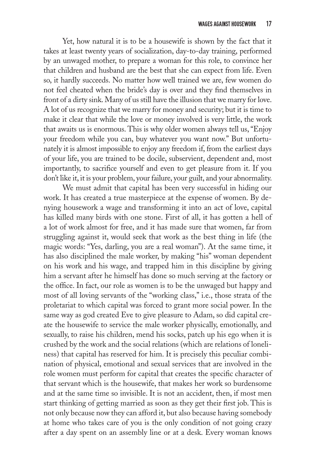Yet, how natural it is to be a housewife is shown by the fact that it takes at least twenty years of socialization, day-to-day training, performed by an unwaged mother, to prepare a woman for this role, to convince her that children and husband are the best that she can expect from life. Even so, it hardly succeeds. No matter how well trained we are, few women do not feel cheated when the bride's day is over and they find themselves in front of a dirty sink. Many of us still have the illusion that we marry for love. A lot of us recognize that we marry for money and security; but it is time to make it clear that while the love or money involved is very little, the work that awaits us is enormous. This is why older women always tell us, "Enjoy your freedom while you can, buy whatever you want now." But unfortunately it is almost impossible to enjoy any freedom if, from the earliest days of your life, you are trained to be docile, subservient, dependent and, most importantly, to sacrifice yourself and even to get pleasure from it. If you don't like it, it is your problem, your failure, your guilt, and your abnormality.

We must admit that capital has been very successful in hiding our work. It has created a true masterpiece at the expense of women. By denying housework a wage and transforming it into an act of love, capital has killed many birds with one stone. First of all, it has gotten a hell of a lot of work almost for free, and it has made sure that women, far from struggling against it, would seek that work as the best thing in life (the magic words: "Yes, darling, you are a real woman"). At the same time, it has also disciplined the male worker, by making "his" woman dependent on his work and his wage, and trapped him in this discipline by giving him a servant after he himself has done so much serving at the factory or the office. In fact, our role as women is to be the unwaged but happy and most of all loving servants of the "working class," i.e., those strata of the proletariat to which capital was forced to grant more social power. In the same way as god created Eve to give pleasure to Adam, so did capital create the housewife to service the male worker physically, emotionally, and sexually, to raise his children, mend his socks, patch up his ego when it is crushed by the work and the social relations (which are relations of loneliness) that capital has reserved for him. It is precisely this peculiar combination of physical, emotional and sexual services that are involved in the role women must perform for capital that creates the specific character of that servant which is the housewife, that makes her work so burdensome and at the same time so invisible. It is not an accident, then, if most men start thinking of getting married as soon as they get their first job. This is not only because now they can afford it, but also because having somebody at home who takes care of you is the only condition of not going crazy after a day spent on an assembly line or at a desk. Every woman knows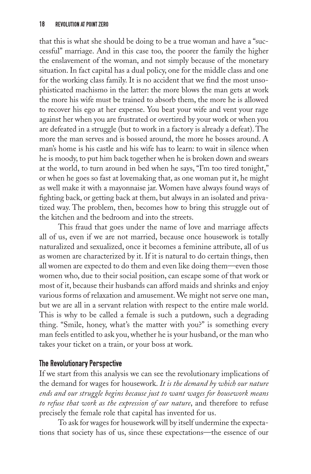that this is what she should be doing to be a true woman and have a "successful" marriage. And in this case too, the poorer the family the higher the enslavement of the woman, and not simply because of the monetary situation. In fact capital has a dual policy, one for the middle class and one for the working class family. It is no accident that we find the most unsophisticated machismo in the latter: the more blows the man gets at work the more his wife must be trained to absorb them, the more he is allowed to recover his ego at her expense. You beat your wife and vent your rage against her when you are frustrated or overtired by your work or when you are defeated in a struggle (but to work in a factory is already a defeat). The more the man serves and is bossed around, the more he bosses around. A man's home is his castle and his wife has to learn: to wait in silence when he is moody, to put him back together when he is broken down and swears at the world, to turn around in bed when he says, "I'm too tired tonight," or when he goes so fast at lovemaking that, as one woman put it, he might as well make it with a mayonnaise jar. Women have always found ways of fighting back, or getting back at them, but always in an isolated and privatized way. The problem, then, becomes how to bring this struggle out of the kitchen and the bedroom and into the streets.

This fraud that goes under the name of love and marriage affects all of us, even if we are not married, because once housework is totally naturalized and sexualized, once it becomes a feminine attribute, all of us as women are characterized by it. If it is natural to do certain things, then all women are expected to do them and even like doing them—even those women who, due to their social position, can escape some of that work or most of it, because their husbands can afford maids and shrinks and enjoy various forms of relaxation and amusement. We might not serve one man, but we are all in a servant relation with respect to the entire male world. This is why to be called a female is such a putdown, such a degrading thing. "Smile, honey, what's the matter with you?" is something every man feels entitled to ask you, whether he is your husband, or the man who takes your ticket on a train, or your boss at work.

#### The Revolutionary Perspective

If we start from this analysis we can see the revolutionary implications of the demand for wages for housework. *It is the demand by which our nature ends and our struggle begins because just to want wages for housework means to refuse that work as the expression of our nature*, and therefore to refuse precisely the female role that capital has invented for us.

To ask for wages for housework will by itself undermine the expectations that society has of us, since these expectations—the essence of our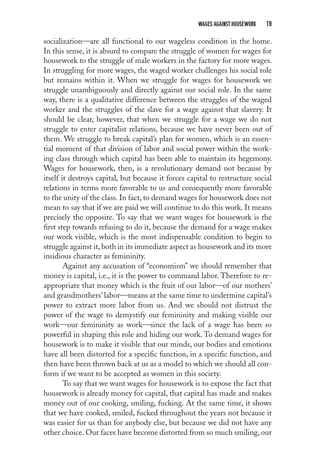socialization—are all functional to our wageless condition in the home. In this sense, it is absurd to compare the struggle of women for wages for housework to the struggle of male workers in the factory for more wages. In struggling for more wages, the waged worker challenges his social role but remains within it. When we struggle for wages for housework we struggle unambiguously and directly against our social role. In the same way, there is a qualitative difference between the struggles of the waged worker and the struggles of the slave for a wage against that slavery. It should be clear, however, that when we struggle for a wage we do not struggle to enter capitalist relations, because we have never been out of them. We struggle to break capital's plan for women, which is an essential moment of that division of labor and social power within the working class through which capital has been able to maintain its hegemony. Wages for housework, then, is a revolutionary demand not because by itself it destroys capital, but because it forces capital to restructure social relations in terms more favorable to us and consequently more favorable to the unity of the class. In fact, to demand wages for housework does not mean to say that if we are paid we will continue to do this work. It means precisely the opposite. To say that we want wages for housework is the first step towards refusing to do it, because the demand for a wage makes our work visible, which is the most indispensable condition to begin to struggle against it, both in its immediate aspect as housework and its more insidious character as femininity.

Against any accusation of "economism" we should remember that money is capital, i.e., it is the power to command labor. Therefore to reappropriate that money which is the fruit of our labor—of our mothers' and grandmothers' labor—means at the same time to undermine capital's power to extract more labor from us. And we should not distrust the power of the wage to demystify our femininity and making visible our work—our femininity as work—since the lack of a wage has been so powerful in shaping this role and hiding our work. To demand wages for housework is to make it visible that our minds, our bodies and emotions have all been distorted for a specific function, in a specific function, and then have been thrown back at us as a model to which we should all conform if we want to be accepted as women in this society.

To say that we want wages for housework is to expose the fact that housework is already money for capital, that capital has made and makes money out of our cooking, smiling, fucking. At the same time, it shows that we have cooked, smiled, fucked throughout the years not because it was easier for us than for anybody else, but because we did not have any other choice. Our faces have become distorted from so much smiling, our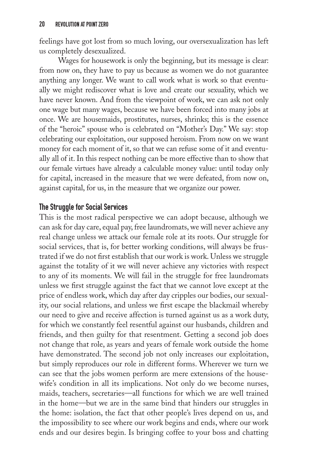feelings have got lost from so much loving, our oversexualization has left us completely desexualized.

Wages for housework is only the beginning, but its message is clear: from now on, they have to pay us because as women we do not guarantee anything any longer. We want to call work what is work so that eventually we might rediscover what is love and create our sexuality, which we have never known. And from the viewpoint of work, we can ask not only one wage but many wages, because we have been forced into many jobs at once. We are housemaids, prostitutes, nurses, shrinks; this is the essence of the "heroic" spouse who is celebrated on "Mother's Day." We say: stop celebrating our exploitation, our supposed heroism. From now on we want money for each moment of it, so that we can refuse some of it and eventually all of it. In this respect nothing can be more effective than to show that our female virtues have already a calculable money value: until today only for capital, increased in the measure that we were defeated, from now on, against capital, for us, in the measure that we organize our power.

#### The Struggle for Social Services

This is the most radical perspective we can adopt because, although we can ask for day care, equal pay, free laundromats, we will never achieve any real change unless we attack our female role at its roots. Our struggle for social services, that is, for better working conditions, will always be frustrated if we do not first establish that our work is work. Unless we struggle against the totality of it we will never achieve any victories with respect to any of its moments. We will fail in the struggle for free laundromats unless we first struggle against the fact that we cannot love except at the price of endless work, which day after day cripples our bodies, our sexuality, our social relations, and unless we first escape the blackmail whereby our need to give and receive affection is turned against us as a work duty, for which we constantly feel resentful against our husbands, children and friends, and then guilty for that resentment. Getting a second job does not change that role, as years and years of female work outside the home have demonstrated. The second job not only increases our exploitation, but simply reproduces our role in different forms. Wherever we turn we can see that the jobs women perform are mere extensions of the housewife's condition in all its implications. Not only do we become nurses, maids, teachers, secretaries—all functions for which we are well trained in the home—but we are in the same bind that hinders our struggles in the home: isolation, the fact that other people's lives depend on us, and the impossibility to see where our work begins and ends, where our work ends and our desires begin. Is bringing coffee to your boss and chatting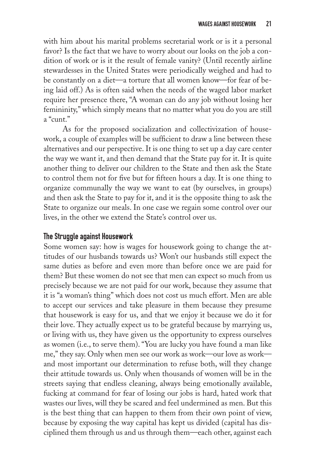with him about his marital problems secretarial work or is it a personal favor? Is the fact that we have to worry about our looks on the job a condition of work or is it the result of female vanity? (Until recently airline stewardesses in the United States were periodically weighed and had to be constantly on a diet—a torture that all women know—for fear of being laid off.) As is often said when the needs of the waged labor market require her presence there, "A woman can do any job without losing her femininity," which simply means that no matter what you do you are still a "cunt."

As for the proposed socialization and collectivization of housework, a couple of examples will be sufficient to draw a line between these alternatives and our perspective. It is one thing to set up a day care center the way we want it, and then demand that the State pay for it. It is quite another thing to deliver our children to the State and then ask the State to control them not for five but for fifteen hours a day. It is one thing to organize communally the way we want to eat (by ourselves, in groups) and then ask the State to pay for it, and it is the opposite thing to ask the State to organize our meals. In one case we regain some control over our lives, in the other we extend the State's control over us.

#### The Struggle against Housework

Some women say: how is wages for housework going to change the attitudes of our husbands towards us? Won't our husbands still expect the same duties as before and even more than before once we are paid for them? But these women do not see that men can expect so much from us precisely because we are not paid for our work, because they assume that it is "a woman's thing" which does not cost us much effort. Men are able to accept our services and take pleasure in them because they presume that housework is easy for us, and that we enjoy it because we do it for their love. They actually expect us to be grateful because by marrying us, or living with us, they have given us the opportunity to express ourselves as women (i.e., to serve them). "You are lucky you have found a man like me," they say. Only when men see our work as work—our love as work and most important our determination to refuse both, will they change their attitude towards us. Only when thousands of women will be in the streets saying that endless cleaning, always being emotionally available, fucking at command for fear of losing our jobs is hard, hated work that wastes our lives, will they be scared and feel undermined as men. But this is the best thing that can happen to them from their own point of view, because by exposing the way capital has kept us divided (capital has disciplined them through us and us through them—each other, against each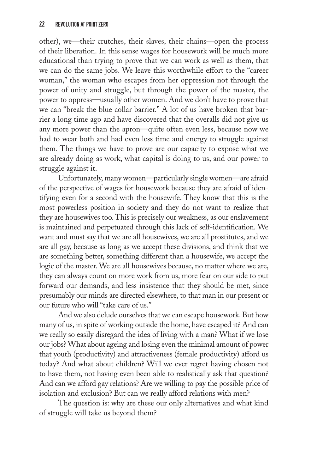other), we—their crutches, their slaves, their chains—open the process of their liberation. In this sense wages for housework will be much more educational than trying to prove that we can work as well as them, that we can do the same jobs. We leave this worthwhile effort to the "career woman," the woman who escapes from her oppression not through the power of unity and struggle, but through the power of the master, the power to oppress—usually other women. And we don't have to prove that we can "break the blue collar barrier." A lot of us have broken that barrier a long time ago and have discovered that the overalls did not give us any more power than the apron—quite often even less, because now we had to wear both and had even less time and energy to struggle against them. The things we have to prove are our capacity to expose what we are already doing as work, what capital is doing to us, and our power to struggle against it.

Unfortunately, many women—particularly single women—are afraid of the perspective of wages for housework because they are afraid of identifying even for a second with the housewife. They know that this is the most powerless position in society and they do not want to realize that they are housewives too. This is precisely our weakness, as our enslavement is maintained and perpetuated through this lack of self-identification. We want and must say that we are all housewives, we are all prostitutes, and we are all gay, because as long as we accept these divisions, and think that we are something better, something different than a housewife, we accept the logic of the master. We are all housewives because, no matter where we are, they can always count on more work from us, more fear on our side to put forward our demands, and less insistence that they should be met, since presumably our minds are directed elsewhere, to that man in our present or our future who will "take care of us."

And we also delude ourselves that we can escape housework. But how many of us, in spite of working outside the home, have escaped it? And can we really so easily disregard the idea of living with a man? What if we lose our jobs? What about ageing and losing even the minimal amount of power that youth (productivity) and attractiveness (female productivity) afford us today? And what about children? Will we ever regret having chosen not to have them, not having even been able to realistically ask that question? And can we afford gay relations? Are we willing to pay the possible price of isolation and exclusion? But can we really afford relations with men?

The question is: why are these our only alternatives and what kind of struggle will take us beyond them?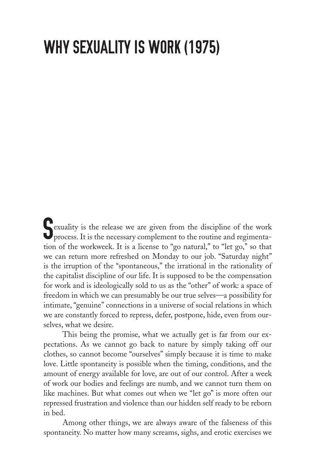### WHY SEXUALITY IS WORK (1975)

Sexuality is the release we are given from the discipline of the work process. It is the necessary complement to the routine and regimentation of the workweek. It is a license to "go natural," to "let go," so that we can return more refreshed on Monday to our job. "Saturday night" is the irruption of the "spontaneous," the irrational in the rationality of the capitalist discipline of our life. It is supposed to be the compensation for work and is ideologically sold to us as the "other" of work: a space of freedom in which we can presumably be our true selves—a possibility for intimate, "genuine" connections in a universe of social relations in which we are constantly forced to repress, defer, postpone, hide, even from ourselves, what we desire.

This being the promise, what we actually get is far from our expectations. As we cannot go back to nature by simply taking off our clothes, so cannot become "ourselves" simply because it is time to make love. Little spontaneity is possible when the timing, conditions, and the amount of energy available for love, are out of our control. After a week of work our bodies and feelings are numb, and we cannot turn them on like machines. But what comes out when we "let go" is more often our repressed frustration and violence than our hidden self ready to be reborn in bed.

Among other things, we are always aware of the falseness of this spontaneity. No matter how many screams, sighs, and erotic exercises we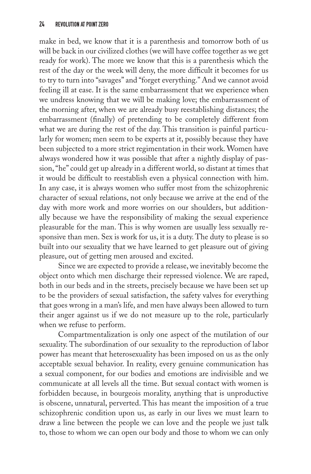make in bed, we know that it is a parenthesis and tomorrow both of us will be back in our civilized clothes (we will have coffee together as we get ready for work). The more we know that this is a parenthesis which the rest of the day or the week will deny, the more difficult it becomes for us to try to turn into "savages" and "forget everything." And we cannot avoid feeling ill at ease. It is the same embarrassment that we experience when we undress knowing that we will be making love; the embarrassment of the morning after, when we are already busy reestablishing distances; the embarrassment (finally) of pretending to be completely different from what we are during the rest of the day. This transition is painful particularly for women; men seem to be experts at it, possibly because they have been subjected to a more strict regimentation in their work. Women have always wondered how it was possible that after a nightly display of passion, "he" could get up already in a different world, so distant at times that it would be difficult to reestablish even a physical connection with him. In any case, it is always women who suffer most from the schizophrenic character of sexual relations, not only because we arrive at the end of the day with more work and more worries on our shoulders, but additionally because we have the responsibility of making the sexual experience pleasurable for the man. This is why women are usually less sexually responsive than men. Sex is work for us, it is a duty. The duty to please is so built into our sexuality that we have learned to get pleasure out of giving pleasure, out of getting men aroused and excited.

Since we are expected to provide a release, we inevitably become the object onto which men discharge their repressed violence. We are raped, both in our beds and in the streets, precisely because we have been set up to be the providers of sexual satisfaction, the safety valves for everything that goes wrong in a man's life, and men have always been allowed to turn their anger against us if we do not measure up to the role, particularly when we refuse to perform.

Compartmentalization is only one aspect of the mutilation of our sexuality. The subordination of our sexuality to the reproduction of labor power has meant that heterosexuality has been imposed on us as the only acceptable sexual behavior. In reality, every genuine communication has a sexual component, for our bodies and emotions are indivisible and we communicate at all levels all the time. But sexual contact with women is forbidden because, in bourgeois morality, anything that is unproductive is obscene, unnatural, perverted. This has meant the imposition of a true schizophrenic condition upon us, as early in our lives we must learn to draw a line between the people we can love and the people we just talk to, those to whom we can open our body and those to whom we can only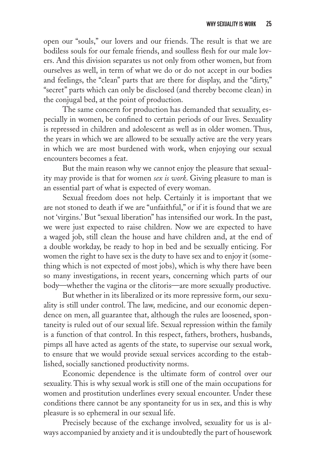open our "souls," our lovers and our friends. The result is that we are bodiless souls for our female friends, and soulless flesh for our male lovers. And this division separates us not only from other women, but from ourselves as well, in term of what we do or do not accept in our bodies and feelings, the "clean" parts that are there for display, and the "dirty," "secret" parts which can only be disclosed (and thereby become clean) in the conjugal bed, at the point of production.

The same concern for production has demanded that sexuality, especially in women, be confined to certain periods of our lives. Sexuality is repressed in children and adolescent as well as in older women. Thus, the years in which we are allowed to be sexually active are the very years in which we are most burdened with work, when enjoying our sexual encounters becomes a feat.

But the main reason why we cannot enjoy the pleasure that sexuality may provide is that for women *sex is work*. Giving pleasure to man is an essential part of what is expected of every woman.

Sexual freedom does not help. Certainly it is important that we are not stoned to death if we are "unfaithful," or if it is found that we are not 'virgins.' But "sexual liberation" has intensified our work. In the past, we were just expected to raise children. Now we are expected to have a waged job, still clean the house and have children and, at the end of a double workday, be ready to hop in bed and be sexually enticing. For women the right to have sex is the duty to have sex and to enjoy it (something which is not expected of most jobs), which is why there have been so many investigations, in recent years, concerning which parts of our body—whether the vagina or the clitoris—are more sexually productive.

But whether in its liberalized or its more repressive form, our sexuality is still under control. The law, medicine, and our economic dependence on men, all guarantee that, although the rules are loosened, spontaneity is ruled out of our sexual life. Sexual repression within the family is a function of that control. In this respect, fathers, brothers, husbands, pimps all have acted as agents of the state, to supervise our sexual work, to ensure that we would provide sexual services according to the established, socially sanctioned productivity norms.

Economic dependence is the ultimate form of control over our sexuality. This is why sexual work is still one of the main occupations for women and prostitution underlines every sexual encounter. Under these conditions there cannot be any spontaneity for us in sex, and this is why pleasure is so ephemeral in our sexual life.

Precisely because of the exchange involved, sexuality for us is always accompanied by anxiety and it is undoubtedly the part of housework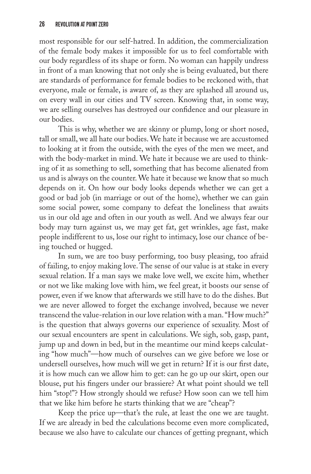most responsible for our self-hatred. In addition, the commercialization of the female body makes it impossible for us to feel comfortable with our body regardless of its shape or form. No woman can happily undress in front of a man knowing that not only she is being evaluated, but there are standards of performance for female bodies to be reckoned with, that everyone, male or female, is aware of, as they are splashed all around us, on every wall in our cities and TV screen. Knowing that, in some way, we are selling ourselves has destroyed our confidence and our pleasure in our bodies.

This is why, whether we are skinny or plump, long or short nosed, tall or small, we all hate our bodies. We hate it because we are accustomed to looking at it from the outside, with the eyes of the men we meet, and with the body-market in mind. We hate it because we are used to thinking of it as something to sell, something that has become alienated from us and is always on the counter. We hate it because we know that so much depends on it. On how our body looks depends whether we can get a good or bad job (in marriage or out of the home), whether we can gain some social power, some company to defeat the loneliness that awaits us in our old age and often in our youth as well. And we always fear our body may turn against us, we may get fat, get wrinkles, age fast, make people indifferent to us, lose our right to intimacy, lose our chance of being touched or hugged.

In sum, we are too busy performing, too busy pleasing, too afraid of failing, to enjoy making love. The sense of our value is at stake in every sexual relation. If a man says we make love well, we excite him, whether or not we like making love with him, we feel great, it boosts our sense of power, even if we know that afterwards we still have to do the dishes. But we are never allowed to forget the exchange involved, because we never transcend the value-relation in our love relation with a man. "How much?" is the question that always governs our experience of sexuality. Most of our sexual encounters are spent in calculations. We sigh, sob, gasp, pant, jump up and down in bed, but in the meantime our mind keeps calculating "how much"—how much of ourselves can we give before we lose or undersell ourselves, how much will we get in return? If it is our first date, it is how much can we allow him to get: can he go up our skirt, open our blouse, put his fingers under our brassiere? At what point should we tell him "stop!"? How strongly should we refuse? How soon can we tell him that we like him before he starts thinking that we are "cheap"?

Keep the price up—that's the rule, at least the one we are taught. If we are already in bed the calculations become even more complicated, because we also have to calculate our chances of getting pregnant, which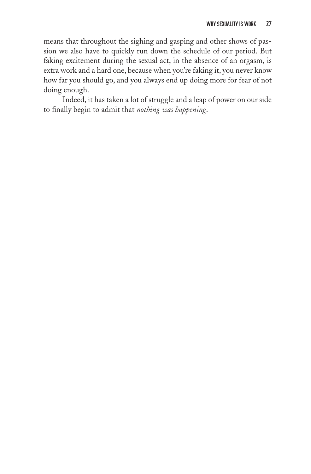means that throughout the sighing and gasping and other shows of passion we also have to quickly run down the schedule of our period. But faking excitement during the sexual act, in the absence of an orgasm, is extra work and a hard one, because when you're faking it, you never know how far you should go, and you always end up doing more for fear of not doing enough.

Indeed, it has taken a lot of struggle and a leap of power on our side to finally begin to admit that *nothing was happening*.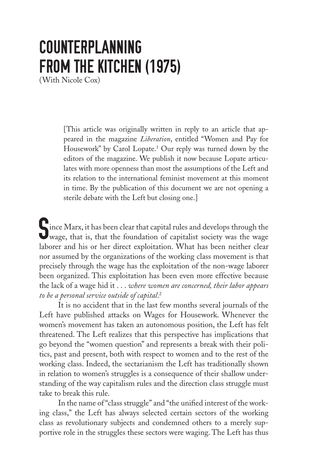# COUNTERPLANNING FROM THE KITCHEN (1975)

(With Nicole Cox)

[This article was originally written in reply to an article that appeared in the magazine *Liberation*, entitled "Women and Pay for Housework" by Carol Lopate.<sup>1</sup> Our reply was turned down by the editors of the magazine. We publish it now because Lopate articulates with more openness than most the assumptions of the Left and its relation to the international feminist movement at this moment in time. By the publication of this document we are not opening a sterile debate with the Left but closing one.]

 $\blacksquare$ ince Marx, it has been clear that capital rules and develops through the wage, that is, that the foundation of capitalist society was the wage laborer and his or her direct exploitation. What has been neither clear nor assumed by the organizations of the working class movement is that precisely through the wage has the exploitation of the non-wage laborer been organized. This exploitation has been even more effective because the lack of a wage hid it . . . *where women are concerned, their labor appears to be a personal service outside of capital*. 2

It is no accident that in the last few months several journals of the Left have published attacks on Wages for Housework. Whenever the women's movement has taken an autonomous position, the Left has felt threatened. The Left realizes that this perspective has implications that go beyond the "women question" and represents a break with their politics, past and present, both with respect to women and to the rest of the working class. Indeed, the sectarianism the Left has traditionally shown in relation to women's struggles is a consequence of their shallow understanding of the way capitalism rules and the direction class struggle must take to break this rule.

In the name of "class struggle" and "the unified interest of the working class," the Left has always selected certain sectors of the working class as revolutionary subjects and condemned others to a merely supportive role in the struggles these sectors were waging. The Left has thus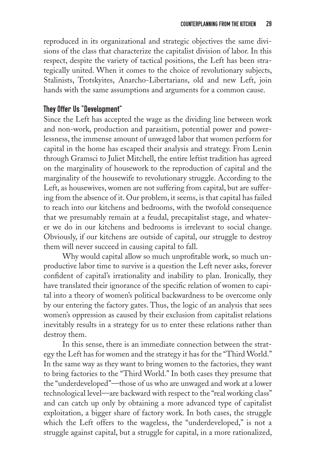reproduced in its organizational and strategic objectives the same divisions of the class that characterize the capitalist division of labor. In this respect, despite the variety of tactical positions, the Left has been strategically united. When it comes to the choice of revolutionary subjects, Stalinists, Trotskyites, Anarcho-Libertarians, old and new Left, join hands with the same assumptions and arguments for a common cause.

#### They Offer Us "Development"

Since the Left has accepted the wage as the dividing line between work and non-work, production and parasitism, potential power and powerlessness, the immense amount of unwaged labor that women perform for capital in the home has escaped their analysis and strategy. From Lenin through Gramsci to Juliet Mitchell, the entire leftist tradition has agreed on the marginality of housework to the reproduction of capital and the marginality of the housewife to revolutionary struggle. According to the Left, as housewives, women are not suffering from capital, but are suffering from the absence of it. Our problem, it seems, is that capital has failed to reach into our kitchens and bedrooms, with the twofold consequence that we presumably remain at a feudal, precapitalist stage, and whatever we do in our kitchens and bedrooms is irrelevant to social change. Obviously, if our kitchens are outside of capital, our struggle to destroy them will never succeed in causing capital to fall.

Why would capital allow so much unprofitable work, so much unproductive labor time to survive is a question the Left never asks, forever confident of capital's irrationality and inability to plan. Ironically, they have translated their ignorance of the specific relation of women to capital into a theory of women's political backwardness to be overcome only by our entering the factory gates. Thus, the logic of an analysis that sees women's oppression as caused by their exclusion from capitalist relations inevitably results in a strategy for us to enter these relations rather than destroy them.

In this sense, there is an immediate connection between the strategy the Left has for women and the strategy it has for the "Third World." In the same way as they want to bring women to the factories, they want to bring factories to the "Third World." In both cases they presume that the "underdeveloped"—those of us who are unwaged and work at a lower technological level—are backward with respect to the "real working class" and can catch up only by obtaining a more advanced type of capitalist exploitation, a bigger share of factory work. In both cases, the struggle which the Left offers to the wageless, the "underdeveloped," is not a struggle against capital, but a struggle for capital, in a more rationalized,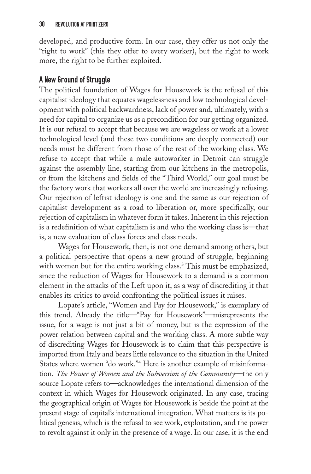developed, and productive form. In our case, they offer us not only the "right to work" (this they offer to every worker), but the right to work more, the right to be further exploited.

## A New Ground of Struggle

The political foundation of Wages for Housework is the refusal of this capitalist ideology that equates wagelessness and low technological development with political backwardness, lack of power and, ultimately, with a need for capital to organize us as a precondition for our getting organized. It is our refusal to accept that because we are wageless or work at a lower technological level (and these two conditions are deeply connected) our needs must be different from those of the rest of the working class. We refuse to accept that while a male autoworker in Detroit can struggle against the assembly line, starting from our kitchens in the metropolis, or from the kitchens and fields of the "Third World," our goal must be the factory work that workers all over the world are increasingly refusing. Our rejection of leftist ideology is one and the same as our rejection of capitalist development as a road to liberation or, more specifically, our rejection of capitalism in whatever form it takes. Inherent in this rejection is a redefinition of what capitalism is and who the working class is—that is, a new evaluation of class forces and class needs.

Wages for Housework, then, is not one demand among others, but a political perspective that opens a new ground of struggle, beginning with women but for the entire working class.<sup>3</sup> This must be emphasized, since the reduction of Wages for Housework to a demand is a common element in the attacks of the Left upon it, as a way of discrediting it that enables its critics to avoid confronting the political issues it raises.

Lopate's article, "Women and Pay for Housework," is exemplary of this trend. Already the title—"Pay for Housework"—misrepresents the issue, for a wage is not just a bit of money, but is the expression of the power relation between capital and the working class. A more subtle way of discrediting Wages for Housework is to claim that this perspective is imported from Italy and bears little relevance to the situation in the United States where women "do work."4 Here is another example of misinformation. *The Power of Women and the Subversion of the Community*—the only source Lopate refers to—acknowledges the international dimension of the context in which Wages for Housework originated. In any case, tracing the geographical origin of Wages for Housework is beside the point at the present stage of capital's international integration. What matters is its political genesis, which is the refusal to see work, exploitation, and the power to revolt against it only in the presence of a wage. In our case, it is the end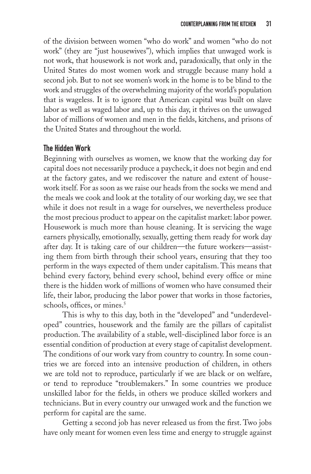of the division between women "who do work" and women "who do not work" (they are "just housewives"), which implies that unwaged work is not work, that housework is not work and, paradoxically, that only in the United States do most women work and struggle because many hold a second job. But to not see women's work in the home is to be blind to the work and struggles of the overwhelming majority of the world's population that is wageless. It is to ignore that American capital was built on slave labor as well as waged labor and, up to this day, it thrives on the unwaged labor of millions of women and men in the fields, kitchens, and prisons of the United States and throughout the world.

## The Hidden Work

Beginning with ourselves as women, we know that the working day for capital does not necessarily produce a paycheck, it does not begin and end at the factory gates, and we rediscover the nature and extent of housework itself. For as soon as we raise our heads from the socks we mend and the meals we cook and look at the totality of our working day, we see that while it does not result in a wage for ourselves, we nevertheless produce the most precious product to appear on the capitalist market: labor power. Housework is much more than house cleaning. It is servicing the wage earners physically, emotionally, sexually, getting them ready for work day after day. It is taking care of our children—the future workers—assisting them from birth through their school years, ensuring that they too perform in the ways expected of them under capitalism. This means that behind every factory, behind every school, behind every office or mine there is the hidden work of millions of women who have consumed their life, their labor, producing the labor power that works in those factories, schools, offices, or mines.<sup>5</sup>

This is why to this day, both in the "developed" and "underdeveloped" countries, housework and the family are the pillars of capitalist production. The availability of a stable, well-disciplined labor force is an essential condition of production at every stage of capitalist development. The conditions of our work vary from country to country. In some countries we are forced into an intensive production of children, in others we are told not to reproduce, particularly if we are black or on welfare, or tend to reproduce "troublemakers." In some countries we produce unskilled labor for the fields, in others we produce skilled workers and technicians. But in every country our unwaged work and the function we perform for capital are the same.

Getting a second job has never released us from the first. Two jobs have only meant for women even less time and energy to struggle against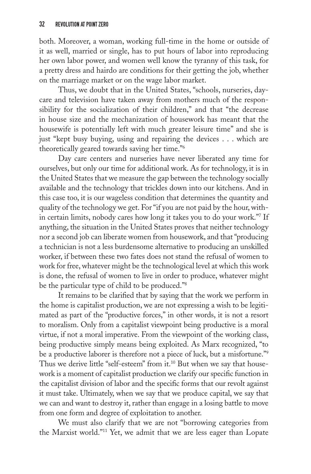both. Moreover, a woman, working full-time in the home or outside of it as well, married or single, has to put hours of labor into reproducing her own labor power, and women well know the tyranny of this task, for a pretty dress and hairdo are conditions for their getting the job, whether on the marriage market or on the wage labor market.

Thus, we doubt that in the United States, "schools, nurseries, daycare and television have taken away from mothers much of the responsibility for the socialization of their children," and that "the decrease in house size and the mechanization of housework has meant that the housewife is potentially left with much greater leisure time" and she is just "kept busy buying, using and repairing the devices . . . which are theoretically geared towards saving her time."6

Day care centers and nurseries have never liberated any time for ourselves, but only our time for additional work. As for technology, it is in the United States that we measure the gap between the technology socially available and the technology that trickles down into our kitchens. And in this case too, it is our wageless condition that determines the quantity and quality of the technology we get. For "if you are not paid by the hour, within certain limits, nobody cares how long it takes you to do your work."7 If anything, the situation in the United States proves that neither technology nor a second job can liberate women from housework, and that "producing a technician is not a less burdensome alternative to producing an unskilled worker, if between these two fates does not stand the refusal of women to work for free, whatever might be the technological level at which this work is done, the refusal of women to live in order to produce, whatever might be the particular type of child to be produced."8

It remains to be clarified that by saying that the work we perform in the home is capitalist production, we are not expressing a wish to be legitimated as part of the "productive forces," in other words, it is not a resort to moralism. Only from a capitalist viewpoint being productive is a moral virtue, if not a moral imperative. From the viewpoint of the working class, being productive simply means being exploited. As Marx recognized, "to be a productive laborer is therefore not a piece of luck, but a misfortune."9 Thus we derive little "self-esteem" from it.<sup>10</sup> But when we say that housework is a moment of capitalist production we clarify our specific function in the capitalist division of labor and the specific forms that our revolt against it must take. Ultimately, when we say that we produce capital, we say that we can and want to destroy it, rather than engage in a losing battle to move from one form and degree of exploitation to another.

We must also clarify that we are not "borrowing categories from the Marxist world."11 Yet, we admit that we are less eager than Lopate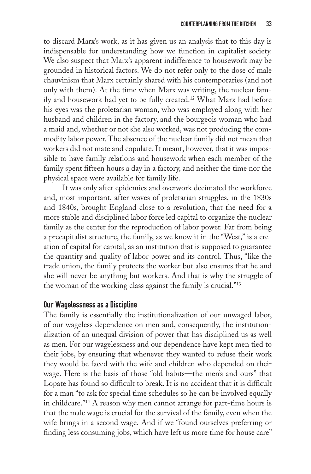to discard Marx's work, as it has given us an analysis that to this day is indispensable for understanding how we function in capitalist society. We also suspect that Marx's apparent indifference to housework may be grounded in historical factors. We do not refer only to the dose of male chauvinism that Marx certainly shared with his contemporaries (and not only with them). At the time when Marx was writing, the nuclear family and housework had yet to be fully created.<sup>12</sup> What Marx had before his eyes was the proletarian woman, who was employed along with her husband and children in the factory, and the bourgeois woman who had a maid and, whether or not she also worked, was not producing the commodity labor power. The absence of the nuclear family did not mean that workers did not mate and copulate. It meant, however, that it was impossible to have family relations and housework when each member of the family spent fifteen hours a day in a factory, and neither the time nor the physical space were available for family life.

It was only after epidemics and overwork decimated the workforce and, most important, after waves of proletarian struggles, in the 1830s and 1840s, brought England close to a revolution, that the need for a more stable and disciplined labor force led capital to organize the nuclear family as the center for the reproduction of labor power. Far from being a precapitalist structure, the family, as we know it in the "West," is a creation of capital for capital, as an institution that is supposed to guarantee the quantity and quality of labor power and its control. Thus, "like the trade union, the family protects the worker but also ensures that he and she will never be anything but workers. And that is why the struggle of the woman of the working class against the family is crucial."13

#### Our Wagelessness as a Discipline

The family is essentially the institutionalization of our unwaged labor, of our wageless dependence on men and, consequently, the institutionalization of an unequal division of power that has disciplined us as well as men. For our wagelessness and our dependence have kept men tied to their jobs, by ensuring that whenever they wanted to refuse their work they would be faced with the wife and children who depended on their wage. Here is the basis of those "old habits—the men's and ours" that Lopate has found so difficult to break. It is no accident that it is difficult for a man "to ask for special time schedules so he can be involved equally in childcare."14 A reason why men cannot arrange for part-time hours is that the male wage is crucial for the survival of the family, even when the wife brings in a second wage. And if we "found ourselves preferring or finding less consuming jobs, which have left us more time for house care"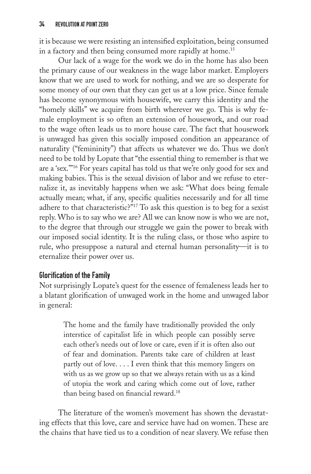it is because we were resisting an intensified exploitation, being consumed in a factory and then being consumed more rapidly at home.<sup>15</sup>

Our lack of a wage for the work we do in the home has also been the primary cause of our weakness in the wage labor market. Employers know that we are used to work for nothing, and we are so desperate for some money of our own that they can get us at a low price. Since female has become synonymous with housewife, we carry this identity and the "homely skills" we acquire from birth wherever we go. This is why female employment is so often an extension of housework, and our road to the wage often leads us to more house care. The fact that housework is unwaged has given this socially imposed condition an appearance of naturality ("femininity") that affects us whatever we do. Thus we don't need to be told by Lopate that "the essential thing to remember is that we are a 'sex.'"16 For years capital has told us that we're only good for sex and making babies. This is the sexual division of labor and we refuse to eternalize it, as inevitably happens when we ask: "What does being female actually mean; what, if any, specific qualities necessarily and for all time adhere to that characteristic?"17 To ask this question is to beg for a sexist reply. Who is to say who we are? All we can know now is who we are not, to the degree that through our struggle we gain the power to break with our imposed social identity. It is the ruling class, or those who aspire to rule, who presuppose a natural and eternal human personality—it is to eternalize their power over us.

## Glorification of the Family

Not surprisingly Lopate's quest for the essence of femaleness leads her to a blatant glorification of unwaged work in the home and unwaged labor in general:

> The home and the family have traditionally provided the only interstice of capitalist life in which people can possibly serve each other's needs out of love or care, even if it is often also out of fear and domination. Parents take care of children at least partly out of love. . . . I even think that this memory lingers on with us as we grow up so that we always retain with us as a kind of utopia the work and caring which come out of love, rather than being based on financial reward.18

The literature of the women's movement has shown the devastating effects that this love, care and service have had on women. These are the chains that have tied us to a condition of near slavery. We refuse then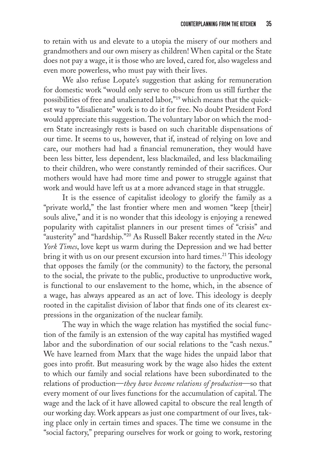to retain with us and elevate to a utopia the misery of our mothers and grandmothers and our own misery as children! When capital or the State does not pay a wage, it is those who are loved, cared for, also wageless and even more powerless, who must pay with their lives.

We also refuse Lopate's suggestion that asking for remuneration for domestic work "would only serve to obscure from us still further the possibilities of free and unalienated labor,"19 which means that the quickest way to "disalienate" work is to do it for free. No doubt President Ford would appreciate this suggestion. The voluntary labor on which the modern State increasingly rests is based on such charitable dispensations of our time. It seems to us, however, that if, instead of relying on love and care, our mothers had had a financial remuneration, they would have been less bitter, less dependent, less blackmailed, and less blackmailing to their children, who were constantly reminded of their sacrifices. Our mothers would have had more time and power to struggle against that work and would have left us at a more advanced stage in that struggle.

It is the essence of capitalist ideology to glorify the family as a "private world," the last frontier where men and women "keep [their] souls alive," and it is no wonder that this ideology is enjoying a renewed popularity with capitalist planners in our present times of "crisis" and "austerity" and "hardship."20 As Russell Baker recently stated in the *New York Times*, love kept us warm during the Depression and we had better bring it with us on our present excursion into hard times.<sup>21</sup> This ideology that opposes the family (or the community) to the factory, the personal to the social, the private to the public, productive to unproductive work, is functional to our enslavement to the home, which, in the absence of a wage, has always appeared as an act of love. This ideology is deeply rooted in the capitalist division of labor that finds one of its clearest expressions in the organization of the nuclear family.

The way in which the wage relation has mystified the social function of the family is an extension of the way capital has mystified waged labor and the subordination of our social relations to the "cash nexus." We have learned from Marx that the wage hides the unpaid labor that goes into profit. But measuring work by the wage also hides the extent to which our family and social relations have been subordinated to the relations of production—*they have become relations of production*—so that every moment of our lives functions for the accumulation of capital. The wage and the lack of it have allowed capital to obscure the real length of our working day. Work appears as just one compartment of our lives, taking place only in certain times and spaces. The time we consume in the "social factory," preparing ourselves for work or going to work, restoring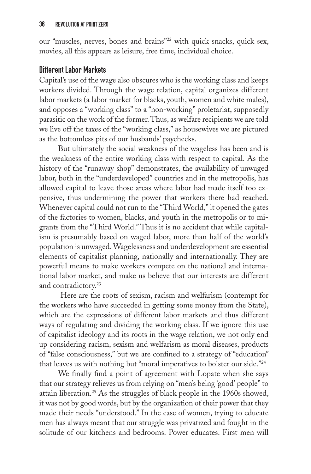our "muscles, nerves, bones and brains"22 with quick snacks, quick sex, movies, all this appears as leisure, free time, individual choice.

### Different Labor Markets

Capital's use of the wage also obscures who is the working class and keeps workers divided. Through the wage relation, capital organizes different labor markets (a labor market for blacks, youth, women and white males), and opposes a "working class" to a "non-working" proletariat, supposedly parasitic on the work of the former. Thus, as welfare recipients we are told we live off the taxes of the "working class," as housewives we are pictured as the bottomless pits of our husbands' paychecks.

But ultimately the social weakness of the wageless has been and is the weakness of the entire working class with respect to capital. As the history of the "runaway shop" demonstrates, the availability of unwaged labor, both in the "underdeveloped" countries and in the metropolis, has allowed capital to leave those areas where labor had made itself too expensive, thus undermining the power that workers there had reached. Whenever capital could not run to the "Third World," it opened the gates of the factories to women, blacks, and youth in the metropolis or to migrants from the "Third World." Thus it is no accident that while capitalism is presumably based on waged labor, more than half of the world's population is unwaged. Wagelessness and underdevelopment are essential elements of capitalist planning, nationally and internationally. They are powerful means to make workers compete on the national and international labor market, and make us believe that our interests are different and contradictory.23

 Here are the roots of sexism, racism and welfarism (contempt for the workers who have succeeded in getting some money from the State), which are the expressions of different labor markets and thus different ways of regulating and dividing the working class. If we ignore this use of capitalist ideology and its roots in the wage relation, we not only end up considering racism, sexism and welfarism as moral diseases, products of "false consciousness," but we are confined to a strategy of "education" that leaves us with nothing but "moral imperatives to bolster our side."24

We finally find a point of agreement with Lopate when she says that our strategy relieves us from relying on "men's being 'good' people" to attain liberation.<sup>25</sup> As the struggles of black people in the 1960s showed, it was not by good words, but by the organization of their power that they made their needs "understood." In the case of women, trying to educate men has always meant that our struggle was privatized and fought in the solitude of our kitchens and bedrooms. Power educates. First men will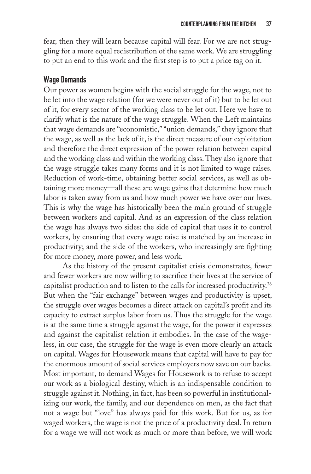fear, then they will learn because capital will fear. For we are not struggling for a more equal redistribution of the same work. We are struggling to put an end to this work and the first step is to put a price tag on it.

#### Wage Demands

Our power as women begins with the social struggle for the wage, not to be let into the wage relation (for we were never out of it) but to be let out of it, for every sector of the working class to be let out. Here we have to clarify what is the nature of the wage struggle. When the Left maintains that wage demands are "economistic," "union demands," they ignore that the wage, as well as the lack of it, is the direct measure of our exploitation and therefore the direct expression of the power relation between capital and the working class and within the working class. They also ignore that the wage struggle takes many forms and it is not limited to wage raises. Reduction of work-time, obtaining better social services, as well as obtaining more money—all these are wage gains that determine how much labor is taken away from us and how much power we have over our lives. This is why the wage has historically been the main ground of struggle between workers and capital. And as an expression of the class relation the wage has always two sides: the side of capital that uses it to control workers, by ensuring that every wage raise is matched by an increase in productivity; and the side of the workers, who increasingly are fighting for more money, more power, and less work.

As the history of the present capitalist crisis demonstrates, fewer and fewer workers are now willing to sacrifice their lives at the service of capitalist production and to listen to the calls for increased productivity.26 But when the "fair exchange" between wages and productivity is upset, the struggle over wages becomes a direct attack on capital's profit and its capacity to extract surplus labor from us. Thus the struggle for the wage is at the same time a struggle against the wage, for the power it expresses and against the capitalist relation it embodies. In the case of the wageless, in our case, the struggle for the wage is even more clearly an attack on capital. Wages for Housework means that capital will have to pay for the enormous amount of social services employers now save on our backs. Most important, to demand Wages for Housework is to refuse to accept our work as a biological destiny, which is an indispensable condition to struggle against it. Nothing, in fact, has been so powerful in institutionalizing our work, the family, and our dependence on men, as the fact that not a wage but "love" has always paid for this work. But for us, as for waged workers, the wage is not the price of a productivity deal. In return for a wage we will not work as much or more than before, we will work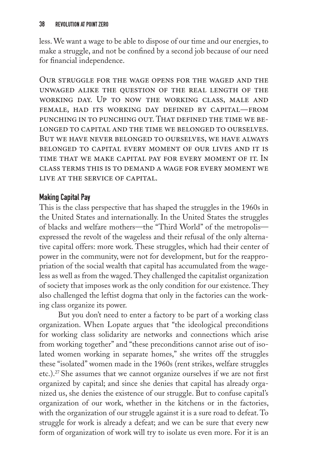less. We want a wage to be able to dispose of our time and our energies, to make a struggle, and not be confined by a second job because of our need for financial independence.

Our struggle for the wage opens for the waged and the unwaged alike the question of the real length of the working day. Up to now the working class, male and female, had its working day defined by capital—from punching in to punching out. That defined the time we belonged to capital and the time we belonged to ourselves. But we have never belonged to ourselves, we have always belonged to capital every moment of our lives and it is time that we make capital pay for every moment of it. In class terms this is to demand a wage for every moment we live at the service of capital.

## Making Capital Pay

This is the class perspective that has shaped the struggles in the 1960s in the United States and internationally. In the United States the struggles of blacks and welfare mothers—the "Third World" of the metropolis expressed the revolt of the wageless and their refusal of the only alternative capital offers: more work. These struggles, which had their center of power in the community, were not for development, but for the reappropriation of the social wealth that capital has accumulated from the wageless as well as from the waged. They challenged the capitalist organization of society that imposes work as the only condition for our existence. They also challenged the leftist dogma that only in the factories can the working class organize its power.

But you don't need to enter a factory to be part of a working class organization. When Lopate argues that "the ideological preconditions for working class solidarity are networks and connections which arise from working together" and "these preconditions cannot arise out of isolated women working in separate homes," she writes off the struggles these "isolated" women made in the 1960s (rent strikes, welfare struggles etc.).27 She assumes that we cannot organize ourselves if we are not first organized by capital; and since she denies that capital has already organized us, she denies the existence of our struggle. But to confuse capital's organization of our work, whether in the kitchens or in the factories, with the organization of our struggle against it is a sure road to defeat. To struggle for work is already a defeat; and we can be sure that every new form of organization of work will try to isolate us even more. For it is an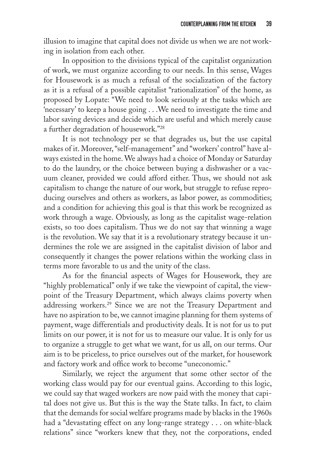illusion to imagine that capital does not divide us when we are not working in isolation from each other.

In opposition to the divisions typical of the capitalist organization of work, we must organize according to our needs. In this sense, Wages for Housework is as much a refusal of the socialization of the factory as it is a refusal of a possible capitalist "rationalization" of the home, as proposed by Lopate: "We need to look seriously at the tasks which are 'necessary' to keep a house going . . .We need to investigate the time and labor saving devices and decide which are useful and which merely cause a further degradation of housework."28

It is not technology per se that degrades us, but the use capital makes of it. Moreover, "self-management" and "workers' control" have always existed in the home. We always had a choice of Monday or Saturday to do the laundry, or the choice between buying a dishwasher or a vacuum cleaner, provided we could afford either. Thus, we should not ask capitalism to change the nature of our work, but struggle to refuse reproducing ourselves and others as workers, as labor power, as commodities; and a condition for achieving this goal is that this work be recognized as work through a wage. Obviously, as long as the capitalist wage-relation exists, so too does capitalism. Thus we do not say that winning a wage is the revolution. We say that it is a revolutionary strategy because it undermines the role we are assigned in the capitalist division of labor and consequently it changes the power relations within the working class in terms more favorable to us and the unity of the class.

As for the financial aspects of Wages for Housework, they are "highly problematical" only if we take the viewpoint of capital, the viewpoint of the Treasury Department, which always claims poverty when addressing workers.29 Since we are not the Treasury Department and have no aspiration to be, we cannot imagine planning for them systems of payment, wage differentials and productivity deals. It is not for us to put limits on our power, it is not for us to measure our value. It is only for us to organize a struggle to get what we want, for us all, on our terms. Our aim is to be priceless, to price ourselves out of the market, for housework and factory work and office work to become "uneconomic."

Similarly, we reject the argument that some other sector of the working class would pay for our eventual gains. According to this logic, we could say that waged workers are now paid with the money that capital does not give us. But this is the way the State talks. In fact, to claim that the demands for social welfare programs made by blacks in the 1960s had a "devastating effect on any long-range strategy . . . on white-black relations" since "workers knew that they, not the corporations, ended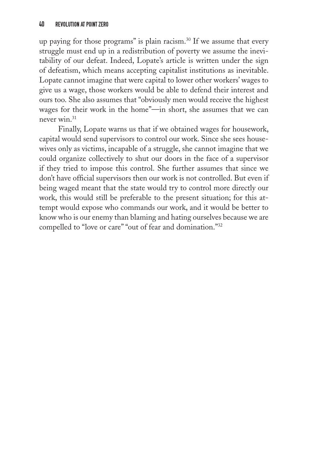up paying for those programs" is plain racism.30 If we assume that every struggle must end up in a redistribution of poverty we assume the inevitability of our defeat. Indeed, Lopate's article is written under the sign of defeatism, which means accepting capitalist institutions as inevitable. Lopate cannot imagine that were capital to lower other workers' wages to give us a wage, those workers would be able to defend their interest and ours too. She also assumes that "obviously men would receive the highest wages for their work in the home"—in short, she assumes that we can never win.31

Finally, Lopate warns us that if we obtained wages for housework, capital would send supervisors to control our work. Since she sees housewives only as victims, incapable of a struggle, she cannot imagine that we could organize collectively to shut our doors in the face of a supervisor if they tried to impose this control. She further assumes that since we don't have official supervisors then our work is not controlled. But even if being waged meant that the state would try to control more directly our work, this would still be preferable to the present situation; for this attempt would expose who commands our work, and it would be better to know who is our enemy than blaming and hating ourselves because we are compelled to "love or care" "out of fear and domination."32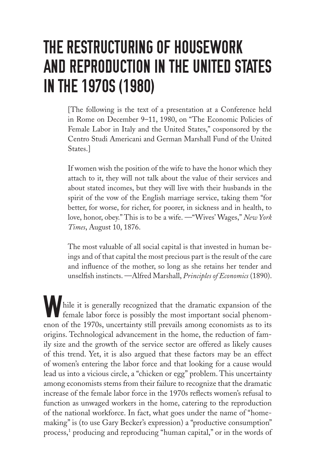## THE RESTRUCTURING OF HOUSEWORK AND REPRODUCTION IN THE UNITED STATES IN THE 1970S (1980)

[The following is the text of a presentation at a Conference held in Rome on December 9–11, 1980, on "The Economic Policies of Female Labor in Italy and the United States," cosponsored by the Centro Studi Americani and German Marshall Fund of the United States.]

If women wish the position of the wife to have the honor which they attach to it, they will not talk about the value of their services and about stated incomes, but they will live with their husbands in the spirit of the vow of the English marriage service, taking them "for better, for worse, for richer, for poorer, in sickness and in health, to love, honor, obey." This is to be a wife. —"Wives' Wages," *New York Times*, August 10, 1876.

The most valuable of all social capital is that invested in human beings and of that capital the most precious part is the result of the care and influence of the mother, so long as she retains her tender and unselfish instincts. —Alfred Marshall, *Principles of Economics* (1890).

While it is generally recognized that the dramatic expansion of the female labor force is possibly the most important social phenomenon of the 1970s, uncertainty still prevails among economists as to its origins. Technological advancement in the home, the reduction of family size and the growth of the service sector are offered as likely causes of this trend. Yet, it is also argued that these factors may be an effect of women's entering the labor force and that looking for a cause would lead us into a vicious circle, a "chicken or egg" problem. This uncertainty among economists stems from their failure to recognize that the dramatic increase of the female labor force in the 1970s reflects women's refusal to function as unwaged workers in the home, catering to the reproduction of the national workforce. In fact, what goes under the name of "homemaking" is (to use Gary Becker's expression) a "productive consumption" process,<sup>1</sup> producing and reproducing "human capital," or in the words of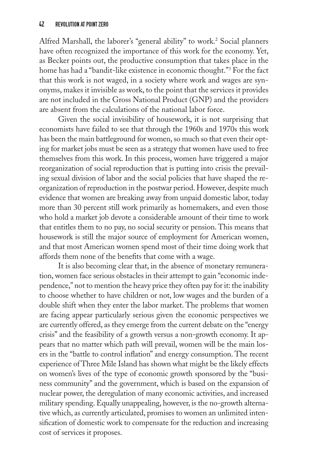Alfred Marshall, the laborer's "general ability" to work.<sup>2</sup> Social planners have often recognized the importance of this work for the economy. Yet, as Becker points out, the productive consumption that takes place in the home has had a "bandit-like existence in economic thought."3 For the fact that this work is not waged, in a society where work and wages are synonyms, makes it invisible as work, to the point that the services it provides are not included in the Gross National Product (GNP) and the providers are absent from the calculations of the national labor force.

Given the social invisibility of housework, it is not surprising that economists have failed to see that through the 1960s and 1970s this work has been the main battleground for women, so much so that even their opting for market jobs must be seen as a strategy that women have used to free themselves from this work. In this process, women have triggered a major reorganization of social reproduction that is putting into crisis the prevailing sexual division of labor and the social policies that have shaped the reorganization of reproduction in the postwar period. However, despite much evidence that women are breaking away from unpaid domestic labor, today more than 30 percent still work primarily as homemakers, and even those who hold a market job devote a considerable amount of their time to work that entitles them to no pay, no social security or pension. This means that housework is still the major source of employment for American women, and that most American women spend most of their time doing work that affords them none of the benefits that come with a wage.

It is also becoming clear that, in the absence of monetary remuneration, women face serious obstacles in their attempt to gain "economic independence," not to mention the heavy price they often pay for it: the inability to choose whether to have children or not, low wages and the burden of a double shift when they enter the labor market. The problems that women are facing appear particularly serious given the economic perspectives we are currently offered, as they emerge from the current debate on the "energy crisis" and the feasibility of a growth versus a non-growth economy. It appears that no matter which path will prevail, women will be the main losers in the "battle to control inflation" and energy consumption. The recent experience of Three Mile Island has shown what might be the likely effects on women's lives of the type of economic growth sponsored by the "business community" and the government, which is based on the expansion of nuclear power, the deregulation of many economic activities, and increased military spending. Equally unappealing, however, is the no-growth alternative which, as currently articulated, promises to women an unlimited intensification of domestic work to compensate for the reduction and increasing cost of services it proposes.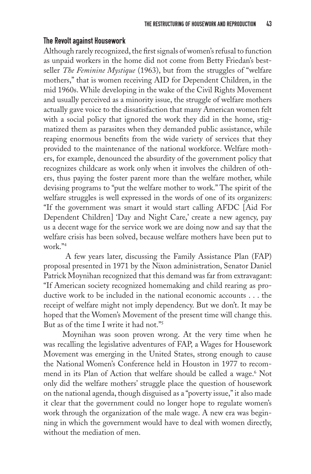#### The Revolt against Housework

Although rarely recognized, the first signals of women's refusal to function as unpaid workers in the home did not come from Betty Friedan's bestseller *The Feminine Mystique* (1963), but from the struggles of "welfare mothers," that is women receiving AID for Dependent Children, in the mid 1960s. While developing in the wake of the Civil Rights Movement and usually perceived as a minority issue, the struggle of welfare mothers actually gave voice to the dissatisfaction that many American women felt with a social policy that ignored the work they did in the home, stigmatized them as parasites when they demanded public assistance, while reaping enormous benefits from the wide variety of services that they provided to the maintenance of the national workforce. Welfare mothers, for example, denounced the absurdity of the government policy that recognizes childcare as work only when it involves the children of others, thus paying the foster parent more than the welfare mother, while devising programs to "put the welfare mother to work." The spirit of the welfare struggles is well expressed in the words of one of its organizers: "If the government was smart it would start calling AFDC [Aid For Dependent Children] 'Day and Night Care,' create a new agency, pay us a decent wage for the service work we are doing now and say that the welfare crisis has been solved, because welfare mothers have been put to work."4

 A few years later, discussing the Family Assistance Plan (FAP) proposal presented in 1971 by the Nixon administration, Senator Daniel Patrick Moynihan recognized that this demand was far from extravagant: "If American society recognized homemaking and child rearing as productive work to be included in the national economic accounts . . . the receipt of welfare might not imply dependency. But we don't. It may be hoped that the Women's Movement of the present time will change this. But as of the time I write it had not."5

Moynihan was soon proven wrong. At the very time when he was recalling the legislative adventures of FAP, a Wages for Housework Movement was emerging in the United States, strong enough to cause the National Women's Conference held in Houston in 1977 to recommend in its Plan of Action that welfare should be called a wage.<sup>6</sup> Not only did the welfare mothers' struggle place the question of housework on the national agenda, though disguised as a "poverty issue," it also made it clear that the government could no longer hope to regulate women's work through the organization of the male wage. A new era was beginning in which the government would have to deal with women directly, without the mediation of men.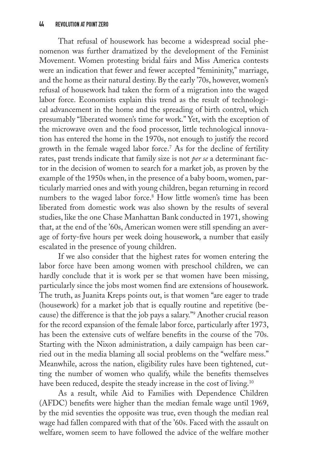That refusal of housework has become a widespread social phenomenon was further dramatized by the development of the Feminist Movement. Women protesting bridal fairs and Miss America contests were an indication that fewer and fewer accepted "femininity," marriage, and the home as their natural destiny. By the early '70s, however, women's refusal of housework had taken the form of a migration into the waged labor force. Economists explain this trend as the result of technological advancement in the home and the spreading of birth control, which presumably "liberated women's time for work." Yet, with the exception of the microwave oven and the food processor, little technological innovation has entered the home in the 1970s, not enough to justify the record growth in the female waged labor force.7 As for the decline of fertility rates, past trends indicate that family size is not *per se* a determinant factor in the decision of women to search for a market job, as proven by the example of the 1950s when, in the presence of a baby boom, women, particularly married ones and with young children, began returning in record numbers to the waged labor force.<sup>8</sup> How little women's time has been liberated from domestic work was also shown by the results of several studies, like the one Chase Manhattan Bank conducted in 1971, showing that, at the end of the '60s, American women were still spending an average of forty-five hours per week doing housework, a number that easily escalated in the presence of young children.

If we also consider that the highest rates for women entering the labor force have been among women with preschool children, we can hardly conclude that it is work per se that women have been missing, particularly since the jobs most women find are extensions of housework. The truth, as Juanita Kreps points out, is that women "are eager to trade (housework) for a market job that is equally routine and repetitive (because) the difference is that the job pays a salary."9 Another crucial reason for the record expansion of the female labor force, particularly after 1973, has been the extensive cuts of welfare benefits in the course of the '70s. Starting with the Nixon administration, a daily campaign has been carried out in the media blaming all social problems on the "welfare mess." Meanwhile, across the nation, eligibility rules have been tightened, cutting the number of women who qualify, while the benefits themselves have been reduced, despite the steady increase in the cost of living.<sup>10</sup>

As a result, while Aid to Families with Dependence Children (AFDC) benefits were higher than the median female wage until 1969, by the mid seventies the opposite was true, even though the median real wage had fallen compared with that of the '60s. Faced with the assault on welfare, women seem to have followed the advice of the welfare mother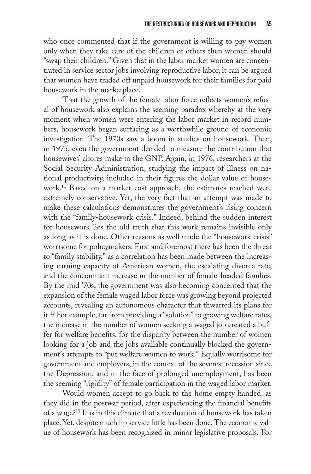who once commented that if the government is willing to pay women only when they take care of the children of others then women should "swap their children." Given that in the labor market women are concentrated in service sector jobs involving reproductive labor, it can be argued that women have traded off unpaid housework for their families for paid housework in the marketplace.

That the growth of the female labor force reflects women's refusal of housework also explains the seeming paradox whereby at the very moment when women were entering the labor market in record numbers, housework began surfacing as a worthwhile ground of economic investigation. The 1970s saw a boom in studies on housework. Then, in 1975, even the government decided to measure the contribution that housewives' chores make to the GNP. Again, in 1976, researchers at the Social Security Administration, studying the impact of illness on national productivity, included in their figures the dollar value of housework.11 Based on a market-cost approach, the estimates reached were extremely conservative. Yet, the very fact that an attempt was made to make these calculations demonstrates the government's rising concern with the "family-housework crisis." Indeed, behind the sudden interest for housework lies the old truth that this work remains invisible only as long as it is done. Other reasons as well made the "housework crisis" worrisome for policymakers. First and foremost there has been the threat to "family stability," as a correlation has been made between the increasing earning capacity of American women, the escalating divorce rate, and the concomitant increase in the number of female-headed families. By the mid '70s, the government was also becoming concerned that the expansion of the female waged labor force was growing beyond projected accounts, revealing an autonomous character that thwarted its plans for it.12 For example, far from providing a "solution" to growing welfare rates, the increase in the number of women seeking a waged job created a buffer for welfare benefits, for the disparity between the number of women looking for a job and the jobs available continually blocked the government's attempts to "put welfare women to work." Equally worrisome for government and employers, in the context of the severest recession since the Depression, and in the face of prolonged unemployment, has been the seeming "rigidity" of female participation in the waged labor market.

Would women accept to go back to the home empty handed, as they did in the postwar period, after experiencing the financial benefits of a wage?13 It is in this climate that a revaluation of housework has taken place. Yet, despite much lip service little has been done. The economic value of housework has been recognized in minor legislative proposals. For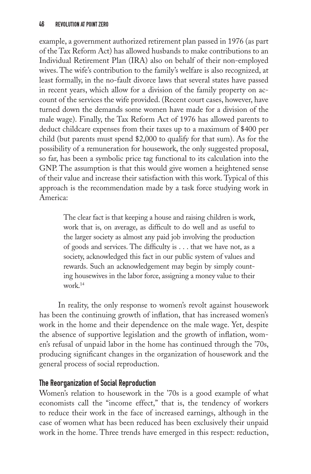example, a government authorized retirement plan passed in 1976 (as part of the Tax Reform Act) has allowed husbands to make contributions to an Individual Retirement Plan (IRA) also on behalf of their non-employed wives. The wife's contribution to the family's welfare is also recognized, at least formally, in the no-fault divorce laws that several states have passed in recent years, which allow for a division of the family property on account of the services the wife provided. (Recent court cases, however, have turned down the demands some women have made for a division of the male wage). Finally, the Tax Reform Act of 1976 has allowed parents to deduct childcare expenses from their taxes up to a maximum of \$400 per child (but parents must spend \$2,000 to qualify for that sum). As for the possibility of a remuneration for housework, the only suggested proposal, so far, has been a symbolic price tag functional to its calculation into the GNP. The assumption is that this would give women a heightened sense of their value and increase their satisfaction with this work. Typical of this approach is the recommendation made by a task force studying work in America:

> The clear fact is that keeping a house and raising children is work, work that is, on average, as difficult to do well and as useful to the larger society as almost any paid job involving the production of goods and services. The difficulty is . . . that we have not, as a society, acknowledged this fact in our public system of values and rewards. Such an acknowledgement may begin by simply counting housewives in the labor force, assigning a money value to their work.14

In reality, the only response to women's revolt against housework has been the continuing growth of inflation, that has increased women's work in the home and their dependence on the male wage. Yet, despite the absence of supportive legislation and the growth of inflation, women's refusal of unpaid labor in the home has continued through the '70s, producing significant changes in the organization of housework and the general process of social reproduction.

## The Reorganization of Social Reproduction

Women's relation to housework in the '70s is a good example of what economists call the "income effect," that is, the tendency of workers to reduce their work in the face of increased earnings, although in the case of women what has been reduced has been exclusively their unpaid work in the home. Three trends have emerged in this respect: reduction,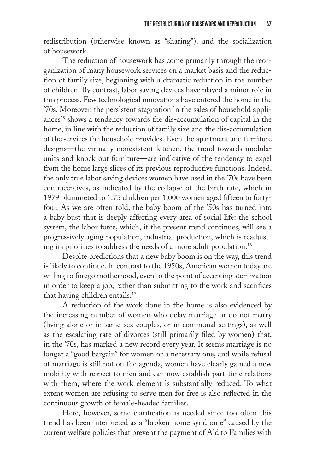redistribution (otherwise known as "sharing"), and the socialization of housework.

The reduction of housework has come primarily through the reorganization of many housework services on a market basis and the reduction of family size, beginning with a dramatic reduction in the number of children. By contrast, labor saving devices have played a minor role in this process. Few technological innovations have entered the home in the '70s. Moreover, the persistent stagnation in the sales of household appliances<sup>15</sup> shows a tendency towards the dis-accumulation of capital in the home, in line with the reduction of family size and the dis-accumulation of the services the household provides. Even the apartment and furniture designs—the virtually nonexistent kitchen, the trend towards modular units and knock out furniture—are indicative of the tendency to expel from the home large slices of its previous reproductive functions. Indeed, the only true labor saving devices women have used in the '70s have been contraceptives, as indicated by the collapse of the birth rate, which in 1979 plummeted to 1.75 children per 1,000 women aged fifteen to fortyfour. As we are often told, the baby boom of the '50s has turned into a baby bust that is deeply affecting every area of social life: the school system, the labor force, which, if the present trend continues, will see a progressively aging population, industrial production, which is readjusting its priorities to address the needs of a more adult population.16

Despite predictions that a new baby boom is on the way, this trend is likely to continue. In contrast to the 1950s, American women today are willing to forego motherhood, even to the point of accepting sterilization in order to keep a job, rather than submitting to the work and sacrifices that having children entails.17

A reduction of the work done in the home is also evidenced by the increasing number of women who delay marriage or do not marry (living alone or in same-sex couples, or in communal settings), as well as the escalating rate of divorces (still primarily filed by women) that, in the '70s, has marked a new record every year. It seems marriage is no longer a "good bargain" for women or a necessary one, and while refusal of marriage is still not on the agenda, women have clearly gained a new mobility with respect to men and can now establish part-time relations with them, where the work element is substantially reduced. To what extent women are refusing to serve men for free is also reflected in the continuous growth of female-headed families.

Here, however, some clarification is needed since too often this trend has been interpreted as a "broken home syndrome" caused by the current welfare policies that prevent the payment of Aid to Families with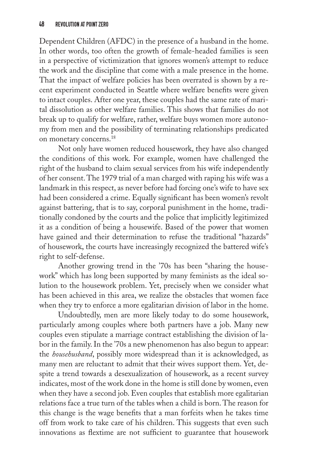Dependent Children (AFDC) in the presence of a husband in the home. In other words, too often the growth of female-headed families is seen in a perspective of victimization that ignores women's attempt to reduce the work and the discipline that come with a male presence in the home. That the impact of welfare policies has been overrated is shown by a recent experiment conducted in Seattle where welfare benefits were given to intact couples. After one year, these couples had the same rate of marital dissolution as other welfare families. This shows that families do not break up to qualify for welfare, rather, welfare buys women more autonomy from men and the possibility of terminating relationships predicated on monetary concerns.18

Not only have women reduced housework, they have also changed the conditions of this work. For example, women have challenged the right of the husband to claim sexual services from his wife independently of her consent. The 1979 trial of a man charged with raping his wife was a landmark in this respect, as never before had forcing one's wife to have sex had been considered a crime. Equally significant has been women's revolt against battering, that is to say, corporal punishment in the home, traditionally condoned by the courts and the police that implicitly legitimized it as a condition of being a housewife. Based of the power that women have gained and their determination to refuse the traditional "hazards" of housework, the courts have increasingly recognized the battered wife's right to self-defense.

Another growing trend in the '70s has been "sharing the housework" which has long been supported by many feminists as the ideal solution to the housework problem. Yet, precisely when we consider what has been achieved in this area, we realize the obstacles that women face when they try to enforce a more egalitarian division of labor in the home.

Undoubtedly, men are more likely today to do some housework, particularly among couples where both partners have a job. Many new couples even stipulate a marriage contract establishing the division of labor in the family. In the '70s a new phenomenon has also begun to appear: the *househusband*, possibly more widespread than it is acknowledged, as many men are reluctant to admit that their wives support them. Yet, despite a trend towards a desexualization of housework, as a recent survey indicates, most of the work done in the home is still done by women, even when they have a second job. Even couples that establish more egalitarian relations face a true turn of the tables when a child is born. The reason for this change is the wage benefits that a man forfeits when he takes time off from work to take care of his children. This suggests that even such innovations as flextime are not sufficient to guarantee that housework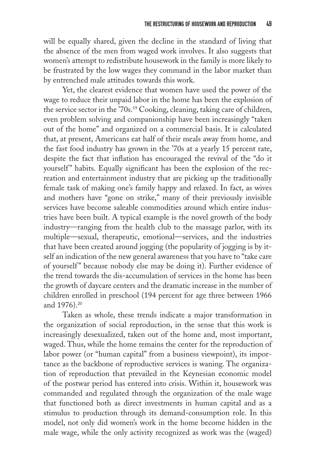will be equally shared, given the decline in the standard of living that the absence of the men from waged work involves. It also suggests that women's attempt to redistribute housework in the family is more likely to be frustrated by the low wages they command in the labor market than by entrenched male attitudes towards this work.

Yet, the clearest evidence that women have used the power of the wage to reduce their unpaid labor in the home has been the explosion of the service sector in the '70s.19 Cooking, cleaning, taking care of children, even problem solving and companionship have been increasingly "taken out of the home" and organized on a commercial basis. It is calculated that, at present, Americans eat half of their meals away from home, and the fast food industry has grown in the '70s at a yearly 15 percent rate, despite the fact that inflation has encouraged the revival of the "do it yourself" habits. Equally significant has been the explosion of the recreation and entertainment industry that are picking up the traditionally female task of making one's family happy and relaxed. In fact, as wives and mothers have "gone on strike," many of their previously invisible services have become saleable commodities around which entire industries have been built. A typical example is the novel growth of the body industry—ranging from the health club to the massage parlor, with its multiple—sexual, therapeutic, emotional—services, and the industries that have been created around jogging (the popularity of jogging is by itself an indication of the new general awareness that you have to "take care of yourself" because nobody else may be doing it). Further evidence of the trend towards the dis-accumulation of services in the home has been the growth of daycare centers and the dramatic increase in the number of children enrolled in preschool (194 percent for age three between 1966 and 1976).<sup>20</sup>

Taken as whole, these trends indicate a major transformation in the organization of social reproduction, in the sense that this work is increasingly desexualized, taken out of the home and, most important, waged. Thus, while the home remains the center for the reproduction of labor power (or "human capital" from a business viewpoint), its importance as the backbone of reproductive services is waning. The organization of reproduction that prevailed in the Keynesian economic model of the postwar period has entered into crisis. Within it, housework was commanded and regulated through the organization of the male wage that functioned both as direct investments in human capital and as a stimulus to production through its demand-consumption role. In this model, not only did women's work in the home become hidden in the male wage, while the only activity recognized as work was the (waged)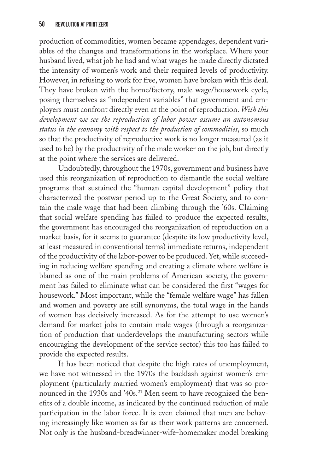production of commodities, women became appendages, dependent variables of the changes and transformations in the workplace. Where your husband lived, what job he had and what wages he made directly dictated the intensity of women's work and their required levels of productivity. However, in refusing to work for free, women have broken with this deal. They have broken with the home/factory, male wage/housework cycle, posing themselves as "independent variables" that government and employers must confront directly even at the point of reproduction. *With this development we see the reproduction of labor power assume an autonomous status in the economy with respect to the production of commodities*, so much so that the productivity of reproductive work is no longer measured (as it used to be) by the productivity of the male worker on the job, but directly at the point where the services are delivered.

Undoubtedly, throughout the 1970s, government and business have used this reorganization of reproduction to dismantle the social welfare programs that sustained the "human capital development" policy that characterized the postwar period up to the Great Society, and to contain the male wage that had been climbing through the '60s. Claiming that social welfare spending has failed to produce the expected results, the government has encouraged the reorganization of reproduction on a market basis, for it seems to guarantee (despite its low productivity level, at least measured in conventional terms) immediate returns, independent of the productivity of the labor-power to be produced. Yet, while succeeding in reducing welfare spending and creating a climate where welfare is blamed as one of the main problems of American society, the government has failed to eliminate what can be considered the first "wages for housework." Most important, while the "female welfare wage" has fallen and women and poverty are still synonyms, the total wage in the hands of women has decisively increased. As for the attempt to use women's demand for market jobs to contain male wages (through a reorganization of production that underdevelops the manufacturing sectors while encouraging the development of the service sector) this too has failed to provide the expected results.

It has been noticed that despite the high rates of unemployment, we have not witnessed in the 1970s the backlash against women's employment (particularly married women's employment) that was so pronounced in the 1930s and '40s.<sup>21</sup> Men seem to have recognized the benefits of a double income, as indicated by the continued reduction of male participation in the labor force. It is even claimed that men are behaving increasingly like women as far as their work patterns are concerned. Not only is the husband-breadwinner-wife-homemaker model breaking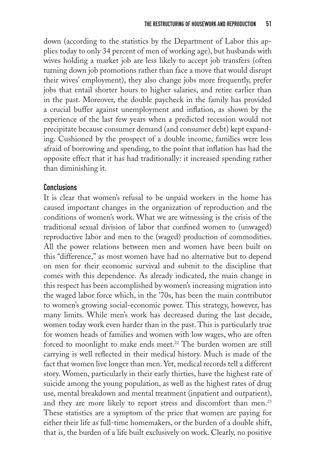down (according to the statistics by the Department of Labor this applies today to only 34 percent of men of working age), but husbands with wives holding a market job are less likely to accept job transfers (often turning down job promotions rather than face a move that would disrupt their wives' employment), they also change jobs more frequently, prefer jobs that entail shorter hours to higher salaries, and retire earlier than in the past. Moreover, the double paycheck in the family has provided a crucial buffer against unemployment and inflation, as shown by the experience of the last few years when a predicted recession would not precipitate because consumer demand (and consumer debt) kept expanding. Cushioned by the prospect of a double income, families were less afraid of borrowing and spending, to the point that inflation has had the opposite effect that it has had traditionally: it increased spending rather than diminishing it.

#### **Conclusions**

It is clear that women's refusal to be unpaid workers in the home has caused important changes in the organization of reproduction and the conditions of women's work. What we are witnessing is the crisis of the traditional sexual division of labor that confined women to (unwaged) reproductive labor and men to the (waged) production of commodities. All the power relations between men and women have been built on this "difference," as most women have had no alternative but to depend on men for their economic survival and submit to the discipline that comes with this dependence. As already indicated, the main change in this respect has been accomplished by women's increasing migration into the waged labor force which, in the '70s, has been the main contributor to women's growing social-economic power. This strategy, however, has many limits. While men's work has decreased during the last decade, women today work even harder than in the past. This is particularly true for women heads of families and women with low wages, who are often forced to moonlight to make ends meet.<sup>22</sup> The burden women are still carrying is well reflected in their medical history. Much is made of the fact that women live longer than men. Yet, medical records tell a different story. Women, particularly in their early thirties, have the highest rate of suicide among the young population, as well as the highest rates of drug use, mental breakdown and mental treatment (inpatient and outpatient), and they are more likely to report stress and discomfort than men.<sup>23</sup> These statistics are a symptom of the price that women are paying for either their life as full-time homemakers, or the burden of a double shift, that is, the burden of a life built exclusively on work. Clearly, no positive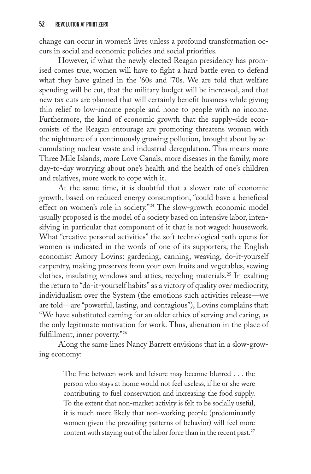change can occur in women's lives unless a profound transformation occurs in social and economic policies and social priorities.

However, if what the newly elected Reagan presidency has promised comes true, women will have to fight a hard battle even to defend what they have gained in the '60s and '70s. We are told that welfare spending will be cut, that the military budget will be increased, and that new tax cuts are planned that will certainly benefit business while giving thin relief to low-income people and none to people with no income. Furthermore, the kind of economic growth that the supply-side economists of the Reagan entourage are promoting threatens women with the nightmare of a continuously growing pollution, brought about by accumulating nuclear waste and industrial deregulation. This means more Three Mile Islands, more Love Canals, more diseases in the family, more day-to-day worrying about one's health and the health of one's children and relatives, more work to cope with it.

At the same time, it is doubtful that a slower rate of economic growth, based on reduced energy consumption, "could have a beneficial effect on women's role in society."24 The slow-growth economic model usually proposed is the model of a society based on intensive labor, intensifying in particular that component of it that is not waged: housework. What "creative personal activities" the soft technological path opens for women is indicated in the words of one of its supporters, the English economist Amory Lovins: gardening, canning, weaving, do-it-yourself carpentry, making preserves from your own fruits and vegetables, sewing clothes, insulating windows and attics, recycling materials.25 In exalting the return to "do-it-yourself habits" as a victory of quality over mediocrity, individualism over the System (the emotions such activities release—we are told—are "powerful, lasting, and contagious"), Lovins complains that: "We have substituted earning for an older ethics of serving and caring, as the only legitimate motivation for work. Thus, alienation in the place of fulfillment, inner poverty."26

Along the same lines Nancy Barrett envisions that in a slow-growing economy:

> The line between work and leisure may become blurred . . . the person who stays at home would not feel useless, if he or she were contributing to fuel conservation and increasing the food supply. To the extent that non-market activity is felt to be socially useful, it is much more likely that non-working people (predominantly women given the prevailing patterns of behavior) will feel more content with staying out of the labor force than in the recent past.<sup>27</sup>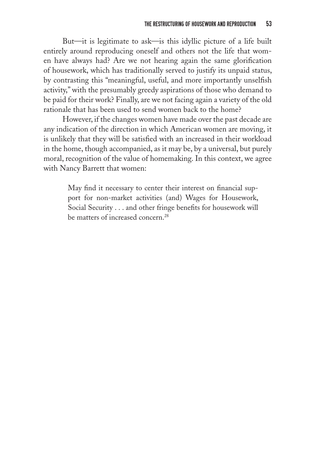But—it is legitimate to ask—is this idyllic picture of a life built entirely around reproducing oneself and others not the life that women have always had? Are we not hearing again the same glorification of housework, which has traditionally served to justify its unpaid status, by contrasting this "meaningful, useful, and more importantly unselfish activity," with the presumably greedy aspirations of those who demand to be paid for their work? Finally, are we not facing again a variety of the old rationale that has been used to send women back to the home?

However, if the changes women have made over the past decade are any indication of the direction in which American women are moving, it is unlikely that they will be satisfied with an increased in their workload in the home, though accompanied, as it may be, by a universal, but purely moral, recognition of the value of homemaking. In this context, we agree with Nancy Barrett that women:

> May find it necessary to center their interest on financial support for non-market activities (and) Wages for Housework, Social Security . . . and other fringe benefits for housework will be matters of increased concern.28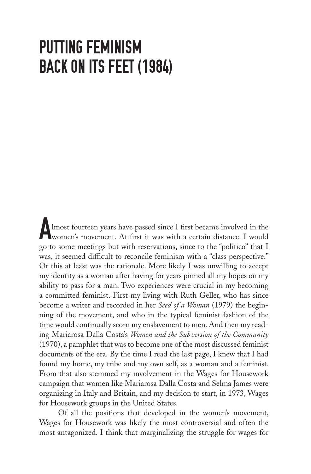## PUTTING FEMINISM BACK ON ITS FEET (1984)

Almost fourteen years have passed since I first became involved in the women's movement. At first it was with a certain distance. I would go to some meetings but with reservations, since to the "politico" that I was, it seemed difficult to reconcile feminism with a "class perspective." Or this at least was the rationale. More likely I was unwilling to accept my identity as a woman after having for years pinned all my hopes on my ability to pass for a man. Two experiences were crucial in my becoming a committed feminist. First my living with Ruth Geller, who has since become a writer and recorded in her *Seed of a Woman* (1979) the beginning of the movement, and who in the typical feminist fashion of the time would continually scorn my enslavement to men. And then my reading Mariarosa Dalla Costa's *Women and the Subversion of the Community* (1970), a pamphlet that was to become one of the most discussed feminist documents of the era. By the time I read the last page, I knew that I had found my home, my tribe and my own self, as a woman and a feminist. From that also stemmed my involvement in the Wages for Housework campaign that women like Mariarosa Dalla Costa and Selma James were organizing in Italy and Britain, and my decision to start, in 1973, Wages for Housework groups in the United States.

Of all the positions that developed in the women's movement, Wages for Housework was likely the most controversial and often the most antagonized. I think that marginalizing the struggle for wages for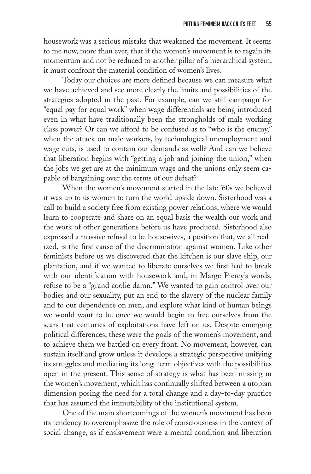housework was a serious mistake that weakened the movement. It seems to me now, more than ever, that if the women's movement is to regain its momentum and not be reduced to another pillar of a hierarchical system, it must confront the material condition of women's lives.

Today our choices are more defined because we can measure what we have achieved and see more clearly the limits and possibilities of the strategies adopted in the past. For example, can we still campaign for "equal pay for equal work" when wage differentials are being introduced even in what have traditionally been the strongholds of male working class power? Or can we afford to be confused as to "who is the enemy," when the attack on male workers, by technological unemployment and wage cuts, is used to contain our demands as well? And can we believe that liberation begins with "getting a job and joining the union," when the jobs we get are at the minimum wage and the unions only seem capable of bargaining over the terms of our defeat?

When the women's movement started in the late '60s we believed it was up to us women to turn the world upside down. Sisterhood was a call to build a society free from existing power relations, where we would learn to cooperate and share on an equal basis the wealth our work and the work of other generations before us have produced. Sisterhood also expressed a massive refusal to be housewives, a position that, we all realized, is the first cause of the discrimination against women. Like other feminists before us we discovered that the kitchen is our slave ship, our plantation, and if we wanted to liberate ourselves we first had to break with our identification with housework and, in Marge Piercy's words, refuse to be a "grand coolie damn." We wanted to gain control over our bodies and our sexuality, put an end to the slavery of the nuclear family and to our dependence on men, and explore what kind of human beings we would want to be once we would begin to free ourselves from the scars that centuries of exploitations have left on us. Despite emerging political differences, these were the goals of the women's movement, and to achieve them we battled on every front. No movement, however, can sustain itself and grow unless it develops a strategic perspective unifying its struggles and mediating its long-term objectives with the possibilities open in the present. This sense of strategy is what has been missing in the women's movement, which has continually shifted between a utopian dimension posing the need for a total change and a day-to-day practice that has assumed the immutability of the institutional system.

One of the main shortcomings of the women's movement has been its tendency to overemphasize the role of consciousness in the context of social change, as if enslavement were a mental condition and liberation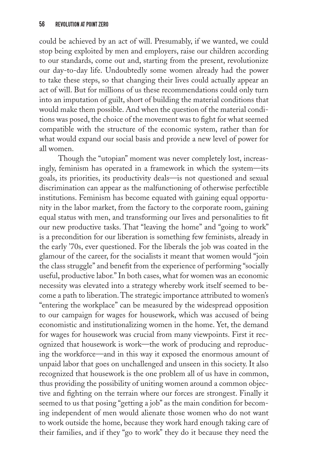could be achieved by an act of will. Presumably, if we wanted, we could stop being exploited by men and employers, raise our children according to our standards, come out and, starting from the present, revolutionize our day-to-day life. Undoubtedly some women already had the power to take these steps, so that changing their lives could actually appear an act of will. But for millions of us these recommendations could only turn into an imputation of guilt, short of building the material conditions that would make them possible. And when the question of the material conditions was posed, the choice of the movement was to fight for what seemed compatible with the structure of the economic system, rather than for what would expand our social basis and provide a new level of power for all women.

Though the "utopian" moment was never completely lost, increasingly, feminism has operated in a framework in which the system—its goals, its priorities, its productivity deals—is not questioned and sexual discrimination can appear as the malfunctioning of otherwise perfectible institutions. Feminism has become equated with gaining equal opportunity in the labor market, from the factory to the corporate room, gaining equal status with men, and transforming our lives and personalities to fit our new productive tasks. That "leaving the home" and "going to work" is a precondition for our liberation is something few feminists, already in the early '70s, ever questioned. For the liberals the job was coated in the glamour of the career, for the socialists it meant that women would "join the class struggle" and benefit from the experience of performing "socially useful, productive labor." In both cases, what for women was an economic necessity was elevated into a strategy whereby work itself seemed to become a path to liberation. The strategic importance attributed to women's "entering the workplace" can be measured by the widespread opposition to our campaign for wages for housework, which was accused of being economistic and institutionalizing women in the home. Yet, the demand for wages for housework was crucial from many viewpoints. First it recognized that housework is work—the work of producing and reproducing the workforce—and in this way it exposed the enormous amount of unpaid labor that goes on unchallenged and unseen in this society. It also recognized that housework is the one problem all of us have in common, thus providing the possibility of uniting women around a common objective and fighting on the terrain where our forces are strongest. Finally it seemed to us that posing "getting a job" as the main condition for becoming independent of men would alienate those women who do not want to work outside the home, because they work hard enough taking care of their families, and if they "go to work" they do it because they need the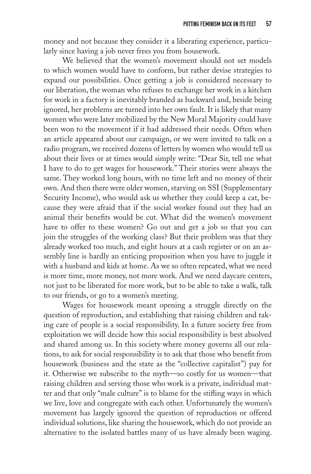money and not because they consider it a liberating experience, particularly since having a job never frees you from housework.

We believed that the women's movement should not set models to which women would have to conform, but rather devise strategies to expand our possibilities. Once getting a job is considered necessary to our liberation, the woman who refuses to exchange her work in a kitchen for work in a factory is inevitably branded as backward and, beside being ignored, her problems are turned into her own fault. It is likely that many women who were later mobilized by the New Moral Majority could have been won to the movement if it had addressed their needs. Often when an article appeared about our campaign, or we were invited to talk on a radio program, we received dozens of letters by women who would tell us about their lives or at times would simply write: "Dear Sir, tell me what I have to do to get wages for housework." Their stories were always the same. They worked long hours, with no time left and no money of their own. And then there were older women, starving on SSI (Supplementary Security Income), who would ask us whether they could keep a cat, because they were afraid that if the social worker found out they had an animal their benefits would be cut. What did the women's movement have to offer to these women? Go out and get a job so that you can join the struggles of the working class? But their problem was that they already worked too much, and eight hours at a cash register or on an assembly line is hardly an enticing proposition when you have to juggle it with a husband and kids at home. As we so often repeated, what we need is more time, more money, not more work. And we need daycare centers, not just to be liberated for more work, but to be able to take a walk, talk to our friends, or go to a women's meeting.

Wages for housework meant opening a struggle directly on the question of reproduction, and establishing that raising children and taking care of people is a social responsibility. In a future society free from exploitation we will decide how this social responsibility is best absolved and shared among us. In this society where money governs all our relations, to ask for social responsibility is to ask that those who benefit from housework (business and the state as the "collective capitalist") pay for it. Otherwise we subscribe to the myth—so costly for us women—that raising children and serving those who work is a private, individual matter and that only "male culture" is to blame for the stifling ways in which we live, love and congregate with each other. Unfortunately the women's movement has largely ignored the question of reproduction or offered individual solutions, like sharing the housework, which do not provide an alternative to the isolated battles many of us have already been waging.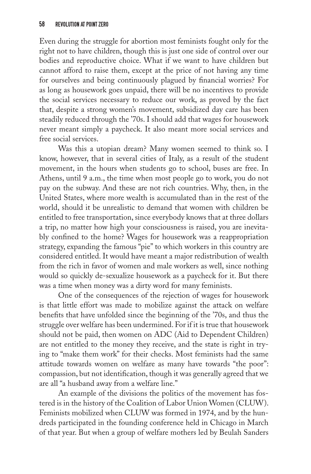Even during the struggle for abortion most feminists fought only for the right not to have children, though this is just one side of control over our bodies and reproductive choice. What if we want to have children but cannot afford to raise them, except at the price of not having any time for ourselves and being continuously plagued by financial worries? For as long as housework goes unpaid, there will be no incentives to provide the social services necessary to reduce our work, as proved by the fact that, despite a strong women's movement, subsidized day care has been steadily reduced through the '70s. I should add that wages for housework never meant simply a paycheck. It also meant more social services and free social services.

Was this a utopian dream? Many women seemed to think so. I know, however, that in several cities of Italy, as a result of the student movement, in the hours when students go to school, buses are free. In Athens, until 9 a.m., the time when most people go to work, you do not pay on the subway. And these are not rich countries. Why, then, in the United States, where more wealth is accumulated than in the rest of the world, should it be unrealistic to demand that women with children be entitled to free transportation, since everybody knows that at three dollars a trip, no matter how high your consciousness is raised, you are inevitably confined to the home? Wages for housework was a reappropriation strategy, expanding the famous "pie" to which workers in this country are considered entitled. It would have meant a major redistribution of wealth from the rich in favor of women and male workers as well, since nothing would so quickly de-sexualize housework as a paycheck for it. But there was a time when money was a dirty word for many feminists.

One of the consequences of the rejection of wages for housework is that little effort was made to mobilize against the attack on welfare benefits that have unfolded since the beginning of the '70s, and thus the struggle over welfare has been undermined. For if it is true that housework should not be paid, then women on ADC (Aid to Dependent Children) are not entitled to the money they receive, and the state is right in trying to "make them work" for their checks. Most feminists had the same attitude towards women on welfare as many have towards "the poor": compassion, but not identification, though it was generally agreed that we are all "a husband away from a welfare line."

An example of the divisions the politics of the movement has fostered is in the history of the Coalition of Labor Union Women (CLUW). Feminists mobilized when CLUW was formed in 1974, and by the hundreds participated in the founding conference held in Chicago in March of that year. But when a group of welfare mothers led by Beulah Sanders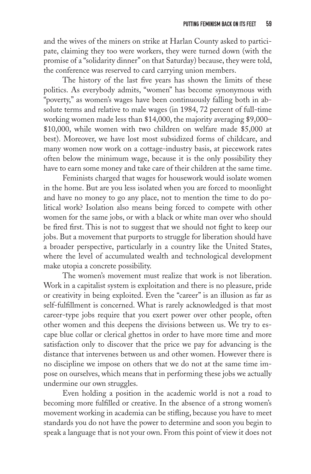and the wives of the miners on strike at Harlan County asked to participate, claiming they too were workers, they were turned down (with the promise of a "solidarity dinner" on that Saturday) because, they were told, the conference was reserved to card carrying union members.

The history of the last five years has shown the limits of these politics. As everybody admits, "women" has become synonymous with "poverty," as women's wages have been continuously falling both in absolute terms and relative to male wages (in 1984, 72 percent of full-time working women made less than \$14,000, the majority averaging \$9,000– \$10,000, while women with two children on welfare made \$5,000 at best). Moreover, we have lost most subsidized forms of childcare, and many women now work on a cottage-industry basis, at piecework rates often below the minimum wage, because it is the only possibility they have to earn some money and take care of their children at the same time.

Feminists charged that wages for housework would isolate women in the home. But are you less isolated when you are forced to moonlight and have no money to go any place, not to mention the time to do political work? Isolation also means being forced to compete with other women for the same jobs, or with a black or white man over who should be fired first. This is not to suggest that we should not fight to keep our jobs. But a movement that purports to struggle for liberation should have a broader perspective, particularly in a country like the United States, where the level of accumulated wealth and technological development make utopia a concrete possibility.

The women's movement must realize that work is not liberation. Work in a capitalist system is exploitation and there is no pleasure, pride or creativity in being exploited. Even the "career" is an illusion as far as self-fulfillment is concerned. What is rarely acknowledged is that most career-type jobs require that you exert power over other people, often other women and this deepens the divisions between us. We try to escape blue collar or clerical ghettos in order to have more time and more satisfaction only to discover that the price we pay for advancing is the distance that intervenes between us and other women. However there is no discipline we impose on others that we do not at the same time impose on ourselves, which means that in performing these jobs we actually undermine our own struggles.

Even holding a position in the academic world is not a road to becoming more fulfilled or creative. In the absence of a strong women's movement working in academia can be stifling, because you have to meet standards you do not have the power to determine and soon you begin to speak a language that is not your own. From this point of view it does not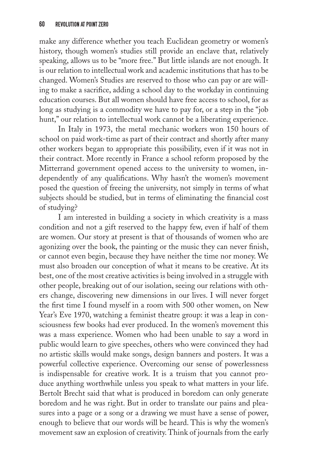make any difference whether you teach Euclidean geometry or women's history, though women's studies still provide an enclave that, relatively speaking, allows us to be "more free." But little islands are not enough. It is our relation to intellectual work and academic institutions that has to be changed. Women's Studies are reserved to those who can pay or are willing to make a sacrifice, adding a school day to the workday in continuing education courses. But all women should have free access to school, for as long as studying is a commodity we have to pay for, or a step in the "job hunt," our relation to intellectual work cannot be a liberating experience.

In Italy in 1973, the metal mechanic workers won 150 hours of school on paid work-time as part of their contract and shortly after many other workers began to appropriate this possibility, even if it was not in their contract. More recently in France a school reform proposed by the Mitterrand government opened access to the university to women, independently of any qualifications. Why hasn't the women's movement posed the question of freeing the university, not simply in terms of what subjects should be studied, but in terms of eliminating the financial cost of studying?

I am interested in building a society in which creativity is a mass condition and not a gift reserved to the happy few, even if half of them are women. Our story at present is that of thousands of women who are agonizing over the book, the painting or the music they can never finish, or cannot even begin, because they have neither the time nor money. We must also broaden our conception of what it means to be creative. At its best, one of the most creative activities is being involved in a struggle with other people, breaking out of our isolation, seeing our relations with others change, discovering new dimensions in our lives. I will never forget the first time I found myself in a room with 500 other women, on New Year's Eve 1970, watching a feminist theatre group: it was a leap in consciousness few books had ever produced. In the women's movement this was a mass experience. Women who had been unable to say a word in public would learn to give speeches, others who were convinced they had no artistic skills would make songs, design banners and posters. It was a powerful collective experience. Overcoming our sense of powerlessness is indispensable for creative work. It is a truism that you cannot produce anything worthwhile unless you speak to what matters in your life. Bertolt Brecht said that what is produced in boredom can only generate boredom and he was right. But in order to translate our pains and pleasures into a page or a song or a drawing we must have a sense of power, enough to believe that our words will be heard. This is why the women's movement saw an explosion of creativity. Think of journals from the early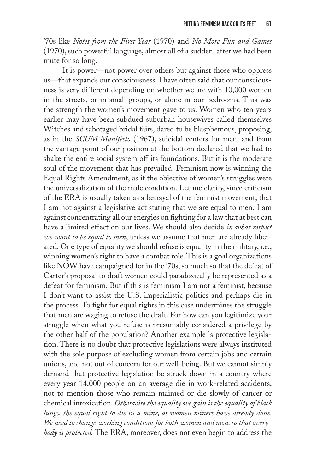'70s like *Notes from the First Year* (1970) and *No More Fun and Games* (1970), such powerful language, almost all of a sudden, after we had been mute for so long.

It is power—not power over others but against those who oppress us—that expands our consciousness. I have often said that our consciousness is very different depending on whether we are with 10,000 women in the streets, or in small groups, or alone in our bedrooms. This was the strength the women's movement gave to us. Women who ten years earlier may have been subdued suburban housewives called themselves Witches and sabotaged bridal fairs, dared to be blasphemous, proposing, as in the *SCUM Manifesto* (1967), suicidal centers for men, and from the vantage point of our position at the bottom declared that we had to shake the entire social system off its foundations. But it is the moderate soul of the movement that has prevailed. Feminism now is winning the Equal Rights Amendment, as if the objective of women's struggles were the universalization of the male condition. Let me clarify, since criticism of the ERA is usually taken as a betrayal of the feminist movement, that I am not against a legislative act stating that we are equal to men. I am against concentrating all our energies on fighting for a law that at best can have a limited effect on our lives. We should also decide *in what respect we want to be equal to men*, unless we assume that men are already liberated. One type of equality we should refuse is equality in the military, i.e., winning women's right to have a combat role. This is a goal organizations like NOW have campaigned for in the '70s, so much so that the defeat of Carter's proposal to draft women could paradoxically be represented as a defeat for feminism. But if this is feminism I am not a feminist, because I don't want to assist the U.S. imperialistic politics and perhaps die in the process. To fight for equal rights in this case undermines the struggle that men are waging to refuse the draft. For how can you legitimize your struggle when what you refuse is presumably considered a privilege by the other half of the population? Another example is protective legislation. There is no doubt that protective legislations were always instituted with the sole purpose of excluding women from certain jobs and certain unions, and not out of concern for our well-being. But we cannot simply demand that protective legislation be struck down in a country where every year 14,000 people on an average die in work-related accidents, not to mention those who remain maimed or die slowly of cancer or chemical intoxication. *Otherwise the equality we gain is the equality of black lungs, the equal right to die in a mine, as women miners have already done. We need to change working conditions for both women and men, so that everybody is protected.* The ERA, moreover, does not even begin to address the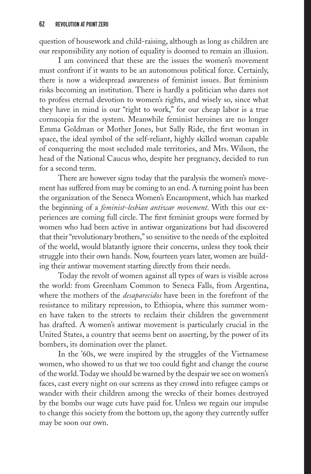question of housework and child-raising, although as long as children are our responsibility any notion of equality is doomed to remain an illusion.

I am convinced that these are the issues the women's movement must confront if it wants to be an autonomous political force. Certainly, there is now a widespread awareness of feminist issues. But feminism risks becoming an institution. There is hardly a politician who dares not to profess eternal devotion to women's rights, and wisely so, since what they have in mind is our "right to work," for our cheap labor is a true cornucopia for the system. Meanwhile feminist heroines are no longer Emma Goldman or Mother Jones, but Sally Ride, the first woman in space, the ideal symbol of the self-reliant, highly skilled woman capable of conquering the most secluded male territories, and Mrs. Wilson, the head of the National Caucus who, despite her pregnancy, decided to run for a second term.

There are however signs today that the paralysis the women's movement has suffered from may be coming to an end. A turning point has been the organization of the Seneca Women's Encampment, which has marked the beginning of a *feminist-lesbian antiwar movement*. With this our experiences are coming full circle. The first feminist groups were formed by women who had been active in antiwar organizations but had discovered that their "revolutionary brothers," so sensitive to the needs of the exploited of the world, would blatantly ignore their concerns, unless they took their struggle into their own hands. Now, fourteen years later, women are building their antiwar movement starting directly from their needs.

Today the revolt of women against all types of wars is visible across the world: from Greenham Common to Seneca Falls, from Argentina, where the mothers of the *desaparecidos* have been in the forefront of the resistance to military repression, to Ethiopia, where this summer women have taken to the streets to reclaim their children the government has drafted. A women's antiwar movement is particularly crucial in the United States, a country that seems bent on asserting, by the power of its bombers, its domination over the planet.

In the '60s, we were inspired by the struggles of the Vietnamese women, who showed to us that we too could fight and change the course of the world. Today we should be warned by the despair we see on women's faces, cast every night on our screens as they crowd into refugee camps or wander with their children among the wrecks of their homes destroyed by the bombs our wage cuts have paid for. Unless we regain our impulse to change this society from the bottom up, the agony they currently suffer may be soon our own.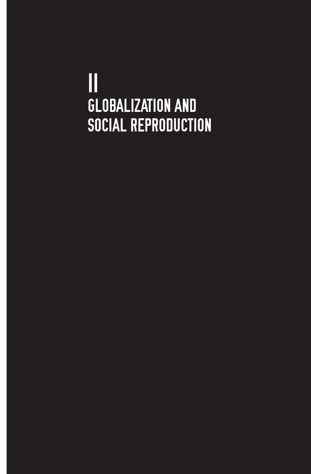# II GLOBALIZATION AND SOCIAL REPRODUCTION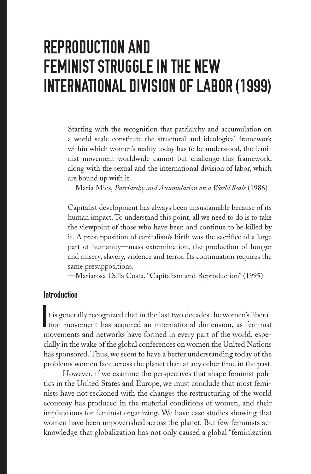# REPRODUCTION AND FEMINIST STRUGGLE IN THE NEW INTERNATIONAL DIVISION OF LABOR (1999)

Starting with the recognition that patriarchy and accumulation on a world scale constitute the structural and ideological framework within which women's reality today has to be understood, the feminist movement worldwide cannot but challenge this framework, along with the sexual and the international division of labor, which are bound up with it.

—Maria Mies, *Patriarchy and Accumulation on a World Scale* (1986)

Capitalist development has always been unsustainable because of its human impact. To understand this point, all we need to do is to take the viewpoint of those who have been and continue to be killed by it. A presupposition of capitalism's birth was the sacrifice of a large part of humanity—mass extermination, the production of hunger and misery, slavery, violence and terror. Its continuation requires the same presuppositions.

—Mariarosa Dalla Costa, "Capitalism and Reproduction" (1995)

### Introduction

tis generally recognized that in the last two decades the women's liberation movement has acquired an international dimension, as feminist t is generally recognized that in the last two decades the women's liberamovements and networks have formed in every part of the world, especially in the wake of the global conferences on women the United Nations has sponsored. Thus, we seem to have a better understanding today of the problems women face across the planet than at any other time in the past.

However, if we examine the perspectives that shape feminist politics in the United States and Europe, we must conclude that most feminists have not reckoned with the changes the restructuring of the world economy has produced in the material conditions of women, and their implications for feminist organizing. We have case studies showing that women have been impoverished across the planet. But few feminists acknowledge that globalization has not only caused a global "feminization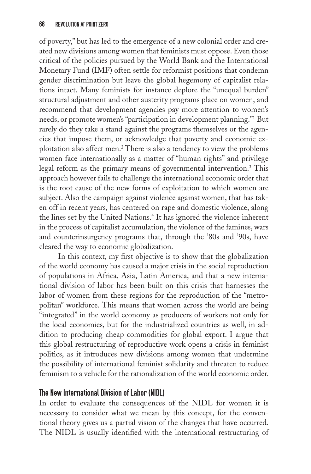of poverty," but has led to the emergence of a new colonial order and created new divisions among women that feminists must oppose. Even those critical of the policies pursued by the World Bank and the International Monetary Fund (IMF) often settle for reformist positions that condemn gender discrimination but leave the global hegemony of capitalist relations intact. Many feminists for instance deplore the "unequal burden" structural adjustment and other austerity programs place on women, and recommend that development agencies pay more attention to women's needs, or promote women's "participation in development planning."1 But rarely do they take a stand against the programs themselves or the agencies that impose them, or acknowledge that poverty and economic exploitation also affect men.2 There is also a tendency to view the problems women face internationally as a matter of "human rights" and privilege legal reform as the primary means of governmental intervention.3 This approach however fails to challenge the international economic order that is the root cause of the new forms of exploitation to which women are subject. Also the campaign against violence against women, that has taken off in recent years, has centered on rape and domestic violence, along the lines set by the United Nations.<sup>4</sup> It has ignored the violence inherent in the process of capitalist accumulation, the violence of the famines, wars and counterinsurgency programs that, through the '80s and '90s, have cleared the way to economic globalization.

In this context, my first objective is to show that the globalization of the world economy has caused a major crisis in the social reproduction of populations in Africa, Asia, Latin America, and that a new international division of labor has been built on this crisis that harnesses the labor of women from these regions for the reproduction of the "metropolitan" workforce. This means that women across the world are being "integrated" in the world economy as producers of workers not only for the local economies, but for the industrialized countries as well, in addition to producing cheap commodities for global export. I argue that this global restructuring of reproductive work opens a crisis in feminist politics, as it introduces new divisions among women that undermine the possibility of international feminist solidarity and threaten to reduce feminism to a vehicle for the rationalization of the world economic order.

# The New International Division of Labor (NIDL)

In order to evaluate the consequences of the NIDL for women it is necessary to consider what we mean by this concept, for the conventional theory gives us a partial vision of the changes that have occurred. The NIDL is usually identified with the international restructuring of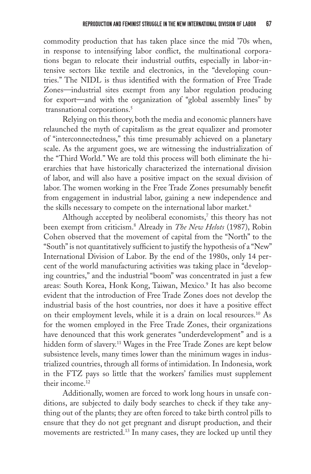commodity production that has taken place since the mid '70s when, in response to intensifying labor conflict, the multinational corporations began to relocate their industrial outfits, especially in labor-intensive sectors like textile and electronics, in the "developing countries." The NIDL is thus identified with the formation of Free Trade Zones—industrial sites exempt from any labor regulation producing for export—and with the organization of "global assembly lines" by transnational corporations.<sup>5</sup>

Relying on this theory, both the media and economic planners have relaunched the myth of capitalism as the great equalizer and promoter of "interconnectedness," this time presumably achieved on a planetary scale. As the argument goes, we are witnessing the industrialization of the "Third World." We are told this process will both eliminate the hierarchies that have historically characterized the international division of labor, and will also have a positive impact on the sexual division of labor. The women working in the Free Trade Zones presumably benefit from engagement in industrial labor, gaining a new independence and the skills necessary to compete on the international labor market.<sup>6</sup>

Although accepted by neoliberal economists, $7$  this theory has not been exempt from criticism.8 Already in *The New Helots* (1987), Robin Cohen observed that the movement of capital from the "North" to the "South" is not quantitatively sufficient to justify the hypothesis of a "New" International Division of Labor. By the end of the 1980s, only 14 percent of the world manufacturing activities was taking place in "developing countries," and the industrial "boom" was concentrated in just a few areas: South Korea, Honk Kong, Taiwan, Mexico.<sup>9</sup> It has also become evident that the introduction of Free Trade Zones does not develop the industrial basis of the host countries, nor does it have a positive effect on their employment levels, while it is a drain on local resources.10 As for the women employed in the Free Trade Zones, their organizations have denounced that this work generates "underdevelopment" and is a hidden form of slavery.<sup>11</sup> Wages in the Free Trade Zones are kept below subsistence levels, many times lower than the minimum wages in industrialized countries, through all forms of intimidation. In Indonesia, work in the FTZ pays so little that the workers' families must supplement their income.12

Additionally, women are forced to work long hours in unsafe conditions, are subjected to daily body searches to check if they take anything out of the plants; they are often forced to take birth control pills to ensure that they do not get pregnant and disrupt production, and their movements are restricted.13 In many cases, they are locked up until they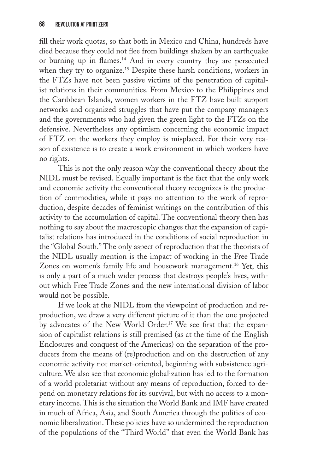fill their work quotas, so that both in Mexico and China, hundreds have died because they could not flee from buildings shaken by an earthquake or burning up in flames.14 And in every country they are persecuted when they try to organize.<sup>15</sup> Despite these harsh conditions, workers in the FTZs have not been passive victims of the penetration of capitalist relations in their communities. From Mexico to the Philippines and the Caribbean Islands, women workers in the FTZ have built support networks and organized struggles that have put the company managers and the governments who had given the green light to the FTZs on the defensive. Nevertheless any optimism concerning the economic impact of FTZ on the workers they employ is misplaced. For their very reason of existence is to create a work environment in which workers have no rights.

This is not the only reason why the conventional theory about the NIDL must be revised. Equally important is the fact that the only work and economic activity the conventional theory recognizes is the production of commodities, while it pays no attention to the work of reproduction, despite decades of feminist writings on the contribution of this activity to the accumulation of capital. The conventional theory then has nothing to say about the macroscopic changes that the expansion of capitalist relations has introduced in the conditions of social reproduction in the "Global South." The only aspect of reproduction that the theorists of the NIDL usually mention is the impact of working in the Free Trade Zones on women's family life and housework management.<sup>16</sup> Yet, this is only a part of a much wider process that destroys people's lives, without which Free Trade Zones and the new international division of labor would not be possible.

If we look at the NIDL from the viewpoint of production and reproduction, we draw a very different picture of it than the one projected by advocates of the New World Order.<sup>17</sup> We see first that the expansion of capitalist relations is still premised (as at the time of the English Enclosures and conquest of the Americas) on the separation of the producers from the means of (re)production and on the destruction of any economic activity not market-oriented, beginning with subsistence agriculture. We also see that economic globalization has led to the formation of a world proletariat without any means of reproduction, forced to depend on monetary relations for its survival, but with no access to a monetary income. This is the situation the World Bank and IMF have created in much of Africa, Asia, and South America through the politics of economic liberalization. These policies have so undermined the reproduction of the populations of the "Third World" that even the World Bank has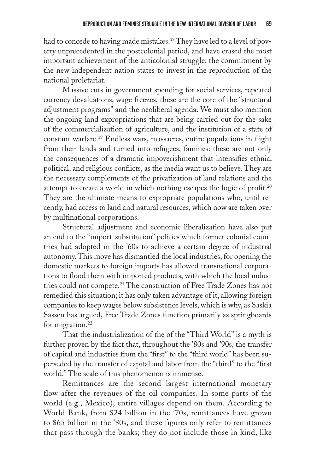had to concede to having made mistakes.<sup>18</sup> They have led to a level of poverty unprecedented in the postcolonial period, and have erased the most important achievement of the anticolonial struggle: the commitment by the new independent nation states to invest in the reproduction of the national proletariat.

Massive cuts in government spending for social services, repeated currency devaluations, wage freezes, these are the core of the "structural adjustment programs" and the neoliberal agenda. We must also mention the ongoing land expropriations that are being carried out for the sake of the commercialization of agriculture, and the institution of a state of constant warfare.19 Endless wars, massacres, entire populations in flight from their lands and turned into refugees, famines: these are not only the consequences of a dramatic impoverishment that intensifies ethnic, political, and religious conflicts, as the media want us to believe. They are the necessary complements of the privatization of land relations and the attempt to create a world in which nothing escapes the logic of profit.<sup>20</sup> They are the ultimate means to expropriate populations who, until recently, had access to land and natural resources, which now are taken over by multinational corporations.

Structural adjustment and economic liberalization have also put an end to the "import-substitution" politics which former colonial countries had adopted in the '60s to achieve a certain degree of industrial autonomy. This move has dismantled the local industries, for opening the domestic markets to foreign imports has allowed transnational corporations to flood them with imported products, with which the local industries could not compete.21 The construction of Free Trade Zones has not remedied this situation; it has only taken advantage of it, allowing foreign companies to keep wages below subsistence levels, which is why, as Saskia Sassen has argued, Free Trade Zones function primarily as springboards for migration.<sup>22</sup>

That the industrialization of the of the "Third World" is a myth is further proven by the fact that, throughout the '80s and '90s, the transfer of capital and industries from the "first" to the "third world" has been superseded by the transfer of capital and labor from the "third" to the "first world." The scale of this phenomenon is immense.

Remittances are the second largest international monetary flow after the revenues of the oil companies. In some parts of the world (e.g., Mexico), entire villages depend on them. According to World Bank, from \$24 billion in the '70s, remittances have grown to \$65 billion in the '80s, and these figures only refer to remittances that pass through the banks; they do not include those in kind, like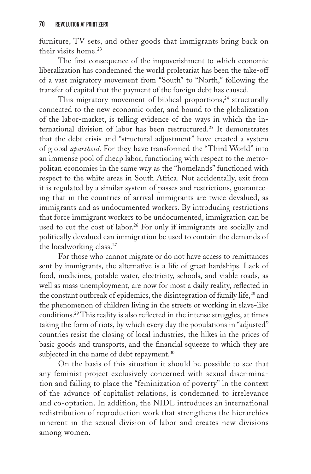furniture, TV sets, and other goods that immigrants bring back on their visits home.<sup>23</sup>

The first consequence of the impoverishment to which economic liberalization has condemned the world proletariat has been the take-off of a vast migratory movement from "South" to "North," following the transfer of capital that the payment of the foreign debt has caused.

This migratory movement of biblical proportions, $24$  structurally connected to the new economic order, and bound to the globalization of the labor-market, is telling evidence of the ways in which the international division of labor has been restructured.25 It demonstrates that the debt crisis and "structural adjustment" have created a system of global *apartheid*. For they have transformed the "Third World" into an immense pool of cheap labor, functioning with respect to the metropolitan economies in the same way as the "homelands" functioned with respect to the white areas in South Africa. Not accidentally, exit from it is regulated by a similar system of passes and restrictions, guaranteeing that in the countries of arrival immigrants are twice devalued, as immigrants and as undocumented workers. By introducing restrictions that force immigrant workers to be undocumented, immigration can be used to cut the cost of labor.<sup>26</sup> For only if immigrants are socially and politically devalued can immigration be used to contain the demands of the localworking class.27

For those who cannot migrate or do not have access to remittances sent by immigrants, the alternative is a life of great hardships. Lack of food, medicines, potable water, electricity, schools, and viable roads, as well as mass unemployment, are now for most a daily reality, reflected in the constant outbreak of epidemics, the disintegration of family life,<sup>28</sup> and the phenomenon of children living in the streets or working in slave-like conditions.29 This reality is also reflected in the intense struggles, at times taking the form of riots, by which every day the populations in "adjusted" countries resist the closing of local industries, the hikes in the prices of basic goods and transports, and the financial squeeze to which they are subjected in the name of debt repayment.<sup>30</sup>

On the basis of this situation it should be possible to see that any feminist project exclusively concerned with sexual discrimination and failing to place the "feminization of poverty" in the context of the advance of capitalist relations, is condemned to irrelevance and co-optation. In addition, the NIDL introduces an international redistribution of reproduction work that strengthens the hierarchies inherent in the sexual division of labor and creates new divisions among women.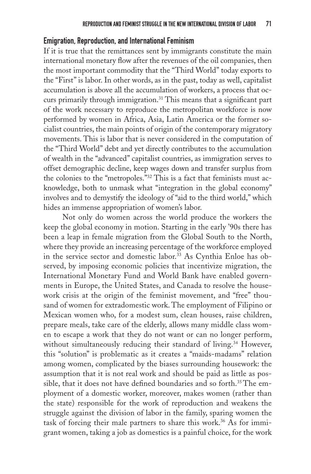#### Emigration, Reproduction, and International Feminism

If it is true that the remittances sent by immigrants constitute the main international monetary flow after the revenues of the oil companies, then the most important commodity that the "Third World" today exports to the "First" is labor. In other words, as in the past, today as well, capitalist accumulation is above all the accumulation of workers, a process that occurs primarily through immigration.<sup>31</sup> This means that a significant part of the work necessary to reproduce the metropolitan workforce is now performed by women in Africa, Asia, Latin America or the former socialist countries, the main points of origin of the contemporary migratory movements. This is labor that is never considered in the computation of the "Third World" debt and yet directly contributes to the accumulation of wealth in the "advanced" capitalist countries, as immigration serves to offset demographic decline, keep wages down and transfer surplus from the colonies to the "metropoles."32 This is a fact that feminists must acknowledge, both to unmask what "integration in the global economy" involves and to demystify the ideology of "aid to the third world," which hides an immense appropriation of women's labor.

Not only do women across the world produce the workers the keep the global economy in motion. Starting in the early '90s there has been a leap in female migration from the Global South to the North, where they provide an increasing percentage of the workforce employed in the service sector and domestic labor.<sup>33</sup> As Cynthia Enloe has observed, by imposing economic policies that incentivize migration, the International Monetary Fund and World Bank have enabled governments in Europe, the United States, and Canada to resolve the housework crisis at the origin of the feminist movement, and "free" thousand of women for extradomestic work. The employment of Filipino or Mexican women who, for a modest sum, clean houses, raise children, prepare meals, take care of the elderly, allows many middle class women to escape a work that they do not want or can no longer perform, without simultaneously reducing their standard of living.<sup>34</sup> However, this "solution" is problematic as it creates a "maids-madams" relation among women, complicated by the biases surrounding housework: the assumption that it is not real work and should be paid as little as possible, that it does not have defined boundaries and so forth.<sup>35</sup> The employment of a domestic worker, moreover, makes women (rather than the state) responsible for the work of reproduction and weakens the struggle against the division of labor in the family, sparing women the task of forcing their male partners to share this work.<sup>36</sup> As for immigrant women, taking a job as domestics is a painful choice, for the work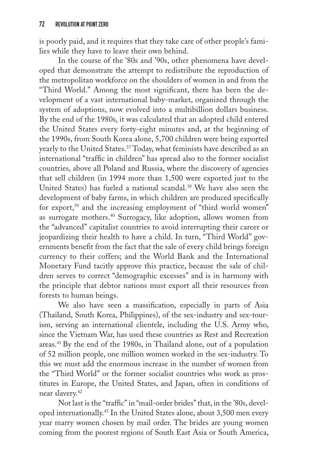is poorly paid, and it requires that they take care of other people's families while they have to leave their own behind.

In the course of the '80s and '90s, other phenomena have developed that demonstrate the attempt to redistribute the reproduction of the metropolitan workforce on the shoulders of women in and from the "Third World." Among the most significant, there has been the development of a vast international baby-market, organized through the system of adoptions, now evolved into a multibillion dollars business. By the end of the 1980s, it was calculated that an adopted child entered the United States every forty-eight minutes and, at the beginning of the 1990s, from South Korea alone, 5,700 children were being exported yearly to the United States.<sup>37</sup> Today, what feminists have described as an international "traffic in children" has spread also to the former socialist countries, above all Poland and Russia, where the discovery of agencies that sell children (in 1994 more than 1,500 were exported just to the United States) has fueled a national scandal.<sup>38</sup> We have also seen the development of baby farms, in which children are produced specifically for export,<sup>39</sup> and the increasing employment of "third world women" as surrogate mothers.40 Surrogacy, like adoption, allows women from the "advanced" capitalist countries to avoid interrupting their career or jeopardizing their health to have a child. In turn, "Third World" governments benefit from the fact that the sale of every child brings foreign currency to their coffers; and the World Bank and the International Monetary Fund tacitly approve this practice, because the sale of children serves to correct "demographic excesses" and is in harmony with the principle that debtor nations must export all their resources from forests to human beings.

We also have seen a massification, especially in parts of Asia (Thailand, South Korea, Philippines), of the sex-industry and sex-tourism, serving an international clientele, including the U.S. Army who, since the Vietnam War, has used these countries as Rest and Recreation areas.41 By the end of the 1980s, in Thailand alone, out of a population of 52 million people, one million women worked in the sex-industry. To this we must add the enormous increase in the number of women from the "Third World" or the former socialist countries who work as prostitutes in Europe, the United States, and Japan, often in conditions of near slavery.42

Not last is the "traffic" in "mail-order brides" that, in the '80s, developed internationally.43 In the United States alone, about 3,500 men every year marry women chosen by mail order. The brides are young women coming from the poorest regions of South East Asia or South America,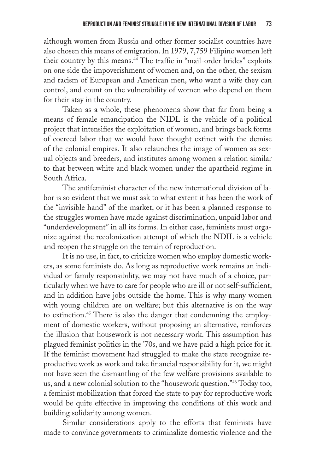although women from Russia and other former socialist countries have also chosen this means of emigration. In 1979, 7,759 Filipino women left their country by this means.44 The traffic in "mail-order brides" exploits on one side the impoverishment of women and, on the other, the sexism and racism of European and American men, who want a wife they can control, and count on the vulnerability of women who depend on them for their stay in the country.

Taken as a whole, these phenomena show that far from being a means of female emancipation the NIDL is the vehicle of a political project that intensifies the exploitation of women, and brings back forms of coerced labor that we would have thought extinct with the demise of the colonial empires. It also relaunches the image of women as sexual objects and breeders, and institutes among women a relation similar to that between white and black women under the apartheid regime in South Africa.

The antifeminist character of the new international division of labor is so evident that we must ask to what extent it has been the work of the "invisible hand" of the market, or it has been a planned response to the struggles women have made against discrimination, unpaid labor and "underdevelopment" in all its forms. In either case, feminists must organize against the recolonization attempt of which the NDIL is a vehicle and reopen the struggle on the terrain of reproduction.

It is no use, in fact, to criticize women who employ domestic workers, as some feminists do. As long as reproductive work remains an individual or family responsibility, we may not have much of a choice, particularly when we have to care for people who are ill or not self-sufficient, and in addition have jobs outside the home. This is why many women with young children are on welfare; but this alternative is on the way to extinction.45 There is also the danger that condemning the employment of domestic workers, without proposing an alternative, reinforces the illusion that housework is not necessary work. This assumption has plagued feminist politics in the '70s, and we have paid a high price for it. If the feminist movement had struggled to make the state recognize reproductive work as work and take financial responsibility for it, we might not have seen the dismantling of the few welfare provisions available to us, and a new colonial solution to the "housework question."46 Today too, a feminist mobilization that forced the state to pay for reproductive work would be quite effective in improving the conditions of this work and building solidarity among women.

Similar considerations apply to the efforts that feminists have made to convince governments to criminalize domestic violence and the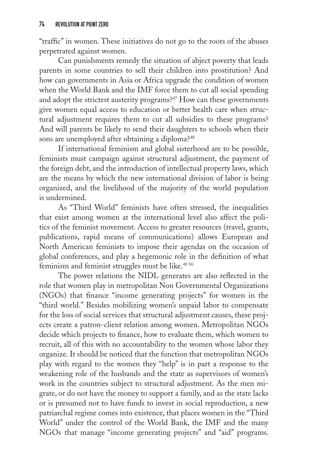"traffic" in women. These initiatives do not go to the roots of the abuses perpetrated against women.

Can punishments remedy the situation of abject poverty that leads parents in some countries to sell their children into prostitution? And how can governments in Asia or Africa upgrade the condition of women when the World Bank and the IMF force them to cut all social spending and adopt the strictest austerity programs?<sup>47</sup> How can these governments give women equal access to education or better health care when structural adjustment requires them to cut all subsidies to these programs? And will parents be likely to send their daughters to schools when their sons are unemployed after obtaining a diploma?<sup>48</sup>

If international feminism and global sisterhood are to be possible, feminists must campaign against structural adjustment, the payment of the foreign debt, and the introduction of intellectual property laws, which are the means by which the new international division of labor is being organized, and the livelihood of the majority of the world population is undermined.

As "Third World" feminists have often stressed, the inequalities that exist among women at the international level also affect the politics of the feminist movement. Access to greater resources (travel, grants, publications, rapid means of communications) allows European and North American feminists to impose their agendas on the occasion of global conferences, and play a hegemonic role in the definition of what feminism and feminist struggles must be like.<sup>49 50</sup>

The power relations the NIDL generates are also reflected in the role that women play in metropolitan Non Governmental Organizations (NGOs) that finance "income generating projects" for women in the "third world." Besides mobilizing women's unpaid labor to compensate for the loss of social services that structural adjustment causes, these projects create a patron-client relation among women. Metropolitan NGOs decide which projects to finance, how to evaluate them, which women to recruit, all of this with no accountability to the women whose labor they organize. It should be noticed that the function that metropolitan NGOs play with regard to the women they "help" is in part a response to the weakening role of the husbands and the state as supervisors of women's work in the countries subject to structural adjustment. As the men migrate, or do not have the money to support a family, and as the state lacks or is presumed not to have funds to invest in social reproduction, a new patriarchal regime comes into existence, that places women in the "Third World" under the control of the World Bank, the IMF and the many NGOs that manage "income generating projects" and "aid" programs.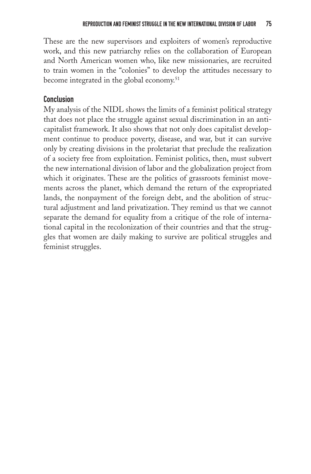These are the new supervisors and exploiters of women's reproductive work, and this new patriarchy relies on the collaboration of European and North American women who, like new missionaries, are recruited to train women in the "colonies" to develop the attitudes necessary to become integrated in the global economy.<sup>51</sup>

# **Conclusion**

My analysis of the NIDL shows the limits of a feminist political strategy that does not place the struggle against sexual discrimination in an anticapitalist framework. It also shows that not only does capitalist development continue to produce poverty, disease, and war, but it can survive only by creating divisions in the proletariat that preclude the realization of a society free from exploitation. Feminist politics, then, must subvert the new international division of labor and the globalization project from which it originates. These are the politics of grassroots feminist movements across the planet, which demand the return of the expropriated lands, the nonpayment of the foreign debt, and the abolition of structural adjustment and land privatization. They remind us that we cannot separate the demand for equality from a critique of the role of international capital in the recolonization of their countries and that the struggles that women are daily making to survive are political struggles and feminist struggles.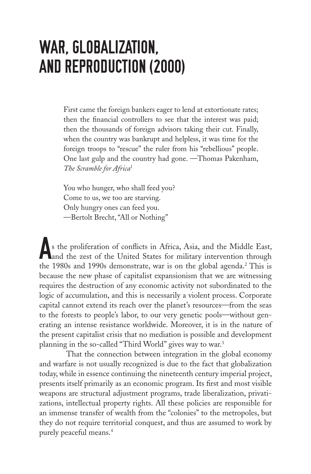# WAR, GLOBALIZATION, AND REPRODUCTION (2000)

First came the foreign bankers eager to lend at extortionate rates; then the financial controllers to see that the interest was paid; then the thousands of foreign advisors taking their cut. Finally, when the country was bankrupt and helpless, it was time for the foreign troops to "rescue" the ruler from his "rebellious" people. One last gulp and the country had gone. —Thomas Pakenham, *The Scramble for Africa*<sup>1</sup>

You who hunger, who shall feed you? Come to us, we too are starving. Only hungry ones can feed you. —Bertolt Brecht, "All or Nothing"

As the proliferation of conflicts in Africa, Asia, and the Middle East, **Tand the zest of the United States for military intervention through** the 1980s and 1990s demonstrate, war is on the global agenda.<sup>2</sup> This is because the new phase of capitalist expansionism that we are witnessing requires the destruction of any economic activity not subordinated to the logic of accumulation, and this is necessarily a violent process. Corporate capital cannot extend its reach over the planet's resources—from the seas to the forests to people's labor, to our very genetic pools—without generating an intense resistance worldwide. Moreover, it is in the nature of the present capitalist crisis that no mediation is possible and development planning in the so-called "Third World" gives way to war.3

That the connection between integration in the global economy and warfare is not usually recognized is due to the fact that globalization today, while in essence continuing the nineteenth century imperial project, presents itself primarily as an economic program. Its first and most visible weapons are structural adjustment programs, trade liberalization, privatizations, intellectual property rights. All these policies are responsible for an immense transfer of wealth from the "colonies" to the metropoles, but they do not require territorial conquest, and thus are assumed to work by purely peaceful means.4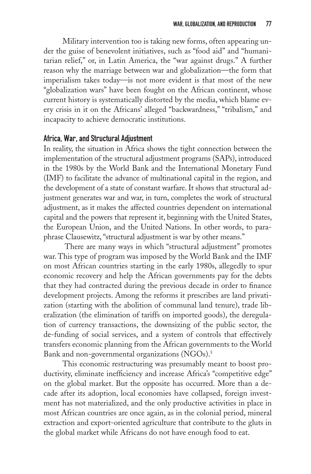Military intervention too is taking new forms, often appearing under the guise of benevolent initiatives, such as "food aid" and "humanitarian relief," or, in Latin America, the "war against drugs." A further reason why the marriage between war and globalization—the form that imperialism takes today—is not more evident is that most of the new "globalization wars" have been fought on the African continent, whose current history is systematically distorted by the media, which blame every crisis in it on the Africans' alleged "backwardness," "tribalism," and incapacity to achieve democratic institutions.

#### Africa, War, and Structural Adjustment

In reality, the situation in Africa shows the tight connection between the implementation of the structural adjustment programs (SAPs), introduced in the 1980s by the World Bank and the International Monetary Fund (IMF) to facilitate the advance of multinational capital in the region, and the development of a state of constant warfare. It shows that structural adjustment generates war and war, in turn, completes the work of structural adjustment, as it makes the affected countries dependent on international capital and the powers that represent it, beginning with the United States, the European Union, and the United Nations. In other words, to paraphrase Clausewitz, "structural adjustment is war by other means."

 There are many ways in which "structural adjustment" promotes war. This type of program was imposed by the World Bank and the IMF on most African countries starting in the early 1980s, allegedly to spur economic recovery and help the African governments pay for the debts that they had contracted during the previous decade in order to finance development projects. Among the reforms it prescribes are land privatization (starting with the abolition of communal land tenure), trade liberalization (the elimination of tariffs on imported goods), the deregulation of currency transactions, the downsizing of the public sector, the de-funding of social services, and a system of controls that effectively transfers economic planning from the African governments to the World Bank and non-governmental organizations (NGOs).5

This economic restructuring was presumably meant to boost productivity, eliminate inefficiency and increase Africa's "competitive edge" on the global market. But the opposite has occurred. More than a decade after its adoption, local economies have collapsed, foreign investment has not materialized, and the only productive activities in place in most African countries are once again, as in the colonial period, mineral extraction and export-oriented agriculture that contribute to the gluts in the global market while Africans do not have enough food to eat.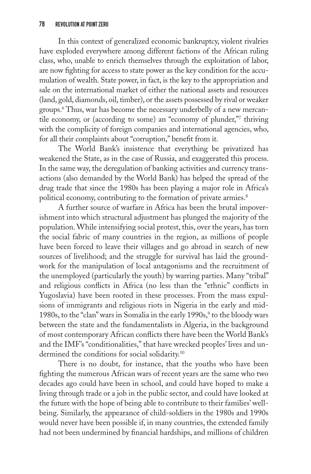In this context of generalized economic bankruptcy, violent rivalries have exploded everywhere among different factions of the African ruling class, who, unable to enrich themselves through the exploitation of labor, are now fighting for access to state power as the key condition for the accumulation of wealth. State power, in fact, is the key to the appropriation and sale on the international market of either the national assets and resources (land, gold, diamonds, oil, timber), or the assets possessed by rival or weaker groups.6 Thus, war has become the necessary underbelly of a new mercantile economy, or (according to some) an "economy of plunder,"7 thriving with the complicity of foreign companies and international agencies, who, for all their complaints about "corruption," benefit from it.

The World Bank's insistence that everything be privatized has weakened the State, as in the case of Russia, and exaggerated this process. In the same way, the deregulation of banking activities and currency transactions (also demanded by the World Bank) has helped the spread of the drug trade that since the 1980s has been playing a major role in Africa's political economy, contributing to the formation of private armies.<sup>8</sup>

A further source of warfare in Africa has been the brutal impoverishment into which structural adjustment has plunged the majority of the population. While intensifying social protest, this, over the years, has torn the social fabric of many countries in the region, as millions of people have been forced to leave their villages and go abroad in search of new sources of livelihood; and the struggle for survival has laid the groundwork for the manipulation of local antagonisms and the recruitment of the unemployed (particularly the youth) by warring parties. Many "tribal" and religious conflicts in Africa (no less than the "ethnic" conflicts in Yugoslavia) have been rooted in these processes. From the mass expulsions of immigrants and religious riots in Nigeria in the early and mid-1980s, to the "clan" wars in Somalia in the early 1990s,<sup>9</sup> to the bloody wars between the state and the fundamentalists in Algeria, in the background of most contemporary African conflicts there have been the World Bank's and the IMF's "conditionalities," that have wrecked peoples' lives and undermined the conditions for social solidarity.<sup>10</sup>

There is no doubt, for instance, that the youths who have been fighting the numerous African wars of recent years are the same who two decades ago could have been in school, and could have hoped to make a living through trade or a job in the public sector, and could have looked at the future with the hope of being able to contribute to their families' wellbeing. Similarly, the appearance of child-soldiers in the 1980s and 1990s would never have been possible if, in many countries, the extended family had not been undermined by financial hardships, and millions of children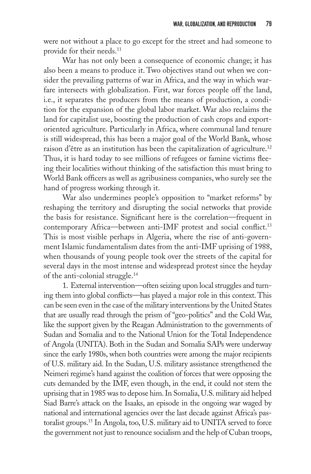were not without a place to go except for the street and had someone to provide for their needs.<sup>11</sup>

War has not only been a consequence of economic change; it has also been a means to produce it. Two objectives stand out when we consider the prevailing patterns of war in Africa, and the way in which warfare intersects with globalization. First, war forces people off the land, i.e., it separates the producers from the means of production, a condition for the expansion of the global labor market. War also reclaims the land for capitalist use, boosting the production of cash crops and exportoriented agriculture. Particularly in Africa, where communal land tenure is still widespread, this has been a major goal of the World Bank, whose raison d'être as an institution has been the capitalization of agriculture.12 Thus, it is hard today to see millions of refugees or famine victims fleeing their localities without thinking of the satisfaction this must bring to World Bank officers as well as agribusiness companies, who surely see the hand of progress working through it.

War also undermines people's opposition to "market reforms" by reshaping the territory and disrupting the social networks that provide the basis for resistance. Significant here is the correlation—frequent in contemporary Africa-between anti-IMF protest and social conflict.<sup>13</sup> This is most visible perhaps in Algeria, where the rise of anti-government Islamic fundamentalism dates from the anti-IMF uprising of 1988, when thousands of young people took over the streets of the capital for several days in the most intense and widespread protest since the heyday of the anti-colonial struggle.14

1. External intervention—often seizing upon local struggles and turning them into global conflicts—has played a major role in this context. This can be seen even in the case of the military interventions by the United States that are usually read through the prism of "geo-politics" and the Cold War, like the support given by the Reagan Administration to the governments of Sudan and Somalia and to the National Union for the Total Independence of Angola (UNITA). Both in the Sudan and Somalia SAPs were underway since the early 1980s, when both countries were among the major recipients of U.S. military aid. In the Sudan, U.S. military assistance strengthened the Neimeri regime's hand against the coalition of forces that were opposing the cuts demanded by the IMF, even though, in the end, it could not stem the uprising that in 1985 was to depose him. In Somalia, U.S. military aid helped Siad Barre's attack on the Isaaks, an episode in the ongoing war waged by national and international agencies over the last decade against Africa's pastoralist groups.15 In Angola, too, U.S. military aid to UNITA served to force the government not just to renounce socialism and the help of Cuban troops,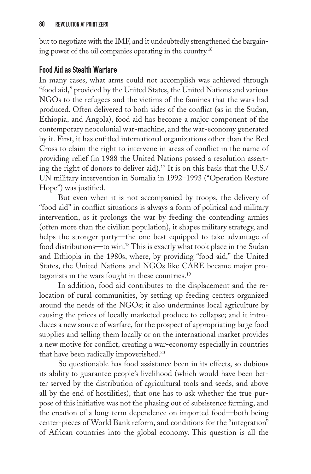but to negotiate with the IMF, and it undoubtedly strengthened the bargaining power of the oil companies operating in the country.16

# Food Aid as Stealth Warfare

In many cases, what arms could not accomplish was achieved through "food aid," provided by the United States, the United Nations and various NGOs to the refugees and the victims of the famines that the wars had produced. Often delivered to both sides of the conflict (as in the Sudan, Ethiopia, and Angola), food aid has become a major component of the contemporary neocolonial war-machine, and the war-economy generated by it. First, it has entitled international organizations other than the Red Cross to claim the right to intervene in areas of conflict in the name of providing relief (in 1988 the United Nations passed a resolution asserting the right of donors to deliver aid).17 It is on this basis that the U.S./ UN military intervention in Somalia in 1992–1993 ("Operation Restore Hope") was justified.

But even when it is not accompanied by troops, the delivery of "food aid" in conflict situations is always a form of political and military intervention, as it prolongs the war by feeding the contending armies (often more than the civilian population), it shapes military strategy, and helps the stronger party—the one best equipped to take advantage of food distributions—to win.18 This is exactly what took place in the Sudan and Ethiopia in the 1980s, where, by providing "food aid," the United States, the United Nations and NGOs like CARE became major protagonists in the wars fought in these countries.<sup>19</sup>

In addition, food aid contributes to the displacement and the relocation of rural communities, by setting up feeding centers organized around the needs of the NGOs; it also undermines local agriculture by causing the prices of locally marketed produce to collapse; and it introduces a new source of warfare, for the prospect of appropriating large food supplies and selling them locally or on the international market provides a new motive for conflict, creating a war-economy especially in countries that have been radically impoverished.<sup>20</sup>

So questionable has food assistance been in its effects, so dubious its ability to guarantee people's livelihood (which would have been better served by the distribution of agricultural tools and seeds, and above all by the end of hostilities), that one has to ask whether the true purpose of this initiative was not the phasing out of subsistence farming, and the creation of a long-term dependence on imported food—both being center-pieces of World Bank reform, and conditions for the "integration" of African countries into the global economy. This question is all the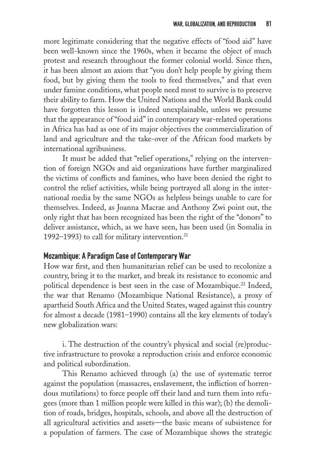more legitimate considering that the negative effects of "food aid" have been well-known since the 1960s, when it became the object of much protest and research throughout the former colonial world. Since then, it has been almost an axiom that "you don't help people by giving them food, but by giving them the tools to feed themselves," and that even under famine conditions, what people need most to survive is to preserve their ability to farm. How the United Nations and the World Bank could have forgotten this lesson is indeed unexplainable, unless we presume that the appearance of "food aid" in contemporary war-related operations in Africa has had as one of its major objectives the commercialization of land and agriculture and the take-over of the African food markets by international agribusiness.

It must be added that "relief operations," relying on the intervention of foreign NGOs and aid organizations have further marginalized the victims of conflicts and famines, who have been denied the right to control the relief activities, while being portrayed all along in the international media by the same NGOs as helpless beings unable to care for themselves. Indeed, as Joanna Macrae and Anthony Zwi point out, the only right that has been recognized has been the right of the "donors" to deliver assistance, which, as we have seen, has been used (in Somalia in 1992–1993) to call for military intervention.<sup>21</sup>

#### Mozambique: A Paradigm Case of Contemporary War

How war first, and then humanitarian relief can be used to recolonize a country, bring it to the market, and break its resistance to economic and political dependence is best seen in the case of Mozambique.<sup>22</sup> Indeed, the war that Renamo (Mozambique National Resistance), a proxy of apartheid South Africa and the United States, waged against this country for almost a decade (1981–1990) contains all the key elements of today's new globalization wars:

i. The destruction of the country's physical and social (re)productive infrastructure to provoke a reproduction crisis and enforce economic and political subordination.

This Renamo achieved through (a) the use of systematic terror against the population (massacres, enslavement, the infliction of horrendous mutilations) to force people off their land and turn them into refugees (more than 1 million people were killed in this war); (b) the demolition of roads, bridges, hospitals, schools, and above all the destruction of all agricultural activities and assets—the basic means of subsistence for a population of farmers. The case of Mozambique shows the strategic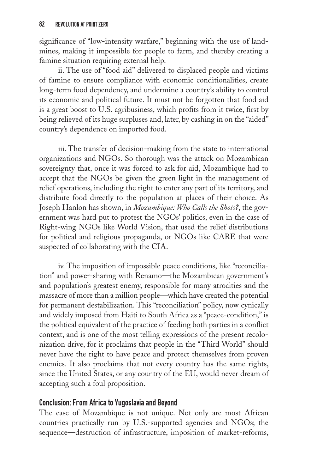significance of "low-intensity warfare," beginning with the use of landmines, making it impossible for people to farm, and thereby creating a famine situation requiring external help.

ii. The use of "food aid" delivered to displaced people and victims of famine to ensure compliance with economic conditionalities, create long-term food dependency, and undermine a country's ability to control its economic and political future. It must not be forgotten that food aid is a great boost to U.S. agribusiness, which profits from it twice, first by being relieved of its huge surpluses and, later, by cashing in on the "aided" country's dependence on imported food.

iii. The transfer of decision-making from the state to international organizations and NGOs. So thorough was the attack on Mozambican sovereignty that, once it was forced to ask for aid, Mozambique had to accept that the NGOs be given the green light in the management of relief operations, including the right to enter any part of its territory, and distribute food directly to the population at places of their choice. As Joseph Hanlon has shown, in *Mozambique: Who Calls the Shots?*, the government was hard put to protest the NGOs' politics, even in the case of Right-wing NGOs like World Vision, that used the relief distributions for political and religious propaganda, or NGOs like CARE that were suspected of collaborating with the CIA.

iv. The imposition of impossible peace conditions, like "reconciliation" and power-sharing with Renamo—the Mozambican government's and population's greatest enemy, responsible for many atrocities and the massacre of more than a million people—which have created the potential for permanent destabilization. This "reconciliation" policy, now cynically and widely imposed from Haiti to South Africa as a "peace-condition," is the political equivalent of the practice of feeding both parties in a conflict context, and is one of the most telling expressions of the present recolonization drive, for it proclaims that people in the "Third World" should never have the right to have peace and protect themselves from proven enemies. It also proclaims that not every country has the same rights, since the United States, or any country of the EU, would never dream of accepting such a foul proposition.

# Conclusion: From Africa to Yugoslavia and Beyond

The case of Mozambique is not unique. Not only are most African countries practically run by U.S.-supported agencies and NGOs; the sequence—destruction of infrastructure, imposition of market-reforms,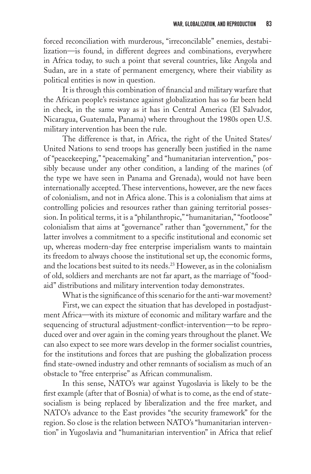forced reconciliation with murderous, "irreconcilable" enemies, destabilization—is found, in different degrees and combinations, everywhere in Africa today, to such a point that several countries, like Angola and Sudan, are in a state of permanent emergency, where their viability as political entities is now in question.

It is through this combination of financial and military warfare that the African people's resistance against globalization has so far been held in check, in the same way as it has in Central America (El Salvador, Nicaragua, Guatemala, Panama) where throughout the 1980s open U.S. military intervention has been the rule.

The difference is that, in Africa, the right of the United States/ United Nations to send troops has generally been justified in the name of "peacekeeping," "peacemaking" and "humanitarian intervention," possibly because under any other condition, a landing of the marines (of the type we have seen in Panama and Grenada), would not have been internationally accepted. These interventions, however, are the new faces of colonialism, and not in Africa alone. This is a colonialism that aims at controlling policies and resources rather than gaining territorial possession. In political terms, it is a "philanthropic," "humanitarian," "footloose" colonialism that aims at "governance" rather than "government," for the latter involves a commitment to a specific institutional and economic set up, whereas modern-day free enterprise imperialism wants to maintain its freedom to always choose the institutional set up, the economic forms, and the locations best suited to its needs.23 However, as in the colonialism of old, soldiers and merchants are not far apart, as the marriage of "foodaid" distributions and military intervention today demonstrates.

What is the significance of this scenario for the anti-war movement?

First, we can expect the situation that has developed in postadjustment Africa—with its mixture of economic and military warfare and the sequencing of structural adjustment-conflict-intervention—to be reproduced over and over again in the coming years throughout the planet. We can also expect to see more wars develop in the former socialist countries, for the institutions and forces that are pushing the globalization process find state-owned industry and other remnants of socialism as much of an obstacle to "free enterprise" as African communalism.

In this sense, NATO's war against Yugoslavia is likely to be the first example (after that of Bosnia) of what is to come, as the end of statesocialism is being replaced by liberalization and the free market, and NATO's advance to the East provides "the security framework" for the region. So close is the relation between NATO's "humanitarian intervention" in Yugoslavia and "humanitarian intervention" in Africa that relief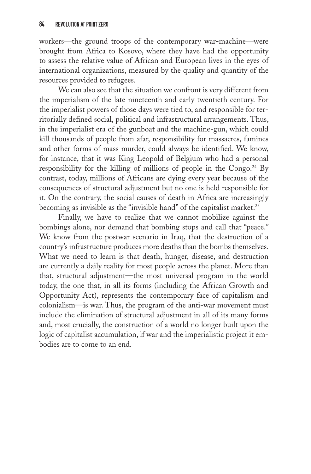workers—the ground troops of the contemporary war-machine—were brought from Africa to Kosovo, where they have had the opportunity to assess the relative value of African and European lives in the eyes of international organizations, measured by the quality and quantity of the resources provided to refugees.

We can also see that the situation we confront is very different from the imperialism of the late nineteenth and early twentieth century. For the imperialist powers of those days were tied to, and responsible for territorially defined social, political and infrastructural arrangements. Thus, in the imperialist era of the gunboat and the machine-gun, which could kill thousands of people from afar, responsibility for massacres, famines and other forms of mass murder, could always be identified. We know, for instance, that it was King Leopold of Belgium who had a personal responsibility for the killing of millions of people in the Congo.24 By contrast, today, millions of Africans are dying every year because of the consequences of structural adjustment but no one is held responsible for it. On the contrary, the social causes of death in Africa are increasingly becoming as invisible as the "invisible hand" of the capitalist market.<sup>25</sup>

Finally, we have to realize that we cannot mobilize against the bombings alone, nor demand that bombing stops and call that "peace." We know from the postwar scenario in Iraq, that the destruction of a country's infrastructure produces more deaths than the bombs themselves. What we need to learn is that death, hunger, disease, and destruction are currently a daily reality for most people across the planet. More than that, structural adjustment—the most universal program in the world today, the one that, in all its forms (including the African Growth and Opportunity Act), represents the contemporary face of capitalism and colonialism—is war. Thus, the program of the anti-war movement must include the elimination of structural adjustment in all of its many forms and, most crucially, the construction of a world no longer built upon the logic of capitalist accumulation, if war and the imperialistic project it embodies are to come to an end.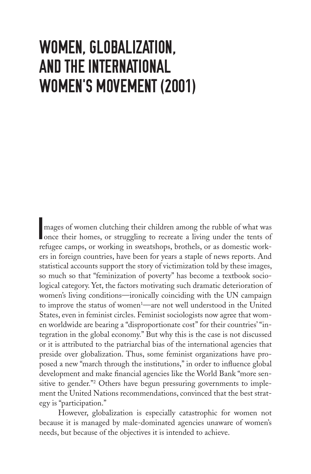# WOMEN, GLOBALIZATION, AND THE INTERNATIONAL WOMEN'S MOVEMENT (2001)

Images of women clutching their children among the rubble of what was once their homes, or struggling to recreate a living under the tents of mages of women clutching their children among the rubble of what was refugee camps, or working in sweatshops, brothels, or as domestic workers in foreign countries, have been for years a staple of news reports. And statistical accounts support the story of victimization told by these images, so much so that "feminization of poverty" has become a textbook sociological category. Yet, the factors motivating such dramatic deterioration of women's living conditions—ironically coinciding with the UN campaign to improve the status of women<sup>1</sup>—are not well understood in the United States, even in feminist circles. Feminist sociologists now agree that women worldwide are bearing a "disproportionate cost" for their countries' "integration in the global economy." But why this is the case is not discussed or it is attributed to the patriarchal bias of the international agencies that preside over globalization. Thus, some feminist organizations have proposed a new "march through the institutions," in order to influence global development and make financial agencies like the World Bank "more sensitive to gender."2 Others have begun pressuring governments to implement the United Nations recommendations, convinced that the best strategy is "participation."

However, globalization is especially catastrophic for women not because it is managed by male-dominated agencies unaware of women's needs, but because of the objectives it is intended to achieve.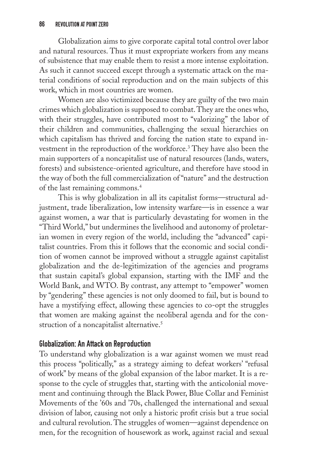Globalization aims to give corporate capital total control over labor and natural resources. Thus it must expropriate workers from any means of subsistence that may enable them to resist a more intense exploitation. As such it cannot succeed except through a systematic attack on the material conditions of social reproduction and on the main subjects of this work, which in most countries are women.

Women are also victimized because they are guilty of the two main crimes which globalization is supposed to combat. They are the ones who, with their struggles, have contributed most to "valorizing" the labor of their children and communities, challenging the sexual hierarchies on which capitalism has thrived and forcing the nation state to expand investment in the reproduction of the workforce.<sup>3</sup> They have also been the main supporters of a noncapitalist use of natural resources (lands, waters, forests) and subsistence-oriented agriculture, and therefore have stood in the way of both the full commercialization of "nature" and the destruction of the last remaining commons.4

This is why globalization in all its capitalist forms—structural adjustment, trade liberalization, low intensity warfare—is in essence a war against women, a war that is particularly devastating for women in the "Third World," but undermines the livelihood and autonomy of proletarian women in every region of the world, including the "advanced" capitalist countries. From this it follows that the economic and social condition of women cannot be improved without a struggle against capitalist globalization and the de-legitimization of the agencies and programs that sustain capital's global expansion, starting with the IMF and the World Bank, and WTO. By contrast, any attempt to "empower" women by "gendering" these agencies is not only doomed to fail, but is bound to have a mystifying effect, allowing these agencies to co-opt the struggles that women are making against the neoliberal agenda and for the construction of a noncapitalist alternative.<sup>5</sup>

### Globalization: An Attack on Reproduction

To understand why globalization is a war against women we must read this process "politically," as a strategy aiming to defeat workers' "refusal of work" by means of the global expansion of the labor market. It is a response to the cycle of struggles that, starting with the anticolonial movement and continuing through the Black Power, Blue Collar and Feminist Movements of the '60s and '70s, challenged the international and sexual division of labor, causing not only a historic profit crisis but a true social and cultural revolution. The struggles of women—against dependence on men, for the recognition of housework as work, against racial and sexual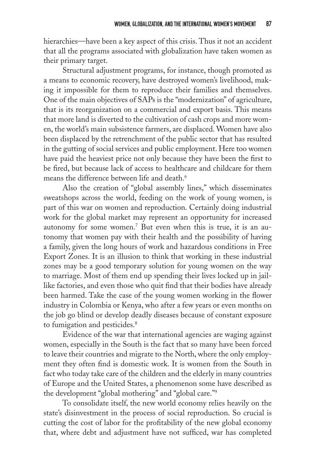hierarchies—have been a key aspect of this crisis. Thus it not an accident that all the programs associated with globalization have taken women as their primary target.

Structural adjustment programs, for instance, though promoted as a means to economic recovery, have destroyed women's livelihood, making it impossible for them to reproduce their families and themselves. One of the main objectives of SAPs is the "modernization" of agriculture, that is its reorganization on a commercial and export basis. This means that more land is diverted to the cultivation of cash crops and more women, the world's main subsistence farmers, are displaced. Women have also been displaced by the retrenchment of the public sector that has resulted in the gutting of social services and public employment. Here too women have paid the heaviest price not only because they have been the first to be fired, but because lack of access to healthcare and childcare for them means the difference between life and death.6

Also the creation of "global assembly lines," which disseminates sweatshops across the world, feeding on the work of young women, is part of this war on women and reproduction. Certainly doing industrial work for the global market may represent an opportunity for increased autonomy for some women.7 But even when this is true, it is an autonomy that women pay with their health and the possibility of having a family, given the long hours of work and hazardous conditions in Free Export Zones. It is an illusion to think that working in these industrial zones may be a good temporary solution for young women on the way to marriage. Most of them end up spending their lives locked up in jaillike factories, and even those who quit find that their bodies have already been harmed. Take the case of the young women working in the flower industry in Colombia or Kenya, who after a few years or even months on the job go blind or develop deadly diseases because of constant exposure to fumigation and pesticides.<sup>8</sup>

Evidence of the war that international agencies are waging against women, especially in the South is the fact that so many have been forced to leave their countries and migrate to the North, where the only employment they often find is domestic work. It is women from the South in fact who today take care of the children and the elderly in many countries of Europe and the United States, a phenomenon some have described as the development "global mothering" and "global care."9

To consolidate itself, the new world economy relies heavily on the state's disinvestment in the process of social reproduction. So crucial is cutting the cost of labor for the profitability of the new global economy that, where debt and adjustment have not sufficed, war has completed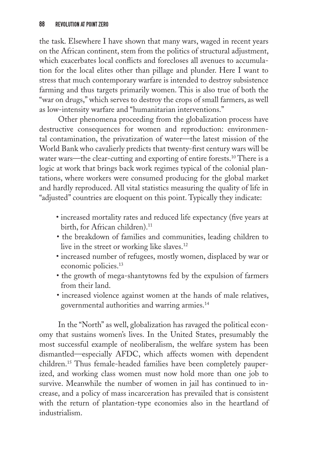the task. Elsewhere I have shown that many wars, waged in recent years on the African continent, stem from the politics of structural adjustment, which exacerbates local conflicts and forecloses all avenues to accumulation for the local elites other than pillage and plunder. Here I want to stress that much contemporary warfare is intended to destroy subsistence farming and thus targets primarily women. This is also true of both the "war on drugs," which serves to destroy the crops of small farmers, as well as low-intensity warfare and "humanitarian interventions."

Other phenomena proceeding from the globalization process have destructive consequences for women and reproduction: environmental contamination, the privatization of water—the latest mission of the World Bank who cavalierly predicts that twenty-first century wars will be water wars—the clear-cutting and exporting of entire forests.<sup>10</sup> There is a logic at work that brings back work regimes typical of the colonial plantations, where workers were consumed producing for the global market and hardly reproduced. All vital statistics measuring the quality of life in "adjusted" countries are eloquent on this point. Typically they indicate:

- increased mortality rates and reduced life expectancy (five years at birth, for African children).<sup>11</sup>
- the breakdown of families and communities, leading children to live in the street or working like slaves.12
- increased number of refugees, mostly women, displaced by war or economic policies.13
- the growth of mega-shantytowns fed by the expulsion of farmers from their land.
- increased violence against women at the hands of male relatives, governmental authorities and warring armies.14

In the "North" as well, globalization has ravaged the political economy that sustains women's lives. In the United States, presumably the most successful example of neoliberalism, the welfare system has been dismantled—especially AFDC, which affects women with dependent children.15 Thus female-headed families have been completely pauperized, and working class women must now hold more than one job to survive. Meanwhile the number of women in jail has continued to increase, and a policy of mass incarceration has prevailed that is consistent with the return of plantation-type economies also in the heartland of industrialism.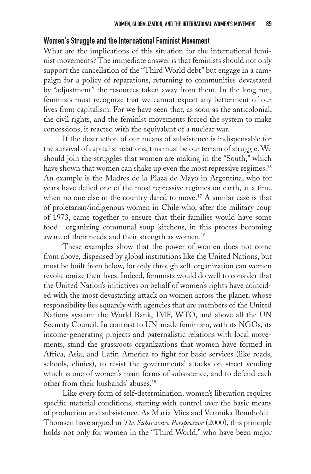# Women's Struggle and the International Feminist Movement

What are the implications of this situation for the international feminist movements? The immediate answer is that feminists should not only support the cancellation of the "Third World debt" but engage in a campaign for a policy of reparations, returning to communities devastated by "adjustment" the resources taken away from them. In the long run, feminists must recognize that we cannot expect any betterment of our lives from capitalism. For we have seen that, as soon as the anticolonial, the civil rights, and the feminist movements forced the system to make concessions, it reacted with the equivalent of a nuclear war.

If the destruction of our means of subsistence is indispensable for the survival of capitalist relations, this must be our terrain of struggle. We should join the struggles that women are making in the "South," which have shown that women can shake up even the most repressive regimes.<sup>16</sup> An example is the Madres de la Plaza de Mayo in Argentina, who for years have defied one of the most repressive regimes on earth, at a time when no one else in the country dared to move.<sup>17</sup> A similar case is that of proletarian/indigenous women in Chile who, after the military coup of 1973, came together to ensure that their families would have some food—organizing communal soup kitchens, in this process becoming aware of their needs and their strength as women.<sup>18</sup>

These examples show that the power of women does not come from above, dispensed by global institutions like the United Nations, but must be built from below, for only through self-organization can women revolutionize their lives. Indeed, feminists would do well to consider that the United Nation's initiatives on behalf of women's rights have coincided with the most devastating attack on women across the planet, whose responsibility lies squarely with agencies that are members of the United Nations system: the World Bank, IMF, WTO, and above all the UN Security Council. In contrast to UN-made feminism, with its NGOs, its income-generating projects and paternalistic relations with local movements, stand the grassroots organizations that women have formed in Africa, Asia, and Latin America to fight for basic services (like roads, schools, clinics), to resist the governments' attacks on street vending which is one of women's main forms of subsistence, and to defend each other from their husbands' abuses.19

Like every form of self-determination, women's liberation requires specific material conditions, starting with control over the basic means of production and subsistence. As Maria Mies and Veronika Bennholdt-Thomsen have argued in *The Subsistence Perspective* (2000), this principle holds not only for women in the "Third World," who have been major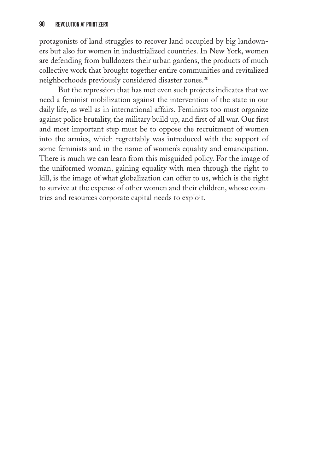protagonists of land struggles to recover land occupied by big landowners but also for women in industrialized countries. In New York, women are defending from bulldozers their urban gardens, the products of much collective work that brought together entire communities and revitalized neighborhoods previously considered disaster zones.20

But the repression that has met even such projects indicates that we need a feminist mobilization against the intervention of the state in our daily life, as well as in international affairs. Feminists too must organize against police brutality, the military build up, and first of all war. Our first and most important step must be to oppose the recruitment of women into the armies, which regrettably was introduced with the support of some feminists and in the name of women's equality and emancipation. There is much we can learn from this misguided policy. For the image of the uniformed woman, gaining equality with men through the right to kill, is the image of what globalization can offer to us, which is the right to survive at the expense of other women and their children, whose countries and resources corporate capital needs to exploit.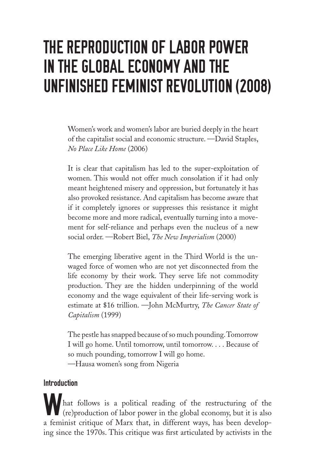# THE REPRODUCTION OF LABOR POWER IN THE GLOBAL ECONOMY AND THE UNFINISHED FEMINIST REVOLUTION (2008)

Women's work and women's labor are buried deeply in the heart of the capitalist social and economic structure. —David Staples, *No Place Like Home* (2006)

It is clear that capitalism has led to the super-exploitation of women. This would not offer much consolation if it had only meant heightened misery and oppression, but fortunately it has also provoked resistance. And capitalism has become aware that if it completely ignores or suppresses this resistance it might become more and more radical, eventually turning into a movement for self-reliance and perhaps even the nucleus of a new social order. —Robert Biel, *The New Imperialism* (2000)

The emerging liberative agent in the Third World is the unwaged force of women who are not yet disconnected from the life economy by their work. They serve life not commodity production. They are the hidden underpinning of the world economy and the wage equivalent of their life-serving work is estimate at \$16 trillion. —John McMurtry, *The Cancer State of Capitalism* (1999)

The pestle has snapped because of so much pounding. Tomorrow I will go home. Until tomorrow, until tomorrow. . . . Because of so much pounding, tomorrow I will go home.

—Hausa women's song from Nigeria

### Introduction

hat follows is a political reading of the restructuring of the (re)production of labor power in the global economy, but it is also a feminist critique of Marx that, in different ways, has been developing since the 1970s. This critique was first articulated by activists in the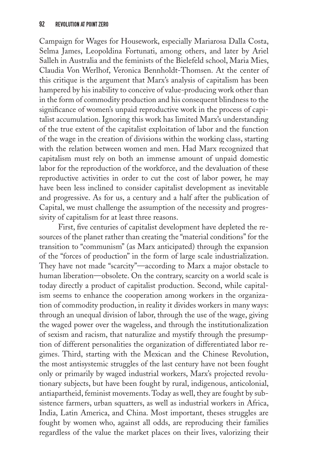Campaign for Wages for Housework, especially Mariarosa Dalla Costa, Selma James, Leopoldina Fortunati, among others, and later by Ariel Salleh in Australia and the feminists of the Bielefeld school, Maria Mies, Claudia Von Werlhof, Veronica Bennholdt-Thomsen. At the center of this critique is the argument that Marx's analysis of capitalism has been hampered by his inability to conceive of value-producing work other than in the form of commodity production and his consequent blindness to the significance of women's unpaid reproductive work in the process of capitalist accumulation. Ignoring this work has limited Marx's understanding of the true extent of the capitalist exploitation of labor and the function of the wage in the creation of divisions within the working class, starting with the relation between women and men. Had Marx recognized that capitalism must rely on both an immense amount of unpaid domestic labor for the reproduction of the workforce, and the devaluation of these reproductive activities in order to cut the cost of labor power, he may have been less inclined to consider capitalist development as inevitable and progressive. As for us, a century and a half after the publication of Capital, we must challenge the assumption of the necessity and progressivity of capitalism for at least three reasons.

First, five centuries of capitalist development have depleted the resources of the planet rather than creating the "material conditions" for the transition to "communism" (as Marx anticipated) through the expansion of the "forces of production" in the form of large scale industrialization. They have not made "scarcity"—according to Marx a major obstacle to human liberation—obsolete. On the contrary, scarcity on a world scale is today directly a product of capitalist production. Second, while capitalism seems to enhance the cooperation among workers in the organization of commodity production, in reality it divides workers in many ways: through an unequal division of labor, through the use of the wage, giving the waged power over the wageless, and through the institutionalization of sexism and racism, that naturalize and mystify through the presumption of different personalities the organization of differentiated labor regimes. Third, starting with the Mexican and the Chinese Revolution, the most antisystemic struggles of the last century have not been fought only or primarily by waged industrial workers, Marx's projected revolutionary subjects, but have been fought by rural, indigenous, anticolonial, antiapartheid, feminist movements. Today as well, they are fought by subsistence farmers, urban squatters, as well as industrial workers in Africa, India, Latin America, and China. Most important, theses struggles are fought by women who, against all odds, are reproducing their families regardless of the value the market places on their lives, valorizing their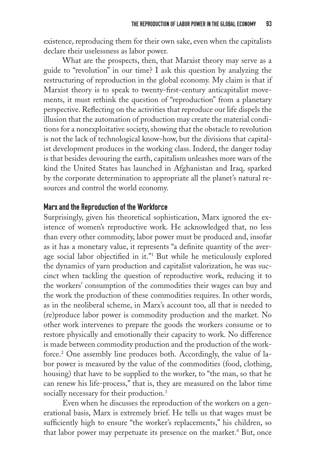existence, reproducing them for their own sake, even when the capitalists declare their uselessness as labor power.

What are the prospects, then, that Marxist theory may serve as a guide to "revolution" in our time? I ask this question by analyzing the restructuring of reproduction in the global economy. My claim is that if Marxist theory is to speak to twenty-first-century anticapitalist movements, it must rethink the question of "reproduction" from a planetary perspective. Reflecting on the activities that reproduce our life dispels the illusion that the automation of production may create the material conditions for a nonexploitative society, showing that the obstacle to revolution is not the lack of technological know-how, but the divisions that capitalist development produces in the working class. Indeed, the danger today is that besides devouring the earth, capitalism unleashes more wars of the kind the United States has launched in Afghanistan and Iraq, sparked by the corporate determination to appropriate all the planet's natural resources and control the world economy.

#### Marx and the Reproduction of the Workforce

Surprisingly, given his theoretical sophistication, Marx ignored the existence of women's reproductive work. He acknowledged that, no less than every other commodity, labor power must be produced and, insofar as it has a monetary value, it represents "a definite quantity of the average social labor objectified in it."1 But while he meticulously explored the dynamics of yarn production and capitalist valorization, he was succinct when tackling the question of reproductive work, reducing it to the workers' consumption of the commodities their wages can buy and the work the production of these commodities requires. In other words, as in the neoliberal scheme, in Marx's account too, all that is needed to (re)produce labor power is commodity production and the market. No other work intervenes to prepare the goods the workers consume or to restore physically and emotionally their capacity to work. No difference is made between commodity production and the production of the workforce.2 One assembly line produces both. Accordingly, the value of labor power is measured by the value of the commodities (food, clothing, housing) that have to be supplied to the worker, to "the man, so that he can renew his life-process," that is, they are measured on the labor time socially necessary for their production.<sup>3</sup>

Even when he discusses the reproduction of the workers on a generational basis, Marx is extremely brief. He tells us that wages must be sufficiently high to ensure "the worker's replacements," his children, so that labor power may perpetuate its presence on the market.<sup>4</sup> But, once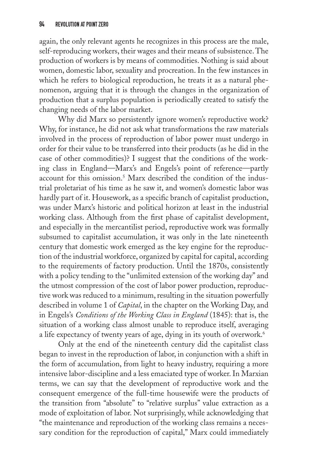again, the only relevant agents he recognizes in this process are the male, self-reproducing workers, their wages and their means of subsistence. The production of workers is by means of commodities. Nothing is said about women, domestic labor, sexuality and procreation. In the few instances in which he refers to biological reproduction, he treats it as a natural phenomenon, arguing that it is through the changes in the organization of production that a surplus population is periodically created to satisfy the changing needs of the labor market.

Why did Marx so persistently ignore women's reproductive work? Why, for instance, he did not ask what transformations the raw materials involved in the process of reproduction of labor power must undergo in order for their value to be transferred into their products (as he did in the case of other commodities)? I suggest that the conditions of the working class in England—Marx's and Engels's point of reference—partly account for this omission.<sup>5</sup> Marx described the condition of the industrial proletariat of his time as he saw it, and women's domestic labor was hardly part of it. Housework, as a specific branch of capitalist production, was under Marx's historic and political horizon at least in the industrial working class. Although from the first phase of capitalist development, and especially in the mercantilist period, reproductive work was formally subsumed to capitalist accumulation, it was only in the late nineteenth century that domestic work emerged as the key engine for the reproduction of the industrial workforce, organized by capital for capital, according to the requirements of factory production. Until the 1870s, consistently with a policy tending to the "unlimited extension of the working day" and the utmost compression of the cost of labor power production, reproductive work was reduced to a minimum, resulting in the situation powerfully described in volume 1 of *Capital*, in the chapter on the Working Day, and in Engels's *Conditions of the Working Class in England* (1845): that is, the situation of a working class almost unable to reproduce itself, averaging a life expectancy of twenty years of age, dying in its youth of overwork.<sup>6</sup>

Only at the end of the nineteenth century did the capitalist class began to invest in the reproduction of labor, in conjunction with a shift in the form of accumulation, from light to heavy industry, requiring a more intensive labor-discipline and a less emaciated type of worker. In Marxian terms, we can say that the development of reproductive work and the consequent emergence of the full-time housewife were the products of the transition from "absolute" to "relative surplus" value extraction as a mode of exploitation of labor. Not surprisingly, while acknowledging that "the maintenance and reproduction of the working class remains a necessary condition for the reproduction of capital," Marx could immediately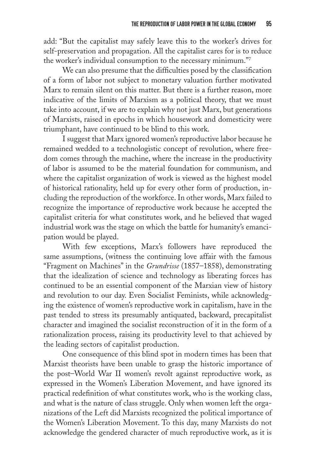add: "But the capitalist may safely leave this to the worker's drives for self-preservation and propagation. All the capitalist cares for is to reduce the worker's individual consumption to the necessary minimum."7

We can also presume that the difficulties posed by the classification of a form of labor not subject to monetary valuation further motivated Marx to remain silent on this matter. But there is a further reason, more indicative of the limits of Marxism as a political theory, that we must take into account, if we are to explain why not just Marx, but generations of Marxists, raised in epochs in which housework and domesticity were triumphant, have continued to be blind to this work.

I suggest that Marx ignored women's reproductive labor because he remained wedded to a technologistic concept of revolution, where freedom comes through the machine, where the increase in the productivity of labor is assumed to be the material foundation for communism, and where the capitalist organization of work is viewed as the highest model of historical rationality, held up for every other form of production, including the reproduction of the workforce. In other words, Marx failed to recognize the importance of reproductive work because he accepted the capitalist criteria for what constitutes work, and he believed that waged industrial work was the stage on which the battle for humanity's emancipation would be played.

With few exceptions, Marx's followers have reproduced the same assumptions, (witness the continuing love affair with the famous "Fragment on Machines" in the *Grundrisse* (1857–1858), demonstrating that the idealization of science and technology as liberating forces has continued to be an essential component of the Marxian view of history and revolution to our day. Even Socialist Feminists, while acknowledging the existence of women's reproductive work in capitalism, have in the past tended to stress its presumably antiquated, backward, precapitalist character and imagined the socialist reconstruction of it in the form of a rationalization process, raising its productivity level to that achieved by the leading sectors of capitalist production.

One consequence of this blind spot in modern times has been that Marxist theorists have been unable to grasp the historic importance of the post–World War II women's revolt against reproductive work, as expressed in the Women's Liberation Movement, and have ignored its practical redefinition of what constitutes work, who is the working class, and what is the nature of class struggle. Only when women left the organizations of the Left did Marxists recognized the political importance of the Women's Liberation Movement. To this day, many Marxists do not acknowledge the gendered character of much reproductive work, as it is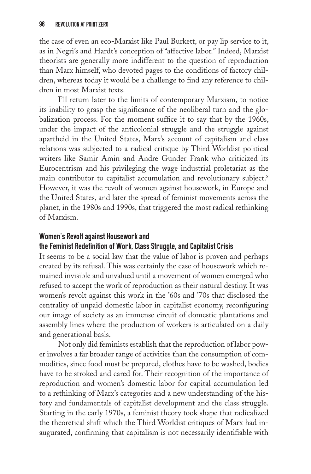the case of even an eco-Marxist like Paul Burkett, or pay lip service to it, as in Negri's and Hardt's conception of "affective labor." Indeed, Marxist theorists are generally more indifferent to the question of reproduction than Marx himself, who devoted pages to the conditions of factory children, whereas today it would be a challenge to find any reference to children in most Marxist texts.

I'll return later to the limits of contemporary Marxism, to notice its inability to grasp the significance of the neoliberal turn and the globalization process. For the moment suffice it to say that by the 1960s, under the impact of the anticolonial struggle and the struggle against apartheid in the United States, Marx's account of capitalism and class relations was subjected to a radical critique by Third Worldist political writers like Samir Amin and Andre Gunder Frank who criticized its Eurocentrism and his privileging the wage industrial proletariat as the main contributor to capitalist accumulation and revolutionary subject.8 However, it was the revolt of women against housework, in Europe and the United States, and later the spread of feminist movements across the planet, in the 1980s and 1990s, that triggered the most radical rethinking of Marxism.

# Women's Revolt against Housework and the Feminist Redefinition of Work, Class Struggle, and Capitalist Crisis

It seems to be a social law that the value of labor is proven and perhaps created by its refusal. This was certainly the case of housework which remained invisible and unvalued until a movement of women emerged who refused to accept the work of reproduction as their natural destiny. It was women's revolt against this work in the '60s and '70s that disclosed the centrality of unpaid domestic labor in capitalist economy, reconfiguring our image of society as an immense circuit of domestic plantations and assembly lines where the production of workers is articulated on a daily and generational basis.

Not only did feminists establish that the reproduction of labor power involves a far broader range of activities than the consumption of commodities, since food must be prepared, clothes have to be washed, bodies have to be stroked and cared for. Their recognition of the importance of reproduction and women's domestic labor for capital accumulation led to a rethinking of Marx's categories and a new understanding of the history and fundamentals of capitalist development and the class struggle. Starting in the early 1970s, a feminist theory took shape that radicalized the theoretical shift which the Third Worldist critiques of Marx had inaugurated, confirming that capitalism is not necessarily identifiable with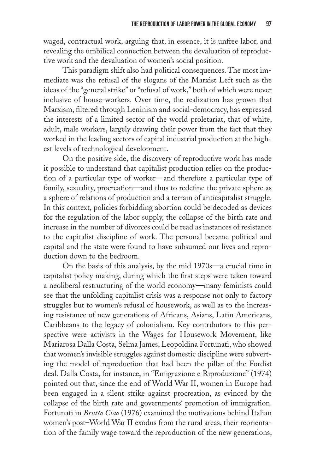waged, contractual work, arguing that, in essence, it is unfree labor, and revealing the umbilical connection between the devaluation of reproductive work and the devaluation of women's social position.

This paradigm shift also had political consequences. The most immediate was the refusal of the slogans of the Marxist Left such as the ideas of the "general strike" or "refusal of work," both of which were never inclusive of house-workers. Over time, the realization has grown that Marxism, filtered through Leninism and social-democracy, has expressed the interests of a limited sector of the world proletariat, that of white, adult, male workers, largely drawing their power from the fact that they worked in the leading sectors of capital industrial production at the highest levels of technological development.

On the positive side, the discovery of reproductive work has made it possible to understand that capitalist production relies on the production of a particular type of worker—and therefore a particular type of family, sexuality, procreation—and thus to redefine the private sphere as a sphere of relations of production and a terrain of anticapitalist struggle. In this context, policies forbidding abortion could be decoded as devices for the regulation of the labor supply, the collapse of the birth rate and increase in the number of divorces could be read as instances of resistance to the capitalist discipline of work. The personal became political and capital and the state were found to have subsumed our lives and reproduction down to the bedroom.

On the basis of this analysis, by the mid 1970s—a crucial time in capitalist policy making, during which the first steps were taken toward a neoliberal restructuring of the world economy—many feminists could see that the unfolding capitalist crisis was a response not only to factory struggles but to women's refusal of housework, as well as to the increasing resistance of new generations of Africans, Asians, Latin Americans, Caribbeans to the legacy of colonialism. Key contributors to this perspective were activists in the Wages for Housework Movement, like Mariarosa Dalla Costa, Selma James, Leopoldina Fortunati, who showed that women's invisible struggles against domestic discipline were subverting the model of reproduction that had been the pillar of the Fordist deal. Dalla Costa, for instance, in "Emigrazione e Riproduzione" (1974) pointed out that, since the end of World War II, women in Europe had been engaged in a silent strike against procreation, as evinced by the collapse of the birth rate and governments' promotion of immigration. Fortunati in *Brutto Ciao* (1976) examined the motivations behind Italian women's post–World War II exodus from the rural areas, their reorientation of the family wage toward the reproduction of the new generations,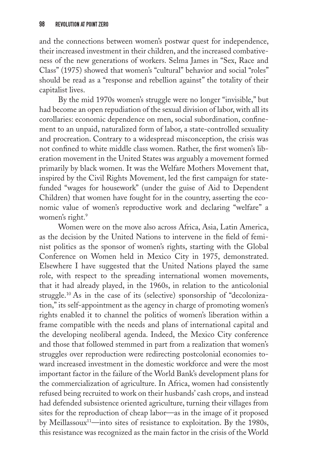and the connections between women's postwar quest for independence, their increased investment in their children, and the increased combativeness of the new generations of workers. Selma James in "Sex, Race and Class" (1975) showed that women's "cultural" behavior and social "roles" should be read as a "response and rebellion against" the totality of their capitalist lives.

By the mid 1970s women's struggle were no longer "invisible," but had become an open repudiation of the sexual division of labor, with all its corollaries: economic dependence on men, social subordination, confinement to an unpaid, naturalized form of labor, a state-controlled sexuality and procreation. Contrary to a widespread misconception, the crisis was not confined to white middle class women. Rather, the first women's liberation movement in the United States was arguably a movement formed primarily by black women. It was the Welfare Mothers Movement that, inspired by the Civil Rights Movement, led the first campaign for statefunded "wages for housework" (under the guise of Aid to Dependent Children) that women have fought for in the country, asserting the economic value of women's reproductive work and declaring "welfare" a women's right.<sup>9</sup>

Women were on the move also across Africa, Asia, Latin America, as the decision by the United Nations to intervene in the field of feminist politics as the sponsor of women's rights, starting with the Global Conference on Women held in Mexico City in 1975, demonstrated. Elsewhere I have suggested that the United Nations played the same role, with respect to the spreading international women movements, that it had already played, in the 1960s, in relation to the anticolonial struggle.10 As in the case of its (selective) sponsorship of "decolonization," its self-appointment as the agency in charge of promoting women's rights enabled it to channel the politics of women's liberation within a frame compatible with the needs and plans of international capital and the developing neoliberal agenda. Indeed, the Mexico City conference and those that followed stemmed in part from a realization that women's struggles over reproduction were redirecting postcolonial economies toward increased investment in the domestic workforce and were the most important factor in the failure of the World Bank's development plans for the commercialization of agriculture. In Africa, women had consistently refused being recruited to work on their husbands' cash crops, and instead had defended subsistence oriented agriculture, turning their villages from sites for the reproduction of cheap labor—as in the image of it proposed by Meillassoux<sup>11</sup>—into sites of resistance to exploitation. By the 1980s, this resistance was recognized as the main factor in the crisis of the World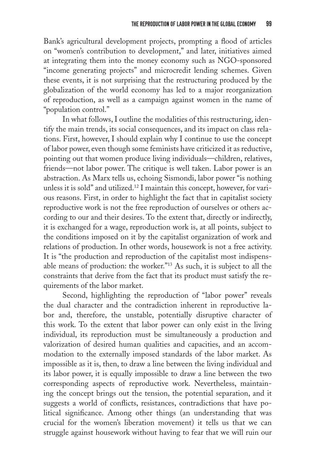Bank's agricultural development projects, prompting a flood of articles on "women's contribution to development," and later, initiatives aimed at integrating them into the money economy such as NGO-sponsored "income generating projects" and microcredit lending schemes. Given these events, it is not surprising that the restructuring produced by the globalization of the world economy has led to a major reorganization of reproduction, as well as a campaign against women in the name of "population control."

In what follows, I outline the modalities of this restructuring, identify the main trends, its social consequences, and its impact on class relations. First, however, I should explain why I continue to use the concept of labor power, even though some feminists have criticized it as reductive, pointing out that women produce living individuals—children, relatives, friends—not labor power. The critique is well taken. Labor power is an abstraction. As Marx tells us, echoing Sismondi, labor power "is nothing unless it is sold" and utilized.12 I maintain this concept, however, for various reasons. First, in order to highlight the fact that in capitalist society reproductive work is not the free reproduction of ourselves or others according to our and their desires. To the extent that, directly or indirectly, it is exchanged for a wage, reproduction work is, at all points, subject to the conditions imposed on it by the capitalist organization of work and relations of production. In other words, housework is not a free activity. It is "the production and reproduction of the capitalist most indispensable means of production: the worker."13 As such, it is subject to all the constraints that derive from the fact that its product must satisfy the requirements of the labor market.

Second, highlighting the reproduction of "labor power" reveals the dual character and the contradiction inherent in reproductive labor and, therefore, the unstable, potentially disruptive character of this work. To the extent that labor power can only exist in the living individual, its reproduction must be simultaneously a production and valorization of desired human qualities and capacities, and an accommodation to the externally imposed standards of the labor market. As impossible as it is, then, to draw a line between the living individual and its labor power, it is equally impossible to draw a line between the two corresponding aspects of reproductive work. Nevertheless, maintaining the concept brings out the tension, the potential separation, and it suggests a world of conflicts, resistances, contradictions that have political significance. Among other things (an understanding that was crucial for the women's liberation movement) it tells us that we can struggle against housework without having to fear that we will ruin our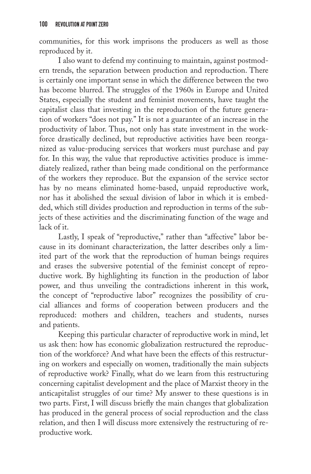communities, for this work imprisons the producers as well as those reproduced by it.

I also want to defend my continuing to maintain, against postmodern trends, the separation between production and reproduction. There is certainly one important sense in which the difference between the two has become blurred. The struggles of the 1960s in Europe and United States, especially the student and feminist movements, have taught the capitalist class that investing in the reproduction of the future generation of workers "does not pay." It is not a guarantee of an increase in the productivity of labor. Thus, not only has state investment in the workforce drastically declined, but reproductive activities have been reorganized as value-producing services that workers must purchase and pay for. In this way, the value that reproductive activities produce is immediately realized, rather than being made conditional on the performance of the workers they reproduce. But the expansion of the service sector has by no means eliminated home-based, unpaid reproductive work, nor has it abolished the sexual division of labor in which it is embedded, which still divides production and reproduction in terms of the subjects of these activities and the discriminating function of the wage and lack of it.

Lastly, I speak of "reproductive," rather than "affective" labor because in its dominant characterization, the latter describes only a limited part of the work that the reproduction of human beings requires and erases the subversive potential of the feminist concept of reproductive work. By highlighting its function in the production of labor power, and thus unveiling the contradictions inherent in this work, the concept of "reproductive labor" recognizes the possibility of crucial alliances and forms of cooperation between producers and the reproduced: mothers and children, teachers and students, nurses and patients.

Keeping this particular character of reproductive work in mind, let us ask then: how has economic globalization restructured the reproduction of the workforce? And what have been the effects of this restructuring on workers and especially on women, traditionally the main subjects of reproductive work? Finally, what do we learn from this restructuring concerning capitalist development and the place of Marxist theory in the anticapitalist struggles of our time? My answer to these questions is in two parts. First, I will discuss briefly the main changes that globalization has produced in the general process of social reproduction and the class relation, and then I will discuss more extensively the restructuring of reproductive work.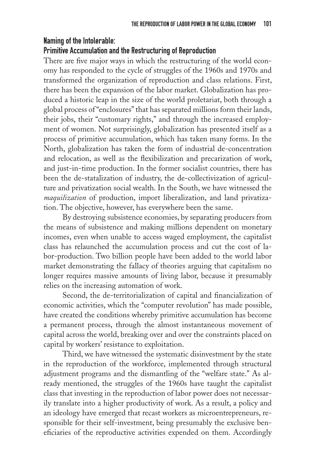#### Naming of the Intolerable:

### Primitive Accumulation and the Restructuring of Reproduction

There are five major ways in which the restructuring of the world economy has responded to the cycle of struggles of the 1960s and 1970s and transformed the organization of reproduction and class relations. First, there has been the expansion of the labor market. Globalization has produced a historic leap in the size of the world proletariat, both through a global process of "enclosures" that has separated millions form their lands, their jobs, their "customary rights," and through the increased employment of women. Not surprisingly, globalization has presented itself as a process of primitive accumulation, which has taken many forms. In the North, globalization has taken the form of industrial de-concentration and relocation, as well as the flexibilization and precarization of work, and just-in-time production. In the former socialist countries, there has been the de-statalization of industry, the de-collectivization of agriculture and privatization social wealth. In the South, we have witnessed the *maquilization* of production, import liberalization, and land privatization. The objective, however, has everywhere been the same.

By destroying subsistence economies, by separating producers from the means of subsistence and making millions dependent on monetary incomes, even when unable to access waged employment, the capitalist class has relaunched the accumulation process and cut the cost of labor-production. Two billion people have been added to the world labor market demonstrating the fallacy of theories arguing that capitalism no longer requires massive amounts of living labor, because it presumably relies on the increasing automation of work.

Second, the de-territorialization of capital and financialization of economic activities, which the "computer revolution" has made possible, have created the conditions whereby primitive accumulation has become a permanent process, through the almost instantaneous movement of capital across the world, breaking over and over the constraints placed on capital by workers' resistance to exploitation.

Third, we have witnessed the systematic disinvestment by the state in the reproduction of the workforce, implemented through structural adjustment programs and the dismantling of the "welfare state." As already mentioned, the struggles of the 1960s have taught the capitalist class that investing in the reproduction of labor power does not necessarily translate into a higher productivity of work. As a result, a policy and an ideology have emerged that recast workers as microentrepreneurs, responsible for their self-investment, being presumably the exclusive beneficiaries of the reproductive activities expended on them. Accordingly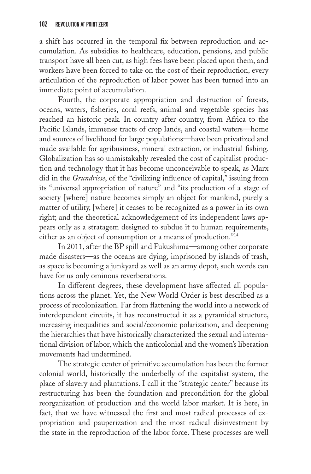a shift has occurred in the temporal fix between reproduction and accumulation. As subsidies to healthcare, education, pensions, and public transport have all been cut, as high fees have been placed upon them, and workers have been forced to take on the cost of their reproduction, every articulation of the reproduction of labor power has been turned into an immediate point of accumulation.

Fourth, the corporate appropriation and destruction of forests, oceans, waters, fisheries, coral reefs, animal and vegetable species has reached an historic peak. In country after country, from Africa to the Pacific Islands, immense tracts of crop lands, and coastal waters—home and sources of livelihood for large populations—have been privatized and made available for agribusiness, mineral extraction, or industrial fishing. Globalization has so unmistakably revealed the cost of capitalist production and technology that it has become unconceivable to speak, as Marx did in the *Grundrisse*, of the "civilizing influence of capital," issuing from its "universal appropriation of nature" and "its production of a stage of society [where] nature becomes simply an object for mankind, purely a matter of utility, [where] it ceases to be recognized as a power in its own right; and the theoretical acknowledgement of its independent laws appears only as a stratagem designed to subdue it to human requirements, either as an object of consumption or a means of production."14

In 2011, after the BP spill and Fukushima—among other corporate made disasters—as the oceans are dying, imprisoned by islands of trash, as space is becoming a junkyard as well as an army depot, such words can have for us only ominous reverberations.

In different degrees, these development have affected all populations across the planet. Yet, the New World Order is best described as a process of recolonization. Far from flattening the world into a network of interdependent circuits, it has reconstructed it as a pyramidal structure, increasing inequalities and social/economic polarization, and deepening the hierarchies that have historically characterized the sexual and international division of labor, which the anticolonial and the women's liberation movements had undermined.

The strategic center of primitive accumulation has been the former colonial world, historically the underbelly of the capitalist system, the place of slavery and plantations. I call it the "strategic center" because its restructuring has been the foundation and precondition for the global reorganization of production and the world labor market. It is here, in fact, that we have witnessed the first and most radical processes of expropriation and pauperization and the most radical disinvestment by the state in the reproduction of the labor force. These processes are well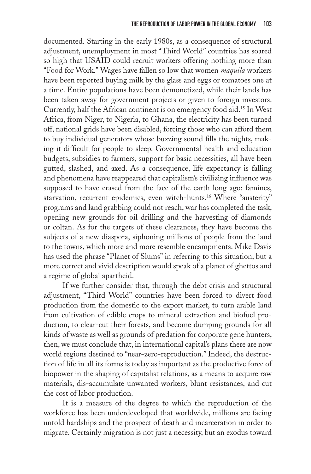documented. Starting in the early 1980s, as a consequence of structural adjustment, unemployment in most "Third World" countries has soared so high that USAID could recruit workers offering nothing more than "Food for Work." Wages have fallen so low that women *maquila* workers have been reported buying milk by the glass and eggs or tomatoes one at a time. Entire populations have been demonetized, while their lands has been taken away for government projects or given to foreign investors. Currently, half the African continent is on emergency food aid.15 In West Africa, from Niger, to Nigeria, to Ghana, the electricity has been turned off, national grids have been disabled, forcing those who can afford them to buy individual generators whose buzzing sound fills the nights, making it difficult for people to sleep. Governmental health and education budgets, subsidies to farmers, support for basic necessities, all have been gutted, slashed, and axed. As a consequence, life expectancy is falling and phenomena have reappeared that capitalism's civilizing influence was supposed to have erased from the face of the earth long ago: famines, starvation, recurrent epidemics, even witch-hunts.16 Where "austerity" programs and land grabbing could not reach, war has completed the task, opening new grounds for oil drilling and the harvesting of diamonds or coltan. As for the targets of these clearances, they have become the subjects of a new diaspora, siphoning millions of people from the land to the towns, which more and more resemble encampments. Mike Davis has used the phrase "Planet of Slums" in referring to this situation, but a more correct and vivid description would speak of a planet of ghettos and a regime of global apartheid.

If we further consider that, through the debt crisis and structural adjustment, "Third World" countries have been forced to divert food production from the domestic to the export market, to turn arable land from cultivation of edible crops to mineral extraction and biofuel production, to clear-cut their forests, and become dumping grounds for all kinds of waste as well as grounds of predation for corporate gene hunters, then, we must conclude that, in international capital's plans there are now world regions destined to "near-zero-reproduction." Indeed, the destruction of life in all its forms is today as important as the productive force of biopower in the shaping of capitalist relations, as a means to acquire raw materials, dis-accumulate unwanted workers, blunt resistances, and cut the cost of labor production.

It is a measure of the degree to which the reproduction of the workforce has been underdeveloped that worldwide, millions are facing untold hardships and the prospect of death and incarceration in order to migrate. Certainly migration is not just a necessity, but an exodus toward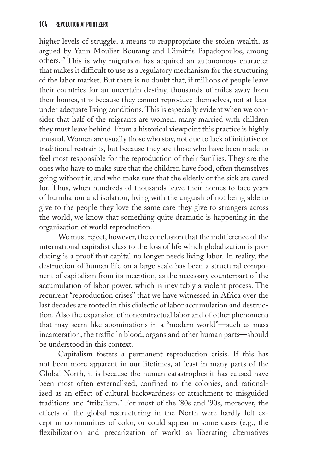higher levels of struggle, a means to reappropriate the stolen wealth, as argued by Yann Moulier Boutang and Dimitris Papadopoulos, among others.17 This is why migration has acquired an autonomous character that makes it difficult to use as a regulatory mechanism for the structuring of the labor market. But there is no doubt that, if millions of people leave their countries for an uncertain destiny, thousands of miles away from their homes, it is because they cannot reproduce themselves, not at least under adequate living conditions. This is especially evident when we consider that half of the migrants are women, many married with children they must leave behind. From a historical viewpoint this practice is highly unusual. Women are usually those who stay, not due to lack of initiative or traditional restraints, but because they are those who have been made to feel most responsible for the reproduction of their families. They are the ones who have to make sure that the children have food, often themselves going without it, and who make sure that the elderly or the sick are cared for. Thus, when hundreds of thousands leave their homes to face years of humiliation and isolation, living with the anguish of not being able to give to the people they love the same care they give to strangers across the world, we know that something quite dramatic is happening in the organization of world reproduction.

We must reject, however, the conclusion that the indifference of the international capitalist class to the loss of life which globalization is producing is a proof that capital no longer needs living labor. In reality, the destruction of human life on a large scale has been a structural component of capitalism from its inception, as the necessary counterpart of the accumulation of labor power, which is inevitably a violent process. The recurrent "reproduction crises" that we have witnessed in Africa over the last decades are rooted in this dialectic of labor accumulation and destruction. Also the expansion of noncontractual labor and of other phenomena that may seem like abominations in a "modern world"—such as mass incarceration, the traffic in blood, organs and other human parts—should be understood in this context.

Capitalism fosters a permanent reproduction crisis. If this has not been more apparent in our lifetimes, at least in many parts of the Global North, it is because the human catastrophes it has caused have been most often externalized, confined to the colonies, and rationalized as an effect of cultural backwardness or attachment to misguided traditions and "tribalism." For most of the '80s and '90s, moreover, the effects of the global restructuring in the North were hardly felt except in communities of color, or could appear in some cases (e.g., the flexibilization and precarization of work) as liberating alternatives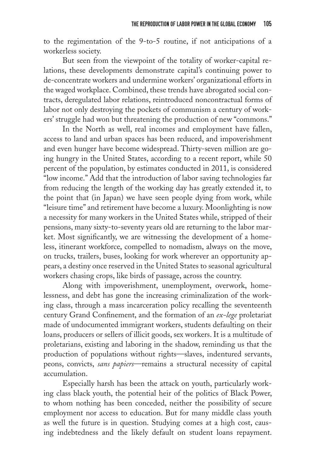to the regimentation of the 9-to-5 routine, if not anticipations of a workerless society.

But seen from the viewpoint of the totality of worker-capital relations, these developments demonstrate capital's continuing power to de-concentrate workers and undermine workers' organizational efforts in the waged workplace. Combined, these trends have abrogated social contracts, deregulated labor relations, reintroduced noncontractual forms of labor not only destroying the pockets of communism a century of workers' struggle had won but threatening the production of new "commons."

In the North as well, real incomes and employment have fallen, access to land and urban spaces has been reduced, and impoverishment and even hunger have become widespread. Thirty-seven million are going hungry in the United States, according to a recent report, while 50 percent of the population, by estimates conducted in 2011, is considered "low income." Add that the introduction of labor saving technologies far from reducing the length of the working day has greatly extended it, to the point that (in Japan) we have seen people dying from work, while "leisure time" and retirement have become a luxury. Moonlighting is now a necessity for many workers in the United States while, stripped of their pensions, many sixty-to-seventy years old are returning to the labor market. Most significantly, we are witnessing the development of a homeless, itinerant workforce, compelled to nomadism, always on the move, on trucks, trailers, buses, looking for work wherever an opportunity appears, a destiny once reserved in the United States to seasonal agricultural workers chasing crops, like birds of passage, across the country.

Along with impoverishment, unemployment, overwork, homelessness, and debt has gone the increasing criminalization of the working class, through a mass incarceration policy recalling the seventeenth century Grand Confinement, and the formation of an *ex-lege* proletariat made of undocumented immigrant workers, students defaulting on their loans, producers or sellers of illicit goods, sex workers. It is a multitude of proletarians, existing and laboring in the shadow, reminding us that the production of populations without rights—slaves, indentured servants, peons, convicts, *sans papiers*—remains a structural necessity of capital accumulation.

Especially harsh has been the attack on youth, particularly working class black youth, the potential heir of the politics of Black Power, to whom nothing has been conceded, neither the possibility of secure employment nor access to education. But for many middle class youth as well the future is in question. Studying comes at a high cost, causing indebtedness and the likely default on student loans repayment.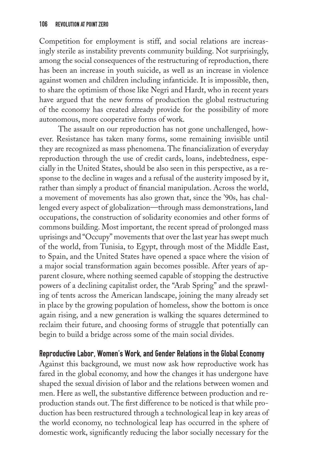Competition for employment is stiff, and social relations are increasingly sterile as instability prevents community building. Not surprisingly, among the social consequences of the restructuring of reproduction, there has been an increase in youth suicide, as well as an increase in violence against women and children including infanticide. It is impossible, then, to share the optimism of those like Negri and Hardt, who in recent years have argued that the new forms of production the global restructuring of the economy has created already provide for the possibility of more autonomous, more cooperative forms of work.

The assault on our reproduction has not gone unchallenged, however. Resistance has taken many forms, some remaining invisible until they are recognized as mass phenomena. The financialization of everyday reproduction through the use of credit cards, loans, indebtedness, especially in the United States, should be also seen in this perspective, as a response to the decline in wages and a refusal of the austerity imposed by it, rather than simply a product of financial manipulation. Across the world, a movement of movements has also grown that, since the '90s, has challenged every aspect of globalization—through mass demonstrations, land occupations, the construction of solidarity economies and other forms of commons building. Most important, the recent spread of prolonged mass uprisings and "Occupy" movements that over the last year has swept much of the world, from Tunisia, to Egypt, through most of the Middle East, to Spain, and the United States have opened a space where the vision of a major social transformation again becomes possible. After years of apparent closure, where nothing seemed capable of stopping the destructive powers of a declining capitalist order, the "Arab Spring" and the sprawling of tents across the American landscape, joining the many already set in place by the growing population of homeless, show the bottom is once again rising, and a new generation is walking the squares determined to reclaim their future, and choosing forms of struggle that potentially can begin to build a bridge across some of the main social divides.

## Reproductive Labor, Women's Work, and Gender Relations in the Global Economy

Against this background, we must now ask how reproductive work has fared in the global economy, and how the changes it has undergone have shaped the sexual division of labor and the relations between women and men. Here as well, the substantive difference between production and reproduction stands out. The first difference to be noticed is that while production has been restructured through a technological leap in key areas of the world economy, no technological leap has occurred in the sphere of domestic work, significantly reducing the labor socially necessary for the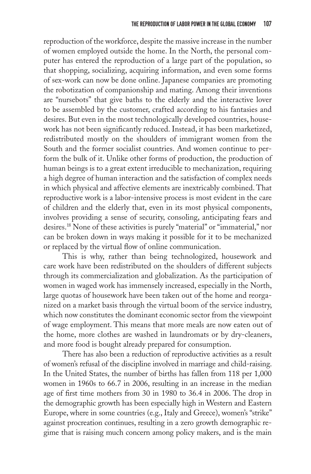reproduction of the workforce, despite the massive increase in the number of women employed outside the home. In the North, the personal computer has entered the reproduction of a large part of the population, so that shopping, socializing, acquiring information, and even some forms of sex-work can now be done online. Japanese companies are promoting the robotization of companionship and mating. Among their inventions are "nursebots" that give baths to the elderly and the interactive lover to be assembled by the customer, crafted according to his fantasies and desires. But even in the most technologically developed countries, housework has not been significantly reduced. Instead, it has been marketized, redistributed mostly on the shoulders of immigrant women from the South and the former socialist countries. And women continue to perform the bulk of it. Unlike other forms of production, the production of human beings is to a great extent irreducible to mechanization, requiring a high degree of human interaction and the satisfaction of complex needs in which physical and affective elements are inextricably combined. That reproductive work is a labor-intensive process is most evident in the care of children and the elderly that, even in its most physical components, involves providing a sense of security, consoling, anticipating fears and desires.18 None of these activities is purely "material" or "immaterial," nor can be broken down in ways making it possible for it to be mechanized or replaced by the virtual flow of online communication.

This is why, rather than being technologized, housework and care work have been redistributed on the shoulders of different subjects through its commercialization and globalization. As the participation of women in waged work has immensely increased, especially in the North, large quotas of housework have been taken out of the home and reorganized on a market basis through the virtual boom of the service industry, which now constitutes the dominant economic sector from the viewpoint of wage employment. This means that more meals are now eaten out of the home, more clothes are washed in laundromats or by dry-cleaners, and more food is bought already prepared for consumption.

There has also been a reduction of reproductive activities as a result of women's refusal of the discipline involved in marriage and child-raising. In the United States, the number of births has fallen from 118 per 1,000 women in 1960s to 66.7 in 2006, resulting in an increase in the median age of first time mothers from 30 in 1980 to 36.4 in 2006. The drop in the demographic growth has been especially high in Western and Eastern Europe, where in some countries (e.g., Italy and Greece), women's "strike" against procreation continues, resulting in a zero growth demographic regime that is raising much concern among policy makers, and is the main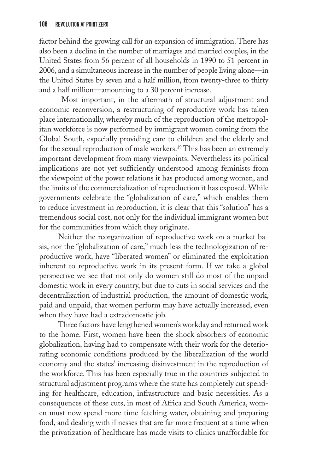factor behind the growing call for an expansion of immigration. There has also been a decline in the number of marriages and married couples, in the United States from 56 percent of all households in 1990 to 51 percent in 2006, and a simultaneous increase in the number of people living alone—in the United States by seven and a half million, from twenty-three to thirty and a half million—amounting to a 30 percent increase.

 Most important, in the aftermath of structural adjustment and economic reconversion, a restructuring of reproductive work has taken place internationally, whereby much of the reproduction of the metropolitan workforce is now performed by immigrant women coming from the Global South, especially providing care to children and the elderly and for the sexual reproduction of male workers.<sup>19</sup> This has been an extremely important development from many viewpoints. Nevertheless its political implications are not yet sufficiently understood among feminists from the viewpoint of the power relations it has produced among women, and the limits of the commercialization of reproduction it has exposed. While governments celebrate the "globalization of care," which enables them to reduce investment in reproduction, it is clear that this "solution" has a tremendous social cost, not only for the individual immigrant women but for the communities from which they originate.

Neither the reorganization of reproductive work on a market basis, nor the "globalization of care," much less the technologization of reproductive work, have "liberated women" or eliminated the exploitation inherent to reproductive work in its present form. If we take a global perspective we see that not only do women still do most of the unpaid domestic work in every country, but due to cuts in social services and the decentralization of industrial production, the amount of domestic work, paid and unpaid, that women perform may have actually increased, even when they have had a extradomestic job.

Three factors have lengthened women's workday and returned work to the home. First, women have been the shock absorbers of economic globalization, having had to compensate with their work for the deteriorating economic conditions produced by the liberalization of the world economy and the states' increasing disinvestment in the reproduction of the workforce. This has been especially true in the countries subjected to structural adjustment programs where the state has completely cut spending for healthcare, education, infrastructure and basic necessities. As a consequences of these cuts, in most of Africa and South America, women must now spend more time fetching water, obtaining and preparing food, and dealing with illnesses that are far more frequent at a time when the privatization of healthcare has made visits to clinics unaffordable for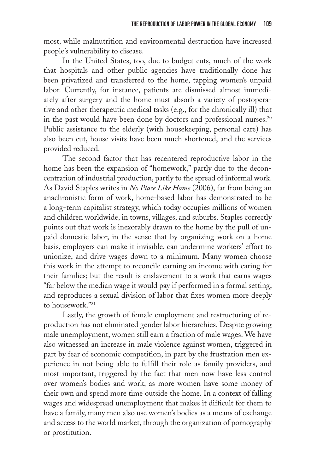most, while malnutrition and environmental destruction have increased people's vulnerability to disease.

In the United States, too, due to budget cuts, much of the work that hospitals and other public agencies have traditionally done has been privatized and transferred to the home, tapping women's unpaid labor. Currently, for instance, patients are dismissed almost immediately after surgery and the home must absorb a variety of postoperative and other therapeutic medical tasks (e.g., for the chronically ill) that in the past would have been done by doctors and professional nurses.<sup>20</sup> Public assistance to the elderly (with housekeeping, personal care) has also been cut, house visits have been much shortened, and the services provided reduced.

The second factor that has recentered reproductive labor in the home has been the expansion of "homework," partly due to the deconcentration of industrial production, partly to the spread of informal work. As David Staples writes in *No Place Like Home* (2006), far from being an anachronistic form of work, home-based labor has demonstrated to be a long-term capitalist strategy, which today occupies millions of women and children worldwide, in towns, villages, and suburbs. Staples correctly points out that work is inexorably drawn to the home by the pull of unpaid domestic labor, in the sense that by organizing work on a home basis, employers can make it invisible, can undermine workers' effort to unionize, and drive wages down to a minimum. Many women choose this work in the attempt to reconcile earning an income with caring for their families; but the result is enslavement to a work that earns wages "far below the median wage it would pay if performed in a formal setting, and reproduces a sexual division of labor that fixes women more deeply to housework."21

Lastly, the growth of female employment and restructuring of reproduction has not eliminated gender labor hierarchies. Despite growing male unemployment, women still earn a fraction of male wages. We have also witnessed an increase in male violence against women, triggered in part by fear of economic competition, in part by the frustration men experience in not being able to fulfill their role as family providers, and most important, triggered by the fact that men now have less control over women's bodies and work, as more women have some money of their own and spend more time outside the home. In a context of falling wages and widespread unemployment that makes it difficult for them to have a family, many men also use women's bodies as a means of exchange and access to the world market, through the organization of pornography or prostitution.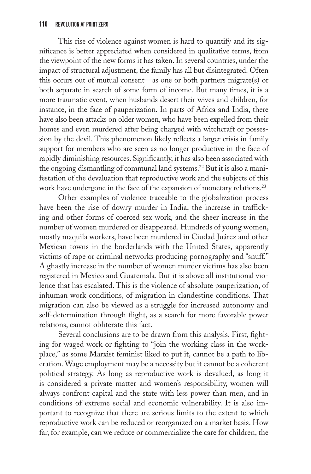This rise of violence against women is hard to quantify and its significance is better appreciated when considered in qualitative terms, from the viewpoint of the new forms it has taken. In several countries, under the impact of structural adjustment, the family has all but disintegrated. Often this occurs out of mutual consent—as one or both partners migrate(s) or both separate in search of some form of income. But many times, it is a more traumatic event, when husbands desert their wives and children, for instance, in the face of pauperization. In parts of Africa and India, there have also been attacks on older women, who have been expelled from their homes and even murdered after being charged with witchcraft or possession by the devil. This phenomenon likely reflects a larger crisis in family support for members who are seen as no longer productive in the face of rapidly diminishing resources. Significantly, it has also been associated with the ongoing dismantling of communal land systems.22 But it is also a manifestation of the devaluation that reproductive work and the subjects of this work have undergone in the face of the expansion of monetary relations.<sup>23</sup>

Other examples of violence traceable to the globalization process have been the rise of dowry murder in India, the increase in trafficking and other forms of coerced sex work, and the sheer increase in the number of women murdered or disappeared. Hundreds of young women, mostly maquila workers, have been murdered in Ciudad Juárez and other Mexican towns in the borderlands with the United States, apparently victims of rape or criminal networks producing pornography and "snuff." A ghastly increase in the number of women murder victims has also been registered in Mexico and Guatemala. But it is above all institutional violence that has escalated. This is the violence of absolute pauperization, of inhuman work conditions, of migration in clandestine conditions. That migration can also be viewed as a struggle for increased autonomy and self-determination through flight, as a search for more favorable power relations, cannot obliterate this fact.

Several conclusions are to be drawn from this analysis. First, fighting for waged work or fighting to "join the working class in the workplace," as some Marxist feminist liked to put it, cannot be a path to liberation. Wage employment may be a necessity but it cannot be a coherent political strategy. As long as reproductive work is devalued, as long it is considered a private matter and women's responsibility, women will always confront capital and the state with less power than men, and in conditions of extreme social and economic vulnerability. It is also important to recognize that there are serious limits to the extent to which reproductive work can be reduced or reorganized on a market basis. How far, for example, can we reduce or commercialize the care for children, the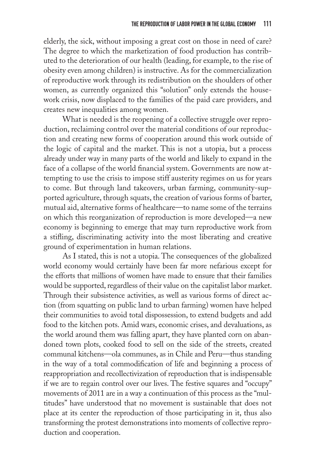elderly, the sick, without imposing a great cost on those in need of care? The degree to which the marketization of food production has contributed to the deterioration of our health (leading, for example, to the rise of obesity even among children) is instructive. As for the commercialization of reproductive work through its redistribution on the shoulders of other women, as currently organized this "solution" only extends the housework crisis, now displaced to the families of the paid care providers, and creates new inequalities among women.

What is needed is the reopening of a collective struggle over reproduction, reclaiming control over the material conditions of our reproduction and creating new forms of cooperation around this work outside of the logic of capital and the market. This is not a utopia, but a process already under way in many parts of the world and likely to expand in the face of a collapse of the world financial system. Governments are now attempting to use the crisis to impose stiff austerity regimes on us for years to come. But through land takeovers, urban farming, community-supported agriculture, through squats, the creation of various forms of barter, mutual aid, alternative forms of healthcare—to name some of the terrains on which this reorganization of reproduction is more developed—a new economy is beginning to emerge that may turn reproductive work from a stifling, discriminating activity into the most liberating and creative ground of experimentation in human relations.

As I stated, this is not a utopia. The consequences of the globalized world economy would certainly have been far more nefarious except for the efforts that millions of women have made to ensure that their families would be supported, regardless of their value on the capitalist labor market. Through their subsistence activities, as well as various forms of direct action (from squatting on public land to urban farming) women have helped their communities to avoid total dispossession, to extend budgets and add food to the kitchen pots. Amid wars, economic crises, and devaluations, as the world around them was falling apart, they have planted corn on abandoned town plots, cooked food to sell on the side of the streets, created communal kitchens—ola communes, as in Chile and Peru—thus standing in the way of a total commodification of life and beginning a process of reappropriation and recollectivization of reproduction that is indispensable if we are to regain control over our lives. The festive squares and "occupy" movements of 2011 are in a way a continuation of this process as the "multitudes" have understood that no movement is sustainable that does not place at its center the reproduction of those participating in it, thus also transforming the protest demonstrations into moments of collective reproduction and cooperation.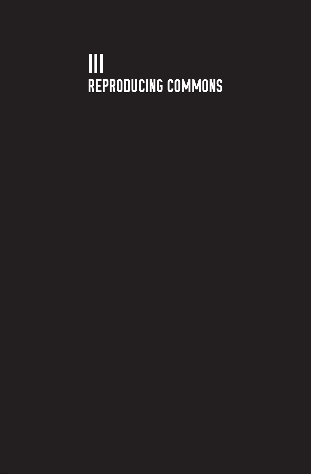# III REPRODUCING COMMONS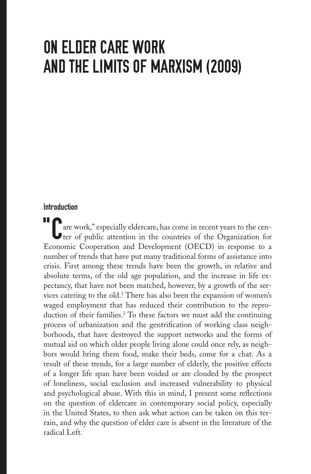# ON ELDER CARE WORK AND THE LIMITS OF MARXISM (2009)

#### Introduction

**CALC** are work," especially eldercare, has come in recent years to the center of public attention in the countries of the Organization for Economic Cooperation and Development (OECD) in response to a number of trends that have put many traditional forms of assistance into crisis. First among these trends have been the growth, in relative and absolute terms, of the old age population, and the increase in life expectancy, that have not been matched, however, by a growth of the services catering to the old.<sup>1</sup> There has also been the expansion of women's waged employment that has reduced their contribution to the reproduction of their families.<sup>2</sup> To these factors we must add the continuing process of urbanization and the gentrification of working class neighborhoods, that have destroyed the support networks and the forms of mutual aid on which older people living alone could once rely, as neighbors would bring them food, make their beds, come for a chat. As a result of these trends, for a large number of elderly, the positive effects of a longer life span have been voided or are clouded by the prospect of loneliness, social exclusion and increased vulnerability to physical and psychological abuse. With this in mind, I present some reflections on the question of eldercare in contemporary social policy, especially in the United States, to then ask what action can be taken on this terrain, and why the question of elder care is absent in the literature of the radical Left.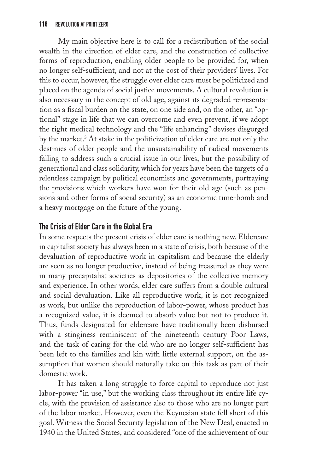My main objective here is to call for a redistribution of the social wealth in the direction of elder care, and the construction of collective forms of reproduction, enabling older people to be provided for, when no longer self-sufficient, and not at the cost of their providers' lives. For this to occur, however, the struggle over elder care must be politicized and placed on the agenda of social justice movements. A cultural revolution is also necessary in the concept of old age, against its degraded representation as a fiscal burden on the state, on one side and, on the other, an "optional" stage in life that we can overcome and even prevent, if we adopt the right medical technology and the "life enhancing" devises disgorged by the market.3 At stake in the politicization of elder care are not only the destinies of older people and the unsustainability of radical movements failing to address such a crucial issue in our lives, but the possibility of generational and class solidarity, which for years have been the targets of a relentless campaign by political economists and governments, portraying the provisions which workers have won for their old age (such as pensions and other forms of social security) as an economic time-bomb and a heavy mortgage on the future of the young.

# The Crisis of Elder Care in the Global Era

In some respects the present crisis of elder care is nothing new. Eldercare in capitalist society has always been in a state of crisis, both because of the devaluation of reproductive work in capitalism and because the elderly are seen as no longer productive, instead of being treasured as they were in many precapitalist societies as depositories of the collective memory and experience. In other words, elder care suffers from a double cultural and social devaluation. Like all reproductive work, it is not recognized as work, but unlike the reproduction of labor-power, whose product has a recognized value, it is deemed to absorb value but not to produce it. Thus, funds designated for eldercare have traditionally been disbursed with a stinginess reminiscent of the nineteenth century Poor Laws, and the task of caring for the old who are no longer self-sufficient has been left to the families and kin with little external support, on the assumption that women should naturally take on this task as part of their domestic work.

It has taken a long struggle to force capital to reproduce not just labor-power "in use," but the working class throughout its entire life cycle, with the provision of assistance also to those who are no longer part of the labor market. However, even the Keynesian state fell short of this goal. Witness the Social Security legislation of the New Deal, enacted in 1940 in the United States, and considered "one of the achievement of our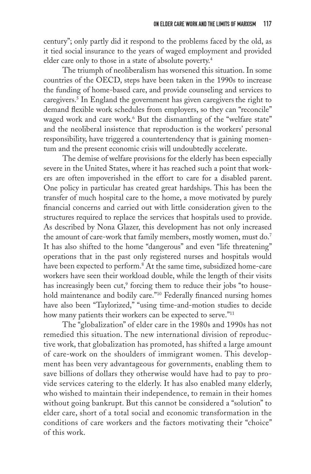century"; only partly did it respond to the problems faced by the old, as it tied social insurance to the years of waged employment and provided elder care only to those in a state of absolute poverty.<sup>4</sup>

The triumph of neoliberalism has worsened this situation. In some countries of the OECD, steps have been taken in the 1990s to increase the funding of home-based care, and provide counseling and services to caregivers.<sup>5</sup> In England the government has given caregivers the right to demand flexible work schedules from employers, so they can "reconcile" waged work and care work.<sup>6</sup> But the dismantling of the "welfare state" and the neoliberal insistence that reproduction is the workers' personal responsibility, have triggered a countertendency that is gaining momentum and the present economic crisis will undoubtedly accelerate.

The demise of welfare provisions for the elderly has been especially severe in the United States, where it has reached such a point that workers are often impoverished in the effort to care for a disabled parent. One policy in particular has created great hardships. This has been the transfer of much hospital care to the home, a move motivated by purely financial concerns and carried out with little consideration given to the structures required to replace the services that hospitals used to provide. As described by Nona Glazer, this development has not only increased the amount of care-work that family members, mostly women, must do.<sup>7</sup> It has also shifted to the home "dangerous" and even "life threatening" operations that in the past only registered nurses and hospitals would have been expected to perform.<sup>8</sup> At the same time, subsidized home-care workers have seen their workload double, while the length of their visits has increasingly been cut,<sup>9</sup> forcing them to reduce their jobs "to household maintenance and bodily care."<sup>10</sup> Federally financed nursing homes have also been "Taylorized," "using time-and-motion studies to decide how many patients their workers can be expected to serve."<sup>11</sup>

The "globalization" of elder care in the 1980s and 1990s has not remedied this situation. The new international division of reproductive work, that globalization has promoted, has shifted a large amount of care-work on the shoulders of immigrant women. This development has been very advantageous for governments, enabling them to save billions of dollars they otherwise would have had to pay to provide services catering to the elderly. It has also enabled many elderly, who wished to maintain their independence, to remain in their homes without going bankrupt. But this cannot be considered a "solution" to elder care, short of a total social and economic transformation in the conditions of care workers and the factors motivating their "choice" of this work.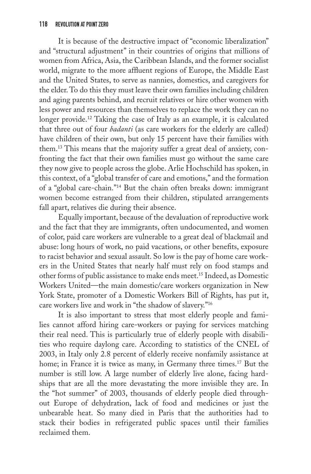It is because of the destructive impact of "economic liberalization" and "structural adjustment" in their countries of origins that millions of women from Africa, Asia, the Caribbean Islands, and the former socialist world, migrate to the more affluent regions of Europe, the Middle East and the United States, to serve as nannies, domestics, and caregivers for the elder. To do this they must leave their own families including children and aging parents behind, and recruit relatives or hire other women with less power and resources than themselves to replace the work they can no longer provide.12 Taking the case of Italy as an example, it is calculated that three out of four *badanti* (as care workers for the elderly are called) have children of their own, but only 15 percent have their families with them.13 This means that the majority suffer a great deal of anxiety, confronting the fact that their own families must go without the same care they now give to people across the globe. Arlie Hochschild has spoken, in this context, of a "global transfer of care and emotions," and the formation of a "global care-chain."14 But the chain often breaks down: immigrant women become estranged from their children, stipulated arrangements fall apart, relatives die during their absence.

Equally important, because of the devaluation of reproductive work and the fact that they are immigrants, often undocumented, and women of color, paid care workers are vulnerable to a great deal of blackmail and abuse: long hours of work, no paid vacations, or other benefits, exposure to racist behavior and sexual assault. So low is the pay of home care workers in the United States that nearly half must rely on food stamps and other forms of public assistance to make ends meet.15 Indeed, as Domestic Workers United—the main domestic/care workers organization in New York State, promoter of a Domestic Workers Bill of Rights, has put it, care workers live and work in "the shadow of slavery."16

It is also important to stress that most elderly people and families cannot afford hiring care-workers or paying for services matching their real need. This is particularly true of elderly people with disabilities who require daylong care. According to statistics of the CNEL of 2003, in Italy only 2.8 percent of elderly receive nonfamily assistance at home; in France it is twice as many, in Germany three times.<sup>17</sup> But the number is still low. A large number of elderly live alone, facing hardships that are all the more devastating the more invisible they are. In the "hot summer" of 2003, thousands of elderly people died throughout Europe of dehydration, lack of food and medicines or just the unbearable heat. So many died in Paris that the authorities had to stack their bodies in refrigerated public spaces until their families reclaimed them.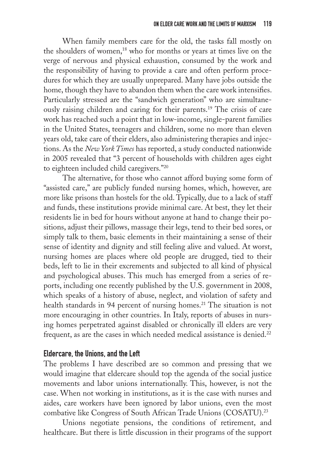When family members care for the old, the tasks fall mostly on the shoulders of women,<sup>18</sup> who for months or years at times live on the verge of nervous and physical exhaustion, consumed by the work and the responsibility of having to provide a care and often perform procedures for which they are usually unprepared. Many have jobs outside the home, though they have to abandon them when the care work intensifies. Particularly stressed are the "sandwich generation" who are simultaneously raising children and caring for their parents.19 The crisis of care work has reached such a point that in low-income, single-parent families in the United States, teenagers and children, some no more than eleven years old, take care of their elders, also administering therapies and injections. As the *New York Times* has reported, a study conducted nationwide in 2005 revealed that "3 percent of households with children ages eight to eighteen included child caregivers."20

The alternative, for those who cannot afford buying some form of "assisted care," are publicly funded nursing homes, which, however, are more like prisons than hostels for the old. Typically, due to a lack of staff and funds, these institutions provide minimal care. At best, they let their residents lie in bed for hours without anyone at hand to change their positions, adjust their pillows, massage their legs, tend to their bed sores, or simply talk to them, basic elements in their maintaining a sense of their sense of identity and dignity and still feeling alive and valued. At worst, nursing homes are places where old people are drugged, tied to their beds, left to lie in their excrements and subjected to all kind of physical and psychological abuses. This much has emerged from a series of reports, including one recently published by the U.S. government in 2008, which speaks of a history of abuse, neglect, and violation of safety and health standards in 94 percent of nursing homes.<sup>21</sup> The situation is not more encouraging in other countries. In Italy, reports of abuses in nursing homes perpetrated against disabled or chronically ill elders are very frequent, as are the cases in which needed medical assistance is denied.<sup>22</sup>

#### Eldercare, the Unions, and the Left

The problems I have described are so common and pressing that we would imagine that eldercare should top the agenda of the social justice movements and labor unions internationally. This, however, is not the case. When not working in institutions, as it is the case with nurses and aides, care workers have been ignored by labor unions, even the most combative like Congress of South African Trade Unions (COSATU).23

Unions negotiate pensions, the conditions of retirement, and healthcare. But there is little discussion in their programs of the support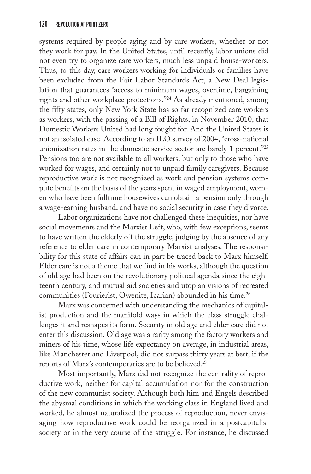systems required by people aging and by care workers, whether or not they work for pay. In the United States, until recently, labor unions did not even try to organize care workers, much less unpaid house-workers. Thus, to this day, care workers working for individuals or families have been excluded from the Fair Labor Standards Act, a New Deal legislation that guarantees "access to minimum wages, overtime, bargaining rights and other workplace protections."24 As already mentioned, among the fifty states, only New York State has so far recognized care workers as workers, with the passing of a Bill of Rights, in November 2010, that Domestic Workers United had long fought for. And the United States is not an isolated case. According to an ILO survey of 2004, "cross-national unionization rates in the domestic service sector are barely 1 percent."25 Pensions too are not available to all workers, but only to those who have worked for wages, and certainly not to unpaid family caregivers. Because reproductive work is not recognized as work and pension systems compute benefits on the basis of the years spent in waged employment, women who have been fulltime housewives can obtain a pension only through a wage-earning husband, and have no social security in case they divorce.

Labor organizations have not challenged these inequities, nor have social movements and the Marxist Left, who, with few exceptions, seems to have written the elderly off the struggle, judging by the absence of any reference to elder care in contemporary Marxist analyses. The responsibility for this state of affairs can in part be traced back to Marx himself. Elder care is not a theme that we find in his works, although the question of old age had been on the revolutionary political agenda since the eighteenth century, and mutual aid societies and utopian visions of recreated communities (Fourierist, Owenite, Icarian) abounded in his time.<sup>26</sup>

Marx was concerned with understanding the mechanics of capitalist production and the manifold ways in which the class struggle challenges it and reshapes its form. Security in old age and elder care did not enter this discussion. Old age was a rarity among the factory workers and miners of his time, whose life expectancy on average, in industrial areas, like Manchester and Liverpool, did not surpass thirty years at best, if the reports of Marx's contemporaries are to be believed.<sup>27</sup>

Most importantly, Marx did not recognize the centrality of reproductive work, neither for capital accumulation nor for the construction of the new communist society. Although both him and Engels described the abysmal conditions in which the working class in England lived and worked, he almost naturalized the process of reproduction, never envisaging how reproductive work could be reorganized in a postcapitalist society or in the very course of the struggle. For instance, he discussed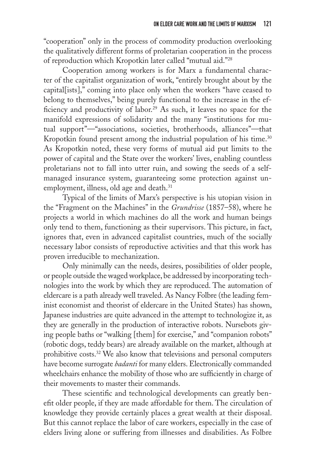"cooperation" only in the process of commodity production overlooking the qualitatively different forms of proletarian cooperation in the process of reproduction which Kropotkin later called "mutual aid."28

Cooperation among workers is for Marx a fundamental character of the capitalist organization of work, "entirely brought about by the capital[ists]," coming into place only when the workers "have ceased to belong to themselves," being purely functional to the increase in the efficiency and productivity of labor.<sup>29</sup> As such, it leaves no space for the manifold expressions of solidarity and the many "institutions for mutual support"—"associations, societies, brotherhoods, alliances"—that Kropotkin found present among the industrial population of his time.<sup>30</sup> As Kropotkin noted, these very forms of mutual aid put limits to the power of capital and the State over the workers' lives, enabling countless proletarians not to fall into utter ruin, and sowing the seeds of a selfmanaged insurance system, guaranteeing some protection against unemployment, illness, old age and death.<sup>31</sup>

Typical of the limits of Marx's perspective is his utopian vision in the "Fragment on the Machines" in the *Grundrisse* (1857–58), where he projects a world in which machines do all the work and human beings only tend to them, functioning as their supervisors. This picture, in fact, ignores that, even in advanced capitalist countries, much of the socially necessary labor consists of reproductive activities and that this work has proven irreducible to mechanization.

Only minimally can the needs, desires, possibilities of older people, or people outside the waged workplace, be addressed by incorporating technologies into the work by which they are reproduced. The automation of eldercare is a path already well traveled. As Nancy Folbre (the leading feminist economist and theorist of eldercare in the United States) has shown, Japanese industries are quite advanced in the attempt to technologize it, as they are generally in the production of interactive robots. Nursebots giving people baths or "walking [them] for exercise," and "companion robots" (robotic dogs, teddy bears) are already available on the market, although at prohibitive costs.32 We also know that televisions and personal computers have become surrogate *badanti* for many elders. Electronically commanded wheelchairs enhance the mobility of those who are sufficiently in charge of their movements to master their commands.

These scientific and technological developments can greatly benefit older people, if they are made affordable for them. The circulation of knowledge they provide certainly places a great wealth at their disposal. But this cannot replace the labor of care workers, especially in the case of elders living alone or suffering from illnesses and disabilities. As Folbre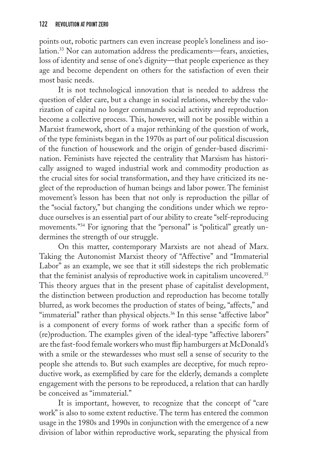points out, robotic partners can even increase people's loneliness and isolation.33 Nor can automation address the predicaments—fears, anxieties, loss of identity and sense of one's dignity—that people experience as they age and become dependent on others for the satisfaction of even their most basic needs.

It is not technological innovation that is needed to address the question of elder care, but a change in social relations, whereby the valorization of capital no longer commands social activity and reproduction become a collective process. This, however, will not be possible within a Marxist framework, short of a major rethinking of the question of work, of the type feminists began in the 1970s as part of our political discussion of the function of housework and the origin of gender-based discrimination. Feminists have rejected the centrality that Marxism has historically assigned to waged industrial work and commodity production as the crucial sites for social transformation, and they have criticized its neglect of the reproduction of human beings and labor power. The feminist movement's lesson has been that not only is reproduction the pillar of the "social factory," but changing the conditions under which we reproduce ourselves is an essential part of our ability to create "self-reproducing movements."34 For ignoring that the "personal" is "political" greatly undermines the strength of our struggle.

On this matter, contemporary Marxists are not ahead of Marx. Taking the Autonomist Marxist theory of "Affective" and "Immaterial Labor" as an example, we see that it still sidesteps the rich problematic that the feminist analysis of reproductive work in capitalism uncovered.<sup>35</sup> This theory argues that in the present phase of capitalist development, the distinction between production and reproduction has become totally blurred, as work becomes the production of states of being, "affects," and "immaterial" rather than physical objects.<sup>36</sup> In this sense "affective labor" is a component of every forms of work rather than a specific form of (re)production. The examples given of the ideal-type "affective laborers" are the fast-food female workers who must flip hamburgers at McDonald's with a smile or the stewardesses who must sell a sense of security to the people she attends to. But such examples are deceptive, for much reproductive work, as exemplified by care for the elderly, demands a complete engagement with the persons to be reproduced, a relation that can hardly be conceived as "immaterial."

It is important, however, to recognize that the concept of "care work" is also to some extent reductive. The term has entered the common usage in the 1980s and 1990s in conjunction with the emergence of a new division of labor within reproductive work, separating the physical from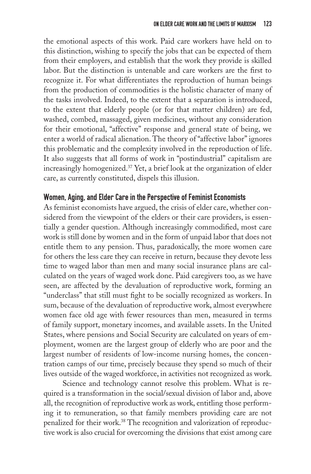the emotional aspects of this work. Paid care workers have held on to this distinction, wishing to specify the jobs that can be expected of them from their employers, and establish that the work they provide is skilled labor. But the distinction is untenable and care workers are the first to recognize it. For what differentiates the reproduction of human beings from the production of commodities is the holistic character of many of the tasks involved. Indeed, to the extent that a separation is introduced, to the extent that elderly people (or for that matter children) are fed, washed, combed, massaged, given medicines, without any consideration for their emotional, "affective" response and general state of being, we enter a world of radical alienation. The theory of "affective labor" ignores this problematic and the complexity involved in the reproduction of life. It also suggests that all forms of work in "postindustrial" capitalism are increasingly homogenized.37 Yet, a brief look at the organization of elder care, as currently constituted, dispels this illusion.

# Women, Aging, and Elder Care in the Perspective of Feminist Economists

As feminist economists have argued, the crisis of elder care, whether considered from the viewpoint of the elders or their care providers, is essentially a gender question. Although increasingly commodified, most care work is still done by women and in the form of unpaid labor that does not entitle them to any pension. Thus, paradoxically, the more women care for others the less care they can receive in return, because they devote less time to waged labor than men and many social insurance plans are calculated on the years of waged work done. Paid caregivers too, as we have seen, are affected by the devaluation of reproductive work, forming an "underclass" that still must fight to be socially recognized as workers. In sum, because of the devaluation of reproductive work, almost everywhere women face old age with fewer resources than men, measured in terms of family support, monetary incomes, and available assets. In the United States, where pensions and Social Security are calculated on years of employment, women are the largest group of elderly who are poor and the largest number of residents of low-income nursing homes, the concentration camps of our time, precisely because they spend so much of their lives outside of the waged workforce, in activities not recognized as work.

Science and technology cannot resolve this problem. What is required is a transformation in the social/sexual division of labor and, above all, the recognition of reproductive work as work, entitling those performing it to remuneration, so that family members providing care are not penalized for their work.38 The recognition and valorization of reproductive work is also crucial for overcoming the divisions that exist among care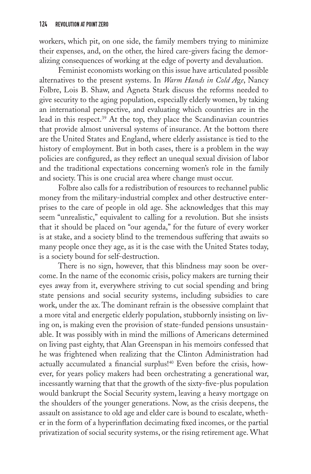workers, which pit, on one side, the family members trying to minimize their expenses, and, on the other, the hired care-givers facing the demoralizing consequences of working at the edge of poverty and devaluation.

Feminist economists working on this issue have articulated possible alternatives to the present systems. In *Warm Hands in Cold A*g*e*, Nancy Folbre, Lois B. Shaw, and Agneta Stark discuss the reforms needed to give security to the aging population, especially elderly women, by taking an international perspective, and evaluating which countries are in the lead in this respect.39 At the top, they place the Scandinavian countries that provide almost universal systems of insurance. At the bottom there are the United States and England, where elderly assistance is tied to the history of employment. But in both cases, there is a problem in the way policies are configured, as they reflect an unequal sexual division of labor and the traditional expectations concerning women's role in the family and society. This is one crucial area where change must occur.

Folbre also calls for a redistribution of resources to rechannel public money from the military-industrial complex and other destructive enterprises to the care of people in old age. She acknowledges that this may seem "unrealistic," equivalent to calling for a revolution. But she insists that it should be placed on "our agenda," for the future of every worker is at stake, and a society blind to the tremendous suffering that awaits so many people once they age, as it is the case with the United States today, is a society bound for self-destruction.

There is no sign, however, that this blindness may soon be overcome. In the name of the economic crisis, policy makers are turning their eyes away from it, everywhere striving to cut social spending and bring state pensions and social security systems, including subsidies to care work, under the ax. The dominant refrain is the obsessive complaint that a more vital and energetic elderly population, stubbornly insisting on living on, is making even the provision of state-funded pensions unsustainable. It was possibly with in mind the millions of Americans determined on living past eighty, that Alan Greenspan in his memoirs confessed that he was frightened when realizing that the Clinton Administration had actually accumulated a financial surplus!40 Even before the crisis, however, for years policy makers had been orchestrating a generational war, incessantly warning that that the growth of the sixty-five-plus population would bankrupt the Social Security system, leaving a heavy mortgage on the shoulders of the younger generations. Now, as the crisis deepens, the assault on assistance to old age and elder care is bound to escalate, whether in the form of a hyperinflation decimating fixed incomes, or the partial privatization of social security systems, or the rising retirement age. What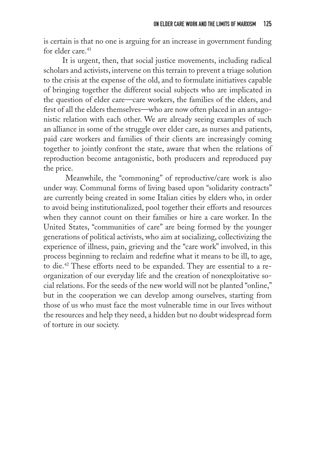is certain is that no one is arguing for an increase in government funding for elder care.<sup>41</sup>

It is urgent, then, that social justice movements, including radical scholars and activists, intervene on this terrain to prevent a triage solution to the crisis at the expense of the old, and to formulate initiatives capable of bringing together the different social subjects who are implicated in the question of elder care—care workers, the families of the elders, and first of all the elders themselves—who are now often placed in an antagonistic relation with each other. We are already seeing examples of such an alliance in some of the struggle over elder care, as nurses and patients, paid care workers and families of their clients are increasingly coming together to jointly confront the state, aware that when the relations of reproduction become antagonistic, both producers and reproduced pay the price.

 Meanwhile, the "commoning" of reproductive/care work is also under way. Communal forms of living based upon "solidarity contracts" are currently being created in some Italian cities by elders who, in order to avoid being institutionalized, pool together their efforts and resources when they cannot count on their families or hire a care worker. In the United States, "communities of care" are being formed by the younger generations of political activists, who aim at socializing, collectivizing the experience of illness, pain, grieving and the "care work" involved, in this process beginning to reclaim and redefine what it means to be ill, to age, to die.42 These efforts need to be expanded. They are essential to a reorganization of our everyday life and the creation of nonexploitative social relations. For the seeds of the new world will not be planted "online," but in the cooperation we can develop among ourselves, starting from those of us who must face the most vulnerable time in our lives without the resources and help they need, a hidden but no doubt widespread form of torture in our society.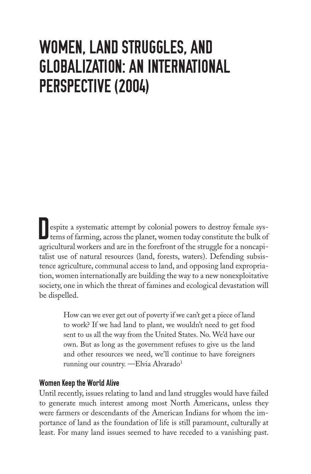# WOMEN, LAND STRUGGLES, AND GLOBALIZATION: AN INTERNATIONAL PERSPECTIVE (2004)

Despite a systematic attempt by colonial powers to destroy female systems of farming, across the planet, women today constitute the bulk of agricultural workers and are in the forefront of the struggle for a noncapitalist use of natural resources (land, forests, waters). Defending subsistence agriculture, communal access to land, and opposing land expropriation, women internationally are building the way to a new nonexploitative society, one in which the threat of famines and ecological devastation will be dispelled.

> How can we ever get out of poverty if we can't get a piece of land to work? If we had land to plant, we wouldn't need to get food sent to us all the way from the United States. No. We'd have our own. But as long as the government refuses to give us the land and other resources we need, we'll continue to have foreigners running our country. - Elvia Alvarado<sup>1</sup>

### Women Keep the World Alive

Until recently, issues relating to land and land struggles would have failed to generate much interest among most North Americans, unless they were farmers or descendants of the American Indians for whom the importance of land as the foundation of life is still paramount, culturally at least. For many land issues seemed to have receded to a vanishing past.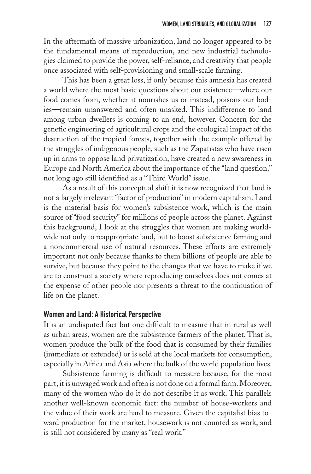In the aftermath of massive urbanization, land no longer appeared to be the fundamental means of reproduction, and new industrial technologies claimed to provide the power, self-reliance, and creativity that people once associated with self-provisioning and small-scale farming.

This has been a great loss, if only because this amnesia has created a world where the most basic questions about our existence—where our food comes from, whether it nourishes us or instead, poisons our bodies—remain unanswered and often unasked. This indifference to land among urban dwellers is coming to an end, however. Concern for the genetic engineering of agricultural crops and the ecological impact of the destruction of the tropical forests, together with the example offered by the struggles of indigenous people, such as the Zapatistas who have risen up in arms to oppose land privatization, have created a new awareness in Europe and North America about the importance of the "land question," not long ago still identified as a "Third World" issue.

As a result of this conceptual shift it is now recognized that land is not a largely irrelevant "factor of production" in modern capitalism. Land is the material basis for women's subsistence work, which is the main source of "food security" for millions of people across the planet. Against this background, I look at the struggles that women are making worldwide not only to reappropriate land, but to boost subsistence farming and a noncommercial use of natural resources. These efforts are extremely important not only because thanks to them billions of people are able to survive, but because they point to the changes that we have to make if we are to construct a society where reproducing ourselves does not comes at the expense of other people nor presents a threat to the continuation of life on the planet.

#### Women and Land: A Historical Perspective

It is an undisputed fact but one difficult to measure that in rural as well as urban areas, women are the subsistence farmers of the planet. That is, women produce the bulk of the food that is consumed by their families (immediate or extended) or is sold at the local markets for consumption, especially in Africa and Asia where the bulk of the world population lives.

Subsistence farming is difficult to measure because, for the most part, it is unwaged work and often is not done on a formal farm. Moreover, many of the women who do it do not describe it as work. This parallels another well-known economic fact: the number of house-workers and the value of their work are hard to measure. Given the capitalist bias toward production for the market, housework is not counted as work, and is still not considered by many as "real work."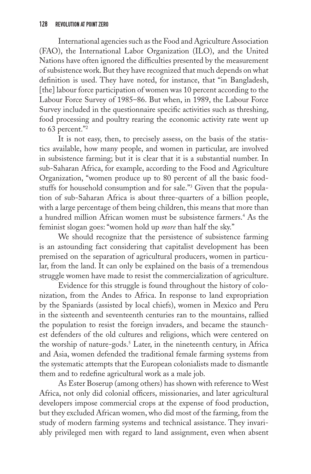International agencies such as the Food and Agriculture Association (FAO), the International Labor Organization (ILO), and the United Nations have often ignored the difficulties presented by the measurement of subsistence work. But they have recognized that much depends on what definition is used. They have noted, for instance, that "in Bangladesh, [the] labour force participation of women was 10 percent according to the Labour Force Survey of 1985–86. But when, in 1989, the Labour Force Survey included in the questionnaire specific activities such as threshing, food processing and poultry rearing the economic activity rate went up to 63 percent."<sup>2</sup>

It is not easy, then, to precisely assess, on the basis of the statistics available, how many people, and women in particular, are involved in subsistence farming; but it is clear that it is a substantial number. In sub-Saharan Africa, for example, according to the Food and Agriculture Organization, "women produce up to 80 percent of all the basic foodstuffs for household consumption and for sale."<sup>3</sup> Given that the population of sub-Saharan Africa is about three-quarters of a billion people, with a large percentage of them being children, this means that more than a hundred million African women must be subsistence farmers.<sup>4</sup> As the feminist slogan goes: "women hold up *more* than half the sky."

We should recognize that the persistence of subsistence farming is an astounding fact considering that capitalist development has been premised on the separation of agricultural producers, women in particular, from the land. It can only be explained on the basis of a tremendous struggle women have made to resist the commercialization of agriculture.

Evidence for this struggle is found throughout the history of colonization, from the Andes to Africa. In response to land expropriation by the Spaniards (assisted by local chiefs), women in Mexico and Peru in the sixteenth and seventeenth centuries ran to the mountains, rallied the population to resist the foreign invaders, and became the staunchest defenders of the old cultures and religions, which were centered on the worship of nature-gods.<sup>5</sup> Later, in the nineteenth century, in Africa and Asia, women defended the traditional female farming systems from the systematic attempts that the European colonialists made to dismantle them and to redefine agricultural work as a male job.

As Ester Boserup (among others) has shown with reference to West Africa, not only did colonial officers, missionaries, and later agricultural developers impose commercial crops at the expense of food production, but they excluded African women, who did most of the farming, from the study of modern farming systems and technical assistance. They invariably privileged men with regard to land assignment, even when absent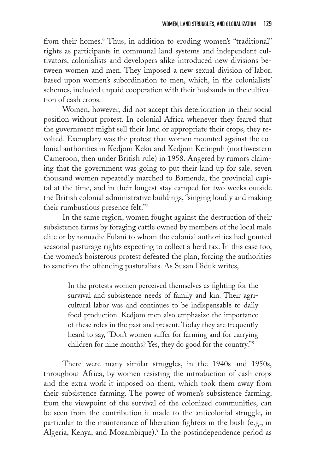from their homes.<sup>6</sup> Thus, in addition to eroding women's "traditional" rights as participants in communal land systems and independent cultivators, colonialists and developers alike introduced new divisions between women and men. They imposed a new sexual division of labor, based upon women's subordination to men, which, in the colonialists' schemes, included unpaid cooperation with their husbands in the cultivation of cash crops.

Women, however, did not accept this deterioration in their social position without protest. In colonial Africa whenever they feared that the government might sell their land or appropriate their crops, they revolted. Exemplary was the protest that women mounted against the colonial authorities in Kedjom Keku and Kedjom Ketinguh (northwestern Cameroon, then under British rule) in 1958. Angered by rumors claiming that the government was going to put their land up for sale, seven thousand women repeatedly marched to Bamenda, the provincial capital at the time, and in their longest stay camped for two weeks outside the British colonial administrative buildings, "singing loudly and making their rumbustious presence felt."7

In the same region, women fought against the destruction of their subsistence farms by foraging cattle owned by members of the local male elite or by nomadic Fulani to whom the colonial authorities had granted seasonal pasturage rights expecting to collect a herd tax. In this case too, the women's boisterous protest defeated the plan, forcing the authorities to sanction the offending pasturalists. As Susan Diduk writes,

> In the protests women perceived themselves as fighting for the survival and subsistence needs of family and kin. Their agricultural labor was and continues to be indispensable to daily food production. Kedjom men also emphasize the importance of these roles in the past and present. Today they are frequently heard to say, "Don't women suffer for farming and for carrying children for nine months? Yes, they do good for the country."8

There were many similar struggles, in the 1940s and 1950s, throughout Africa, by women resisting the introduction of cash crops and the extra work it imposed on them, which took them away from their subsistence farming. The power of women's subsistence farming, from the viewpoint of the survival of the colonized communities, can be seen from the contribution it made to the anticolonial struggle, in particular to the maintenance of liberation fighters in the bush (e.g., in Algeria, Kenya, and Mozambique).9 In the postindependence period as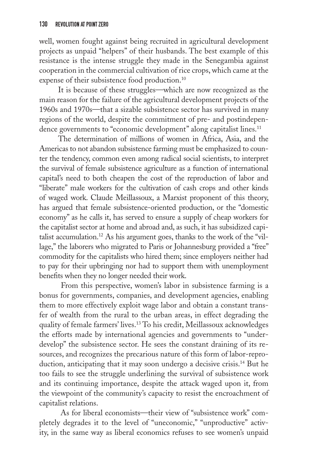well, women fought against being recruited in agricultural development projects as unpaid "helpers" of their husbands. The best example of this resistance is the intense struggle they made in the Senegambia against cooperation in the commercial cultivation of rice crops, which came at the expense of their subsistence food production.10

It is because of these struggles—which are now recognized as the main reason for the failure of the agricultural development projects of the 1960s and 1970s—that a sizable subsistence sector has survived in many regions of the world, despite the commitment of pre- and postindependence governments to "economic development" along capitalist lines.<sup>11</sup>

The determination of millions of women in Africa, Asia, and the Americas to not abandon subsistence farming must be emphasized to counter the tendency, common even among radical social scientists, to interpret the survival of female subsistence agriculture as a function of international capital's need to both cheapen the cost of the reproduction of labor and "liberate" male workers for the cultivation of cash crops and other kinds of waged work. Claude Meillassoux, a Marxist proponent of this theory, has argued that female subsistence-oriented production, or the "domestic economy" as he calls it, has served to ensure a supply of cheap workers for the capitalist sector at home and abroad and, as such, it has subsidized capitalist accumulation.12 As his argument goes, thanks to the work of the "village," the laborers who migrated to Paris or Johannesburg provided a "free" commodity for the capitalists who hired them; since employers neither had to pay for their upbringing nor had to support them with unemployment benefits when they no longer needed their work.

 From this perspective, women's labor in subsistence farming is a bonus for governments, companies, and development agencies, enabling them to more effectively exploit wage labor and obtain a constant transfer of wealth from the rural to the urban areas, in effect degrading the quality of female farmers' lives.13 To his credit, Meillassoux acknowledges the efforts made by international agencies and governments to "underdevelop" the subsistence sector. He sees the constant draining of its resources, and recognizes the precarious nature of this form of labor-reproduction, anticipating that it may soon undergo a decisive crisis.14 But he too fails to see the struggle underlining the survival of subsistence work and its continuing importance, despite the attack waged upon it, from the viewpoint of the community's capacity to resist the encroachment of capitalist relations.

 As for liberal economists—their view of "subsistence work" completely degrades it to the level of "uneconomic," "unproductive" activity, in the same way as liberal economics refuses to see women's unpaid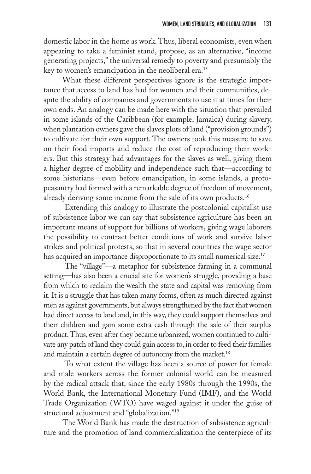domestic labor in the home as work. Thus, liberal economists, even when appearing to take a feminist stand, propose, as an alternative, "income generating projects," the universal remedy to poverty and presumably the key to women's emancipation in the neoliberal era.<sup>15</sup>

What these different perspectives ignore is the strategic importance that access to land has had for women and their communities, despite the ability of companies and governments to use it at times for their own ends. An analogy can be made here with the situation that prevailed in some islands of the Caribbean (for example, Jamaica) during slavery, when plantation owners gave the slaves plots of land ("provision grounds") to cultivate for their own support. The owners took this measure to save on their food imports and reduce the cost of reproducing their workers. But this strategy had advantages for the slaves as well, giving them a higher degree of mobility and independence such that—according to some historians—even before emancipation, in some islands, a protopeasantry had formed with a remarkable degree of freedom of movement, already deriving some income from the sale of its own products.16

 Extending this analogy to illustrate the postcolonial capitalist use of subsistence labor we can say that subsistence agriculture has been an important means of support for billions of workers, giving wage laborers the possibility to contract better conditions of work and survive labor strikes and political protests, so that in several countries the wage sector has acquired an importance disproportionate to its small numerical size.<sup>17</sup>

 The "village"—a metaphor for subsistence farming in a communal setting—has also been a crucial site for women's struggle, providing a base from which to reclaim the wealth the state and capital was removing from it. It is a struggle that has taken many forms, often as much directed against men as against governments, but always strengthened by the fact that women had direct access to land and, in this way, they could support themselves and their children and gain some extra cash through the sale of their surplus product. Thus, even after they became urbanized, women continued to cultivate any patch of land they could gain access to, in order to feed their families and maintain a certain degree of autonomy from the market.<sup>18</sup>

 To what extent the village has been a source of power for female and male workers across the former colonial world can be measured by the radical attack that, since the early 1980s through the 1990s, the World Bank, the International Monetary Fund (IMF), and the World Trade Organization (WTO) have waged against it under the guise of structural adjustment and "globalization."19

The World Bank has made the destruction of subsistence agriculture and the promotion of land commercialization the centerpiece of its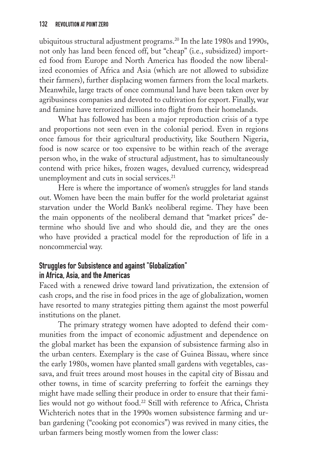ubiquitous structural adjustment programs.20 In the late 1980s and 1990s, not only has land been fenced off, but "cheap" (i.e., subsidized) imported food from Europe and North America has flooded the now liberalized economies of Africa and Asia (which are not allowed to subsidize their farmers), further displacing women farmers from the local markets. Meanwhile, large tracts of once communal land have been taken over by agribusiness companies and devoted to cultivation for export. Finally, war and famine have terrorized millions into flight from their homelands.

What has followed has been a major reproduction crisis of a type and proportions not seen even in the colonial period. Even in regions once famous for their agricultural productivity, like Southern Nigeria, food is now scarce or too expensive to be within reach of the average person who, in the wake of structural adjustment, has to simultaneously contend with price hikes, frozen wages, devalued currency, widespread unemployment and cuts in social services.<sup>21</sup>

Here is where the importance of women's struggles for land stands out. Women have been the main buffer for the world proletariat against starvation under the World Bank's neoliberal regime. They have been the main opponents of the neoliberal demand that "market prices" determine who should live and who should die, and they are the ones who have provided a practical model for the reproduction of life in a noncommercial way.

# Struggles for Subsistence and against "Globalization" in Africa, Asia, and the Americas

Faced with a renewed drive toward land privatization, the extension of cash crops, and the rise in food prices in the age of globalization, women have resorted to many strategies pitting them against the most powerful institutions on the planet.

The primary strategy women have adopted to defend their communities from the impact of economic adjustment and dependence on the global market has been the expansion of subsistence farming also in the urban centers. Exemplary is the case of Guinea Bissau, where since the early 1980s, women have planted small gardens with vegetables, cassava, and fruit trees around most houses in the capital city of Bissau and other towns, in time of scarcity preferring to forfeit the earnings they might have made selling their produce in order to ensure that their families would not go without food.22 Still with reference to Africa, Christa Wichterich notes that in the 1990s women subsistence farming and urban gardening ("cooking pot economics") was revived in many cities, the urban farmers being mostly women from the lower class: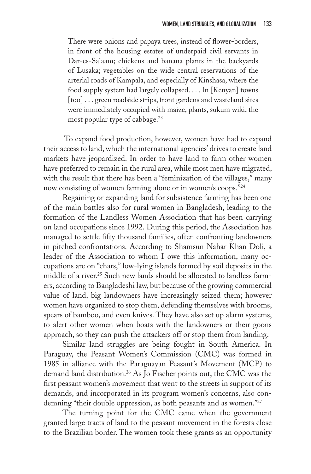There were onions and papaya trees, instead of flower-borders, in front of the housing estates of underpaid civil servants in Dar-es-Salaam; chickens and banana plants in the backyards of Lusaka; vegetables on the wide central reservations of the arterial roads of Kampala, and especially of Kinshasa, where the food supply system had largely collapsed. . . . In [Kenyan] towns [too]...green roadside strips, front gardens and wasteland sites were immediately occupied with maize, plants, sukum wiki, the most popular type of cabbage.23

 To expand food production, however, women have had to expand their access to land, which the international agencies' drives to create land markets have jeopardized. In order to have land to farm other women have preferred to remain in the rural area, while most men have migrated, with the result that there has been a "feminization of the villages," many now consisting of women farming alone or in women's coops."24

Regaining or expanding land for subsistence farming has been one of the main battles also for rural women in Bangladesh, leading to the formation of the Landless Women Association that has been carrying on land occupations since 1992. During this period, the Association has managed to settle fifty thousand families, often confronting landowners in pitched confrontations. According to Shamsun Nahar Khan Doli, a leader of the Association to whom I owe this information, many occupations are on "chars," low-lying islands formed by soil deposits in the middle of a river.<sup>25</sup> Such new lands should be allocated to landless farmers, according to Bangladeshi law, but because of the growing commercial value of land, big landowners have increasingly seized them; however women have organized to stop them, defending themselves with brooms, spears of bamboo, and even knives. They have also set up alarm systems, to alert other women when boats with the landowners or their goons approach, so they can push the attackers off or stop them from landing.

Similar land struggles are being fought in South America. In Paraguay, the Peasant Women's Commission (CMC) was formed in 1985 in alliance with the Paraguayan Peasant's Movement (MCP) to demand land distribution.<sup>26</sup> As Jo Fischer points out, the CMC was the first peasant women's movement that went to the streets in support of its demands, and incorporated in its program women's concerns, also condemning "their double oppression, as both peasants and as women."27

The turning point for the CMC came when the government granted large tracts of land to the peasant movement in the forests close to the Brazilian border. The women took these grants as an opportunity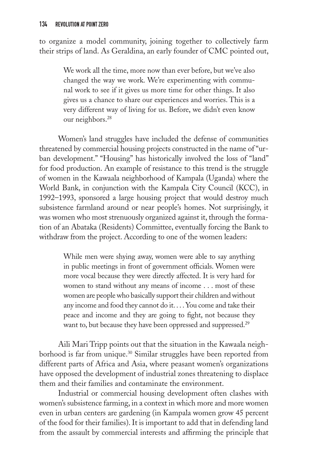to organize a model community, joining together to collectively farm their strips of land. As Geraldina, an early founder of CMC pointed out,

> We work all the time, more now than ever before, but we've also changed the way we work. We're experimenting with communal work to see if it gives us more time for other things. It also gives us a chance to share our experiences and worries. This is a very different way of living for us. Before, we didn't even know our neighbors.28

Women's land struggles have included the defense of communities threatened by commercial housing projects constructed in the name of "urban development." "Housing" has historically involved the loss of "land" for food production. An example of resistance to this trend is the struggle of women in the Kawaala neighborhood of Kampala (Uganda) where the World Bank, in conjunction with the Kampala City Council (KCC), in 1992–1993, sponsored a large housing project that would destroy much subsistence farmland around or near people's homes. Not surprisingly, it was women who most strenuously organized against it, through the formation of an Abataka (Residents) Committee, eventually forcing the Bank to withdraw from the project. According to one of the women leaders:

> While men were shying away, women were able to say anything in public meetings in front of government officials. Women were more vocal because they were directly affected. It is very hard for women to stand without any means of income . . . most of these women are people who basically support their children and without any income and food they cannot do it. . . . You come and take their peace and income and they are going to fight, not because they want to, but because they have been oppressed and suppressed.<sup>29</sup>

Aili Mari Tripp points out that the situation in the Kawaala neighborhood is far from unique.<sup>30</sup> Similar struggles have been reported from different parts of Africa and Asia, where peasant women's organizations have opposed the development of industrial zones threatening to displace them and their families and contaminate the environment.

Industrial or commercial housing development often clashes with women's subsistence farming, in a context in which more and more women even in urban centers are gardening (in Kampala women grow 45 percent of the food for their families). It is important to add that in defending land from the assault by commercial interests and affirming the principle that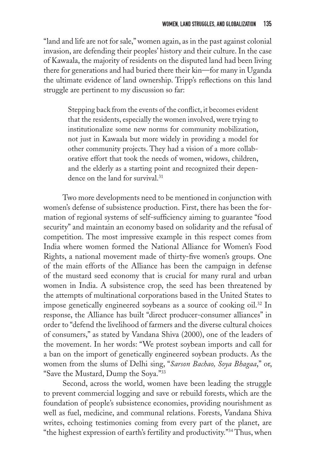"land and life are not for sale," women again, as in the past against colonial invasion, are defending their peoples' history and their culture. In the case of Kawaala, the majority of residents on the disputed land had been living there for generations and had buried there their kin—for many in Uganda the ultimate evidence of land ownership. Tripp's reflections on this land struggle are pertinent to my discussion so far:

> Stepping back from the events of the conflict, it becomes evident that the residents, especially the women involved, were trying to institutionalize some new norms for community mobilization, not just in Kawaala but more widely in providing a model for other community projects. They had a vision of a more collaborative effort that took the needs of women, widows, children, and the elderly as a starting point and recognized their dependence on the land for survival.<sup>31</sup>

Two more developments need to be mentioned in conjunction with women's defense of subsistence production. First, there has been the formation of regional systems of self-sufficiency aiming to guarantee "food security" and maintain an economy based on solidarity and the refusal of competition. The most impressive example in this respect comes from India where women formed the National Alliance for Women's Food Rights, a national movement made of thirty-five women's groups. One of the main efforts of the Alliance has been the campaign in defense of the mustard seed economy that is crucial for many rural and urban women in India. A subsistence crop, the seed has been threatened by the attempts of multinational corporations based in the United States to impose genetically engineered soybeans as a source of cooking oil.32 In response, the Alliance has built "direct producer-consumer alliances" in order to "defend the livelihood of farmers and the diverse cultural choices of consumers," as stated by Vandana Shiva (2000), one of the leaders of the movement. In her words: "We protest soybean imports and call for a ban on the import of genetically engineered soybean products. As the women from the slums of Delhi sing, "*Sarson Bachao, Soya Bhagaa*," or, "Save the Mustard, Dump the Soya."33

Second, across the world, women have been leading the struggle to prevent commercial logging and save or rebuild forests, which are the foundation of people's subsistence economies, providing nourishment as well as fuel, medicine, and communal relations. Forests, Vandana Shiva writes, echoing testimonies coming from every part of the planet, are "the highest expression of earth's fertility and productivity."34 Thus, when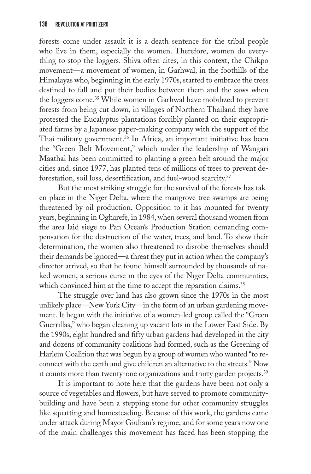forests come under assault it is a death sentence for the tribal people who live in them, especially the women. Therefore, women do everything to stop the loggers. Shiva often cites, in this context, the Chikpo movement—a movement of women, in Garhwal, in the foothills of the Himalayas who, beginning in the early 1970s, started to embrace the trees destined to fall and put their bodies between them and the saws when the loggers come.<sup>35</sup> While women in Garhwal have mobilized to prevent forests from being cut down, in villages of Northern Thailand they have protested the Eucalyptus plantations forcibly planted on their expropriated farms by a Japanese paper-making company with the support of the Thai military government.<sup>36</sup> In Africa, an important initiative has been the "Green Belt Movement," which under the leadership of Wangari Maathai has been committed to planting a green belt around the major cities and, since 1977, has planted tens of millions of trees to prevent deforestation, soil loss, desertification, and fuel-wood scarcity.37

But the most striking struggle for the survival of the forests has taken place in the Niger Delta, where the mangrove tree swamps are being threatened by oil production. Opposition to it has mounted for twenty years, beginning in Ogharefe, in 1984, when several thousand women from the area laid siege to Pan Ocean's Production Station demanding compensation for the destruction of the water, trees, and land. To show their determination, the women also threatened to disrobe themselves should their demands be ignored—a threat they put in action when the company's director arrived, so that he found himself surrounded by thousands of naked women, a serious curse in the eyes of the Niger Delta communities, which convinced him at the time to accept the reparation claims.<sup>38</sup>

The struggle over land has also grown since the 1970s in the most unlikely place—New York City—in the form of an urban gardening movement. It began with the initiative of a women-led group called the "Green Guerrillas," who began cleaning up vacant lots in the Lower East Side. By the 1990s, eight hundred and fifty urban gardens had developed in the city and dozens of community coalitions had formed, such as the Greening of Harlem Coalition that was begun by a group of women who wanted "to reconnect with the earth and give children an alternative to the streets." Now it counts more than twenty-one organizations and thirty garden projects.<sup>39</sup>

It is important to note here that the gardens have been not only a source of vegetables and flowers, but have served to promote communitybuilding and have been a stepping stone for other community struggles like squatting and homesteading. Because of this work, the gardens came under attack during Mayor Giuliani's regime, and for some years now one of the main challenges this movement has faced has been stopping the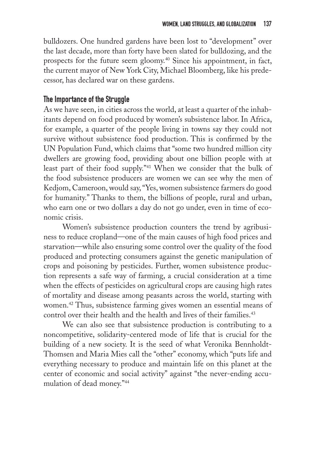bulldozers. One hundred gardens have been lost to "development" over the last decade, more than forty have been slated for bulldozing, and the prospects for the future seem gloomy.40 Since his appointment, in fact, the current mayor of New York City, Michael Bloomberg, like his predecessor, has declared war on these gardens.

# The Importance of the Struggle

As we have seen, in cities across the world, at least a quarter of the inhabitants depend on food produced by women's subsistence labor. In Africa, for example, a quarter of the people living in towns say they could not survive without subsistence food production. This is confirmed by the UN Population Fund, which claims that "some two hundred million city dwellers are growing food, providing about one billion people with at least part of their food supply."41 When we consider that the bulk of the food subsistence producers are women we can see why the men of Kedjom, Cameroon, would say, "Yes, women subsistence farmers do good for humanity." Thanks to them, the billions of people, rural and urban, who earn one or two dollars a day do not go under, even in time of economic crisis.

Women's subsistence production counters the trend by agribusiness to reduce cropland—one of the main causes of high food prices and starvation—while also ensuring some control over the quality of the food produced and protecting consumers against the genetic manipulation of crops and poisoning by pesticides. Further, women subsistence production represents a safe way of farming, a crucial consideration at a time when the effects of pesticides on agricultural crops are causing high rates of mortality and disease among peasants across the world, starting with women.42 Thus, subsistence farming gives women an essential means of control over their health and the health and lives of their families.<sup>43</sup>

We can also see that subsistence production is contributing to a noncompetitive, solidarity-centered mode of life that is crucial for the building of a new society. It is the seed of what Veronika Bennholdt-Thomsen and Maria Mies call the "other" economy, which "puts life and everything necessary to produce and maintain life on this planet at the center of economic and social activity" against "the never-ending accumulation of dead money."44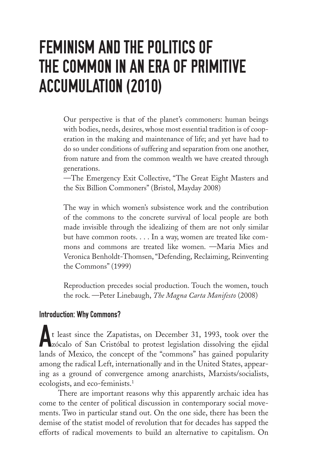# FEMINISM AND THE POLITICS OF THE COMMON IN AN ERA OF PRIMITIVE ACCUMULATION (2010)

Our perspective is that of the planet's commoners: human beings with bodies, needs, desires, whose most essential tradition is of cooperation in the making and maintenance of life; and yet have had to do so under conditions of suffering and separation from one another, from nature and from the common wealth we have created through generations.

—The Emergency Exit Collective, "The Great Eight Masters and the Six Billion Commoners" (Bristol, Mayday 2008)

The way in which women's subsistence work and the contribution of the commons to the concrete survival of local people are both made invisible through the idealizing of them are not only similar but have common roots. . . . In a way, women are treated like commons and commons are treated like women. —Maria Mies and Veronica Benholdt-Thomsen, "Defending, Reclaiming, Reinventing the Commons" (1999)

Reproduction precedes social production. Touch the women, touch the rock. —Peter Linebaugh, *The Magna Carta Manifesto* (2008)

## Introduction: Why Commons?

At least since the Zapatistas, on December 31, 1993, took over the zócalo of San Cristóbal to protest legislation dissolving the ejidal lands of Mexico, the concept of the "commons" has gained popularity among the radical Left, internationally and in the United States, appearing as a ground of convergence among anarchists, Marxists/socialists, ecologists, and eco-feminists.1

There are important reasons why this apparently archaic idea has come to the center of political discussion in contemporary social movements. Two in particular stand out. On the one side, there has been the demise of the statist model of revolution that for decades has sapped the efforts of radical movements to build an alternative to capitalism. On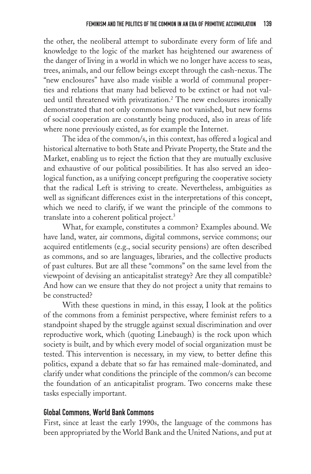the other, the neoliberal attempt to subordinate every form of life and knowledge to the logic of the market has heightened our awareness of the danger of living in a world in which we no longer have access to seas, trees, animals, and our fellow beings except through the cash-nexus. The "new enclosures" have also made visible a world of communal properties and relations that many had believed to be extinct or had not valued until threatened with privatization.2 The new enclosures ironically demonstrated that not only commons have not vanished, but new forms of social cooperation are constantly being produced, also in areas of life where none previously existed, as for example the Internet.

The idea of the common/s, in this context, has offered a logical and historical alternative to both State and Private Property, the State and the Market, enabling us to reject the fiction that they are mutually exclusive and exhaustive of our political possibilities. It has also served an ideological function, as a unifying concept prefiguring the cooperative society that the radical Left is striving to create. Nevertheless, ambiguities as well as significant differences exist in the interpretations of this concept, which we need to clarify, if we want the principle of the commons to translate into a coherent political project.3

What, for example, constitutes a common? Examples abound. We have land, water, air commons, digital commons, service commons; our acquired entitlements (e.g., social security pensions) are often described as commons, and so are languages, libraries, and the collective products of past cultures. But are all these "commons" on the same level from the viewpoint of devising an anticapitalist strategy? Are they all compatible? And how can we ensure that they do not project a unity that remains to be constructed?

With these questions in mind, in this essay, I look at the politics of the commons from a feminist perspective, where feminist refers to a standpoint shaped by the struggle against sexual discrimination and over reproductive work, which (quoting Linebaugh) is the rock upon which society is built, and by which every model of social organization must be tested. This intervention is necessary, in my view, to better define this politics, expand a debate that so far has remained male-dominated, and clarify under what conditions the principle of the common/s can become the foundation of an anticapitalist program. Two concerns make these tasks especially important.

# Global Commons, World Bank Commons

First, since at least the early 1990s, the language of the commons has been appropriated by the World Bank and the United Nations, and put at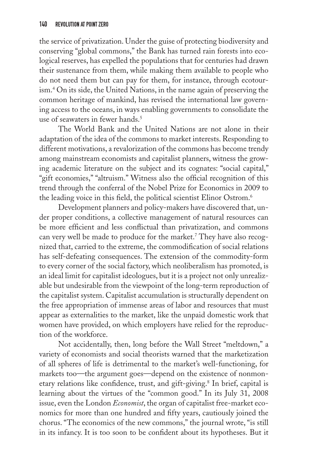the service of privatization. Under the guise of protecting biodiversity and conserving "global commons," the Bank has turned rain forests into ecological reserves, has expelled the populations that for centuries had drawn their sustenance from them, while making them available to people who do not need them but can pay for them, for instance, through ecotourism.4 On its side, the United Nations, in the name again of preserving the common heritage of mankind, has revised the international law governing access to the oceans, in ways enabling governments to consolidate the use of seawaters in fewer hands.<sup>5</sup>

The World Bank and the United Nations are not alone in their adaptation of the idea of the commons to market interests. Responding to different motivations, a revalorization of the commons has become trendy among mainstream economists and capitalist planners, witness the growing academic literature on the subject and its cognates: "social capital," "gift economies," "altruism." Witness also the official recognition of this trend through the conferral of the Nobel Prize for Economics in 2009 to the leading voice in this field, the political scientist Elinor Ostrom.<sup>6</sup>

Development planners and policy-makers have discovered that, under proper conditions, a collective management of natural resources can be more efficient and less conflictual than privatization, and commons can very well be made to produce for the market.7 They have also recognized that, carried to the extreme, the commodification of social relations has self-defeating consequences. The extension of the commodity-form to every corner of the social factory, which neoliberalism has promoted, is an ideal limit for capitalist ideologues, but it is a project not only unrealizable but undesirable from the viewpoint of the long-term reproduction of the capitalist system. Capitalist accumulation is structurally dependent on the free appropriation of immense areas of labor and resources that must appear as externalities to the market, like the unpaid domestic work that women have provided, on which employers have relied for the reproduction of the workforce.

Not accidentally, then, long before the Wall Street "meltdown," a variety of economists and social theorists warned that the marketization of all spheres of life is detrimental to the market's well-functioning, for markets too—the argument goes—depend on the existence of nonmonetary relations like confidence, trust, and gift-giving.<sup>8</sup> In brief, capital is learning about the virtues of the "common good." In its July 31, 2008 issue, even the London *Economist*, the organ of capitalist free-market economics for more than one hundred and fifty years, cautiously joined the chorus. "The economics of the new commons," the journal wrote, "is still in its infancy. It is too soon to be confident about its hypotheses. But it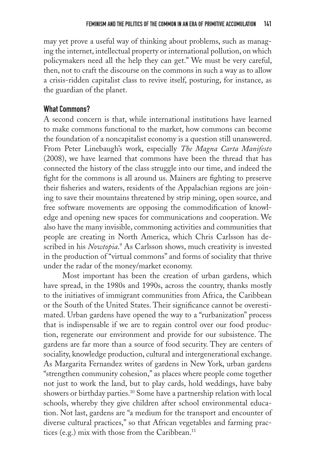may yet prove a useful way of thinking about problems, such as managing the internet, intellectual property or international pollution, on which policymakers need all the help they can get." We must be very careful, then, not to craft the discourse on the commons in such a way as to allow a crisis-ridden capitalist class to revive itself, posturing, for instance, as the guardian of the planet.

# What Commons?

A second concern is that, while international institutions have learned to make commons functional to the market, how commons can become the foundation of a noncapitalist economy is a question still unanswered. From Peter Linebaugh's work, especially *The Magna Carta Manifesto* (2008), we have learned that commons have been the thread that has connected the history of the class struggle into our time, and indeed the fight for the commons is all around us. Mainers are fighting to preserve their fisheries and waters, residents of the Appalachian regions are joining to save their mountains threatened by strip mining, open source, and free software movements are opposing the commodification of knowledge and opening new spaces for communications and cooperation. We also have the many invisible, commoning activities and communities that people are creating in North America, which Chris Carlsson has described in his *Nowtopia*.<sup>9</sup> As Carlsson shows, much creativity is invested in the production of "virtual commons" and forms of sociality that thrive under the radar of the money/market economy.

Most important has been the creation of urban gardens, which have spread, in the 1980s and 1990s, across the country, thanks mostly to the initiatives of immigrant communities from Africa, the Caribbean or the South of the United States. Their significance cannot be overestimated. Urban gardens have opened the way to a "rurbanization" process that is indispensable if we are to regain control over our food production, regenerate our environment and provide for our subsistence. The gardens are far more than a source of food security. They are centers of sociality, knowledge production, cultural and intergenerational exchange. As Margarita Fernandez writes of gardens in New York, urban gardens "strengthen community cohesion," as places where people come together not just to work the land, but to play cards, hold weddings, have baby showers or birthday parties.10 Some have a partnership relation with local schools, whereby they give children after school environmental education. Not last, gardens are "a medium for the transport and encounter of diverse cultural practices," so that African vegetables and farming practices (e.g.) mix with those from the Caribbean.<sup>11</sup>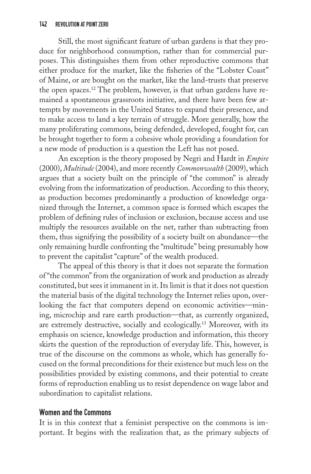Still, the most significant feature of urban gardens is that they produce for neighborhood consumption, rather than for commercial purposes. This distinguishes them from other reproductive commons that either produce for the market, like the fisheries of the "Lobster Coast" of Maine, or are bought on the market, like the land-trusts that preserve the open spaces.12 The problem, however, is that urban gardens have remained a spontaneous grassroots initiative, and there have been few attempts by movements in the United States to expand their presence, and to make access to land a key terrain of struggle. More generally, how the many proliferating commons, being defended, developed, fought for, can be brought together to form a cohesive whole providing a foundation for a new mode of production is a question the Left has not posed.

An exception is the theory proposed by Negri and Hardt in *Empire*  (2000), *Multitude* (2004), and more recently *Commonwealth* (2009), which argues that a society built on the principle of "the common" is already evolving from the informatization of production. According to this theory, as production becomes predominantly a production of knowledge organized through the Internet, a common space is formed which escapes the problem of defining rules of inclusion or exclusion, because access and use multiply the resources available on the net, rather than subtracting from them, thus signifying the possibility of a society built on abundance—the only remaining hurdle confronting the "multitude" being presumably how to prevent the capitalist "capture" of the wealth produced.

The appeal of this theory is that it does not separate the formation of "the common" from the organization of work and production as already constituted, but sees it immanent in it. Its limit is that it does not question the material basis of the digital technology the Internet relies upon, overlooking the fact that computers depend on economic activities—mining, microchip and rare earth production—that, as currently organized, are extremely destructive, socially and ecologically.13 Moreover, with its emphasis on science, knowledge production and information, this theory skirts the question of the reproduction of everyday life. This, however, is true of the discourse on the commons as whole, which has generally focused on the formal preconditions for their existence but much less on the possibilities provided by existing commons, and their potential to create forms of reproduction enabling us to resist dependence on wage labor and subordination to capitalist relations.

# Women and the Commons

It is in this context that a feminist perspective on the commons is important. It begins with the realization that, as the primary subjects of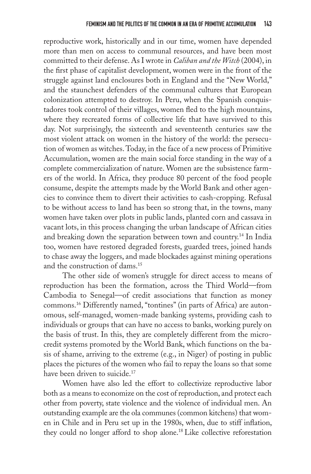reproductive work, historically and in our time, women have depended more than men on access to communal resources, and have been most committed to their defense. As I wrote in *Caliban and the Witch* (2004), in the first phase of capitalist development, women were in the front of the struggle against land enclosures both in England and the "New World," and the staunchest defenders of the communal cultures that European colonization attempted to destroy. In Peru, when the Spanish conquistadores took control of their villages, women fled to the high mountains, where they recreated forms of collective life that have survived to this day. Not surprisingly, the sixteenth and seventeenth centuries saw the most violent attack on women in the history of the world: the persecution of women as witches. Today, in the face of a new process of Primitive Accumulation, women are the main social force standing in the way of a complete commercialization of nature. Women are the subsistence farmers of the world. In Africa, they produce 80 percent of the food people consume, despite the attempts made by the World Bank and other agencies to convince them to divert their activities to cash-cropping. Refusal to be without access to land has been so strong that, in the towns, many women have taken over plots in public lands, planted corn and cassava in vacant lots, in this process changing the urban landscape of African cities and breaking down the separation between town and country.<sup>14</sup> In India too, women have restored degraded forests, guarded trees, joined hands to chase away the loggers, and made blockades against mining operations and the construction of dams.15

The other side of women's struggle for direct access to means of reproduction has been the formation, across the Third World—from Cambodia to Senegal—of credit associations that function as money commons.16 Differently named, "tontines" (in parts of Africa) are autonomous, self-managed, women-made banking systems, providing cash to individuals or groups that can have no access to banks, working purely on the basis of trust. In this, they are completely different from the microcredit systems promoted by the World Bank, which functions on the basis of shame, arriving to the extreme (e.g., in Niger) of posting in public places the pictures of the women who fail to repay the loans so that some have been driven to suicide.<sup>17</sup>

Women have also led the effort to collectivize reproductive labor both as a means to economize on the cost of reproduction, and protect each other from poverty, state violence and the violence of individual men. An outstanding example are the ola communes (common kitchens) that women in Chile and in Peru set up in the 1980s, when, due to stiff inflation, they could no longer afford to shop alone.18 Like collective reforestation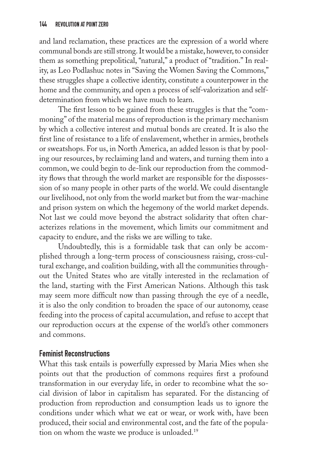and land reclamation, these practices are the expression of a world where communal bonds are still strong. It would be a mistake, however, to consider them as something prepolitical, "natural," a product of "tradition." In reality, as Leo Podlashuc notes in "Saving the Women Saving the Commons," these struggles shape a collective identity, constitute a counterpower in the home and the community, and open a process of self-valorization and selfdetermination from which we have much to learn.

The first lesson to be gained from these struggles is that the "commoning" of the material means of reproduction is the primary mechanism by which a collective interest and mutual bonds are created. It is also the first line of resistance to a life of enslavement, whether in armies, brothels or sweatshops. For us, in North America, an added lesson is that by pooling our resources, by reclaiming land and waters, and turning them into a common, we could begin to de-link our reproduction from the commodity flows that through the world market are responsible for the dispossession of so many people in other parts of the world. We could disentangle our livelihood, not only from the world market but from the war-machine and prison system on which the hegemony of the world market depends. Not last we could move beyond the abstract solidarity that often characterizes relations in the movement, which limits our commitment and capacity to endure, and the risks we are willing to take.

Undoubtedly, this is a formidable task that can only be accomplished through a long-term process of consciousness raising, cross-cultural exchange, and coalition building, with all the communities throughout the United States who are vitally interested in the reclamation of the land, starting with the First American Nations. Although this task may seem more difficult now than passing through the eye of a needle, it is also the only condition to broaden the space of our autonomy, cease feeding into the process of capital accumulation, and refuse to accept that our reproduction occurs at the expense of the world's other commoners and commons.

# Feminist Reconstructions

What this task entails is powerfully expressed by Maria Mies when she points out that the production of commons requires first a profound transformation in our everyday life, in order to recombine what the social division of labor in capitalism has separated. For the distancing of production from reproduction and consumption leads us to ignore the conditions under which what we eat or wear, or work with, have been produced, their social and environmental cost, and the fate of the population on whom the waste we produce is unloaded.<sup>19</sup>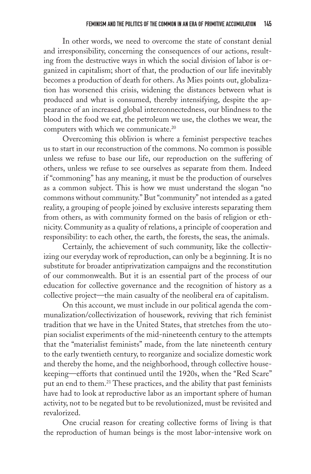In other words, we need to overcome the state of constant denial and irresponsibility, concerning the consequences of our actions, resulting from the destructive ways in which the social division of labor is organized in capitalism; short of that, the production of our life inevitably becomes a production of death for others. As Mies points out, globalization has worsened this crisis, widening the distances between what is produced and what is consumed, thereby intensifying, despite the appearance of an increased global interconnectedness, our blindness to the blood in the food we eat, the petroleum we use, the clothes we wear, the computers with which we communicate.20

Overcoming this oblivion is where a feminist perspective teaches us to start in our reconstruction of the commons. No common is possible unless we refuse to base our life, our reproduction on the suffering of others, unless we refuse to see ourselves as separate from them. Indeed if "commoning" has any meaning, it must be the production of ourselves as a common subject. This is how we must understand the slogan "no commons without community." But "community" not intended as a gated reality, a grouping of people joined by exclusive interests separating them from others, as with community formed on the basis of religion or ethnicity. Community as a quality of relations, a principle of cooperation and responsibility: to each other, the earth, the forests, the seas, the animals.

Certainly, the achievement of such community, like the collectivizing our everyday work of reproduction, can only be a beginning. It is no substitute for broader antiprivatization campaigns and the reconstitution of our commonwealth. But it is an essential part of the process of our education for collective governance and the recognition of history as a collective project—the main casualty of the neoliberal era of capitalism.

On this account, we must include in our political agenda the communalization/collectivization of housework, reviving that rich feminist tradition that we have in the United States, that stretches from the utopian socialist experiments of the mid-nineteenth century to the attempts that the "materialist feminists" made, from the late nineteenth century to the early twentieth century, to reorganize and socialize domestic work and thereby the home, and the neighborhood, through collective housekeeping—efforts that continued until the 1920s, when the "Red Scare" put an end to them.<sup>21</sup> These practices, and the ability that past feminists have had to look at reproductive labor as an important sphere of human activity, not to be negated but to be revolutionized, must be revisited and revalorized.

One crucial reason for creating collective forms of living is that the reproduction of human beings is the most labor-intensive work on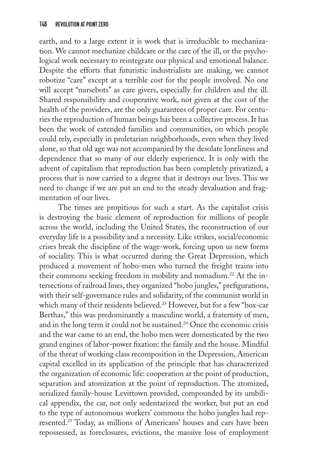earth, and to a large extent it is work that is irreducible to mechanization. We cannot mechanize childcare or the care of the ill, or the psychological work necessary to reintegrate our physical and emotional balance. Despite the efforts that futuristic industrialists are making, we cannot robotize "care" except at a terrible cost for the people involved. No one will accept "nursebots" as care givers, especially for children and the ill. Shared responsibility and cooperative work, not given at the cost of the health of the providers, are the only guarantees of proper care. For centuries the reproduction of human beings has been a collective process. It has been the work of extended families and communities, on which people could rely, especially in proletarian neighborhoods, even when they lived alone, so that old age was not accompanied by the desolate loneliness and dependence that so many of our elderly experience. It is only with the advent of capitalism that reproduction has been completely privatized, a process that is now carried to a degree that it destroys our lives. This we need to change if we are put an end to the steady devaluation and fragmentation of our lives.

The times are propitious for such a start. As the capitalist crisis is destroying the basic element of reproduction for millions of people across the world, including the United States, the reconstruction of our everyday life is a possibility and a necessity. Like strikes, social/economic crises break the discipline of the wage-work, forcing upon us new forms of sociality. This is what occurred during the Great Depression, which produced a movement of hobo-men who turned the freight trains into their commons seeking freedom in mobility and nomadism.<sup>22</sup> At the intersections of railroad lines, they organized "hobo jungles," prefigurations, with their self-governance rules and solidarity, of the communist world in which many of their residents believed.<sup>23</sup> However, but for a few "box-car Berthas," this was predominantly a masculine world, a fraternity of men, and in the long term it could not be sustained.<sup>24</sup> Once the economic crisis and the war came to an end, the hobo men were domesticated by the two grand engines of labor-power fixation: the family and the house. Mindful of the threat of working class recomposition in the Depression, American capital excelled in its application of the principle that has characterized the organization of economic life: cooperation at the point of production, separation and atomization at the point of reproduction. The atomized, serialized family-house Levittown provided, compounded by its umbilical appendix, the car, not only sedentarized the worker, but put an end to the type of autonomous workers' commons the hobo jungles had represented.25 Today, as millions of Americans' houses and cars have been repossessed, as foreclosures, evictions, the massive loss of employment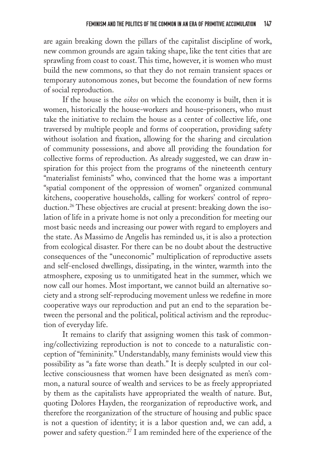are again breaking down the pillars of the capitalist discipline of work, new common grounds are again taking shape, like the tent cities that are sprawling from coast to coast. This time, however, it is women who must build the new commons, so that they do not remain transient spaces or temporary autonomous zones, but become the foundation of new forms of social reproduction.

If the house is the *oikos* on which the economy is built, then it is women, historically the house-workers and house-prisoners, who must take the initiative to reclaim the house as a center of collective life, one traversed by multiple people and forms of cooperation, providing safety without isolation and fixation, allowing for the sharing and circulation of community possessions, and above all providing the foundation for collective forms of reproduction. As already suggested, we can draw inspiration for this project from the programs of the nineteenth century "materialist feminists" who, convinced that the home was a important "spatial component of the oppression of women" organized communal kitchens, cooperative households, calling for workers' control of reproduction.<sup>26</sup> These objectives are crucial at present: breaking down the isolation of life in a private home is not only a precondition for meeting our most basic needs and increasing our power with regard to employers and the state. As Massimo de Angelis has reminded us, it is also a protection from ecological disaster. For there can be no doubt about the destructive consequences of the "uneconomic" multiplication of reproductive assets and self-enclosed dwellings, dissipating, in the winter, warmth into the atmosphere, exposing us to unmitigated heat in the summer, which we now call our homes. Most important, we cannot build an alternative society and a strong self-reproducing movement unless we redefine in more cooperative ways our reproduction and put an end to the separation between the personal and the political, political activism and the reproduction of everyday life.

It remains to clarify that assigning women this task of commoning/collectivizing reproduction is not to concede to a naturalistic conception of "femininity." Understandably, many feminists would view this possibility as "a fate worse than death." It is deeply sculpted in our collective consciousness that women have been designated as men's common, a natural source of wealth and services to be as freely appropriated by them as the capitalists have appropriated the wealth of nature. But, quoting Dolores Hayden, the reorganization of reproductive work, and therefore the reorganization of the structure of housing and public space is not a question of identity; it is a labor question and, we can add, a power and safety question.27 I am reminded here of the experience of the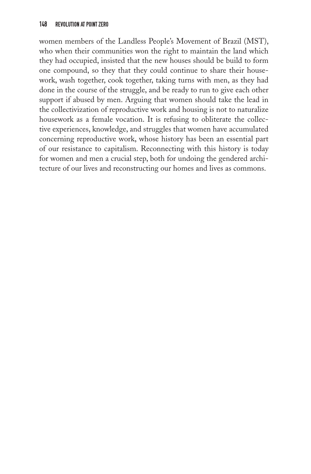women members of the Landless People's Movement of Brazil (MST), who when their communities won the right to maintain the land which they had occupied, insisted that the new houses should be build to form one compound, so they that they could continue to share their housework, wash together, cook together, taking turns with men, as they had done in the course of the struggle, and be ready to run to give each other support if abused by men. Arguing that women should take the lead in the collectivization of reproductive work and housing is not to naturalize housework as a female vocation. It is refusing to obliterate the collective experiences, knowledge, and struggles that women have accumulated concerning reproductive work, whose history has been an essential part of our resistance to capitalism. Reconnecting with this history is today for women and men a crucial step, both for undoing the gendered architecture of our lives and reconstructing our homes and lives as commons.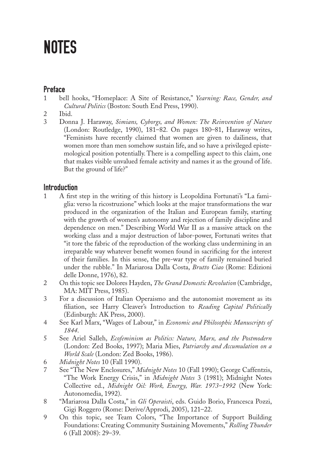# NOTES

# Preface

- 1 bell hooks, "Homeplace: A Site of Resistance," *Yearning: Race, Gender, and Cultural Politics* (Boston: South End Press, 1990).
- 2 Ibid.
- 3 Donna J. Haraway, *Simians, Cyborgs, and Women: The Reinvention of Nature* (London: Routledge, 1990), 181–82. On pages 180–81, Haraway writes, "Feminists have recently claimed that women are given to dailiness, that women more than men somehow sustain life, and so have a privileged epistemological position potentially. There is a compelling aspect to this claim, one that makes visible unvalued female activity and names it as the ground of life. But the ground of life?"

## **Introduction**

- 1 A first step in the writing of this history is Leopoldina Fortunati's "La famiglia: verso la ricostruzione" which looks at the major transformations the war produced in the organization of the Italian and European family, starting with the growth of women's autonomy and rejection of family discipline and dependence on men." Describing World War II as a massive attack on the working class and a major destruction of labor-power, Fortunati writes that "it tore the fabric of the reproduction of the working class undermining in an irreparable way whatever benefit women found in sacrificing for the interest of their families. In this sense, the pre-war type of family remained buried under the rubble." In Mariarosa Dalla Costa, *Brutto Ciao* (Rome: Edizioni delle Donne, 1976), 82.
- 2 On this topic see Dolores Hayden, *The Grand Domestic Revolution* (Cambridge, MA: MIT Press, 1985).
- 3 For a discussion of Italian Operaismo and the autonomist movement as its filiation, see Harry Cleaver's Introduction to *Reading Capital Politically* (Edinburgh: AK Press, 2000).
- 4 See Karl Marx, "Wages of Labour," in *Economic and Philosophic Manuscripts of 1844*.
- 5 See Ariel Salleh, *Ecofeminism as Politics: Nature, Marx, and the Postmodern* (London: Zed Books, 1997); Maria Mies, *Patriarchy and Accumulation on a World Scale* (London: Zed Books, 1986).
- 6 *Midnight Notes* 10 (Fall 1990).
- 7 See "The New Enclosures," *Midnight Notes* 10 (Fall 1990); George Caffentzis, "The Work Energy Crisis," in *Midnight Notes* 3 (1981); Midnight Notes Collective ed., *Midnight Oil: Work, Energy, War. 1973–1992* (New York: Autonomedia, 1992).
- 8 "Mariarosa Dalla Costa," in *Gli Operaisti*, eds. Guido Borio, Francesca Pozzi, Gigi Roggero (Rome: Derive/Approdi, 2005), 121–22.
- 9 On this topic, see Team Colors, "The Importance of Support Building Foundations: Creating Community Sustaining Movements," *Rolling Thunder* 6 (Fall 2008): 29–39.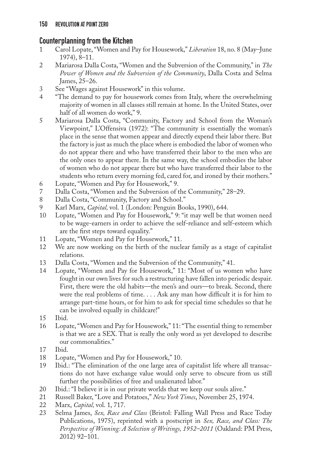# Counterplanning from the Kitchen

- 1 Carol Lopate, "Women and Pay for Housework," *Liberation* 18, no. 8 (May–June 1974), 8–11.
- 2 Mariarosa Dalla Costa, "Women and the Subversion of the Community," in *The Power of Women and the Subversion of the Community*, Dalla Costa and Selma James, 25–26.
- 3 See "Wages against Housework" in this volume.
- 4 "The demand to pay for housework comes from Italy, where the overwhelming majority of women in all classes still remain at home. In the United States, over half of all women do work," 9.
- 5 Mariarosa Dalla Costa, "Community, Factory and School from the Woman's Viewpoint," L'Offensiva (1972): "The community is essentially the woman's place in the sense that women appear and directly expend their labor there. But the factory is just as much the place where is embodied the labor of women who do not appear there and who have transferred their labor to the men who are the only ones to appear there. In the same way, the school embodies the labor of women who do not appear there but who have transferred their labor to the students who return every morning fed, cared for, and ironed by their mothers."
- 6 Lopate, "Women and Pay for Housework," 9.
- 7 Dalla Costa, "Women and the Subversion of the Community," 28–29.
- 8 Dalla Costa, "Community, Factory and School."
- 9 Karl Marx, *Capital,* vol. 1 (London: Penguin Books, 1990), 644.
- 10 Lopate, "Women and Pay for Housework," 9: "it may well be that women need to be wage-earners in order to achieve the self-reliance and self-esteem which are the first steps toward equality."
- 11 Lopate, "Women and Pay for Housework," 11.
- 12 We are now working on the birth of the nuclear family as a stage of capitalist relations.
- 13 Dalla Costa, "Women and the Subversion of the Community," 41.
- 14 Lopate, "Women and Pay for Housework," 11: "Most of us women who have fought in our own lives for such a restructuring have fallen into periodic despair. First, there were the old habits—the men's and ours—to break. Second, there were the real problems of time. . . . Ask any man how difficult it is for him to arrange part-time hours, or for him to ask for special time schedules so that he can be involved equally in childcare!"
- 15 Ibid.
- 16 Lopate, "Women and Pay for Housework," 11: "The essential thing to remember is that we are a SEX. That is really the only word as yet developed to describe our commonalities."
- 17 Ibid.
- 18 Lopate, "Women and Pay for Housework," 10.
- 19 Ibid.: "The elimination of the one large area of capitalist life where all transactions do not have exchange value would only serve to obscure from us still further the possibilities of free and unalienated labor."
- 20 Ibid.: "I believe it is in our private worlds that we keep our souls alive."
- 21 Russell Baker, "Love and Potatoes," *New York Times*, November 25, 1974.
- 22 Marx, *Capital,* vol. 1, 717.
- 23 Selma James, *Sex, Race and Class* (Bristol: Falling Wall Press and Race Today Publications, 1975), reprinted with a postscript in *Sex, Race, and Class: The Perspective of Winning: A Selection of Writings, 1952–2011* (Oakland: PM Press, 2012) 92–101.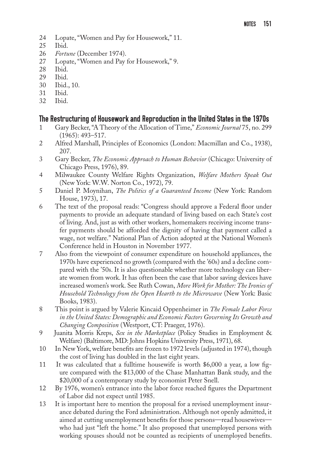- 24 Lopate, "Women and Pay for Housework," 11.
- 25 Ibid.
- 26 *Fortune* (December 1974).
- 27 Lopate, "Women and Pay for Housework," 9.
- 28 Ibid.
- 29 Ibid.
- 30 Ibid., 10.
- 31 Ibid.
- 32 Ibid.

# The Restructuring of Housework and Reproduction in the United States in the 1970s

- 1 Gary Becker, "A Theory of the Allocation of Time," *Economic Journal* 75, no. 299 (1965): 493–517.
- 2 Alfred Marshall, Principles of Economics (London: Macmillan and Co., 1938), 207.
- 3 Gary Becker, *The Economic Approach to Human Behavior* (Chicago: University of Chicago Press, 1976), 89.
- 4 Milwaukee County Welfare Rights Organization, *Welfare Mothers Speak Out* (New York: W.W. Norton Co., 1972), 79.
- 5 Daniel P. Moynihan, *The Politics of a Guaranteed Income* (New York: Random House, 1973), 17.
- 6 The text of the proposal reads: "Congress should approve a Federal floor under payments to provide an adequate standard of living based on each State's cost of living. And, just as with other workers, homemakers receiving income transfer payments should be afforded the dignity of having that payment called a wage, not welfare." National Plan of Action adopted at the National Women's Conference held in Houston in November 1977.
- 7 Also from the viewpoint of consumer expenditure on household appliances, the 1970s have experienced no growth (compared with the '60s) and a decline compared with the '50s. It is also questionable whether more technology can liberate women from work. It has often been the case that labor saving devices have increased women's work. See Ruth Cowan, *More Work for Mother: The Ironies of Household Technology from the Open Hearth to the Microwave* (New York: Basic Books, 1983).
- 8 This point is argued by Valerie Kincaid Oppenheimer in *The Female Labor Force in the United States: Demographic and Economic Factors Governing Its Growth and Changing Composition* (Westport, CT: Praeger, 1976).
- 9 Juanita Morris Kreps, *Sex in the Marketplace* (Policy Studies in Employment & Welfare) (Baltimore, MD: Johns Hopkins University Press, 1971), 68.
- 10 In New York, welfare benefits are frozen to 1972 levels (adjusted in 1974), though the cost of living has doubled in the last eight years.
- 11 It was calculated that a fulltime housewife is worth \$6,000 a year, a low figure compared with the \$13,000 of the Chase Manhattan Bank study, and the \$20,000 of a contemporary study by economist Peter Snell.
- 12 By 1976, women's entrance into the labor force reached figures the Department of Labor did not expect until 1985.
- 13 It is important here to mention the proposal for a revised unemployment insurance debated during the Ford administration. Although not openly admitted, it aimed at cutting unemployment benefits for those persons—read housewives who had just "left the home." It also proposed that unemployed persons with working spouses should not be counted as recipients of unemployed benefits.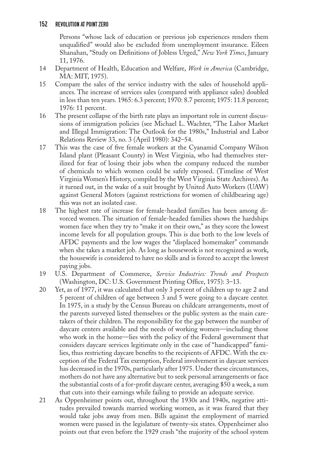Persons "whose lack of education or previous job experiences renders them unqualified" would also be excluded from unemployment insurance. Eileen Shanahan, "Study on Definitions of Jobless Urged," *New York Times*, January 11, 1976.

- 14 Department of Health, Education and Welfare, *Work in America* (Cambridge, MA: MIT, 1975).
- 15 Compare the sales of the service industry with the sales of household appliances. The increase of services sales (compared with appliance sales) doubled in less than ten years. 1965: 6.3 percent; 1970: 8.7 percent; 1975: 11.8 percent; 1976: 11 percent.
- 16 The present collapse of the birth rate plays an important role in current discussions of immigration policies (see Michael L. Wachter, "The Labor Market and Illegal Immigration: The Outlook for the 1980s," Industrial and Labor Relations Review 33, no. 3 (April 1980): 342–54.
- 17 This was the case of five female workers at the Cyanamid Company Wilson Island plant (Pleasant County) in West Virginia, who had themselves sterilized for fear of losing their jobs when the company reduced the number of chemicals to which women could be safely exposed. (Timeline of West Virginia Women's History, compiled by the West Virginia State Archives). As it turned out, in the wake of a suit brought by United Auto Workers (UAW) against General Motors (against restrictions for women of childbearing age) this was not an isolated case.
- 18 The highest rate of increase for female-headed families has been among divorced women. The situation of female-headed families shows the hardships women face when they try to "make it on their own," as they score the lowest income levels for all population groups. This is due both to the low levels of AFDC payments and the low wages the "displaced homemaker" commands when she takes a market job. As long as housework is not recognized as work, the housewife is considered to have no skills and is forced to accept the lowest paying jobs.
- 19 U.S. Department of Commerce, *Service Industries: Trends and Prospects* (Washington, DC: U.S. Government Printing Office, 1975): 3–13.
- 20 Yet, as of 1977, it was calculated that only 3 percent of children up to age 2 and 5 percent of children of age between 3 and 5 were going to a daycare center. In 1975, in a study by the Census Bureau on childcare arrangements, most of the parents surveyed listed themselves or the public system as the main caretakers of their children. The responsibility for the gap between the number of daycare centers available and the needs of working women—including those who work in the home—lies with the policy of the Federal government that considers daycare services legitimate only in the case of "handicapped" families, thus restricting daycare benefits to the recipients of AFDC. With the exception of the Federal Tax exemption, Federal involvement in daycare services has decreased in the 1970s, particularly after 1975. Under these circumstances, mothers do not have any alternative but to seek personal arrangements or face the substantial costs of a for-profit daycare center, averaging \$50 a week, a sum that cuts into their earnings while failing to provide an adequate service.
- 21 As Oppenheimer points out, throughout the 1930s and 1940s, negative attitudes prevailed towards married working women, as it was feared that they would take jobs away from men. Bills against the employment of married women were passed in the legislature of twenty-six states. Oppenheimer also points out that even before the 1929 crash "the majority of the school system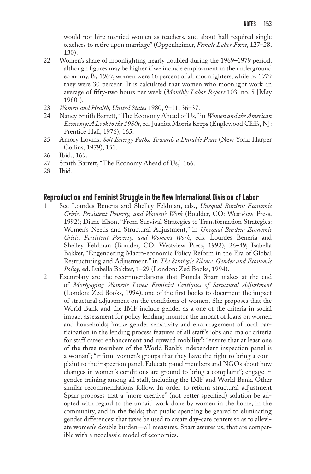would not hire married women as teachers, and about half required single teachers to retire upon marriage" (Oppenheimer, *Female Labor Force*, 127–28, 130).

- 22 Women's share of moonlighting nearly doubled during the 1969–1979 period, although figures may be higher if we include employment in the underground economy. By 1969, women were 16 percent of all moonlighters, while by 1979 they were 30 percent. It is calculated that women who moonlight work an average of fifty-two hours per week (*Monthly Labor Report* 103, no. 5 [May 1980]).
- 23 *Women and Health, United States* 1980, 9–11, 36–37.
- 24 Nancy Smith Barrett, "The Economy Ahead of Us," in *Women and the American Economy: A Look to the 1980s*, ed. Juanita Morris Kreps (Englewood Cliffs, NJ: Prentice Hall, 1976), 165.
- 25 Amory Lovins, *Soft Energy Paths: Towards a Durable Peace* (New York: Harper Collins, 1979), 151.
- 26 Ibid., 169.
- 27 Smith Barrett, "The Economy Ahead of Us," 166.
- 28 Ibid.

#### Reproduction and Feminist Struggle in the New International Division of Labor

- 1 See Lourdes Beneria and Shelley Feldman, eds., *Unequal Burden: Economic Crisis, Persistent Poverty, and Women's Work* (Boulder, CO: Westview Press, 1992); Diane Elson, "From Survival Strategies to Transformation Strategies: Women's Needs and Structural Adjustment," in *Unequal Burden: Economic Crisis, Persistent Poverty, and Women's Work*, eds. Lourdes Beneria and Shelley Feldman (Boulder, CO: Westview Press, 1992), 26–49; Isabella Bakker, "Engendering Macro-economic Policy Reform in the Era of Global Restructuring and Adjustment," in *The Strategic Silence: Gender and Economic Policy*, ed. Isabella Bakker, 1–29 (London: Zed Books, 1994).
- 2 Exemplary are the recommendations that Pamela Sparr makes at the end of *Mortgaging Women's Lives: Feminist Critiques of Structural Adjustment* (London: Zed Books, 1994), one of the first books to document the impact of structural adjustment on the conditions of women. She proposes that the World Bank and the IMF include gender as a one of the criteria in social impact assessment for policy lending; monitor the impact of loans on women and households; "make gender sensitivity and encouragement of local participation in the lending process features of all staff 's jobs and major criteria for staff career enhancement and upward mobility"; "ensure that at least one of the three members of the World Bank's independent inspection panel is a woman"; "inform women's groups that they have the right to bring a complaint to the inspection panel. Educate panel members and NGOs about how changes in women's conditions are ground to bring a complaint"; engage in gender training among all staff, including the IMF and World Bank. Other similar recommendations follow. In order to reform structural adjustment Sparr proposes that a "more creative" (not better specified) solution be adopted with regard to the unpaid work done by women in the home, in the community, and in the fields; that public spending be geared to eliminating gender differences; that taxes be used to create day-care centers so as to alleviate women's double burden—all measures, Sparr assures us, that are compatible with a neoclassic model of economics.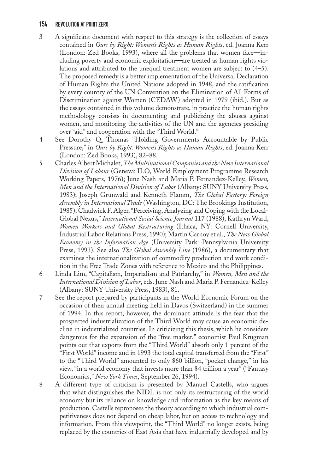#### 154 REVOLUTION AT POINT ZERO

- 3 A significant document with respect to this strategy is the collection of essays contained in *Ours by Right: Women's Rights as Human Rights*, ed. Joanna Kerr (London: Zed Books, 1993), where all the problems that women face—including poverty and economic exploitation—are treated as human rights violations and attributed to the unequal treatment women are subject to (4–5). The proposed remedy is a better implementation of the Universal Declaration of Human Rights the United Nations adopted in 1948, and the ratification by every country of the UN Convention on the Elimination of All Forms of Discrimination against Women (CEDAW) adopted in 1979 (ibid.). But as the essays contained in this volume demonstrate, in practice the human rights methodology consists in documenting and publicizing the abuses against women, and monitoring the activities of the UN and the agencies presiding over "aid" and cooperation with the "Third World."
- 4 See Dorothy Q. Thomas "Holding Governments Accountable by Public Pressure," in *Ours by Right: Women's Rights as Human Rights*, ed. Joanna Kerr (London: Zed Books, 1993), 82–88.
- 5 Charles Albert Michalet, *The Multinational Companies and the New International Division of Labour* (Geneva: ILO, World Employment Programme Research Working Papers, 1976); June Nash and Maria P. Fernandez-Kelley, *Women, Men and the International Division of Labor* (Albany: SUNY University Press, 1983); Joseph Grunwald and Kenneth Flamm, *The Global Factory: Foreign Assembly in International Trade* (Washington, DC: The Brookings Institution, 1985); Chadwick F. Alger, "Perceiving, Analyzing and Coping with the Local-Global Nexus," *International Social Science Journal* 117 (1988); Kathryn Ward, *Women Workers and Global Restructuring* (Ithaca, NY: Cornell University, Industrial Labor Relations Press, 1990); Martin Carnoy et al., *The New Global Economy in the Information Age* (University Park: Pennsylvania University Press, 1993). See also *The Global Assembly Line* (1986), a documentary that examines the internationalization of commodity production and work condition in the Free Trade Zones with reference to Mexico and the Philippines.
- 6 Linda Lim, "Capitalism, Imperialism and Patriarchy," in *Women, Men and the International Division of Labor*, eds. June Nash and Maria P. Fernandez-Kelley (Albany: SUNY University Press, 1983), 81.
- 7 See the report prepared by participants in the World Economic Forum on the occasion of their annual meeting held in Davos (Switzerland) in the summer of 1994. In this report, however, the dominant attitude is the fear that the prospected industrialization of the Third World may cause an economic decline in industrialized countries. In criticizing this thesis, which he considers dangerous for the expansion of the "free market," economist Paul Krugman points out that exports from the "Third World" absorb only 1 percent of the "First World" income and in 1993 the total capital transferred from the "First" to the "Third World" amounted to only \$60 billion, "pocket change," in his view, "in a world economy that invests more than \$4 trillion a year" ("Fantasy Economics," *New York Times*, September 26, 1994).
- 8 A different type of criticism is presented by Manuel Castells, who argues that what distinguishes the NIDL is not only its restructuring of the world economy but its reliance on knowledge and information as the key means of production. Castells reproposes the theory according to which industrial competitiveness does not depend on cheap labor, but on access to technology and information. From this viewpoint, the "Third World" no longer exists, being replaced by the countries of East Asia that have industrially developed and by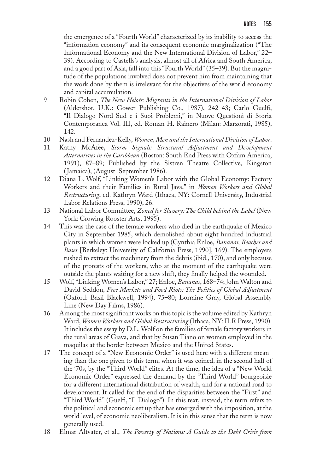the emergence of a "Fourth World" characterized by its inability to access the "information economy" and its consequent economic marginalization ("The Informational Economy and the New International Division of Labor," 22– 39). According to Castells's analysis, almost all of Africa and South America, and a good part of Asia, fall into this "Fourth World" (35–39). But the magnitude of the populations involved does not prevent him from maintaining that the work done by them is irrelevant for the objectives of the world economy and capital accumulation.

- 9 Robin Cohen, *The New Helots: Migrants in the International Division of Labor* (Aldershot, U.K.: Gower Publishing Co., 1987), 242–43; Carlo Guelfi, "Il Dialogo Nord-Sud e i Suoi Problemi," in Nuove Questioni di Storia Contemporanea Vol. III, ed. Roman H. Rainero (Milan: Marzorati, 1985), 142.
- 10 Nash and Fernandez-Kelly, *Women, Men and the International Division of Labor*.
- 11 Kathy McAfee, *Storm Signals: Structural Adjustment and Development Alternatives in the Caribbean* (Boston: South End Press with Oxfam America, 1991), 87–89; Published by the Sistren Theatre Collective, Kingston ( Jamaica), (August–September 1986).
- 12 Diana L. Wolf, "Linking Women's Labor with the Global Economy: Factory Workers and their Families in Rural Java," in *Women Workers and Global Restructuring*, ed. Kathryn Ward (Ithaca, NY: Cornell University, Industrial Labor Relations Press, 1990), 26.
- 13 National Labor Committee, *Zoned for Slavery: The Child behind the Label* (New York: Crowing Rooster Arts, 1995).
- 14 This was the case of the female workers who died in the earthquake of Mexico City in September 1985, which demolished about eight hundred industrial plants in which women were locked up (Cynthia Enloe, *Bananas, Beaches and Bases* [Berkeley: University of California Press, 1990], 169). The employers rushed to extract the machinery from the debris (ibid., 170), and only because of the protests of the workers, who at the moment of the earthquake were outside the plants waiting for a new shift, they finally helped the wounded.
- 15 Wolf, "Linking Women's Labor," 27; Enloe, *Bananas*, 168–74; John Walton and David Seddon, *Free Markets and Food Riots: The Politics of Global Adjustment* (Oxford: Basil Blackwell, 1994), 75–80; Lorraine Gray, Global Assembly Line (New Day Films, 1986).
- 16 Among the most significant works on this topic is the volume edited by Kathryn Ward, *Women Workers and Global Restructuring* (Ithaca, NY: ILR Press, 1990). It includes the essay by D.L. Wolf on the families of female factory workers in the rural areas of Giava, and that by Susan Tiano on women employed in the maquilas at the border between Mexico and the United States.
- 17 The concept of a "New Economic Order" is used here with a different meaning than the one given to this term, when it was coined, in the second half of the '70s, by the "Third World" elites. At the time, the idea of a "New World Economic Order" expressed the demand by the "Third World" bourgeoisie for a different international distribution of wealth, and for a national road to development. It called for the end of the disparities between the "First" and "Third World" (Guelfi, "Il Dialogo"). In this text, instead, the term refers to the political and economic set up that has emerged with the imposition, at the world level, of economic neoliberalism. It is in this sense that the term is now generally used.
- 18 Elmar Altvater, et al., *The Poverty of Nations: A Guide to the Debt Crisis from*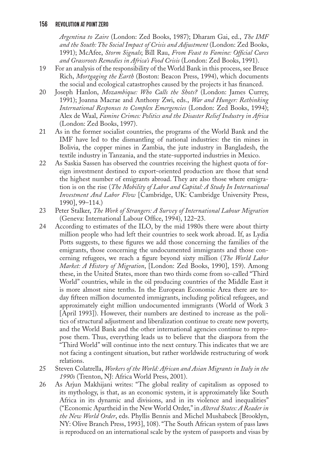*Argentina to Zaire* (London: Zed Books, 1987); Dharam Gai, ed., *The IMF and the South: The Social Impact of Crisis and Adjustment* (London: Zed Books, 1991); McAfee, *Storm Signals*; Bill Rau, *From Feast to Famine: Official Cures and Grassroots Remedies in Africa's Food Crisis* (London: Zed Books, 1991).

- 19 For an analysis of the responsibility of the World Bank in this process, see Bruce Rich, *Mortgaging the Earth* (Boston: Beacon Press, 1994), which documents the social and ecological catastrophes caused by the projects it has financed.
- 20 Joseph Hanlon, *Mozambique: Who Calls the Shots?* (London: James Currey, 1991); Joanna Macrae and Anthony Zwi, eds., *War and Hunger: Rethinking International Responses to Complex Emergencies* (London: Zed Books, 1994); Alex de Waal, *Famine Crimes: Politics and the Disaster Relief Industry in Africa* (London: Zed Books, 1997).
- 21 As in the former socialist countries, the programs of the World Bank and the IMF have led to the dismantling of national industries: the tin mines in Bolivia, the copper mines in Zambia, the jute industry in Bangladesh, the textile industry in Tanzania, and the state-supported industries in Mexico.
- 22 As Saskia Sassen has observed the countries receiving the highest quota of foreign investment destined to export-oriented production are those that send the highest number of emigrants abroad. They are also those where emigration is on the rise (*The Mobility of Labor and Capital: A Study In International Investment And Labor Flow* [Cambridge, UK: Cambridge University Press, 1990], 99–114.)
- 23 Peter Stalker, *The Work of Strangers: A Survey of International Labour Migration* (Geneva: International Labour Office, 1994), 122–23.
- 24 According to estimates of the ILO, by the mid 1980s there were about thirty million people who had left their countries to seek work abroad. If, as Lydia Potts suggests, to these figures we add those concerning the families of the emigrants, those concerning the undocumented immigrants and those concerning refugees, we reach a figure beyond sixty million (*The World Labor Market: A History of Migration*, [London: Zed Books, 1990], 159). Among these, in the United States, more than two thirds come from so-called "Third World" countries, while in the oil producing countries of the Middle East it is more almost nine tenths. In the European Economic Area there are today fifteen million documented immigrants, including political refugees, and approximately eight million undocumented immigrants (World of Work 3 [April 1993]). However, their numbers are destined to increase as the politics of structural adjustment and liberalization continue to create new poverty, and the World Bank and the other international agencies continue to repropose them. Thus, everything leads us to believe that the diaspora from the "Third World" will continue into the next century. This indicates that we are not facing a contingent situation, but rather worldwide restructuring of work relations.
- 25 Steven Colatrella, *Workers of the World: African and Asian Migrants in Italy in the 1990s* (Trenton, NJ: Africa World Press, 2001).
- 26 As Arjun Makhijani writes: "The global reality of capitalism as opposed to its mythology, is that, as an economic system, it is approximately like South Africa in its dynamic and divisions, and in its violence and inequalities" ("Economic Apartheid in the New World Order," in *Altered States: A Reader in the New World Order*, eds. Phyllis Bennis and Michel Mushabeck [Brooklyn, NY: Olive Branch Press, 1993], 108). "The South African system of pass laws is reproduced on an international scale by the system of passports and visas by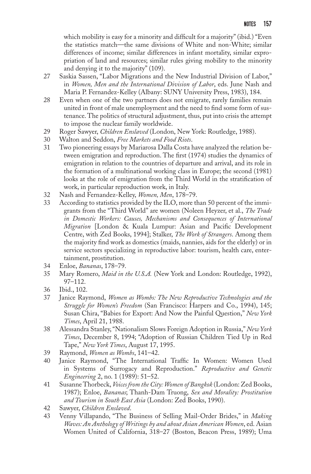which mobility is easy for a minority and difficult for a majority" (ibid.) "Even the statistics match—the same divisions of White and non-White; similar differences of income; similar differences in infant mortality, similar expropriation of land and resources; similar rules giving mobility to the minority and denying it to the majority" (109).

- 27 Saskia Sassen, "Labor Migrations and the New Industrial Division of Labor," in *Women, Men and the International Division of Labor*, eds. June Nash and Maria P. Fernandez-Kelley (Albany: SUNY University Press, 1983), 184.
- 28 Even when one of the two partners does not emigrate, rarely families remain united in front of male unemployment and the need to find some form of sustenance. The politics of structural adjustment, thus, put into crisis the attempt to impose the nuclear family worldwide.
- 29 Roger Sawyer, *Children Enslaved* (London, New York: Routledge, 1988).
- 30 Walton and Seddon, *Free Markets and Food Riots*.
- 31 Two pioneering essays by Mariarosa Dalla Costa have analyzed the relation between emigration and reproduction. The first (1974) studies the dynamics of emigration in relation to the countries of departure and arrival, and its role in the formation of a multinational working class in Europe; the second (1981) looks at the role of emigration from the Third World in the stratification of work, in particular reproduction work, in Italy.
- 32 Nash and Fernandez-Kelley, *Women, Men*, 178–79.
- 33 According to statistics provided by the ILO, more than 50 percent of the immigrants from the "Third World" are women (Noleen Heyzer, et al., *The Trade in Domestic Workers: Causes, Mechanisms and Consequences of International Migration* [London & Kuala Lumpur: Asian and Pacific Development Centre, with Zed Books, 1994]; Stalker, *The Work of Strangers*. Among them the majority find work as domestics (maids, nannies, aids for the elderly) or in service sectors specializing in reproductive labor: tourism, health care, entertainment, prostitution.
- 34 Enloe, *Bananas*, 178–79.
- 35 Mary Romero, *Maid in the U.S.A.* (New York and London: Routledge, 1992), 97–112.
- 36 Ibid., 102.
- 37 Janice Raymond, *Women as Wombs: The New Reproductive Technologies and the Struggle for Women's Freedom* (San Francisco: Harpers and Co., 1994), 145; Susan Chira, "Babies for Export: And Now the Painful Question," *New York Times*, April 21, 1988.
- 38 Alessandra Stanley, "Nationalism Slows Foreign Adoption in Russia," *New York Times*, December 8, 1994; "Adoption of Russian Children Tied Up in Red Tape," *New York Times*, August 17, 1995.
- 39 Raymond, *Women as Wombs*, 141–42.
- 40 Janice Raymond, "The International Traffic In Women: Women Used in Systems of Surrogacy and Reproduction." *Reproductive and Genetic Engineering* 2, no. 1 (1989): 51–52.
- 41 Susanne Thorbeck, *Voices from the City: Women of Bangkok* (London: Zed Books, 1987); Enloe, *Bananas*; Thanh-Dam Truong, *Sex and Morality: Prostitution and Tourism in South East Asia* (London: Zed Books, 1990).
- 42 Sawyer, *Children Enslaved*.
- 43 Venny Villapando, "The Business of Selling Mail-Order Brides," in *Making Waves: An Anthology of Writings by and about Asian American Women*, ed. Asian Women United of California, 318–27 (Boston, Beacon Press, 1989); Uma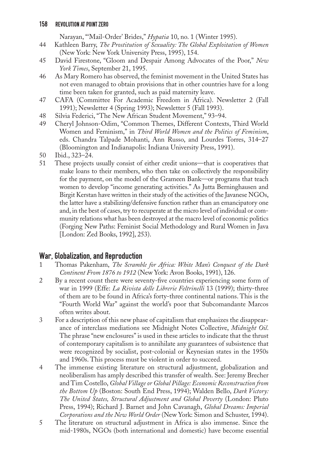#### 158 REVOLUTION AT POINT ZERO

Narayan, "'Mail-Order' Brides," *Hypatia* 10, no. 1 (Winter 1995).

- 44 Kathleen Barry, *The Prostitution of Sexuality: The Global Exploitation of Women* (New York: New York University Press, 1995), 154.
- 45 David Firestone, "Gloom and Despair Among Advocates of the Poor," *New York Times*, September 21, 1995.
- 46 As Mary Romero has observed, the feminist movement in the United States has not even managed to obtain provisions that in other countries have for a long time been taken for granted, such as paid maternity leave.
- 47 CAFA (Committee For Academic Freedom in Africa). Newsletter 2 (Fall 1991); Newsletter 4 (Spring 1993); Newsletter 5 (Fall 1993).
- 48 Silvia Federici, "The New African Student Movement," 93–94.
- 49 Cheryl Johnson-Odim, "Common Themes, Different Contexts, Third World Women and Feminism," in *Third World Women and the Politics of Feminism*, eds. Chandra Talpade Mohanti, Ann Russo, and Lourdes Torres, 314–27 (Bloomington and Indianapolis: Indiana University Press, 1991).
- 50 Ibid., 323–24.
- 51 These projects usually consist of either credit unions—that is cooperatives that make loans to their members, who then take on collectively the responsibility for the payment, on the model of the Grameen Bank—or programs that teach women to develop "income generating activities." As Jutta Berninghausen and Birgit Kerstan have written in their study of the activities of the Javanese NGOs, the latter have a stabilizing/defensive function rather than an emancipatory one and, in the best of cases, try to recuperate at the micro level of individual or community relations what has been destroyed at the macro level of economic politics (Forging New Paths: Feminist Social Methodology and Rural Women in Java [London: Zed Books, 1992], 253).

### War, Globalization, and Reproduction

- 1 Thomas Pakenham, *The Scramble for Africa: White Man's Conquest of the Dark Continent From 1876 to 1912* (New York: Avon Books, 1991), 126.
- 2 By a recent count there were seventy-five countries experiencing some form of war in 1999 (Effe: *La Rivista delle Librerie Feltrinelli* 13 (1999); thirty-three of them are to be found in Africa's forty-three continental nations. This is the "Fourth World War" against the world's poor that Subcomandante Marcos often writes about.
- 3 For a description of this new phase of capitalism that emphasizes the disappearance of interclass mediations see Midnight Notes Collective, *Midnight Oil*. The phrase "new enclosures" is used in these articles to indicate that the thrust of contemporary capitalism is to annihilate any guarantees of subsistence that were recognized by socialist, post-colonial or Keynesian states in the 1950s and 1960s. This process must be violent in order to succeed.
- 4 The immense existing literature on structural adjustment, globalization and neoliberalism has amply described this transfer of wealth. See: Jeremy Brecher and Tim Costello, *Global Village or Global Pillage: Economic Reconstruction from the Bottom Up* (Boston: South End Press, 1994); Walden Bello, *Dark Victory: The United States, Structural Adjustment and Global Poverty* (London: Pluto Press, 1994); Richard J. Barnet and John Cavanagh, *Global Dreams: Imperial Corporations and the New World Order* (New York: Simon and Schuster, 1994).
- 5 The literature on structural adjustment in Africa is also immense. Since the mid-1980s, NGOs (both international and domestic) have become essential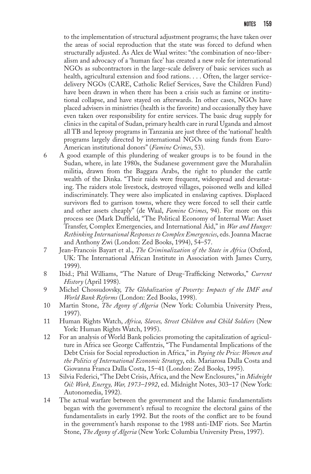to the implementation of structural adjustment programs; the have taken over the areas of social reproduction that the state was forced to defund when structurally adjusted. As Alex de Waal writes: "the combination of neo-liberalism and advocacy of a 'human face' has created a new role for international NGOs as subcontractors in the large-scale delivery of basic services such as health, agricultural extension and food rations. . . . Often, the larger servicedelivery NGOs (CARE, Catholic Relief Services, Save the Children Fund) have been drawn in when there has been a crisis such as famine or institutional collapse, and have stayed on afterwards. In other cases, NGOs have placed advisers in ministries (health is the favorite) and occasionally they have even taken over responsibility for entire services. The basic drug supply for clinics in the capital of Sudan, primary health care in rural Uganda and almost all TB and leprosy programs in Tanzania are just three of the 'national' health programs largely directed by international NGOs using funds from Euro-American institutional donors" (*Famine Crimes*, 53).

- 6 A good example of this plundering of weaker groups is to be found in the Sudan, where, in late 1980s, the Sudanese government gave the Murahaliin militia, drawn from the Baggara Arabs, the right to plunder the cattle wealth of the Dinka. "Their raids were frequent, widespread and devastating. The raiders stole livestock, destroyed villages, poisoned wells and killed indiscriminately. They were also implicated in enslaving captives. Displaced survivors fled to garrison towns, where they were forced to sell their cattle and other assets cheaply" (de Waal, *Famine Crimes*, 94). For more on this process see (Mark Duffield, "The Political Economy of Internal War: Asset Transfer, Complex Emergencies, and International Aid," in *War and Hunger: Rethinking International Responses to Complex Emergencies*, eds. Joanna Macrae and Anthony Zwi (London: Zed Books, 1994), 54–57.
- 7 Jean-Francois Bayart et al., *The Criminalization of the State in Africa* (Oxford, UK: The International African Institute in Association with James Curry, 1999).
- 8 Ibid.; Phil Williams, "The Nature of Drug-Trafficking Networks," *Current History* (April 1998).
- 9 Michel Chossudovsky, *The Globalization of Poverty: Impacts of the IMF and World Bank Reforms* (London: Zed Books, 1998).
- 10 Martin Stone, *The Agony of Algeria* (New York: Columbia University Press, 1997).
- 11 Human Rights Watch, *Africa, Slaves, Street Children and Child Soldiers* (New York: Human Rights Watch, 1995).
- 12 For an analysis of World Bank policies promoting the capitalization of agriculture in Africa see George Caffentzis, "The Fundamental Implications of the Debt Crisis for Social reproduction in Africa," in *Paying the Price: Women and the Politics of International Economic Strategy*, eds. Mariarosa Dalla Costa and Giovanna Franca Dalla Costa, 15–41 (London: Zed Books, 1995).
- 13 Silvia Federici, "The Debt Crisis, Africa, and the New Enclosures," in *Midnight Oil: Work, Energy, War, 1973–1992*, ed. Midnight Notes, 303–17 (New York: Autonomedia, 1992).
- 14 The actual warfare between the government and the Islamic fundamentalists began with the government's refusal to recognize the electoral gains of the fundamentalists in early 1992. But the roots of the conflict are to be found in the government's harsh response to the 1988 anti-IMF riots. See Martin Stone, *The Agony of Algeria* (New York: Columbia University Press, 1997).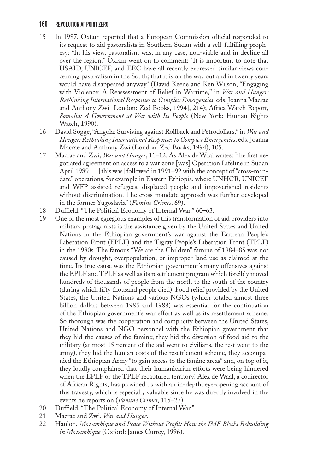#### 160 REVOLUTION AT POINT ZERO

- 15 In 1987, Oxfam reported that a European Commission official responded to its request to aid pastoralists in Southern Sudan with a self-fulfilling prophesy: "In his view, pastoralism was, in any case, non-viable and in decline all over the region." Oxfam went on to comment: "It is important to note that USAID, UNICEF, and EEC have all recently expressed similar views concerning pastoralism in the South; that it is on the way out and in twenty years would have disappeared anyway" (David Keene and Ken Wilson, "Engaging with Violence: A Reassessment of Relief in Wartime," in *War and Hunger: Rethinking International Responses to Complex Emergencies*, eds. Joanna Macrae and Anthony Zwi [London: Zed Books, 1994], 214); Africa Watch Report, *Somalia: A Government at War with Its People* (New York: Human Rights Watch, 1990).
- 16 David Sogge, "Angola: Surviving against Rollback and Petrodollars," in *War and Hunger: Rethinking International Responses to Complex Emergencies*, eds. Joanna Macrae and Anthony Zwi (London: Zed Books, 1994), 105.
- 17 Macrae and Zwi, *War and Hunger*, 11–12. As Alex de Waal writes: "the first negotiated agreement on access to a war zone [was] Operation Lifeline in Sudan April 1989 . . . [this was] followed in 1991–92 with the concept of "cross-mandate" operations, for example in Eastern Ethiopia, where UNHCR, UNICEF and WFP assisted refugees, displaced people and impoverished residents without discrimination. The cross-mandate approach was further developed in the former Yugoslavia" (*Famine Crimes*, 69).
- 18 Duffield, "The Political Economy of Internal War," 60–63.
- 19 One of the most egregious examples of this transformation of aid providers into military protagonists is the assistance given by the United States and United Nations in the Ethiopian government's war against the Eritrean People's Liberation Front (EPLF) and the Tigray People's Liberation Front (TPLF) in the 1980s. The famous "We are the Children" famine of 1984–85 was not caused by drought, overpopulation, or improper land use as claimed at the time. Its true cause was the Ethiopian government's many offensives against the EPLF and TPLF as well as its resettlement program which forcibly moved hundreds of thousands of people from the north to the south of the country (during which fifty thousand people died). Food relief provided by the United States, the United Nations and various NGOs (which totaled almost three billion dollars between 1985 and 1988) was essential for the continuation of the Ethiopian government's war effort as well as its resettlement scheme. So thorough was the cooperation and complicity between the United States, United Nations and NGO personnel with the Ethiopian government that they hid the causes of the famine; they hid the diversion of food aid to the military (at most 15 percent of the aid went to civilians, the rest went to the army), they hid the human costs of the resettlement scheme, they accompanied the Ethiopian Army "to gain access to the famine areas" and, on top of it, they loudly complained that their humanitarian efforts were being hindered when the EPLF or the TPLF recaptured territory! Alex de Waal, a codirector of African Rights, has provided us with an in-depth, eye-opening account of this travesty, which is especially valuable since he was directly involved in the events he reports on (*Famine Crimes*, 115–27).
- 20 Duffield, "The Political Economy of Internal War."
- 21 Macrae and Zwi, *War and Hunger*.
- 22 Hanlon, *Mozambique and Peace Without Profit: How the IMF Blocks Rebuilding in Mozambique* (Oxford: James Currey, 1996).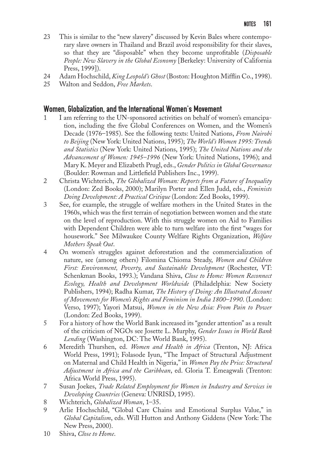- 23 This is similar to the "new slavery" discussed by Kevin Bales where contemporary slave owners in Thailand and Brazil avoid responsibility for their slaves, so that they are "disposable" when they become unprofitable (*Disposable People: New Slavery in the Global Economy* [Berkeley: University of California Press, 1999]).
- 24 Adam Hochschild, *King Leopold's Ghost* (Boston: Houghton Mifflin Co., 1998).
- 25 Walton and Seddon, *Free Markets*.

## Women, Globalization, and the International Women's Movement

- 1 I am referring to the UN-sponsored activities on behalf of women's emancipation, including the five Global Conferences on Women, and the Women's Decade (1976–1985). See the following texts: United Nations, *From Nairobi to Beijing* (New York: United Nations, 1995); *The World's Women 1995: Trends and Statistics* (New York: United Nations, 1995); *The United Nations and the Advancement of Women: 1945–1996* (New York: United Nations, 1996); and Mary K. Meyer and Elizabeth Prugl, eds., *Gender Politics in Global Governance* (Boulder: Rowman and Littlefield Publishers Inc., 1999).
- 2 Christa Wichterich, *The Globalized Woman: Reports from a Future of Inequality*  (London: Zed Books, 2000); Marilyn Porter and Ellen Judd, eds., *Feminists Doing Development: A Practical Critique* (London: Zed Books, 1999).
- 3 See, for example, the struggle of welfare mothers in the United States in the 1960s, which was the first terrain of negotiation between women and the state on the level of reproduction. With this struggle women on Aid to Families with Dependent Children were able to turn welfare into the first "wages for housework." See Milwaukee County Welfare Rights Organization, *Welfare Mothers Speak Out*.
- 4 On women's struggles against deforestation and the commercialization of nature, see (among others) Filomina Chioma Steady, *Women and Children First: Environment, Poverty, and Sustainable Development* (Rochester, VT: Schenkman Books, 1993.); Vandana Shiva, *Close to Home: Women Reconnect Ecology, Health and Development Worldwide* (Philadelphia: New Society Publishers, 1994); Radha Kumar, *The History of Doing: An Illustrated Account of Movements for Women's Rights and Feminism in India 1800–1990*. (London: Verso, 1997); Yayori Matsui, *Women in the New Asia: From Pain to Power*  (London: Zed Books, 1999).
- 5 For a history of how the World Bank increased its "gender attention" as a result of the criticism of NGOs see Josette L. Murphy, *Gender Issues in World Bank Lending* (Washington, DC: The World Bank, 1995).
- 6 Meredith Thurshen, ed. *Women and Health in Africa* (Trenton, NJ: Africa World Press, 1991); Folasode Iyun, "The Impact of Structural Adjustment on Maternal and Child Health in Nigeria," in *Women Pay the Price: Structural Adjustment in Africa and the Caribbean*, ed. Gloria T. Emeagwali (Trenton: Africa World Press, 1995).
- 7 Susan Joekes, *Trade Related Employment for Women in Industry and Services in Developing Countries* (Geneva: UNRISD, 1995).
- 8 Wichterich, *Globalized Woman*, 1–35.
- 9 Arlie Hochschild, "Global Care Chains and Emotional Surplus Value," in *Global Capitalism*, eds. Will Hutton and Anthony Giddens (New York: The New Press, 2000).
- 10 Shiva, *Close to Home*.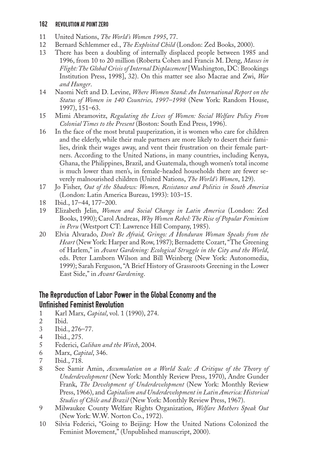#### 162 REVOLUTION AT POINT ZERO

- 11 United Nations, *The World's Women 1995*, 77.
- 12 Bernard Schlemmer ed., *The Exploited Child* (London: Zed Books, 2000).
- 13 There has been a doubling of internally displaced people between 1985 and 1996, from 10 to 20 million (Roberta Cohen and Francis M. Deng, *Masses in Flight: The Global Crisis of Internal Displacement* [Washington, DC: Brookings Institution Press, 1998], 32). On this matter see also Macrae and Zwi, *War and Hunger*.
- 14 Naomi Neft and D. Levine, *Where Women Stand: An International Report on the Status of Women in 140 Countries, 1997–1998* (New York: Random House, 1997), 151–63.
- 15 Mimi Abramovitz, *Regulating the Lives of Women: Social Welfare Policy From Colonial Times to the Present* (Boston: South End Press, 1996).
- 16 In the face of the most brutal pauperization, it is women who care for children and the elderly, while their male partners are more likely to desert their families, drink their wages away, and vent their frustration on their female partners. According to the United Nations, in many countries, including Kenya, Ghana, the Philippines, Brazil, and Guatemala, though women's total income is much lower than men's, in female-headed households there are fewer severely malnourished children (United Nations, *The World's Women*, 129).
- 17 Jo Fisher, *Out of the Shadows: Women, Resistance and Politics in South America*  (London: Latin America Bureau, 1993): 103–15.
- 18 Ibid., 17–44, 177–200.
- 19 Elizabeth Jelin, *Women and Social Change in Latin America* (London: Zed Books, 1990); Carol Andreas, *Why Women Rebel: The Rise of Popular Feminism in Peru* (Westport CT: Lawrence Hill Company, 1985).
- 20 Elvia Alvarado, *Don't Be Afraid, Gringo: A Honduran Woman Speaks from the Heart* (New York: Harper and Row, 1987); Bernadette Cozart, "The Greening of Harlem," in *Avant Gardening: Ecological Struggle in the City and the World*, eds. Peter Lamborn Wilson and Bill Weinberg (New York: Autonomedia, 1999); Sarah Ferguson, "A Brief History of Grassroots Greening in the Lower East Side," in *Avant Gardening*.

# The Reproduction of Labor Power in the Global Economy and the Unfinished Feminist Revolution

- 1 Karl Marx, *Capital*, vol. 1 (1990), 274.
- 2 Ibid.
- 3 Ibid., 276–77.
- 4 Ibid., 275.
- 5 Federici, *Caliban and the Witch*, 2004.
- 6 Marx, *Capital*, 346.
- 7 Ibid., 718.
- 8 See Samir Amin, *Accumulation on a World Scale: A Critique of the Theory of Underdevelopment* (New York: Monthly Review Press, 1970), Andre Gunder Frank, *The Development of Underdevelopment* (New York: Monthly Review Press, 1966), and *Capitalism and Underdevelopment in Latin America: Historical Studies of Chile and Brazil* (New York: Monthly Review Press, 1967).
- 9 Milwaukee County Welfare Rights Organization, *Welfare Mothers Speak Out* (New York: W.W. Norton Co., 1972).
- 10 Silvia Federici, "Going to Beijing: How the United Nations Colonized the Feminist Movement," (Unpublished manuscript, 2000).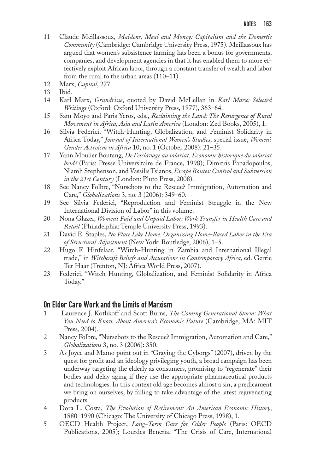- 11 Claude Meillassoux, *Maidens, Meal and Money: Capitalism and the Domestic Community* (Cambridge: Cambridge University Press, 1975). Meillassoux has argued that women's subsistence farming has been a bonus for governments, companies, and development agencies in that it has enabled them to more effectively exploit African labor, through a constant transfer of wealth and labor from the rural to the urban areas (110–11).
- 12 Marx, *Capital*, 277.
- 13 Ibid.
- 14 Karl Marx, *Grundrisse*, quoted by David McLellan in *Karl Marx: Selected Writings* (Oxford: Oxford University Press, 1977), 363–64.
- 15 Sam Moyo and Paris Yeros, eds., *Reclaiming the Land: The Resurgence of Rural Movement in Africa, Asia and Latin America* (London: Zed Books, 2005), 1.
- 16 Silvia Federici, "Witch-Hunting, Globalization, and Feminist Solidarity in Africa Today," *Journal of International Women's Studies*, special issue, *Women's Gender Activism in Africa* 10, no. 1 (October 2008): 21–35.
- 17 Yann Moulier Boutang, *De l'esclavage au salariat. Économie historique du salariat bridé* (Paris: Presse Universitaire de France, 1998); Dimitris Papadopoulos, Niamh Stephenson, and Vassilis Tsianos, *Escape Routes: Control and Subversion in the 21st Century* (London: Pluto Press, 2008).
- 18 See Nancy Folbre, "Nursebots to the Rescue? Immigration, Automation and Care," *Globalizations* 3, no. 3 (2006): 349–60.
- 19 See Silvia Federici, "Reproduction and Feminist Struggle in the New International Division of Labor" in this volume.
- 20 Nona Glazer, *Women's Paid and Unpaid Labor: Work Transfer in Health Care and Retail* (Philadelphia: Temple University Press, 1993).
- 21 David E. Staples, *No Place Like Home: Organizing Home-Based Labor in the Era of Structural Adjustment* (New York: Routledge, 2006), 1–5.
- 22 Hugo F. Hinfelaar. "Witch-Hunting in Zambia and International Illegal trade," in *Witchcraft Beliefs and Accusations in Contemporary Africa*, ed. Gerrie Ter Haar (Trenton, NJ: Africa World Press, 2007).
- 23 Federici, "Witch-Hunting, Globalization, and Feminist Solidarity in Africa Today."

#### On Elder Care Work and the Limits of Marxism

- 1 Laurence J. Kotlikoff and Scott Burns, *The Coming Generational Storm: What You Need to Know About America's Economic Future* (Cambridge, MA: MIT Press, 2004).
- 2 Nancy Folbre, "Nursebots to the Rescue? Immigration, Automation and Care," *Globalizations* 3, no. 3 (2006): 350.
- 3 As Joyce and Mamo point out in "Graying the Cyborgs" (2007), driven by the quest for profit and an ideology privileging youth, a broad campaign has been underway targeting the elderly as consumers, promising to "regenerate" their bodies and delay aging if they use the appropriate pharmaceutical products and technologies. In this context old age becomes almost a sin, a predicament we bring on ourselves, by failing to take advantage of the latest rejuvenating products.
- 4 Dora L. Costa, *The Evolution of Retirement: An American Economic History*, 1880–1990 (Chicago: The University of Chicago Press, 1998), 1.
- 5 OECD Health Project, *Long-Term Care for Older People* (Paris: OECD Publications, 2005); Lourdes Benería, "The Crisis of Care, International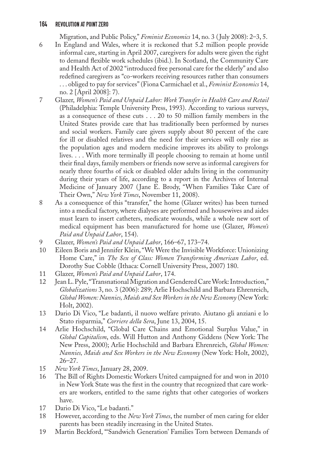#### 164 REVOLUTION AT POINT ZERO

Migration, and Public Policy," *Feminist Economics* 14, no. 3 (July 2008): 2–3, 5.

- 6 In England and Wales, where it is reckoned that 5.2 million people provide informal care, starting in April 2007, caregivers for adults were given the right to demand flexible work schedules (ibid.). In Scotland, the Community Care and Health Act of 2002 "introduced free personal care for the elderly" and also redefined caregivers as "co-workers receiving resources rather than consumers . . . obliged to pay for services" (Fiona Carmichael et al., *Feminist Economics* 14, no. 2 [April 2008]: 7).
- 7 Glazer, *Women's Paid and Unpaid Labor: Work Transfer in Health Care and Retail* (Philadelphia: Temple University Press, 1993). According to various surveys, as a consequence of these cuts . . . 20 to 50 million family members in the United States provide care that has traditionally been performed by nurses and social workers. Family care givers supply about 80 percent of the care for ill or disabled relatives and the need for their services will only rise as the population ages and modern medicine improves its ability to prolongs lives. . . . With more terminally ill people choosing to remain at home until their final days, family members or friends now serve as informal caregivers for nearly three fourths of sick or disabled older adults living in the community during their years of life, according to a report in the Archives of Internal Medicine of January 2007 ( Jane E. Brody, "When Families Take Care of Their Own," *New York Times*, November 11, 2008).
- 8 As a consequence of this "transfer," the home (Glazer writes) has been turned into a medical factory, where dialyses are performed and housewives and aides must learn to insert catheters, medicate wounds, while a whole new sort of medical equipment has been manufactured for home use (Glazer, *Women's Paid and Unpaid Labor*, 154).
- 9 Glazer, *Women's Paid and Unpaid Labor*, 166–67, 173–74.
- 10 Eileen Boris and Jennifer Klein, "We Were the Invisible Workforce: Unionizing Home Care," in *The Sex of Class: Women Transforming American Labor*, ed. Dorothy Sue Cobble (Ithaca: Cornell University Press, 2007) 180.
- 11 Glazer, *Women's Paid and Unpaid Labor*, 174.
- 12 Jean L. Pyle, "Transnational Migration and Gendered Care Work: Introduction," *Globalizations* 3, no. 3 (2006): 289; Arlie Hochschild and Barbara Ehrenreich, *Global Women: Nannies, Maids and Sex Workers in the New Economy* (New York: Holt, 2002).
- 13 Dario Di Vico, "Le badanti, il nuovo welfare privato. Aiutano gli anziani e lo Stato risparmia," *Corriere della Sera*, June 13, 2004, 15.
- 14 Arlie Hochschild, "Global Care Chains and Emotional Surplus Value," in *Global Capitalism*, eds. Will Hutton and Anthony Giddens (New York: The New Press, 2000); Arlie Hochschild and Barbara Ehrenreich, *Global Women: Nannies, Maids and Sex Workers in the New Economy* (New York: Holt, 2002), 26–27.
- 15 *New York Times*, January 28, 2009.
- 16 The Bill of Rights Domestic Workers United campaigned for and won in 2010 in New York State was the first in the country that recognized that care workers are workers, entitled to the same rights that other categories of workers have.
- 17 Dario Di Vico, "Le badanti."
- 18 However, according to the *New York Times*, the number of men caring for elder parents has been steadily increasing in the United States.
- 19 Martin Beckford, "'Sandwich Generation' Families Torn between Demands of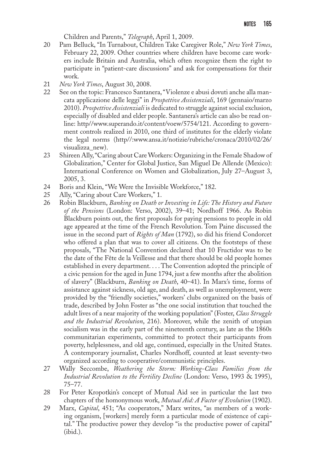Children and Parents," *Telegraph*, April 1, 2009.

- 20 Pam Belluck, "In Turnabout, Children Take Caregiver Role," *New York Times*, February 22, 2009. Other countries where children have become care workers include Britain and Australia, which often recognize them the right to participate in "patient-care discussions" and ask for compensations for their work.
- 21 *New York Times*, August 30, 2008.
- 22 See on the topic: Francesco Santanera, "Violenze e abusi dovuti anche alla mancata applicazione delle leggi" in *Prospettive Assistenziali*, 169 (gennaio/marzo 2010). *Prospettive Assistenziali* is dedicated to struggle against social exclusion, especially of disabled and elder people. Santanera's article can also be read online: http//www.superando.it/content/voew/5754/121. According to government controls realized in 2010, one third of institutes for the elderly violate the legal norms (http//:www.ansa.it/notizie/rubriche/cronaca/2010/02/26/ visualizza\_new).
- 23 Shireen Ally, "Caring about Care Workers: Organizing in the Female Shadow of Globalization," Center for Global Justice, San Miguel De Allende (Mexico): International Conference on Women and Globalization, July 27–August 3, 2005, 3.
- 24 Boris and Klein, "We Were the Invisible Workforce," 182.
- 25 Ally, "Caring about Care Workers," 1.
- 26 Robin Blackburn, *Banking on Death or Investing in Life: The History and Future of the Pensions* (London: Verso, 2002), 39–41; Nordhoff 1966. As Robin Blackburn points out, the first proposals for paying pensions to people in old age appeared at the time of the French Revolution. Tom Paine discussed the issue in the second part of *Rights of Man* (1792), so did his friend Condorcet who offered a plan that was to cover all citizens. On the footsteps of these proposals, "The National Convention declared that 10 Fructidor was to be the date of the Fête de la Veillesse and that there should be old people homes established in every department. . . . The Convention adopted the principle of a civic pension for the aged in June 1794, just a few months after the abolition of slavery" (Blackburn, *Banking on Death*, 40–41). In Marx's time, forms of assistance against sickness, old age, and death, as well as unemployment, were provided by the "friendly societies," workers' clubs organized on the basis of trade, described by John Foster as "the one social institution that touched the adult lives of a near majority of the working population" (Foster, *Class Struggle and the Industrial Revolution*, 216). Moreover, while the zenith of utopian socialism was in the early part of the nineteenth century, as late as the 1860s communitarian experiments, committed to protect their participants from poverty, helplessness, and old age, continued, especially in the United States. A contemporary journalist, Charles Nordhoff, counted at least seventy-two organized according to cooperative/communistic principles.
- 27 Wally Seccombe, *Weathering the Storm: Working-Class Families from the Industrial Revolution to the Fertility Decline* (London: Verso, 1993 & 1995), 75–77.
- 28 For Peter Kropotkin's concept of Mutual Aid see in particular the last two chapters of the homonymous work, *Mutual Aid: A Factor of Evolution* (1902).
- 29 Marx, *Capital*, 451; "As cooperators," Marx writes, "as members of a working organism, [workers] merely form a particular mode of existence of capital." The productive power they develop "is the productive power of capital" (ibid.).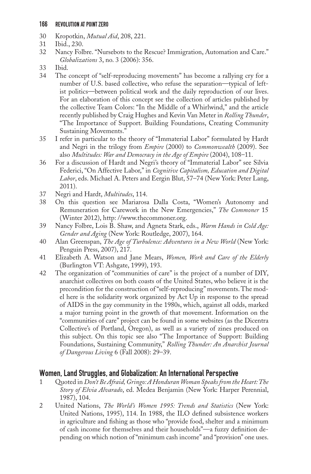#### 166 REVOLUTION AT POINT ZERO

- 30 Kropotkin, *Mutual Aid*, 208, 221.
- 31 Ibid., 230.
- 32 Nancy Folbre. "Nursebots to the Rescue? Immigration, Automation and Care." *Globalizations* 3, no. 3 (2006): 356.
- 33 Ibid.
- 34 The concept of "self-reproducing movements" has become a rallying cry for a number of U.S. based collective, who refuse the separation—typical of leftist politics—between political work and the daily reproduction of our lives. For an elaboration of this concept see the collection of articles published by the collective Team Colors: "In the Middle of a Whirlwind," and the article recently published by Craig Hughes and Kevin Van Meter in *Rolling Thunder*, "The Importance of Support. Building Foundations, Creating Community Sustaining Movements."
- 35 I refer in particular to the theory of "Immaterial Labor" formulated by Hardt and Negri in the trilogy from *Empire* (2000) to *Commonwealth* (2009). See also *Multitudes: War and Democracy in the Age of Empire* (2004), 108-11.
- 36 For a discussion of Hardt and Negri's theory of "Immaterial Labor" see Silvia Federici, "On Affective Labor," in *Cognitive Capitalism, Education and Digital Labor*, eds. Michael A. Peters and Eergin Blut, 57–74 (New York: Peter Lang, 2011).
- 37 Negri and Hardt, *Multitudes*, 114.
- 38 On this question see Mariarosa Dalla Costa, "Women's Autonomy and Remuneration for Carework in the New Emergencies," *The Commoner* 15 (Winter 2012), http: //www.thecommoner.org.
- 39 Nancy Folbre, Lois B. Shaw, and Agneta Stark, eds., *Warm Hands in Cold Age: Gender and Aging* (New York: Routledge, 2007), 164.
- 40 Alan Greenspan, *The Age of Turbulence: Adventures in a New World* (New York: Penguin Press, 2007), 217.
- 41 Elizabeth A. Watson and Jane Mears, *Women, Work and Care of the Elderly* (Burlington VT: Ashgate, 1999), 193.
- 42 The organization of "communities of care" is the project of a number of DIY, anarchist collectives on both coasts of the United States, who believe it is the precondition for the construction of "self-reproducing" movements. The model here is the solidarity work organized by Act Up in response to the spread of AIDS in the gay community in the 1980s, which, against all odds, marked a major turning point in the growth of that movement. Information on the "communities of care" project can be found in some websites (as the Dicentra Collective's of Portland, Oregon), as well as a variety of zines produced on this subject. On this topic see also "The Importance of Support: Building Foundations, Sustaining Community," *Rolling Thunder: An Anarchist Journal of Dangerous Living* 6 (Fall 2008): 29–39.

## Women, Land Struggles, and Globalization: An International Perspective

- 1 Quoted in *Don't Be Afraid, Gringo: A Honduran Woman Speaks from the Heart: The Story of Elvia Alvarado*, ed. Medea Benjamin (New York: Harper Perennial, 1987), 104.
- 2 United Nations, *The World's Women 1995: Trends and Statistics* (New York: United Nations, 1995), 114. In 1988, the ILO defined subsistence workers in agriculture and fishing as those who "provide food, shelter and a minimum of cash income for themselves and their households"—a fuzzy definition depending on which notion of "minimum cash income" and "provision" one uses.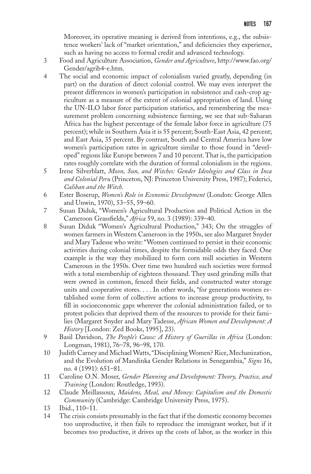Moreover, its operative meaning is derived from intentions, e.g., the subsistence workers' lack of "market orientation," and deficiencies they experience, such as having no access to formal credit and advanced technology.

- 3 Food and Agriculture Association, *Gender and Agriculture*, http://www.fao.org/ Gender/agrib4-e.htm.
- 4 The social and economic impact of colonialism varied greatly, depending (in part) on the duration of direct colonial control. We may even interpret the present differences in women's participation in subsistence and cash-crop agriculture as a measure of the extent of colonial appropriation of land. Using the UN-ILO labor force participation statistics, and remembering the measurement problem concerning subsistence farming, we see that sub-Saharan Africa has the highest percentage of the female labor force in agriculture (75 percent); while in Southern Asia it is 55 percent; South-East Asia, 42 percent; and East Asia, 35 percent. By contrast, South and Central America have low women's participation rates in agriculture similar to those found in "developed" regions like Europe between 7 and 10 percent. That is, the participation rates roughly correlate with the duration of formal colonialism in the regions.
- 5 Irene Silverblatt, *Moon, Sun, and Witches: Gender Ideologies and Class in Inca and Colonial Peru* (Princeton, NJ: Princeton University Press, 1987); Federici, *Caliban and the Witch*.
- 6 Ester Boserup, *Women's Role in Economic Development* (London: George Allen and Unwin, 1970), 53–55, 59–60.
- 7 Susan Diduk, "Women's Agricultural Production and Political Action in the Cameroon Grassfields," *Africa* 59, no. 3 (1989): 339–40.
- 8 Susan Diduk "Women's Agricultural Production," 343; On the struggles of women farmers in Western Cameroon in the 1950s, see also Margaret Snyder and Mary Tadesse who write: "Women continued to persist in their economic activities during colonial times, despite the formidable odds they faced. One example is the way they mobilized to form corn mill societies in Western Cameroun in the 1950s. Over time two hundred such societies were formed with a total membership of eighteen thousand. They used grinding mills that were owned in common, fenced their fields, and constructed water storage units and cooperative stores. . . . In other words, "for generations women established some form of collective actions to increase group productivity, to fill in socioeconomic gaps wherever the colonial administration failed, or to protest policies that deprived them of the resources to provide for their families (Margaret Snyder and Mary Tadesse, *African Women and Development: A History* [London: Zed Books, 1995], 23).
- 9 Basil Davidson, *The People's Cause: A History of Guerillas in Africa* (London: Longman, 1981), 76–78, 96–98, 170.
- 10 Judith Carney and Michael Watts, "Disciplining Women? Rice, Mechanization, and the Evolution of Mandinka Gender Relations in Senegambia," *Signs* 16, no. 4 (1991): 651–81.
- 11 Caroline O.N. Moser, *Gender Planning and Development: Theory, Practice, and Training* (London: Routledge, 1993).
- 12 Claude Meillassoux, *Maidens, Meal, and Money: Capitalism and the Domestic Community* (Cambridge: Cambridge University Press, 1975).
- 13 Ibid., 110–11.
- 14 The crisis consists presumably in the fact that if the domestic economy becomes too unproductive, it then fails to reproduce the immigrant worker, but if it becomes too productive, it drives up the costs of labor, as the worker in this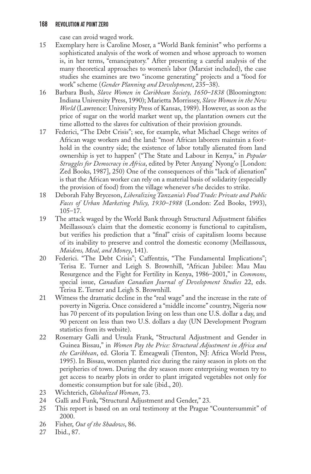#### 168 REVOLUTION AT POINT ZERO

case can avoid waged work.

- 15 Exemplary here is Caroline Moser, a "World Bank feminist" who performs a sophisticated analysis of the work of women and whose approach to women is, in her terms, "emancipatory." After presenting a careful analysis of the many theoretical approaches to women's labor (Marxist included), the case studies she examines are two "income generating" projects and a "food for work" scheme (*Gender Planning and Development*, 235–38).
- 16 Barbara Bush, *Slave Women in Caribbean Society, 1650–1838* (Bloomington: Indiana University Press, 1990); Marietta Morrissey, *Slave Women in the New World* (Lawrence: University Press of Kansas, 1989). However, as soon as the price of sugar on the world market went up, the plantation owners cut the time allotted to the slaves for cultivation of their provision grounds.
- 17 Federici, "The Debt Crisis"; see, for example, what Michael Chege writes of African wage workers and the land: "most African laborers maintain a foothold in the country side; the existence of labor totally alienated from land ownership is yet to happen" ("The State and Labour in Kenya," in *Popular Struggles for Democracy in Africa*, edited by Peter Anyang' Nyong'o [London: Zed Books, 1987], 250) One of the consequences of this "lack of alienation" is that the African worker can rely on a material basis of solidarity (especially the provision of food) from the village whenever s/he decides to strike.
- 18 Deborah Fahy Bryceson, *Liberalizing Tanzania's Food Trade: Private and Public Faces of Urban Marketing Policy, 1930–1988* (London: Zed Books, 1993), 105–17.
- 19 The attack waged by the World Bank through Structural Adjustment falsifies Meillassoux's claim that the domestic economy is functional to capitalism, but verifies his prediction that a "final" crisis of capitalism looms because of its inability to preserve and control the domestic economy (Meillassoux, *Maidens, Meal, and Money*, 141).
- 20 Federici. "The Debt Crisis"; Caffentzis, "The Fundamental Implications"; Terisa E. Turner and Leigh S. Brownhill, "African Jubilee: Mau Mau Resurgence and the Fight for Fertility in Kenya, 1986–2001," in *Commons*, special issue, *Canadian Canadian Journal of Development Studies* 22, eds. Terisa E. Turner and Leigh S. Brownhill.
- 21 Witness the dramatic decline in the "real wage" and the increase in the rate of poverty in Nigeria. Once considered a "middle income" country, Nigeria now has 70 percent of its population living on less than one U.S. dollar a day, and 90 percent on less than two U.S. dollars a day (UN Development Program statistics from its website).
- 22 Rosemary Galli and Ursula Frank, "Structural Adjustment and Gender in Guinea Bissau," in *Women Pay the Price: Structural Adjustment in Africa and the Caribbean*, ed. Gloria T. Emeagwali (Trenton, NJ: Africa World Press, 1995). In Bissau, women planted rice during the rainy season in plots on the peripheries of town. During the dry season more enterprising women try to get access to nearby plots in order to plant irrigated vegetables not only for domestic consumption but for sale (ibid., 20).
- 23 Wichterich, *Globalized Woman*, 73.
- 24 Galli and Funk, "Structural Adjustment and Gender," 23.
- 25 This report is based on an oral testimony at the Prague "Countersummit" of 2000.
- 26 Fisher, *Out of the Shadows*, 86.
- 27 Ibid., 87.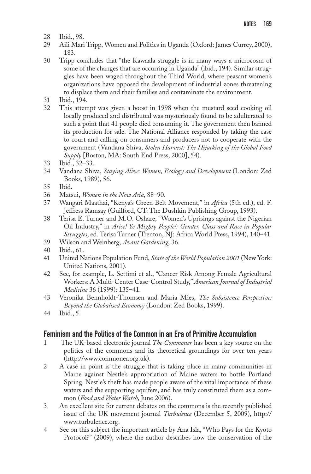- 28 Ibid., 98.
- 29 Aili Mari Tripp, Women and Politics in Uganda (Oxford: James Currey, 2000), 183.
- 30 Tripp concludes that "the Kawaala struggle is in many ways a microcosm of some of the changes that are occurring in Uganda" (ibid., 194). Similar struggles have been waged throughout the Third World, where peasant women's organizations have opposed the development of industrial zones threatening to displace them and their families and contaminate the environment.
- 31 Ibid., 194.
- 32 This attempt was given a boost in 1998 when the mustard seed cooking oil locally produced and distributed was mysteriously found to be adulterated to such a point that 41 people died consuming it. The government then banned its production for sale. The National Alliance responded by taking the case to court and calling on consumers and producers not to cooperate with the government (Vandana Shiva, *Stolen Harvest: The Hijacking of the Global Food Supply* [Boston, MA: South End Press, 2000], 54).

- 34 Vandana Shiva, *Staying Alive: Women, Ecology and Development* (London: Zed Books, 1989), 56.
- 35 Ibid.
- 36 Matsui, *Women in the New Asia*, 88–90.
- 37 Wangari Maathai, "Kenya's Green Belt Movement," in *Africa* (5th ed.), ed. F. Jeffress Ramsay (Guilford, CT: The Dushkin Publishing Group, 1993).
- 38 Terisa E. Turner and M.O. Oshare, "Women's Uprisings against the Nigerian Oil Industry," in *Arise! Ye Mighty People!: Gender, Class and Race in Popular Struggles*, ed. Terisa Turner (Trenton, NJ: Africa World Press, 1994), 140–41.
- 39 Wilson and Weinberg, *Avant Gardening*, 36.
- 40 Ibid., 61.
- 41 United Nations Population Fund, *State of the World Population 2001* (New York: United Nations, 2001).
- 42 See, for example, L. Settimi et al., "Cancer Risk Among Female Agricultural Workers: A Multi-Center Case-Control Study," *American Journal of Industrial Medicine* 36 (1999): 135–41.
- 43 Veronika Bennholdt-Thomsen and Maria Mies, *The Subsistence Perspective: Beyond the Globalised Economy* (London: Zed Books, 1999).

## Feminism and the Politics of the Common in an Era of Primitive Accumulation

- 1 The UK-based electronic journal *The Commoner* has been a key source on the politics of the commons and its theoretical groundings for over ten years (http://www.commoner.org.uk).
- 2 A case in point is the struggle that is taking place in many communities in Maine against Nestle's appropriation of Maine waters to bottle Portland Spring. Nestle's theft has made people aware of the vital importance of these waters and the supporting aquifers, and has truly constituted them as a common (*Food and Water Watch*, June 2006).
- 3 An excellent site for current debates on the commons is the recently published issue of the UK movement journal *Turbulence* (December 5, 2009), http:// www.turbulence.org.
- 4 See on this subject the important article by Ana Isla, "Who Pays for the Kyoto Protocol?" (2009), where the author describes how the conservation of the

<sup>33</sup> Ibid., 32–33.

<sup>44</sup> Ibid., 5.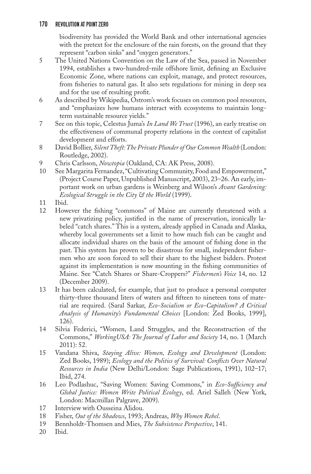## 170 REVOLUTION AT POINT ZERO

biodiversity has provided the World Bank and other international agencies with the pretext for the enclosure of the rain forests, on the ground that they represent "carbon sinks" and "oxygen generators."

- 5 The United Nations Convention on the Law of the Sea, passed in November 1994, establishes a two-hundred-mile offshore limit, defining an Exclusive Economic Zone, where nations can exploit, manage, and protect resources, from fisheries to natural gas. It also sets regulations for mining in deep sea and for the use of resulting profit.
- 6 As described by Wikipedia, Ostrom's work focuses on common pool resources, and "emphasizes how humans interact with ecosystems to maintain longterm sustainable resource yields."
- 7 See on this topic, Celestus Juma's *In Land We Trust* (1996), an early treatise on the effectiveness of communal property relations in the context of capitalist development and efforts.
- 8 David Bollier, *Silent Theft: The Private Plunder of Our Common Wealth* (London: Routledge, 2002).
- 9 Chris Carlsson, *Nowtopia* (Oakland, CA: AK Press, 2008).
- 10 See Margarita Fernandez, "Cultivating Community, Food and Empowerment," (Project Course Paper, Unpublished Manuscript, 2003), 23–26. An early, important work on urban gardens is Weinberg and Wilson's *Avant Gardening: Ecological Struggle in the City & the World* (1999).
- 11 Ibid.
- 12 However the fishing "commons" of Maine are currently threatened with a new privatizing policy, justified in the name of preservation, ironically labeled "catch shares." This is a system, already applied in Canada and Alaska, whereby local governments set a limit to how much fish can be caught and allocate individual shares on the basis of the amount of fishing done in the past. This system has proven to be disastrous for small, independent fishermen who are soon forced to sell their share to the highest bidders. Protest against its implementation is now mounting in the fishing communities of Maine. See "Catch Shares or Share-Croppers?" *Fishermen's Voice* 14, no. 12 (December 2009).
- 13 It has been calculated, for example, that just to produce a personal computer thirty-three thousand liters of waters and fifteen to nineteen tons of material are required. (Saral Sarkar, *Eco-Socialism or Eco-Capitalism? A Critical Analysis of Humanity's Fundamental Choices* [London: Zed Books, 1999], 126).
- 14 Silvia Federici, "Women, Land Struggles, and the Reconstruction of the Commons," *WorkingUSA: The Journal of Labor and Society* 14, no. 1 (March 2011): 52.
- 15 Vandana Shiva, *Staying Alive: Women, Ecology and Development* (London: Zed Books, 1989); *Ecology and the Politics of Survival: Conflicts Over Natural Resources in India* (New Delhi/London: Sage Publications, 1991), 102–17; Ibid, 274.
- 16 Leo Podlashuc, "Saving Women: Saving Commons," in *Eco-Sufficiency and Global Justice: Women Write Political Ecology*, ed. Ariel Salleh (New York, London: Macmillan Palgrave, 2009).
- 17 Interview with Ousseina Alidou.
- 18 Fisher, *Out of the Shadows*, 1993; Andreas, *Why Women Rebel*.
- 19 Bennholdt-Thomsen and Mies, *The Subsistence Perspective*, 141.
- 20 Ibid.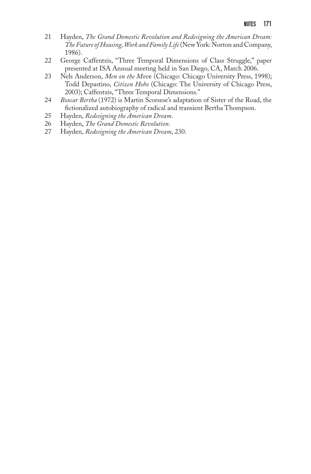- 21 Hayden, *The Grand Domestic Revolution and Redesigning the American Dream: The Future of Housing, Work and Family Life* (New York: Norton and Company, 1986).
- 22 George Caffentzis, "Three Temporal Dimensions of Class Struggle," paper presented at ISA Annual meeting held in San Diego, CA, March 2006.
- 23 Nels Anderson, *Men on the Mov*e (Chicago: Chicago University Press, 1998); Todd Depastino, *Citizen Hobo* (Chicago: The University of Chicago Press, 2003); Caffentzis, "Three Temporal Dimensions."
- 24 *Boxcar Bertha* (1972) is Martin Scorsese's adaptation of Sister of the Road, the fictionalized autobiography of radical and transient Bertha Thompson.
- 25 Hayden, *Redesigning the American Dream*.
- 26 Hayden, *The Grand Domestic Revolution*.
- 27 Hayden, *Redesigning the American Dream*, 230.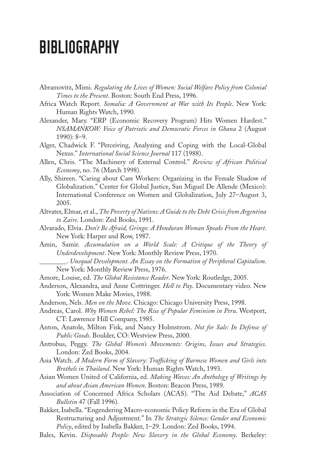## BIBLIOGRAPHY

- Abramovitz, Mimi. *Regulating the Lives of Women: Social Welfare Policy from Colonial Times to the Present*. Boston: South End Press, 1996.
- Africa Watch Report. *Somalia: A Government at War with Its People*. New York: Human Rights Watch, 1990.
- Alexander, Mary. "ERP (Economic Recovery Program) Hits Women Hardest." *NSAMANKOW: Voice of Patriotic and Democratic Forces in Ghana* 2 (August 1990): 8–9.
- Alger, Chadwick F. "Perceiving, Analyzing and Coping with the Local-Global Nexus." *International Social Science Journal* 117 (1988).
- Allen, Chris. "The Machinery of External Control." *Review of African Political Economy*, no. 76 (March 1998).
- Ally, Shireen. "Caring about Care Workers: Organizing in the Female Shadow of Globalization." Center for Global Justice, San Miguel De Allende (Mexico): International Conference on Women and Globalization, July 27–August 3, 2005.
- Altvater, Elmar, et al., *The Poverty of Nations: A Guide to the Debt Crisis from Argentina to Zaire*. London: Zed Books, 1991.
- Alvarado, Elvia. *Don't Be Afraid, Gringo: A Honduran Woman Speaks From the Heart*. New York: Harper and Row, 1987.
- Amin, Samir. *Accumulation on a World Scale: A Critique of the Theory of Underdevelopment*. New York: Monthly Review Press, 1970.
	- \_\_\_\_\_\_\_\_. *Unequal Development. An Essay on the Formation of Peripheral Capitalism*. New York: Monthly Review Press, 1976.
- Amore, Louise, ed. *The Global Resistance Reader*. New York: Routledge, 2005.
- Anderson, Alexandra, and Anne Cottringer. *Hell to Pay*. Documentary video. New York: Women Make Movies, 1988.
- Anderson, Nels. *Men on the Move*. Chicago: Chicago University Press, 1998.
- Andreas, Carol. *Why Women Rebel: The Rise of Popular Feminism in Peru*. Westport, CT: Lawrence Hill Company, 1985.
- Anton, Anatole, Milton Fisk, and Nancy Holmstrom. *Not for Sale: In Defense of Public Goods*. Boulder, CO: Westview Press, 2000.
- Antrobus, Peggy. *The Global Women's Movements: Origins, Issues and Strategies*. London: Zed Books, 2004.
- Asia Watch. *A Modern Form of Slavery: Trafficking of Burmese Women and Girls into Brothels in Thailand*. New York: Human Rights Watch, 1993.
- Asian Women United of California, ed. *Making Waves: An Anthology of Writings by and about Asian American Women*. Boston: Beacon Press, 1989.
- Association of Concerned Africa Scholars (ACAS). "The Aid Debate," *ACAS Bulletin* 47 (Fall 1996).
- Bakker, Isabella. "Engendering Macro-economic Policy Reform in the Era of Global Restructuring and Adjustment." In *The Strategic Silence: Gender and Economic Policy*, edited by Isabella Bakker, 1–29. London: Zed Books, 1994.
- Bales, Kevin. *Disposable People: New Slavery in the Global Economy*. Berkeley: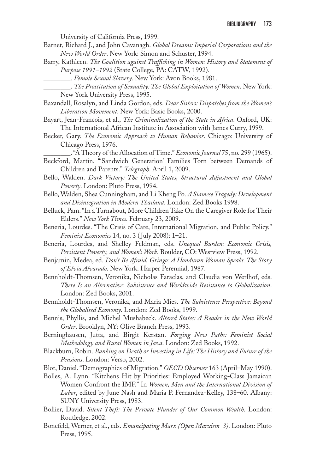University of California Press, 1999.

- Barnet, Richard J., and John Cavanagh. *Global Dreams: Imperial Corporations and the New World Order*. New York: Simon and Schuster, 1994.
- Barry, Kathleen. *The Coalition against Trafficking in Women: History and Statement of Purpose 1991–1992* (State College, PA: CATW, 1992).
	- \_\_\_\_\_\_\_\_. *Female Sexual Slavery*. New York: Avon Books, 1981.
	- \_\_\_\_\_\_\_\_. *The Prostitution of Sexuality: The Global Exploitation of Women*. New York: New York University Press, 1995.
- Baxandall, Rosalyn, and Linda Gordon, eds. *Dear Sisters: Dispatches from the Women's Liberation Movement*. New York: Basic Books, 2000.
- Bayart, Jean-Francois, et al., *The Criminalization of the State in Africa*. Oxford, UK: The International African Institute in Association with James Curry, 1999.
- Becker, Gary. *The Economic Approach to Human Behavior*. Chicago: University of Chicago Press, 1976.
	- \_\_\_\_\_\_\_\_. "A Theory of the Allocation of Time." *Economic Journal* 75, no. 299 (1965).
- Beckford, Martin. "'Sandwich Generation' Families Torn between Demands of Children and Parents." *Telegraph*. April 1, 2009.
- Bello, Walden. *Dark Victory: The United States, Structural Adjustment and Global Poverty*. London: Pluto Press, 1994.
- Bello, Walden, Shea Cunningham, and Li Kheng Po. *A Siamese Tragedy: Development and Disintegration in Modern Thailand*. London: Zed Books 1998.
- Belluck, Pam. "In a Turnabout, More Children Take On the Caregiver Role for Their Elders." *New York Times*. February 23, 2009.
- Beneria, Lourdes. "The Crisis of Care, International Migration, and Public Policy." *Feminist Economics* 14, no. 3 ( July 2008): 1–21.
- Beneria, Lourdes, and Shelley Feldman, eds. *Unequal Burden: Economic Crisis, Persistent Poverty, and Women's Work*. Boulder, CO: Westview Press, 1992.
- Benjamin, Medea, ed. *Don't Be Afraid, Gringo: A Honduran Woman Speaks. The Story of Elvia Alvarado*. New York: Harper Perennial, 1987.
- Bennholdt-Thomsen, Veronika, Nicholas Faraclas, and Claudia von Werlhof, eds. *There Is an Alternative: Subsistence and Worldwide Resistance to Globalization*. London: Zed Books, 2001.
- Bennholdt-Thomsen, Veronika, and Maria Mies. *The Subsistence Perspective: Beyond the Globalised Economy*. London: Zed Books, 1999.
- Bennis, Phyllis, and Michel Mushabeck. *Altered States: A Reader in the New World Order*. Brooklyn, NY: Olive Branch Press, 1993.
- Berninghausen, Jutta, and Birgit Kerstan. *Forging New Paths: Feminist Social Methodology and Rural Women in Java*. London: Zed Books, 1992.
- Blackburn, Robin. *Banking on Death or Investing in Life: The History and Future of the Pensions*. London: Verso, 2002.
- Blot, Daniel. "Demographics of Migration." *OECD Observer* 163 (April–May 1990).
- Bolles, A. Lynn. "Kitchens Hit by Priorities: Employed Working-Class Jamaican Women Confront the IMF." In *Women, Men and the International Division of Labor*, edited by June Nash and Maria P. Fernandez-Kelley, 138–60. Albany: SUNY University Press, 1983.
- Bollier, David. *Silent Theft: The Private Plunder of Our Common Wealth*. London: Routledge, 2002.
- Bonefeld, Werner, et al., eds. *Emancipating Marx (Open Marxism 3)*. London: Pluto Press, 1995.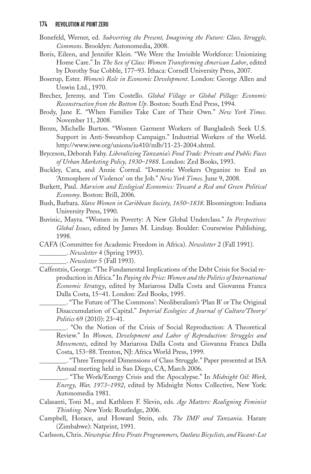- Bonefeld, Werner, ed. *Subverting the Present, Imagining the Future: Class, Struggle, Commons*. Brooklyn: Autonomedia, 2008.
- Boris, Eileen, and Jennifer Klein. "We Were the Invisible Workforce: Unionizing Home Care." In *The Sex of Class: Women Transforming American Labor*, edited by Dorothy Sue Cobble, 177–93. Ithaca: Cornell University Press, 2007.
- Boserup, Ester. *Women's Role in Economic Development*. London: George Allen and Unwin Ltd., 1970.
- Brecher, Jeremy, and Tim Costello. *Global Village or Global Pillage: Economic Reconstruction from the Bottom Up*. Boston: South End Press, 1994.
- Brody, Jane E. "When Families Take Care of Their Own." *New York Times*. November 11, 2008.
- Brozn, Michelle Burton. "Women Garment Workers of Bangladesh Seek U.S. Support in Anti-Sweatshop Campaign." Industrial Workers of the World. http://www.iww.org/unions/iu410/mlb/11-23-2004.shtml.
- Bryceson, Deborah Fahy. *Liberalizing Tanzania's Food Trade: Private and Public Faces of Urban Marketing Policy, 1930–1988*. London: Zed Books, 1993.
- Buckley, Cara, and Annie Correal. "Domestic Workers Organize to End an 'Atmosphere of Violence' on the Job." *New York Times*. June 9, 2008.
- Burkett, Paul. *Marxism and Ecological Economics: Toward a Red and Green Political Economy*. Boston: Brill, 2006.
- Bush, Barbara. *Slave Women in Caribbean Society, 1650–1838*. Bloomington: Indiana University Press, 1990.
- Buvinic, Mayra. "Women in Poverty: A New Global Underclass." *In Perspectives: Global Issues*, edited by James M. Lindsay. Boulder: Coursewise Publishing, 1998.
- CAFA (Committee for Academic Freedom in Africa). *Newsletter* 2 (Fall 1991). \_\_\_\_\_\_\_\_. *Newsletter* 4 (Spring 1993).

\_\_\_\_\_\_\_\_. *Newsletter* 5 (Fall 1993).

Caffentzis, George. "The Fundamental Implications of the Debt Crisis for Social reproduction in Africa." In *Paying the Price: Women and the Politics of International Economic Strategy*, edited by Mariarosa Dalla Costa and Giovanna Franca Dalla Costa, 15–41. London: Zed Books, 1995.

\_\_\_\_\_\_\_\_. "The Future of 'The Commons': Neoliberalism's 'Plan B' or The Original Disaccumulation of Capital." *Imperial Ecologies: A Journal of Culture/Theory/ Politics* 69 (2010): 23–41.

\_\_\_\_\_\_\_\_. "On the Notion of the Crisis of Social Reproduction: A Theoretical Review." In *Women, Development and Labor of Reproduction: Struggles and Movements*, edited by Mariarosa Dalla Costa and Giovanna Franca Dalla Costa, 153–88. Trenton, NJ: Africa World Press, 1999.

\_\_\_\_\_\_\_\_. "Three Temporal Dimensions of Class Struggle." Paper presented at ISA Annual meeting held in San Diego, CA, March 2006.

\_\_\_\_\_\_\_\_. "The Work/Energy Crisis and the Apocalypse." In *Midnight Oil: Work, Energy, War, 1973–1992*, edited by Midnight Notes Collective, New York: Autonomedia 1981.

Calasanti, Toni M., and Kathleen F. Slevin, eds. *Age Matters: Realigning Feminist Thinking*. New York: Routledge, 2006.

- Campbell, Horace, and Howard Stein, eds. *The IMF and Tanzania*. Harare (Zimbabwe): Natprint, 1991.
- Carlsson, Chris. *Nowtopia: How Pirate Programmers, Outlaw Bicyclists, and Vacant-Lot*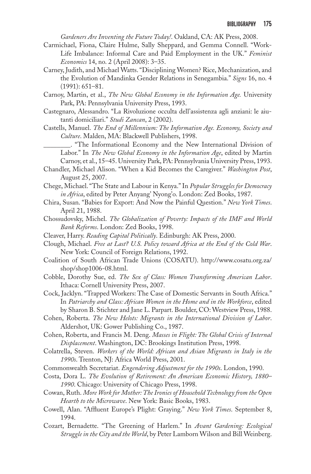*Gardeners Are Inventing the Future Today!*. Oakland, CA: AK Press, 2008.

- Carmichael, Fiona, Claire Hulme, Sally Sheppard, and Gemma Connell. "Work-Life Imbalance: Informal Care and Paid Employment in the UK." *Feminist Economics* 14, no. 2 (April 2008): 3–35.
- Carney, Judith, and Michael Watts. "Disciplining Women? Rice, Mechanization, and the Evolution of Mandinka Gender Relations in Senegambia." *Signs* 16, no. 4 (1991): 651–81.
- Carnoy, Martin, et al., *The New Global Economy in the Information Age.* University Park, PA: Pennsylvania University Press, 1993.
- Castegnaro, Alessandro. "La Rivoluzione occulta dell'assistenza agli anziani: le aiutanti domiciliari." *Studi Zancan*, 2 (2002).
- Castells, Manuel. *The End of Millennium: The Information Age. Economy, Society and Culture*. Malden, MA: Blackwell Publishers, 1998.
	- \_\_\_\_\_\_\_\_. "The Informational Economy and the New International Division of Labor." In *The New Global Economy in the Information Age*, edited by Martin Carnoy, et al., 15–45. University Park, PA: Pennsylvania University Press, 1993.
- Chandler, Michael Alison. "When a Kid Becomes the Caregiver." *Washington Post*, August 25, 2007.
- Chege, Michael. "The State and Labour in Kenya." In *Popular Struggles for Democracy in Africa*, edited by Peter Anyang' Nyong'o. London: Zed Books, 1987.
- Chira, Susan. "Babies for Export: And Now the Painful Question." *New York Times*. April 21, 1988.
- Chossudovsky, Michel. *The Globalization of Poverty: Impacts of the IMF and World Bank Reforms*. London: Zed Books, 1998.
- Cleaver, Harry. *Reading Capital Politically*. Edinburgh: AK Press, 2000.
- Clough, Michael. *Free at Last? U.S. Policy toward Africa at the End of the Cold War*. New York: Council of Foreign Relations, 1992.
- Coalition of South African Trade Unions (COSATU). http://www.cosatu.org.za/ shop/shop1006-08.html.
- Cobble, Dorothy Sue, ed. *The Sex of Class: Women Transforming American Labor*. Ithaca: Cornell University Press, 2007.
- Cock, Jacklyn. "Trapped Workers: The Case of Domestic Servants in South Africa." In *Patriarchy and Class: African Women in the Home and in the Workforce*, edited by Sharon B. Stichter and Jane L. Parpart. Boulder, CO: Westview Press, 1988.
- Cohen, Roberta. *The New Helots: Migrants in the International Division of Labor*. Aldershot, UK: Gower Publishing Co., 1987.
- Cohen, Roberta, and Francis M. Deng. *Masses in Flight: The Global Crisis of Internal Displacement*. Washington, DC: Brookings Institution Press, 1998.
- Colatrella, Steven. *Workers of the World: African and Asian Migrants in Italy in the 1990s*. Trenton, NJ: Africa World Press, 2001.
- Commonwealth Secretariat. *Engendering Adjustment for the 1990s*. London, 1990.
- Costa, Dora L. *The Evolution of Retirement: An American Economic History, 1880– 1990*. Chicago: University of Chicago Press, 1998.
- Cowan, Ruth. *More Work for Mother: The Ironies of Household Technology from the Open Hearth to the Microwave*. New York: Basic Books, 1983.
- Cowell, Alan. "Affluent Europe's Plight: Graying." *New York Times*. September 8, 1994.
- Cozart, Bernadette. "The Greening of Harlem." In *Avant Gardening: Ecological Struggle in the City and the World*, by Peter Lamborn Wilson and Bill Weinberg.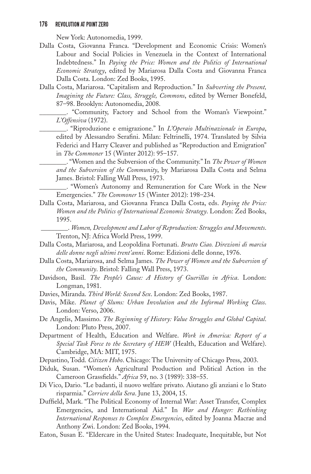New York: Autonomedia, 1999.

- Dalla Costa, Giovanna Franca. "Development and Economic Crisis: Women's Labour and Social Policies in Venezuela in the Context of International Indebtedness." In *Paying the Price: Women and the Politics of International Economic Strategy*, edited by Mariarosa Dalla Costa and Giovanna Franca Dalla Costa. London: Zed Books, 1995.
- Dalla Costa, Mariarosa. "Capitalism and Reproduction." In *Subverting the Present, Imagining the Future: Class, Struggle, Commons*, edited by Werner Bonefeld, 87–98. Brooklyn: Autonomedia, 2008.
	- \_\_\_\_\_\_\_\_. "Community, Factory and School from the Woman's Viewpoint." *L'Offensiva* (1972).

\_\_\_\_\_\_\_\_. "Riproduzione e emigrazione." In *L'Operaio Multinazionale in Europa*, edited by Alessandro Serafini. Milan: Feltrinelli, 1974. Translated by Silvia Federici and Harry Cleaver and published as "Reproduction and Emigration" in *The Commoner* 15 (Winter 2012): 95–157.

\_\_\_\_\_\_\_\_. "Women and the Subversion of the Community." In *The Power of Women and the Subversion of the Community*, by Mariarosa Dalla Costa and Selma James. Bristol: Falling Wall Press, 1973.

\_\_\_\_\_\_\_\_. "Women's Autonomy and Remuneration for Care Work in the New Emergencies." *The Commoner* 15 (Winter 2012): 198–234.

Dalla Costa, Mariarosa, and Giovanna Franca Dalla Costa, eds. *Paying the Price: Women and the Politics of International Economic Strategy*. London: Zed Books, 1995.

 \_\_\_\_\_\_\_\_. *Women, Development and Labor of Reproduction: Struggles and Movements*. Trenton, NJ: Africa World Press, 1999.

- Dalla Costa, Mariarosa, and Leopoldina Fortunati. *Brutto Ciao. Direzioni di marcia delle donne negli ultimi trent'anni*. Rome: Edizioni delle donne, 1976.
- Dalla Costa, Mariarosa, and Selma James. *The Power of Women and the Subversion of the Community*. Bristol: Falling Wall Press, 1973.
- Davidson, Basil. *The People's Cause: A History of Guerillas in Africa*. London: Longman, 1981.
- Davies, Miranda. *Third World: Second Sex*. London: Zed Books, 1987.
- Davis, Mike. *Planet of Slums: Urban Involution and the Informal Working Class*. London: Verso, 2006.
- De Angelis, Massimo. *The Beginning of History: Value Struggles and Global Capital*. London: Pluto Press, 2007.
- Department of Health, Education and Welfare. *Work in America: Report of a Special Task Force to the Secretary of HEW* (Health, Education and Welfare). Cambridge, MA: MIT, 1975.
- Depastino, Todd. *Citizen Hobo*. Chicago: The University of Chicago Press, 2003.
- Diduk, Susan. "Women's Agricultural Production and Political Action in the Cameroon Grassfields." *Africa* 59, no. 3 (1989): 338–55.
- Di Vico, Dario. "Le badanti, il nuovo welfare privato. Aiutano gli anziani e lo Stato risparmia." *Corriere della Sera*. June 13, 2004, 15.
- Duffield, Mark. "The Political Economy of Internal War: Asset Transfer, Complex Emergencies, and International Aid." In *War and Hunger: Rethinking International Responses to Complex Emergencies*, edited by Joanna Macrae and Anthony Zwi. London: Zed Books, 1994.

Eaton, Susan E. "Eldercare in the United States: Inadequate, Inequitable, but Not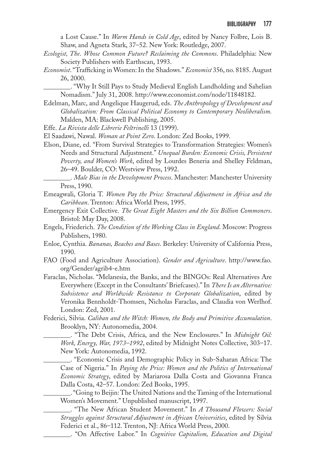a Lost Cause." In *Warm Hands in Cold Age*, edited by Nancy Folbre, Lois B. Shaw, and Agneta Stark, 37–52. New York: Routledge, 2007.

- *Ecologist, The*. *Whose Common Future? Reclaiming the Commons*. Philadelphia: New Society Publishers with Earthscan, 1993.
- *Economist*. "Trafficking in Women: In the Shadows." *Economist* 356, no. 8185. August 26, 2000.

\_\_\_\_\_\_\_\_. "Why It Still Pays to Study Medieval English Landholding and Sahelian Nomadism." July 31, 2008. http://www.economist.com/node/11848182.

- Edelman, Marc, and Angelique Haugerud, eds. *The Anthropology of Development and Globalization: From Classical Political Economy to Contemporary Neoliberalism.*  Malden, MA: Blackwell Publishing, 2005.
- Effe. *La Rivista delle Librerie Feltrinelli* 13 (1999).
- El Saadawi, Nawal. *Woman at Point Zero*. London: Zed Books, 1999.
- Elson, Diane, ed. "From Survival Strategies to Transformation Strategies: Women's Needs and Structural Adjustment." *Unequal Burden: Economic Crisis, Persistent Poverty, and Women's Work*, edited by Lourdes Beneria and Shelley Feldman, 26–49. Boulder, CO: Westview Press, 1992.
	- \_\_\_\_\_\_\_\_. *Male Bias in the Development Process*. Manchester: Manchester University Press, 1990.
- Emeagwali, Gloria T. *Women Pay the Price: Structural Adjustment in Africa and the Caribbean*. Trenton: Africa World Press, 1995.
- Emergency Exit Collective. *The Great Eight Masters and the Six Billion Commoners*. Bristol: May Day, 2008.
- Engels, Friederich. *The Condition of the Working Class in England*. Moscow: Progress Publishers, 1980.
- Enloe, Cynthia. *Bananas, Beaches and Bases*. Berkeley: University of California Press, 1990.
- FAO (Food and Agriculture Association). *Gender and Agriculture*. http://www.fao. org/Gender/agrib4-e.htm
- Faraclas, Nicholas. "Melanesia, the Banks, and the BINGOs: Real Alternatives Are Everywhere (Except in the Consultants' Briefcases)." In *There Is an Alternative: Subsistence and Worldwide Resistance to Corporate Globalization*, edited by Veronika Bennholdt-Thomsen, Nicholas Faraclas, and Claudia von Werlhof. London: Zed, 2001.
- Federici, Silvia. *Caliban and the Witch: Women, the Body and Primitive Accumulation*. Brooklyn, NY: Autonomedia, 2004.

\_\_\_\_\_\_\_\_. "The Debt Crisis, Africa, and the New Enclosures." In *Midnight Oil: Work, Energy, War, 1973–1992*, edited by Midnight Notes Collective, 303–17. New York: Autonomedia, 1992.

\_\_\_\_\_\_\_\_. "Economic Crisis and Demographic Policy in Sub-Saharan Africa: The Case of Nigeria." In *Paying the Price: Women and the Politics of International Economic Strategy*, edited by Mariarosa Dalla Costa and Giovanna Franca Dalla Costa, 42–57. London: Zed Books, 1995.

\_\_\_\_\_\_\_\_. "Going to Beijin: The United Nations and the Taming of the International Women's Movement." Unpublished manuscript, 1997.

\_\_\_\_\_\_\_\_. "The New African Student Movement." In *A Thousand Flowers: Social Struggles against Structural Adjustment in African Universities*, edited by Silvia Federici et al., 86–112. Trenton, NJ: Africa World Press, 2000.

\_\_\_\_\_\_\_\_. "On Affective Labor." In *Cognitive Capitalism, Education and Digital*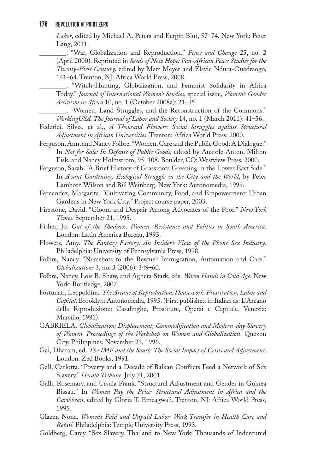*Labor*, edited by Michael A. Peters and Eergin Blut, 57–74. New York: Peter Lang, 2011.

\_\_\_\_\_\_\_\_. "War, Globalization and Reproduction." *Peace and Change* 25, no. 2 (April 2000). Reprinted in *Seeds of New Hope: Pan-African Peace Studies for the Twenty-First Century*, edited by Matt Meyer and Elavie Ndura-Ouédraogo, 141–64. Trenton, NJ: Africa World Press, 2008.

\_\_\_\_\_\_\_\_. "Witch-Hunting, Globalization, and Feminist Solidarity in Africa Today." *Journal of International Women's Studies*, special issue, *Women's Gender Activism in Africa* 10, no. 1 (October 2008a): 21–35.

\_\_\_\_\_\_\_\_. "Women, Land Struggles, and the Reconstruction of the Commons." *WorkingUSA: The Journal of Labor and Society* 14, no. 1 (March 2011): 41–56.

- Federici, Silvia, et al., *A Thousand Flowers: Social Struggles against Structural Adjustment in African Universities*. Trenton: Africa World Press, 2000.
- Ferguson, Ann, and Nancy Folbre. "Women, Care and the Public Good: A Dialogue." In *Not for Sale: In Defense of Public Goods*, edited by Anatole Anton, Milton Fisk, and Nancy Holmstrom, 95–108. Boulder, CO: Westview Press, 2000.
- Ferguson, Sarah. "A Brief History of Grassroots Greening in the Lower East Side." In *Avant Gardening: Ecological Struggle in the City and the World*, by Peter Lamborn Wilson and Bill Weinberg. New York: Autonomedia, 1999.
- Fernandez, Margarita. "Cultivating Community, Food, and Empowerment: Urban Gardens in New York City." Project course paper, 2003.
- Firestone, David. "Gloom and Despair Among Advocates of the Poor." *New York Times*. September 21, 1995.
- Fisher, Jo. *Out of the Shadows: Women, Resistance and Politics in South America*. London: Latin America Bureau, 1993.
- Flowers, Amy. *The Fantasy Factory: An Insider's View of the Phone Sex Industry*. Philadelphia: University of Pennsylvania Press, 1998.
- Folbre, Nancy. "Nursebots to the Rescue? Immigration, Automation and Care." *Globalizations* 3, no. 3 (2006): 349–60.
- Folbre, Nancy, Lois B. Shaw, and Agneta Stark, eds. *Warm Hands in Cold Age*. New York: Routledge, 2007.
- Fortunati, Leopoldina. *The Arcane of Reproduction: Housework, Prostitution, Labor and Capital*. Brooklyn: Autonomedia, 1995. (First published in Italian as: L'Arcano della Riproduzione: Casalinghe, Prostitute, Operai e Capitale. Venezia: Marsilio, 1981).
- GABRIELA. *Globalization: Displacement, Commodification and Modern-day Slavery of Women. Proceedings of the Workshop on Women and Globalization*. Quezon City. Philippines. November 23, 1996.
- Gai, Dharam, ed. *The IMF and the South: The Social Impact of Crisis and Adjustment*. London: Zed Books, 1991.
- Gall, Carlotta. "Poverty and a Decade of Balkan Conflicts Feed a Network of Sex Slavery." *Herald Tribune*. July 31, 2001.
- Galli, Rosemary, and Ursula Frank. "Structural Adjustment and Gender in Guinea Bissau." In *Women Pay the Price: Structural Adjustment in Africa and the Caribbean*, edited by Gloria T. Emeagwali. Trenton, NJ: Africa World Press, 1995.
- Glazer, Nona. *Women's Paid and Unpaid Labor: Work Transfer in Health Care and Retail*. Philadelphia: Temple University Press, 1993.
- Goldberg, Carey. "Sex Slavery, Thailand to New York: Thousands of Indentured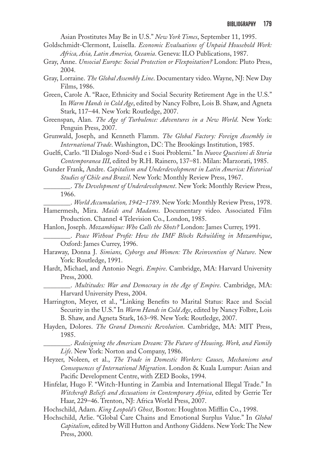Asian Prostitutes May Be in U.S." *New York Times*, September 11, 1995.

- Goldschmidt-Clermont, Luisella. *Economic Evaluations of Unpaid Household Work: Africa, Asia, Latin America, Oceania*. Geneva: ILO Publications, 1987.
- Gray, Anne. *Unsocial Europe: Social Protection or Flexpoitation?* London: Pluto Press, 2004.
- Gray, Lorraine. *The Global Assembly Line*. Documentary video. Wayne, NJ: New Day Films, 1986.
- Green, Carole A. "Race, Ethnicity and Social Security Retirement Age in the U.S." In *Warm Hands in Cold Age*, edited by Nancy Folbre, Lois B. Shaw, and Agneta Stark, 117–44. New York: Routledge, 2007.
- Greenspan, Alan. *The Age of Turbulence: Adventures in a New World*. New York: Penguin Press, 2007.
- Grunwald, Joseph, and Kenneth Flamm. *The Global Factory: Foreign Assembly in International Trade*. Washington, DC: The Brookings Institution, 1985.
- Guelfi, Carlo. "Il Dialogo Nord-Sud e i Suoi Problemi." In *Nuove Questioni di Storia Contemporanea III*, edited by R.H. Rainero, 137–81. Milan: Marzorati, 1985.
- Gunder Frank, Andre. *Capitalism and Underdevelopment in Latin America: Historical Studies of Chile and Brazil*. New York: Monthly Review Press, 1967.
	- \_\_\_\_\_\_\_\_. *The Development of Underdevelopment*. New York: Monthly Review Press, 1966.
	- \_\_\_\_\_\_\_\_. *World Accumulation, 1942–1789*. New York: Monthly Review Press, 1978.
- Hamermesh, Mira. *Maids and Madams*. Documentary video. Associated Film Production. Channel 4 Television Co., London, 1985.
- Hanlon, Joseph. *Mozambique: Who Calls the Shots?* London: James Currey, 1991.
	- \_\_\_\_\_\_\_\_. *Peace Without Profit: How the IMF Blocks Rebuilding in Mozambique*, Oxford: James Currey, 1996.
- Haraway, Donna J. *Simians, Cyborgs and Women: The Reinvention of Nature*. New York: Routledge, 1991.
- Hardt, Michael, and Antonio Negri. *Empire*. Cambridge, MA: Harvard University Press, 2000.
	- \_\_\_\_\_\_\_\_. *Multitudes: War and Democracy in the Age of Empire*. Cambridge, MA: Harvard University Press, 2004.
- Harrington, Meyer, et al., "Linking Benefits to Marital Status: Race and Social Security in the U.S." In *Warm Hands in Cold Age*, edited by Nancy Folbre, Lois B. Shaw, and Agneta Stark, 163–98. New York: Routledge, 2007.
- Hayden, Dolores. *The Grand Domestic Revolution*. Cambridge, MA: MIT Press, 1985.

\_\_\_\_\_\_\_\_. *Redesigning the American Dream: The Future of Housing, Work, and Family Life*. New York: Norton and Company, 1986.

- Heyzer, Noleen, et al., *The Trade in Domestic Workers: Causes, Mechanisms and Consequences of International Migration*. London & Kuala Lumpur: Asian and Pacific Development Centre, with ZED Books, 1994.
- Hinfelar, Hugo F. "Witch-Hunting in Zambia and International Illegal Trade." In *Witchcraft Beliefs and Accusations in Contemporary Africa*, edited by Gerrie Ter Haar, 229–46. Trenton, NJ: Africa World Press, 2007.
- Hochschild, Adam. *King Leopold's Ghost*, Boston: Houghton Mifflin Co., 1998.
- Hochschild, Arlie. "Global Care Chains and Emotional Surplus Value." In *Global Capitalism*, edited by Will Hutton and Anthony Giddens. New York: The New Press, 2000.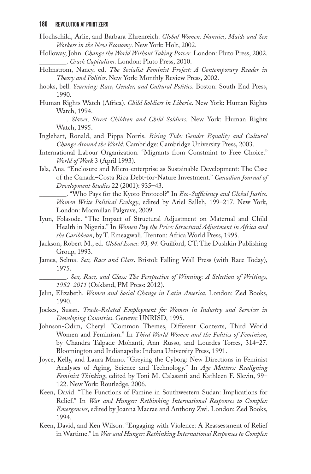- Hochschild, Arlie, and Barbara Ehrenreich. *Global Women: Nannies, Maids and Sex Workers in the New Economy*. New York: Holt, 2002.
- Holloway, John. *Change the World Without Taking Power*. London: Pluto Press, 2002. \_\_\_\_\_\_\_\_. *Crack Capitalism*. London: Pluto Press, 2010.
- Holmstrom, Nancy, ed. *The Socialist Feminist Project: A Contemporary Reader in Theory and Politics*. New York: Monthly Review Press, 2002.
- hooks, bell. *Yearning: Race, Gender, and Cultural Politics*. Boston: South End Press, 1990.
- Human Rights Watch (Africa). *Child Soldiers in Liberia*. New York: Human Rights Watch, 1994.

\_\_\_\_\_\_\_\_. *Slaves, Street Children and Child Soldiers*. New York: Human Rights Watch, 1995.

- Inglehart, Ronald, and Pippa Norris. *Rising Tide: Gender Equality and Cultural Change Around the World*. Cambridge: Cambridge University Press, 2003.
- International Labour Organization. "Migrants from Constraint to Free Choice." *World of Work* 3 (April 1993).
- Isla, Ana. "Enclosure and Micro-enterprise as Sustainable Development: The Case of the Canada–Costa Rica Debt-for-Nature Investment." *Canadian Journal of Development Studies* 22 (2001): 935–43.

\_\_\_\_\_\_\_\_. "Who Pays for the Kyoto Protocol?" In *Eco-Sufficiency and Global Justice. Women Write Political Ecology*, edited by Ariel Salleh, 199–217. New York, London: Macmillan Palgrave, 2009.

- Iyun, Folasode. "The Impact of Structural Adjustment on Maternal and Child Health in Nigeria." In *Women Pay the Price: Structural Adjustment in Africa and the Caribbean*, by T. Emeagwali. Trenton: Africa World Press, 1995.
- Jackson, Robert M., ed. *Global Issues: 93, 94*. Guilford, CT: The Dushkin Publishing Group, 1993.
- James, Selma. *Sex, Race and Class*. Bristol: Falling Wall Press (with Race Today), 1975.

\_\_\_\_\_\_\_\_. *Sex, Race, and Class: The Perspective of Winning: A Selection of Writings, 1952–2011* (Oakland, PM Press: 2012).

- Jelin, Elizabeth. *Women and Social Change in Latin America*. London: Zed Books, 1990.
- Joekes, Susan. *Trade-Related Employment for Women in Industry and Services in Developing Countries*. Geneva: UNRISD, 1995.
- Johnson-Odim, Cheryl. "Common Themes, Different Contexts, Third World Women and Feminism." In *Third World Women and the Politics of Feminism*, by Chandra Talpade Mohanti, Ann Russo, and Lourdes Torres, 314–27. Bloomington and Indianapolis: Indiana University Press, 1991.
- Joyce, Kelly, and Laura Mamo. "Greying the Cyborg: New Directions in Feminist Analyses of Aging, Science and Technology." In *Age Matters: Realigning Feminist Thinking*, edited by Toni M. Calasanti and Kathleen F. Slevin, 99– 122. New York: Routledge, 2006.
- Keen, David. "The Functions of Famine in Southwestern Sudan: Implications for Relief." In *War and Hunger: Rethinking International Responses to Complex Emergencies*, edited by Joanna Macrae and Anthony Zwi. London: Zed Books, 1994.
- Keen, David, and Ken Wilson. "Engaging with Violence: A Reassessment of Relief in Wartime." In *War and Hunger: Rethinking International Responses to Complex*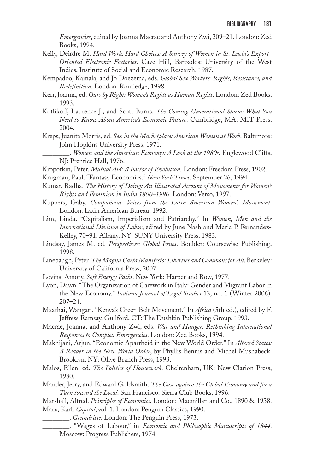*Emergencies*, edited by Joanna Macrae and Anthony Zwi, 209–21. London: Zed Books, 1994.

- Kelly, Deirdre M. *Hard Work, Hard Choices: A Survey of Women in St. Lucia's Export-Oriented Electronic Factories*. Cave Hill, Barbados: University of the West Indies, Institute of Social and Economic Research. 1987.
- Kempadoo, Kamala, and Jo Doezema, eds. *Global Sex Workers: Rights, Resistance, and Redefinition*. London: Routledge, 1998.
- Kerr, Joanna, ed. *Ours by Right: Women's Rights as Human Rights*. London: Zed Books, 1993.
- Kotlikoff, Laurence J., and Scott Burns. *The Coming Generational Storm: What You Need to Know About America's Economic Future*. Cambridge, MA: MIT Press, 2004.
- Kreps, Juanita Morris, ed. *Sex in the Marketplace: American Women at Work*. Baltimore: John Hopkins University Press, 1971.
	- \_\_\_\_\_\_\_\_. *Women and the American Economy: A Look at the 1980s*. Englewood Cliffs, NJ: Prentice Hall, 1976.
- Kropotkin, Peter. *Mutual Aid: A Factor of Evolution.* London: Freedom Press, 1902.
- Krugman, Paul. "Fantasy Economics." *New York Times*. September 26, 1994.
- Kumar, Radha. *The History of Doing: An Illustrated Account of Movements for Women's Rights and Feminism in India 1800–1990*. London: Verso, 1997.
- Kuppers, Gaby. *Compañeras: Voices from the Latin American Women's Movement*. London: Latin American Bureau, 1992.
- Lim, Linda. "Capitalism, Imperialism and Patriarchy." In *Women, Men and the International Division of Labor*, edited by June Nash and Maria P. Fernandez-Kelley, 70–91. Albany, NY: SUNY University Press, 1983.
- Lindsay, James M. ed. *Perspectives: Global Issues*. Boulder: Coursewise Publishing, 1998.
- Linebaugh, Peter. *The Magna Carta Manifesto: Liberties and Commons for All*. Berkeley: University of California Press, 2007.
- Lovins, Amory. *Soft Energy Paths*. New York: Harper and Row, 1977.
- Lyon, Dawn. "The Organization of Carework in Italy: Gender and Migrant Labor in the New Economy." *Indiana Journal of Legal Studies* 13, no. 1 (Winter 2006): 207–24.
- Maathai, Wangari. "Kenya's Green Belt Movement." In *Africa* (5th ed.), edited by F. Jeffress Ramsay. Guilford, CT: The Dushkin Publishing Group, 1993.
- Macrae, Joanna, and Anthony Zwi, eds. *War and Hunger: Rethinking International Responses to Complex Emergencies*. London: Zed Books, 1994.
- Makhijani, Arjun. "Economic Apartheid in the New World Order." In *Altered States: A Reader in the New World Order*, by Phyllis Bennis and Michel Mushabeck. Brooklyn, NY: Olive Branch Press, 1993.
- Malos, Ellen, ed. *The Politics of Housework*. Cheltenham, UK: New Clarion Press, 1980.
- Mander, Jerry, and Edward Goldsmith. *The Case against the Global Economy and for a Turn toward the Local*. San Francisco: Sierra Club Books, 1996.
- Marshall, Alfred. *Principles of Economics*. London: Macmillan and Co., 1890 & 1938.
- Marx, Karl. *Capital*, vol. 1. London: Penguin Classics, 1990.
	- \_\_\_\_\_\_\_\_. *Grundrisse*. London: The Penguin Press, 1973.
	- \_\_\_\_\_\_\_\_. "Wages of Labour," in *Economic and Philosophic Manuscripts of 1844*. Moscow: Progress Publishers, 1974.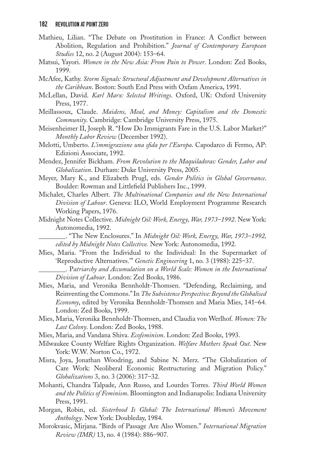- Mathieu, Lilian. "The Debate on Prostitution in France: A Conflict between Abolition, Regulation and Prohibition." *Journal of Contemporary European Studies* 12, no. 2 (August 2004): 153–64.
- Matsui, Yayori. *Women in the New Asia: From Pain to Power*. London: Zed Books, 1999.
- McAfee, Kathy. *Storm Signals: Structural Adjustment and Development Alternatives in the Caribbean*. Boston: South End Press with Oxfam America, 1991.
- McLellan, David. *Karl Marx: Selected Writings*. Oxford, UK: Oxford University Press, 1977.
- Meillassoux, Claude. *Maidens, Meal, and Money: Capitalism and the Domestic Community*. Cambridge: Cambridge University Press, 1975.
- Meisenheimer II, Joseph R. "How Do Immigrants Fare in the U.S. Labor Market?" *Monthly Labor Review* (December 1992).
- Melotti, Umberto. *L'immigrazione una sfida per l'Europa*. Capodarco di Fermo, AP: Edizioni Associate, 1992.
- Mendez, Jennifer Bickham. *From Revolution to the Maquiladoras: Gender, Labor and Globalization*. Durham: Duke University Press, 2005.
- Meyer, Mary K., and Elizabeth Prugl, eds. *Gender Politics in Global Governance*. Boulder: Rowman and Littlefield Publishers Inc., 1999.
- Michalet, Charles Albert. *The Multinational Companies and the New International Division of Labour*. Geneva: ILO, World Employment Programme Research Working Papers, 1976.
- Midnight Notes Collective. *Midnight Oil: Work, Energy, War, 1973–1992*. New York: Autonomedia, 1992.

\_\_\_\_\_\_\_\_. "The New Enclosures." In *Midnight Oil: Work, Energy, War, 1973–1992, edited by Midnight Notes Collective.* New York: Autonomedia, 1992.

Mies, Maria. "From the Individual to the Individual: In the Supermarket of 'Reproductive Alternatives.'" *Genetic Engineering* 1, no. 3 (1988): 225–37.

\_\_\_\_\_\_\_\_. P*atriarchy and Accumulation on a World Scale: Women in the International Division of Labour*. London: Zed Books, 1986.

- Mies, Maria, and Veronika Bennholdt-Thomsen. "Defending, Reclaiming, and Reinventing the Commons." In *The Subsistence Perspective: Beyond the Globalised Economy*, edited by Veronika Bennholdt-Thomsen and Maria Mies, 141–64. London: Zed Books, 1999.
- Mies, Maria, Veronika Bennholdt-Thomsen, and Claudia von Werlhof. *Women: The Last Colony*. London: Zed Books, 1988.
- Mies, Maria, and Vandana Shiva. *Ecofeminism*. London: Zed Books, 1993.
- Milwaukee County Welfare Rights Organization. *Welfare Mothers Speak Out*. New York: W.W. Norton Co., 1972.
- Misra, Joya, Jonathan Woodring, and Sabine N. Merz. "The Globalization of Care Work: Neoliberal Economic Restructuring and Migration Policy." *Globalizations* 3, no. 3 (2006): 317–32.
- Mohanti, Chandra Talpade, Ann Russo, and Lourdes Torres. *Third World Women and the Politics of Feminism*. Bloomington and Indianapolis: Indiana University Press, 1991.
- Morgan, Robin, ed. *Sisterhood Is Global: The International Women's Movement Anthology*. New York: Doubleday, 1984.
- Morokvasic, Mirjana. "Birds of Passage Are Also Women." *International Migration Review (IMR)* 13, no. 4 (1984): 886–907.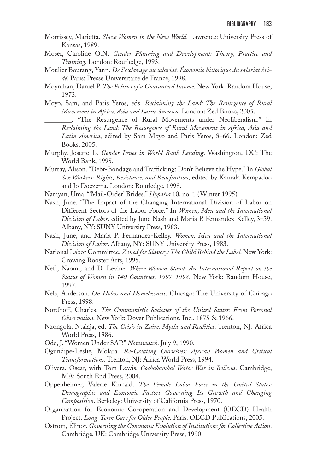- Morrissey, Marietta. *Slave Women in the New World*. Lawrence: University Press of Kansas, 1989.
- Moser, Caroline O.N. *Gender Planning and Development: Theory, Practice and Training*. London: Routledge, 1993.
- Moulier Boutang, Yann. *De l'esclavage au salariat. Économie historique du salariat bridé*. Paris: Presse Universitaire de France, 1998.
- Moynihan, Daniel P. *The Politics of a Guaranteed Income*. New York: Random House, 1973.
- Moyo, Sam, and Paris Yeros, eds. *Reclaiming the Land: The Resurgence of Rural Movement in Africa, Asia and Latin America*. London: Zed Books, 2005.
	- \_\_\_\_\_\_\_\_. "The Resurgence of Rural Movements under Neoliberalism." In *Reclaiming the Land: The Resurgence of Rural Movement in Africa, Asia and Latin America*, edited by Sam Moyo and Paris Yeros, 8–66. London: Zed Books, 2005.
- Murphy, Josette L. *Gender Issues in World Bank Lending*. Washington, DC: The World Bank, 1995.
- Murray, Alison. "Debt-Bondage and Trafficking: Don't Believe the Hype." In *Global Sex Workers: Rights, Resistance, and Redefinition*, edited by Kamala Kempadoo and Jo Doezema. London: Routledge, 1998.
- Narayan, Uma. "'Mail-Order' Brides." *Hypatia* 10, no. 1 (Winter 1995).
- Nash, June. "The Impact of the Changing International Division of Labor on Different Sectors of the Labor Force." In *Women, Men and the International Division of Labor*, edited by June Nash and Maria P. Fernandez-Kelley, 3–39. Albany, NY: SUNY University Press, 1983.
- Nash, June, and Maria P. Fernandez-Kelley. *Women, Men and the International Division of Labor*. Albany, NY: SUNY University Press, 1983.
- National Labor Committee. *Zoned for Slavery: The Child Behind the Label*. New York: Crowing Rooster Arts, 1995.
- Neft, Naomi, and D. Levine. *Where Women Stand: An International Report on the Status of Women in 140 Countries, 1997–1998*. New York: Random House, 1997.
- Nels, Anderson. *On Hobos and Homelessness*. Chicago: The University of Chicago Press, 1998.
- Nordhoff, Charles. *The Communistic Societies of the United States: From Personal Observation*. New York: Dover Publications, Inc., 1875 & 1966.
- Nzongola, Ntalaja, ed. *The Crisis in Zaire: Myths and Realities*. Trenton, NJ: Africa World Press, 1986.
- Ode, J. "Women Under SAP." *Newswatch*. July 9, 1990.
- Ogundipe-Leslie, Molara. *Re-Creating Ourselves: African Women and Critical Transformations*. Trenton, NJ: Africa World Press, 1994.
- Olivera, Oscar, with Tom Lewis. *Cochabamba! Water War in Bolivia*. Cambridge, MA: South End Press, 2004.
- Oppenheimer, Valerie Kincaid. *The Female Labor Force in the United States: Demographic and Economic Factors Governing Its Growth and Changing Composition*. Berkeley: University of California Press, 1970.
- Organization for Economic Co-operation and Development (OECD) Health Project. *Long-Term Care for Older People*. Paris: OECD Publications, 2005.
- Ostrom, Elinor. *Governing the Commons: Evolution of Institutions for Collective Action*. Cambridge, UK: Cambridge University Press, 1990.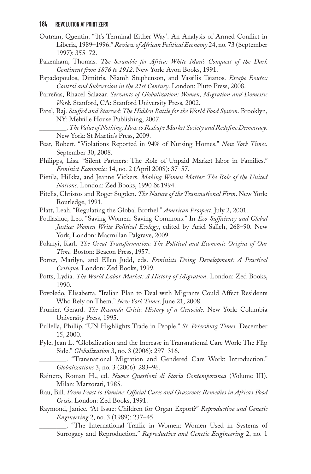- Outram, Quentin. "'It's Terminal Either Way': An Analysis of Armed Conflict in Liberia, 1989–1996." *Review of African Political Economy* 24, no. 73 (September 1997): 355–72.
- Pakenham, Thomas. *The Scramble for Africa: White Man's Conquest of the Dark Continent from 1876 to 1912*. New York: Avon Books, 1991.
- Papadopoulos, Dimitris, Niamh Stephenson, and Vassilis Tsianos. *Escape Routes: Control and Subversion in the 21st Century*. London: Pluto Press, 2008.
- Parreñas, Rhacel Salazar. *Servants of Globalization: Women, Migration and Domestic Work*. Stanford, CA: Stanford University Press, 2002.
- Patel, Raj. *Stuffed and Starved: The Hidden Battle for the World Food System*. Brooklyn, NY: Melville House Publishing, 2007.

\_\_\_\_\_\_\_\_. *The Value of Nothing: How to Reshape Market Society and Redefine Democracy*. New York: St Martin's Press, 2009.

- Pear, Robert. "Violations Reported in 94% of Nursing Homes." *New York Times*. September 30, 2008.
- Philipps, Lisa. "Silent Partners: The Role of Unpaid Market labor in Families." *Feminist Economics* 14, no. 2 (April 2008): 37–57.
- Pietila, Hilkka, and Jeanne Vickers. *Making Women Matter: The Role of the United Nations*. London: Zed Books, 1990 & 1994.
- Pitelis, Christos and Roger Sugden. *The Nature of the Transnational Firm*. New York: Routledge, 1991.
- Platt, Leah. "Regulating the Global Brothel." *American Prospect*. July 2, 2001.
- Podlashuc, Leo. "Saving Women: Saving Commons." In *Eco-Sufficiency and Global Justice: Women Write Political Ecology*, edited by Ariel Salleh, 268–90. New York, London: Macmillan Palgrave, 2009.
- Polanyi, Karl. *The Great Transformation: The Political and Economic Origins of Our Time*. Boston: Beacon Press, 1957.
- Porter, Marilyn, and Ellen Judd, eds. *Feminists Doing Development: A Practical Critique*. London: Zed Books, 1999.
- Potts, Lydia. *The World Labor Market: A History of Migration*. London: Zed Books, 1990.
- Povoledo, Elisabetta. "Italian Plan to Deal with Migrants Could Affect Residents Who Rely on Them." *New York Times*. June 21, 2008.
- Prunier, Gerard. *The Rwanda Crisis: History of a Genocide*. New York: Columbia University Press, 1995.
- Pullella, Phillip. "UN Highlights Trade in People." *St. Petersburg Times.* December 15, 2000.
- Pyle, Jean L. "Globalization and the Increase in Transnational Care Work: The Flip Side." *Globalization* 3, no. 3 (2006): 297–316.

\_\_\_\_\_\_\_\_. "Transnational Migration and Gendered Care Work: Introduction." *Globalizations* 3, no. 3 (2006): 283–96.

- Rainero, Roman H., ed. *Nuove Questioni di Storia Contemporanea* (Volume III). Milan: Marzorati, 1985.
- Rau, Bill. *From Feast to Famine: Official Cures and Grassroots Remedies in Africa's Food Crisis*. London: Zed Books, 1991.
- Raymond, Janice. "At Issue: Children for Organ Export?" *Reproductive and Genetic Engineering* 2, no. 3 (1989): 237–45.

\_\_\_\_\_\_\_\_. "The International Traffic in Women: Women Used in Systems of Surrogacy and Reproduction." *Reproductive and Genetic Engineering* 2, no. 1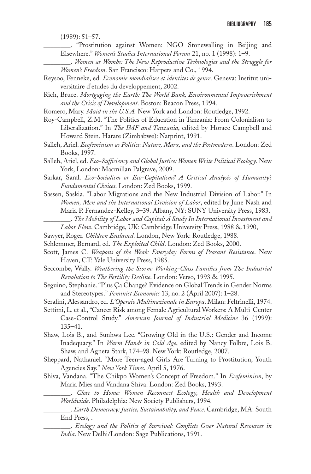(1989): 51–57.

- \_\_\_\_\_\_\_\_. "Prostitution against Women: NGO Stonewalling in Beijing and Elsewhere." *Women's Studies International Forum* 21, no. 1 (1998): 1–9.
- \_\_\_\_\_\_\_\_. *Women as Wombs: The New Reproductive Technologies and the Struggle for Women's Freedom*. San Francisco: Harpers and Co., 1994.
- Reysoo, Fenneke, ed. *Economie mondialisee et identites de genre*. Geneva: Institut universitaire d'etudes du developpement, 2002.
- Rich, Bruce. *Mortgaging the Earth: The World Bank, Environmental Impoverishment and the Crisis of Development*. Boston: Beacon Press, 1994.
- Romero, Mary. *Maid in the U.S.A.* New York and London: Routledge, 1992.
- Roy-Campbell, Z.M. "The Politics of Education in Tanzania: From Colonialism to Liberalization." In *The IMF and Tanzania*, edited by Horace Campbell and Howard Stein. Harare (Zimbabwe): Natprint, 1991.
- Salleh, Ariel. *Ecofeminism as Politics: Nature, Marx, and the Postmodern*. London: Zed Books, 1997.
- Salleh, Ariel, ed. *Eco-Sufficiency and Global Justice: Women Write Political Ecology*. New York, London: Macmillan Palgrave, 2009.
- Sarkar, Saral. *Eco-Socialism or Eco-Capitalism? A Critical Analysis of Humanity's Fundamental Choices*. London: Zed Books, 1999.
- Sassen, Saskia. "Labor Migrations and the New Industrial Division of Labor." In *Women, Men and the International Division of Labor*, edited by June Nash and Maria P. Fernandez-Kelley, 3–39. Albany, NY: SUNY University Press, 1983. \_\_\_\_\_\_\_\_. *The Mobility of Labor and Capital: A Study In International Investment and* 
	- *Labor Flow*. Cambridge, UK: Cambridge University Press, 1988 & 1990,
- Sawyer, Roger. *Children Enslaved*. London, New York: Routledge, 1988.
- Schlemmer, Bernard, ed. *The Exploited Child*. London: Zed Books, 2000.
- Scott, James C. *Weapons of the Weak: Everyday Forms of Peasant Resistance*. New Haven, CT: Yale University Press, 1985.
- Seccombe, Wally. *Weathering the Storm: Working-Class Families from The Industrial Revolution to The Fertility Decline*. London: Verso, 1993 & 1995.
- Seguino, Stephanie. "Plus Ça Change? Evidence on Global Trends in Gender Norms and Stereotypes." *Feminist Economics* 13, no. 2 (April 2007): 1–28.
- Serafini, Alessandro, ed. *L'Operaio Multinazionale in Europa*. Milan: Feltrinelli, 1974.
- Settimi, L. et al., "Cancer Risk among Female Agricultural Workers: A Multi-Center Case-Control Study." *American Journal of Industrial Medicine* 36 (1999): 135–41.
- Shaw, Lois B., and Sunhwa Lee. "Growing Old in the U.S.: Gender and Income Inadequacy." In *Warm Hands in Cold Age*, edited by Nancy Folbre, Lois B. Shaw, and Agneta Stark, 174–98. New York: Routledge, 2007.
- Sheppard, Nathaniel. "More Teen-aged Girls Are Turning to Prostitution, Youth Agencies Say." *New York Times*. April 5, 1976.
- Shiva, Vandana. "The Chikpo Women's Concept of Freedom." In *Ecofeminism*, by Maria Mies and Vandana Shiva. London: Zed Books, 1993.
	- \_\_\_\_\_\_\_\_. *Close to Home: Women Reconnect Ecology, Health and Development Worldwide*. Philadelphia: New Society Publishers, 1994.
	- \_\_\_\_\_\_\_\_. *Earth Democracy: Justice, Sustainability, and Peace*. Cambridge, MA: South End Press, .
		- \_\_\_\_\_\_\_\_. *Ecology and the Politics of Survival: Conflicts Over Natural Resources in India*. New Delhi/London: Sage Publications, 1991.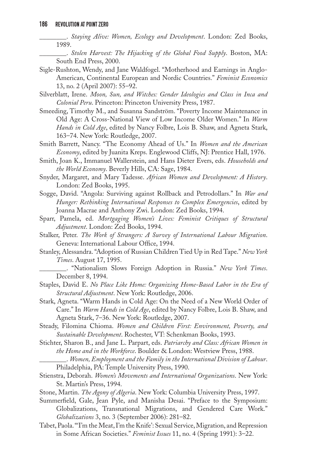\_\_\_\_\_\_\_\_. *Staying Alive: Women, Ecology and Development*. London: Zed Books, 1989.

- \_\_\_\_\_\_\_\_. *Stolen Harvest: The Hijacking of the Global Food Supply*. Boston, MA: South End Press, 2000.
- Sigle-Rushton, Wendy, and Jane Waldfogel. "Motherhood and Earnings in Anglo-American, Continental European and Nordic Countries." *Feminist Economics* 13, no. 2 (April 2007): 55–92.
- Silverblatt, Irene. *Moon, Sun, and Witches: Gender Ideologies and Class in Inca and Colonial Peru*. Princeton: Princeton University Press, 1987.
- Smeeding, Timothy M., and Susanna Sandström. "Poverty Income Maintenance in Old Age: A Cross-National View of Low Income Older Women." In *Warm Hands in Cold Age*, edited by Nancy Folbre, Lois B. Shaw, and Agneta Stark, 163–74. New York: Routledge, 2007.
- Smith Barrett, Nancy. "The Economy Ahead of Us." In *Women and the American Economy*, edited by Juanita Kreps. Englewood Cliffs, NJ: Prentice Hall, 1976.
- Smith, Joan K., Immanuel Wallerstein, and Hans Dieter Evers, eds. *Households and the World Economy*. Beverly Hills, CA: Sage, 1984.
- Snyder, Margaret, and Mary Tadesse. *African Women and Development: A History*. London: Zed Books, 1995.
- Sogge, David. "Angola: Surviving against Rollback and Petrodollars." In *War and Hunger: Rethinking International Responses to Complex Emergencies*, edited by Joanna Macrae and Anthony Zwi. London: Zed Books, 1994.
- Sparr, Pamela, ed. *Mortgaging Women's Lives: Feminist Critiques of Structural Adjustment*. London: Zed Books, 1994.
- Stalker, Peter. *The Work of Strangers: A Survey of International Labour Migration*. Geneva: International Labour Office, 1994.
- Stanley, Alessandra. "Adoption of Russian Children Tied Up in Red Tape." *New York Times*. August 17, 1995.
	- \_\_\_\_\_\_\_\_. "Nationalism Slows Foreign Adoption in Russia." *New York Times*. December 8, 1994.
- Staples, David E. *No Place Like Home: Organizing Home-Based Labor in the Era of Structural Adjustment*. New York: Routledge, 2006.
- Stark, Agneta. "Warm Hands in Cold Age: On the Need of a New World Order of Care." In *Warm Hands in Cold Age*, edited by Nancy Folbre, Lois B. Shaw, and Agneta Stark, 7–36. New York: Routledge, 2007.
- Steady, Filomina Chioma. *Women and Children First: Environment, Poverty, and Sustainable Development*. Rochester, VT: Schenkman Books, 1993.
- Stichter, Sharon B., and Jane L. Parpart, eds. *Patriarchy and Class: African Women in the Home and in the Workforce*. Boulder & London: Westview Press, 1988.
	- \_\_\_\_\_\_\_\_. *Women, Employment and the Family in the International Division of Labour*. Philadelphia, PA: Temple University Press, 1990.
- Stienstra, Deborah. *Women's Movements and International Organizations*. New York: St. Martin's Press, 1994.
- Stone, Martin. *The Agony of Algeria*. New York: Columbia University Press, 1997.
- Summerfield, Gale, Jean Pyle, and Manisha Desai. "Preface to the Symposium: Globalizations, Transnational Migrations, and Gendered Care Work." *Globalizations* 3, no. 3 (September 2006): 281–82.
- Tabet, Paola. "'I'm the Meat, I'm the Knife': Sexual Service, Migration, and Repression in Some African Societies." *Feminist Issues* 11, no. 4 (Spring 1991): 3–22.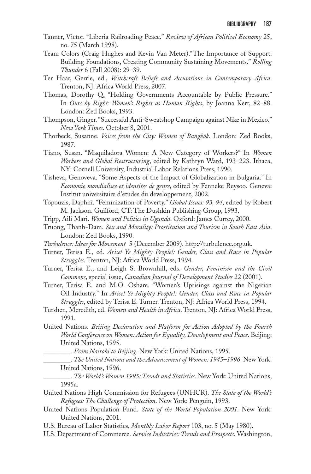- Tanner, Victor. "Liberia Railroading Peace." *Review of African Political Economy* 25, no. 75 (March 1998).
- Team Colors (Craig Hughes and Kevin Van Meter)."The Importance of Support: Building Foundations, Creating Community Sustaining Movements." *Rolling Thunder* 6 (Fall 2008): 29–39.
- Ter Haar, Gerrie, ed., *Witchcraft Beliefs and Accusations in Contemporary Africa*. Trenton, NJ: Africa World Press, 2007.
- Thomas, Dorothy Q. "Holding Governments Accountable by Public Pressure." In *Ours by Right: Women's Rights as Human Rights*, by Joanna Kerr, 82–88. London: Zed Books, 1993.
- Thompson, Ginger. "Successful Anti-Sweatshop Campaign against Nike in Mexico." *New York Times*. October 8, 2001.
- Thorbeck, Susanne. *Voices from the City: Women of Bangkok*. London: Zed Books, 1987.
- Tiano, Susan. "Maquiladora Women: A New Category of Workers?" In *Women Workers and Global Restructuring*, edited by Kathryn Ward, 193–223. Ithaca, NY: Cornell University, Industrial Labor Relations Press, 1990.
- Tisheva, Genoveva. "Some Aspects of the Impact of Globalization in Bulgaria." In *Economie mondialisee et identites de genre,* edited by Fenneke Reysoo. Geneva: Institut universitaire d'etudes du developpement, 2002.
- Topouzis, Daphni. "Feminization of Poverty." *Global Issues: 93, 94*, edited by Robert M. Jackson. Guilford, CT: The Dushkin Publishing Group, 1993.
- Tripp, Aili Mari. *Women and Politics in Uganda*. Oxford: James Currey, 2000.
- Truong, Thanh-Dam. *Sex and Morality: Prostitution and Tourism in South East Asia*. London: Zed Books, 1990.
- *Turbulence: Ideas for Movement* 5 (December 2009). http://turbulence.org.uk.
- Turner, Terisa E., ed. *Arise! Ye Mighty People!: Gender, Class and Race in Popular Struggles*. Trenton, NJ: Africa World Press, 1994.
- Turner, Terisa E., and Leigh S. Brownhill, eds. *Gender, Feminism and the Civil Commons*, special issue, *Canadian Journal of Development Studies* 22 (2001).
- Turner, Terisa E. and M.O. Oshare. "Women's Uprisings against the Nigerian Oil Industry." In *Arise! Ye Mighty People!: Gender, Class and Race in Popular Struggles*, edited by Terisa E. Turner. Trenton, NJ: Africa World Press, 1994.
- Turshen, Meredith, ed. *Women and Health in Africa*. Trenton, NJ: Africa World Press, 1991.
- United Nations. *Beijing Declaration and Platform for Action Adopted by the Fourth World Conference on Women: Action for Equality, Development and Peace*. Beijing: United Nations, 1995.

\_\_\_\_\_\_\_\_. *From Nairobi to Beijing*. New York: United Nations, 1995.

\_\_\_\_\_\_\_\_. *The United Nations and the Advancement of Women: 1945–1996*. New York: United Nations, 1996.

\_\_\_\_\_\_\_\_. *The World's Women 1995: Trends and Statistics*. New York: United Nations, 1995a.

- United Nations High Commission for Refugees (UNHCR). *The State of the World's Refugees: The Challenge of Protection*. New York: Penguin, 1993.
- United Nations Population Fund. *State of the World Population 2001*. New York: United Nations, 2001.
- U.S. Bureau of Labor Statistics, *Monthly Labor Report* 103, no. 5 (May 1980).
- U.S. Department of Commerce. *Service Industries: Trends and Prospects*. Washington,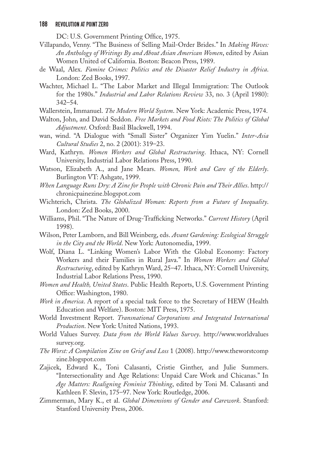DC: U.S. Government Printing Office, 1975.

- Villapando, Venny. "The Business of Selling Mail-Order Brides." In *Making Waves: An Anthology of Writings By and About Asian American Women*, edited by Asian Women United of California. Boston: Beacon Press, 1989.
- de Waal, Alex. *Famine Crimes: Politics and the Disaster Relief Industry in Africa*. London: Zed Books, 1997.
- Wachter, Michael L. "The Labor Market and Illegal Immigration: The Outlook for the 1980s." *Industrial and Labor Relations Review* 33, no. 3 (April 1980): 342–54.
- Wallerstein, Immanuel. *The Modern World System*. New York: Academic Press, 1974.
- Walton, John, and David Seddon. *Free Markets and Food Riots: The Politics of Global Adjustment*. Oxford: Basil Blackwell, 1994.
- wan, wind. "A Dialogue with "Small Sister" Organizer Yim Yuelin." *Inter-Asia Cultural Studies* 2, no. 2 (2001): 319–23.
- Ward, Kathryn. *Women Workers and Global Restructuring*. Ithaca, NY: Cornell University, Industrial Labor Relations Press, 1990.
- Watson, Elizabeth A., and Jane Mears. *Women, Work and Care of the Elderly*. Burlington VT: Ashgate, 1999.
- *When Language Runs Dry: A Zine for People with Chronic Pain and Their Allies*. http:// chronicpainezine.blogspot.com
- Wichterich, Christa. *The Globalized Woman: Reports from a Future of Inequality*. London: Zed Books, 2000.
- Williams, Phil. "The Nature of Drug-Trafficking Networks." *Current History* (April 1998).
- Wilson, Peter Lamborn, and Bill Weinberg, eds. *Avant Gardening: Ecological Struggle in the City and the World*. New York: Autonomedia, 1999.
- Wolf, Diana L. "Linking Women's Labor With the Global Economy: Factory Workers and their Families in Rural Java." In *Women Workers and Global Restructuring*, edited by Kathryn Ward, 25–47. Ithaca, NY: Cornell University, Industrial Labor Relations Press, 1990.
- *Women and Health, United States*. Public Health Reports, U.S. Government Printing Office: Washington, 1980.
- *Work in America*. A report of a special task force to the Secretary of HEW (Health Education and Welfare). Boston: MIT Press, 1975.
- World Investment Report. *Transnational Corporations and Integrated International Production*. New York: United Nations, 1993.
- World Values Survey. *Data from the World Values Survey*. http://www.worldvalues survey.org.
- *The Worst: A Compilation Zine on Grief and Loss* 1 (2008). http://www.theworstcomp zine.blogspot.com
- Zajicek, Edward K., Toni Calasanti, Cristie Ginther, and Julie Summers. "Intersectionality and Age Relations: Unpaid Care Work and Chicanas." In *Age Matters: Realigning Feminist Thinking*, edited by Toni M. Calasanti and Kathleen F. Slevin, 175–97. New York: Routledge, 2006.
- Zimmerman, Mary K., et al. *Global Dimensions of Gender and Carework*. Stanford: Stanford University Press, 2006.